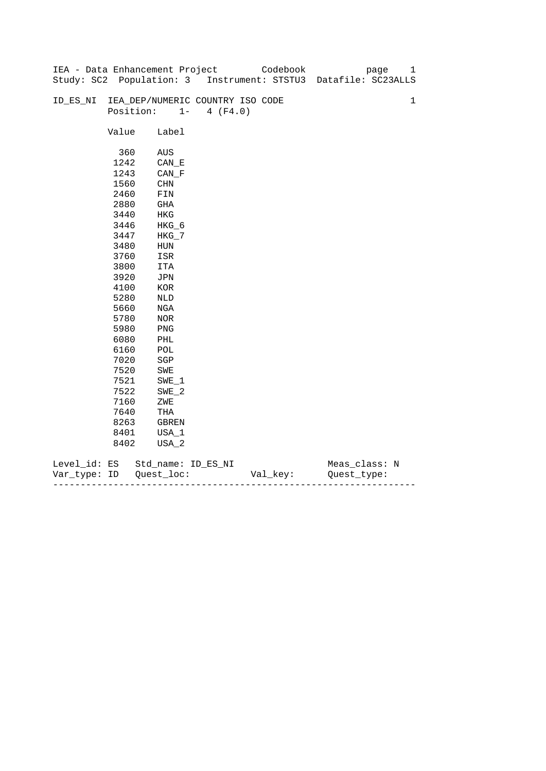|              |       | IEA - Data Enhancement Project   |                   | Codebook | 1<br>page                                                      |
|--------------|-------|----------------------------------|-------------------|----------|----------------------------------------------------------------|
|              |       |                                  |                   |          | Study: SC2 Population: 3 Instrument: STSTU3 Datafile: SC23ALLS |
|              |       |                                  |                   |          |                                                                |
| ID_ES_NI     |       | IEA_DEP/NUMERIC COUNTRY ISO CODE |                   |          | $\mathbf{1}$                                                   |
|              |       | Position:                        | $1 -$<br>4 (F4.0) |          |                                                                |
|              |       |                                  |                   |          |                                                                |
|              | Value | Label                            |                   |          |                                                                |
|              |       |                                  |                   |          |                                                                |
|              | 360   | AUS                              |                   |          |                                                                |
|              | 1242  | CAN E                            |                   |          |                                                                |
|              | 1243  | $CAN_F$                          |                   |          |                                                                |
|              | 1560  | CHN                              |                   |          |                                                                |
|              | 2460  | FIN                              |                   |          |                                                                |
|              | 2880  | GHA                              |                   |          |                                                                |
|              | 3440  | HKG                              |                   |          |                                                                |
|              | 3446  | $HKG_6$                          |                   |          |                                                                |
|              | 3447  | $HKG_7$                          |                   |          |                                                                |
|              | 3480  | ${\tt HUN}$                      |                   |          |                                                                |
|              | 3760  | ISR                              |                   |          |                                                                |
|              | 3800  | ITA                              |                   |          |                                                                |
|              | 3920  | JPN                              |                   |          |                                                                |
|              | 4100  | $_{\rm KOR}$                     |                   |          |                                                                |
|              | 5280  | NLD                              |                   |          |                                                                |
|              | 5660  | NGA                              |                   |          |                                                                |
|              | 5780  | NOR                              |                   |          |                                                                |
|              | 5980  | PNG                              |                   |          |                                                                |
|              | 6080  | PHL                              |                   |          |                                                                |
|              | 6160  | POL                              |                   |          |                                                                |
|              | 7020  | $_{\rm SGP}$                     |                   |          |                                                                |
|              | 7520  | SWE                              |                   |          |                                                                |
|              | 7521  | $SWE_1$                          |                   |          |                                                                |
|              | 7522  | $SWE_2$                          |                   |          |                                                                |
|              | 7160  | ZWE                              |                   |          |                                                                |
|              | 7640  | THA                              |                   |          |                                                                |
|              | 8263  | GBREN                            |                   |          |                                                                |
|              | 8401  | USA_1                            |                   |          |                                                                |
|              | 8402  | USA_2                            |                   |          |                                                                |
|              |       |                                  |                   |          |                                                                |
| Level_id: ES |       | Std_name: ID_ES_NI               |                   |          | Meas_class: N                                                  |

| Var<br>тvpe.<br>. | TΡ | $ -$ | - |
|-------------------|----|------|---|
|                   |    |      |   |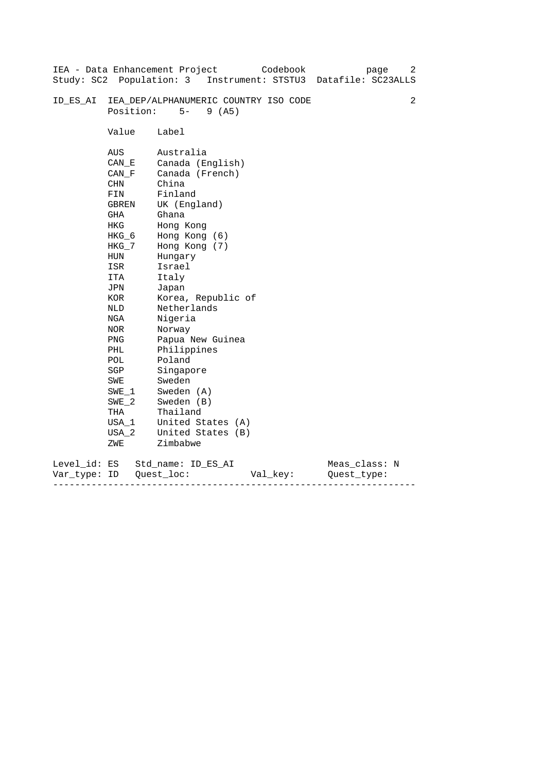| Study: SC2 Population: 3     |                                                                                                                                                                                                                             | IEA - Data Enhancement Project<br>Codebook<br>page<br>Instrument: STSTU3<br>Datafile: SC23ALLS                                                                                                                                                                                                                                                                                 | 2 |
|------------------------------|-----------------------------------------------------------------------------------------------------------------------------------------------------------------------------------------------------------------------------|--------------------------------------------------------------------------------------------------------------------------------------------------------------------------------------------------------------------------------------------------------------------------------------------------------------------------------------------------------------------------------|---|
| ID ES AI                     | Position:                                                                                                                                                                                                                   | IEA_DEP/ALPHANUMERIC COUNTRY ISO CODE<br>$5-$<br>9(AB)                                                                                                                                                                                                                                                                                                                         | 2 |
|                              | Value                                                                                                                                                                                                                       | Label                                                                                                                                                                                                                                                                                                                                                                          |   |
|                              | AUS<br>CAN E<br>CAN F<br>CHN<br>FIN<br>GBREN<br>GHA<br><b>HKG</b><br>HKG_6<br>$HKG_7$<br>HUN<br>ISR<br>ITA<br>JPN<br>KOR<br>NLD<br>NGA<br>NOR<br><b>PNG</b><br>PHL<br>POL<br>SGP<br>SWE<br>SWE 1<br>$SWE_2$<br>THA<br>USA_1 | Australia<br>Canada (English)<br>Canada (French)<br>China<br>Finland<br>UK (England)<br>Ghana<br>Hong Kong<br>Hong Kong (6)<br>Hong Kong (7)<br>Hungary<br>Israel<br>Italy<br>Japan<br>Korea, Republic of<br>Netherlands<br>Nigeria<br>Norway<br>Papua New Guinea<br>Philippines<br>Poland<br>Singapore<br>Sweden<br>Sweden (A)<br>Sweden (B)<br>Thailand<br>United States (A) |   |
|                              | $USA_2$<br>ZWE                                                                                                                                                                                                              | United States (B)<br>Zimbabwe                                                                                                                                                                                                                                                                                                                                                  |   |
| Level_id: ES<br>Var type: ID |                                                                                                                                                                                                                             | Meas_class: N<br>Std name: ID ES AI<br>Quest loc:<br>Val_key:<br>Ouest type:                                                                                                                                                                                                                                                                                                   |   |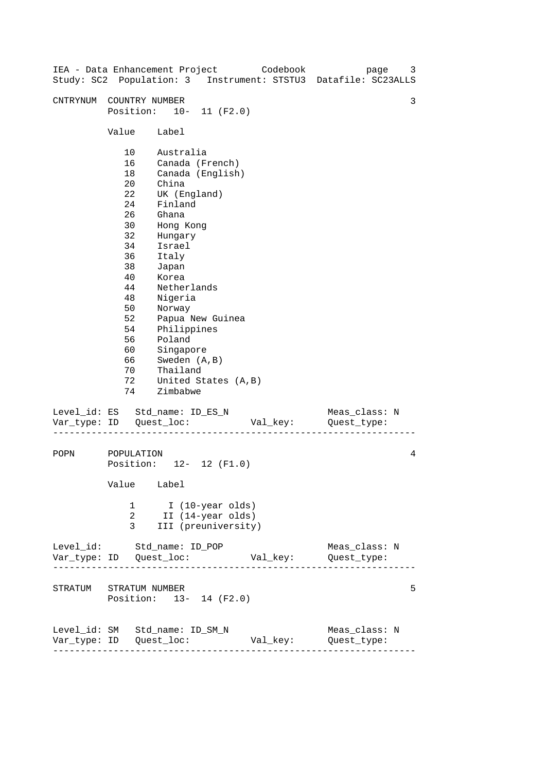| IEA - Data Enhancement Project |                                                                                                                                       |                                                                                                                                                                                                                                               |                                      | Codebook | page<br>Study: SC2 Population: 3 Instrument: STSTU3 Datafile: SC23ALLS | 3 |
|--------------------------------|---------------------------------------------------------------------------------------------------------------------------------------|-----------------------------------------------------------------------------------------------------------------------------------------------------------------------------------------------------------------------------------------------|--------------------------------------|----------|------------------------------------------------------------------------|---|
| CNTRYNUM                       | COUNTRY NUMBER<br>Position: 10- 11 (F2.0)                                                                                             |                                                                                                                                                                                                                                               |                                      |          |                                                                        | 3 |
|                                | Value                                                                                                                                 | Label                                                                                                                                                                                                                                         |                                      |          |                                                                        |   |
|                                | 10<br>16<br>18<br>$20 \,$<br>22<br>24<br>26<br>30<br>32<br>34<br>36<br>38<br>40<br>44<br>48<br>50<br>52<br>54<br>56<br>60<br>66<br>70 | Australia<br>Canada (French)<br>China<br>UK (England)<br>Finland<br>Ghana<br>Hong Kong<br>Hungary<br>Israel<br>Italy<br>Japan<br>Korea<br>Netherlands<br>Nigeria<br>Norway<br>Philippines<br>Poland<br>Singapore<br>Sweden (A, B)<br>Thailand | Canada (English)<br>Papua New Guinea |          |                                                                        |   |
|                                | 72<br>74                                                                                                                              | Zimbabwe                                                                                                                                                                                                                                      | United States (A, B)                 |          |                                                                        |   |
| Level_id: ES Std_name: ID_ES_N |                                                                                                                                       |                                                                                                                                                                                                                                               |                                      | Val_key: | Meas_class: N<br>Quest_type:                                           |   |
| POPN                           | POPULATION<br>Position: 12- 12 (F1.0)<br>Value Label                                                                                  |                                                                                                                                                                                                                                               |                                      |          |                                                                        | 4 |
|                                | 1<br>2<br>3                                                                                                                           | I (10-year olds)<br>II (14-year olds)                                                                                                                                                                                                         | III (preuniversity)                  |          |                                                                        |   |
| Level_id: Std_name: ID_POP     |                                                                                                                                       |                                                                                                                                                                                                                                               |                                      |          | Meas_class: N                                                          |   |
| STRATUM STRATUM NUMBER         | Position: 13- 14 (F2.0)                                                                                                               |                                                                                                                                                                                                                                               |                                      |          |                                                                        | 5 |
| Level_id: SM Std_name: ID_SM_N | ---------------------                                                                                                                 |                                                                                                                                                                                                                                               |                                      | Val_key: | Meas_class: N<br>Quest_type:                                           |   |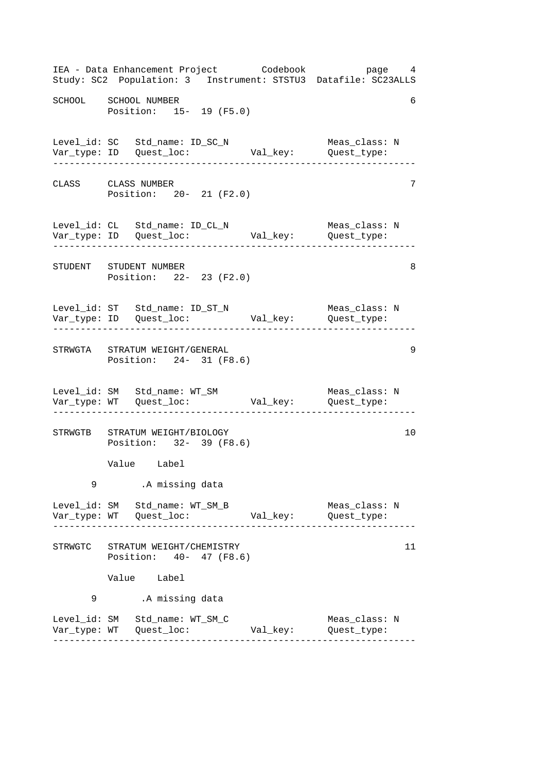------------------------------------------------------------------ ------------------------------------------------------------------ ------------------------------------------------------------------ ------------------------------------------------------------------ ------------------------------------------------------------------ ------------------------------------------------------------------ IEA - Data Enhancement Project Codebook page 4 Study: SC2 Population: 3 Instrument: STSTU3 Datafile: SC23ALLS SCHOOL SCHOOL NUMBER 6 Position: 15- 19 (F5.0) Level\_id: SC Std\_name: ID\_SC\_N Meas\_class: N Var\_type: ID Quest\_loc: Val\_key: Quest\_type: CLASS CLASS NUMBER 7 Position: 20- 21 (F2.0) Level\_id: CL Std\_name: ID\_CL\_N Meas\_class: N Var\_type: ID Quest\_loc: Val\_key: Quest\_type: STUDENT STUDENT NUMBER 8 Position: 22- 23 (F2.0) Level\_id: ST Std\_name: ID\_ST\_N Meas\_class: N Var\_type: ID Quest\_loc: Val\_key: Quest\_type: STRWGTA STRATUM WEIGHT/GENERAL 9 Position: 24- 31 (F8.6) Level\_id: SM Std\_name: WT\_SM Meas\_class: N Var\_type: WT Quest\_loc: Val\_key: Quest\_type: STRWGTB STRATUM WEIGHT/BIOLOGY 10 Position: 32- 39 (F8.6) Value Label 9 .A missing data Level\_id: SM Std\_name: WT\_SM\_B Meas\_class: N Var\_type: WT Quest\_loc: Val\_key: Quest\_type: STRWGTC STRATUM WEIGHT/CHEMISTRY 11 Position: 40- 47 (F8.6) Value Label 9 .A missing data Level\_id: SM Std\_name: WT\_SM\_C Meas\_class: N Var\_type: WT Quest\_loc: Val\_key: Quest\_type: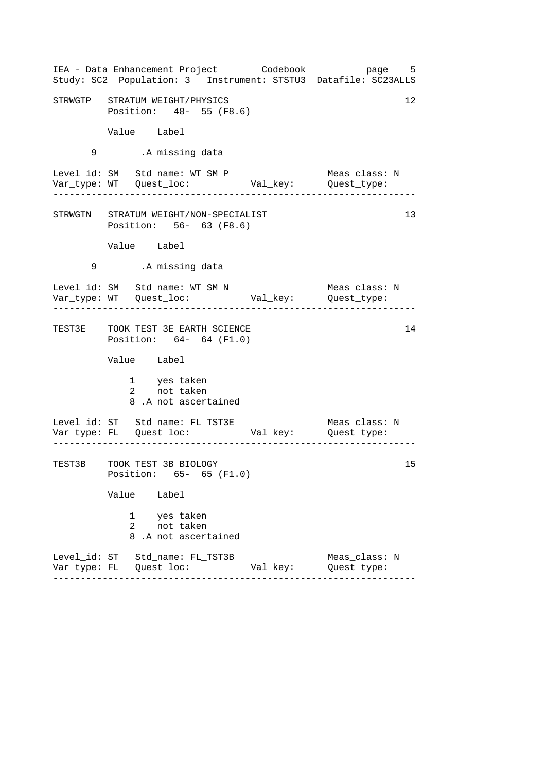|   | IEA - Data Enhancement Project Codebook<br>Study: SC2 Population: 3 Instrument: STSTU3 Datafile: SC23ALLS |                               | page 5                       |  |  |  |  |  |  |
|---|-----------------------------------------------------------------------------------------------------------|-------------------------------|------------------------------|--|--|--|--|--|--|
|   | STRWGTP STRATUM WEIGHT/PHYSICS                                                                            | 12<br>Position: 48- 55 (F8.6) |                              |  |  |  |  |  |  |
|   | Value Label                                                                                               |                               |                              |  |  |  |  |  |  |
| 9 | .A missing data                                                                                           |                               |                              |  |  |  |  |  |  |
|   | Level_id: SM Std_name: WT_SM_P                                                                            |                               | Meas_class: N                |  |  |  |  |  |  |
|   | STRWGTN STRATUM WEIGHT/NON-SPECIALIST<br>Position: 56- 63 (F8.6)                                          |                               | 13                           |  |  |  |  |  |  |
|   | Value Label                                                                                               |                               |                              |  |  |  |  |  |  |
| 9 | .A missing data                                                                                           |                               |                              |  |  |  |  |  |  |
|   | Level_id: SM Std_name: WT_SM_N<br>----------------------                                                  |                               | Meas_class: N                |  |  |  |  |  |  |
|   | TEST3E TOOK TEST 3E EARTH SCIENCE<br>Position: 64- 64 (F1.0)                                              |                               | 14                           |  |  |  |  |  |  |
|   | Value Label                                                                                               |                               |                              |  |  |  |  |  |  |
|   | 1 yes taken<br>2 not taken<br>8.A not ascertained                                                         |                               |                              |  |  |  |  |  |  |
|   | Level_id: ST Std_name: FL_TST3E Meas_class: 1<br>Var_type: FL Quest_loc: Val_key: Quest_type:             |                               | Meas_class: N                |  |  |  |  |  |  |
|   | TEST3B TOOK TEST 3B BIOLOGY<br>Position: 65- 65 (F1.0)                                                    |                               | 15                           |  |  |  |  |  |  |
|   | Value Label                                                                                               |                               |                              |  |  |  |  |  |  |
|   | $\mathbf{1}$<br>yes taken<br>not taken<br>2<br>8.A not ascertained                                        |                               |                              |  |  |  |  |  |  |
|   | Level_id: ST Std_name: FL_TST3B                                                                           | Val_key:                      | Meas_class: N<br>Quest_type: |  |  |  |  |  |  |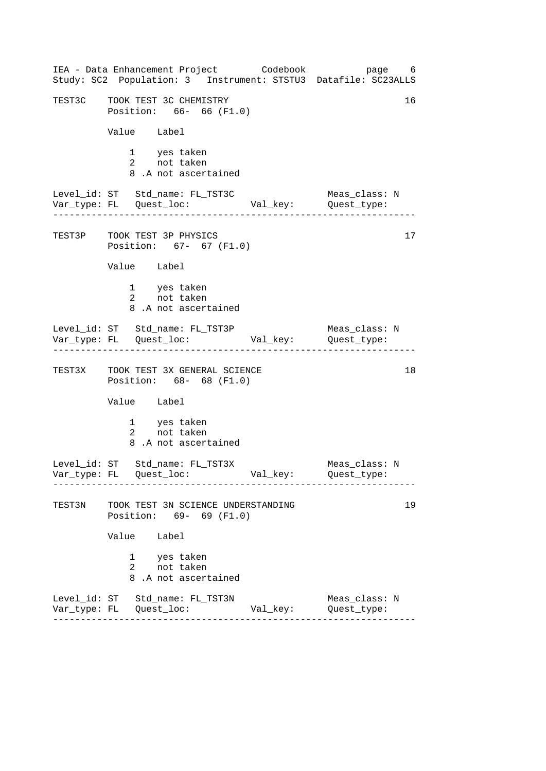|        | IEA - Data Enhancement Project Codebook<br>Study: SC2 Population: 3 Instrument: STSTU3 Datafile: SC23ALLS |          | page 6                       |
|--------|-----------------------------------------------------------------------------------------------------------|----------|------------------------------|
|        | TEST3C TOOK TEST 3C CHEMISTRY<br>Position: 66- 66 (F1.0)                                                  |          | 16                           |
|        | Value Label                                                                                               |          |                              |
|        | 1 yes taken<br>2 not taken<br>8.A not ascertained                                                         |          |                              |
|        | Level_id: ST Std_name: FL_TST3C<br>Var_type: FL    Quest_loc:    Val_key:    Quest_type:                  |          | Meas_class: N                |
|        | TEST3P TOOK TEST 3P PHYSICS<br>Position: 67- 67 (F1.0)                                                    |          | 17                           |
|        | Value Label                                                                                               |          |                              |
|        | 1 yes taken<br>2 not taken<br>8.A not ascertained                                                         |          |                              |
|        | Level_id: ST Std_name: FL_TST3P Meas_class:<br>Var_type: FL Quest_loc: Val_key: Quest_type:               |          | Meas_class: N                |
|        | TEST3X TOOK TEST 3X GENERAL SCIENCE<br>Position: 68- 68 (F1.0)                                            |          | 18                           |
|        | Value Label                                                                                               |          |                              |
|        | 1 yes taken<br>2 not taken<br>8.A not ascertained                                                         |          |                              |
|        | Level_id: ST Std_name: FL_TST3X                                                                           | Val_key: | Meas class: N<br>Quest_type: |
| TEST3N | TOOK TEST 3N SCIENCE UNDERSTANDING<br>Position: 69- 69 (F1.0)                                             |          | 19                           |
|        | Value<br>Label                                                                                            |          |                              |
|        | 1 yes taken<br>$2 \qquad \qquad$<br>not taken<br>8.A not ascertained                                      |          |                              |
|        | Level_id: ST Std_name: FL_TST3N                                                                           | Val_key: | Meas_class: N<br>Quest_type: |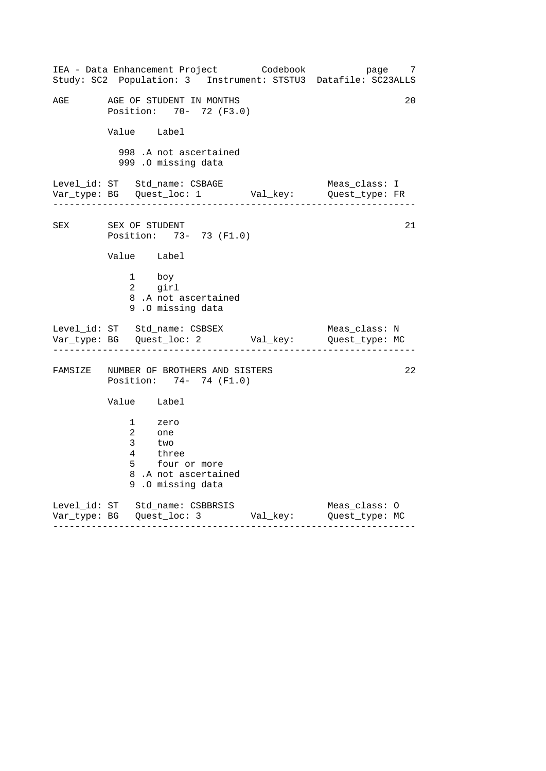|     | IEA - Data Enhancement Project Codebook bage 7<br>Study: SC2 Population: 3 Instrument: STSTU3 Datafile: SC23ALLS |  |               |    |  |  |
|-----|------------------------------------------------------------------------------------------------------------------|--|---------------|----|--|--|
| AGE | AGE OF STUDENT IN MONTHS<br>Position: 70- 72 (F3.0)                                                              |  |               | 20 |  |  |
|     | Value Label                                                                                                      |  |               |    |  |  |
|     | 998 .A not ascertained<br>999 .O missing data                                                                    |  |               |    |  |  |
|     | Level_id: ST Std_name: CSBAGE Meas_class: I<br>Var_type: BG Quest_loc: 1 Val_key: Quest_type: FR                 |  |               |    |  |  |
| SEX | SEX OF STUDENT<br>Position: 73- 73 (F1.0)                                                                        |  |               | 21 |  |  |
|     | Value Label                                                                                                      |  |               |    |  |  |
|     | 1 boy<br>2 girl<br>8.A not ascertained<br>9.0 missing data                                                       |  |               |    |  |  |
|     | Level_id: ST Std_name: CSBSEX<br>Var_type: BG    Quest_loc: 2    Val_key:    Quest_type: MC                      |  | Meas_class: N |    |  |  |
|     | FAMSIZE NUMBER OF BROTHERS AND SISTERS<br>Position: 74- 74 (F1.0)                                                |  |               | 22 |  |  |
|     | Value Label                                                                                                      |  |               |    |  |  |
|     | 1 zero<br>2 one<br>two<br>3 <sup>7</sup><br>4 three<br>5 four or more<br>8.A not ascertained<br>9.0 missing data |  |               |    |  |  |
|     | Level_id: ST Std_name: CSBBRSIS Meas_class: 0<br>Var_type: BG Quest_loc: 3 Val_key: Quest_type: MC               |  |               |    |  |  |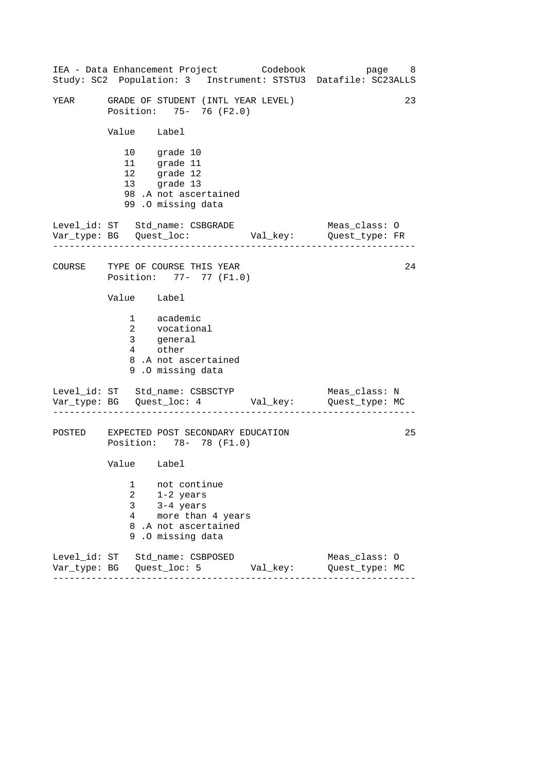------------------------------------------------------------------ ------------------------------------------------------------------ ------------------------------------------------------------------ IEA - Data Enhancement Project Codebook page 8 Study: SC2 Population: 3 Instrument: STSTU3 Datafile: SC23ALLS YEAR GRADE OF STUDENT (INTL YEAR LEVEL) 23 Position: 75- 76 (F2.0) Value Label 10 grade 10 11 grade 11 12 grade 12 13 grade 13 98 .A not ascertained 99 .O missing data Level\_id: ST Std\_name: CSBGRADE Meas\_class: O Var\_type: BG Quest\_loc: Val\_key: Quest\_type: FR COURSE TYPE OF COURSE THIS YEAR Position: 77- 77 (F1.0) Value Label 1 academic 2 vocational 3 4 general other 8 .A not ascertained 9 .O missing data Level\_id: ST Std\_name: CSBSCTYP Meas\_class: N Var\_type: BG Quest\_loc: 4 Val\_key: Quest\_type: MC POSTED EXPECTED POST SECONDARY EDUCATION Position: 78- 78 (F1.0) Value Label 1 not continue 2 1-2 years 3 3-4 years 4 more than 4 years 8 .A not ascertained 9 .O missing data Level\_id: ST Std\_name: CSBPOSED Meas\_class: O Var\_type: BG Quest\_loc: 5 Val\_key: Quest\_type: MC 24 25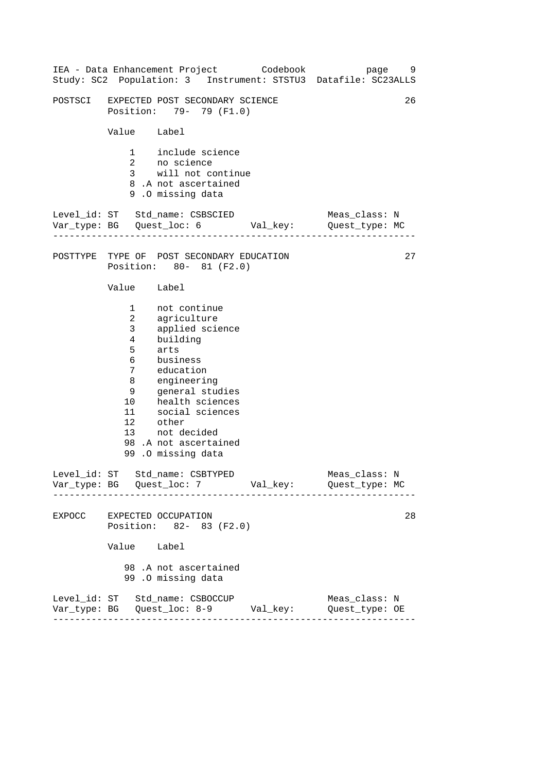|                                                                                                  | IEA - Data Enhancement Project Codebook                                                                                                                                                                                                      |  | Study: SC2 Population: 3 Instrument: STSTU3 Datafile: SC23ALLS                | page 9 |
|--------------------------------------------------------------------------------------------------|----------------------------------------------------------------------------------------------------------------------------------------------------------------------------------------------------------------------------------------------|--|-------------------------------------------------------------------------------|--------|
|                                                                                                  | POSTSCI EXPECTED POST SECONDARY SCIENCE<br>Position: 79- 79 (F1.0)                                                                                                                                                                           |  |                                                                               | 26     |
| Value Label                                                                                      |                                                                                                                                                                                                                                              |  |                                                                               |        |
|                                                                                                  | 1 include science<br>2 no science<br>3 will not continue<br>8.A not ascertained<br>9.0 missing data                                                                                                                                          |  |                                                                               |        |
|                                                                                                  | Level_id: ST Std_name: CSBSCIED                                                                                                                                                                                                              |  | Meas_class: N<br>Var_type: BG    Quest_loc: 6    Val_key:    Quest_type: MC   |        |
|                                                                                                  | POSTTYPE TYPE OF POST SECONDARY EDUCATION<br>Position: 80- 81 (F2.0)                                                                                                                                                                         |  |                                                                               | 27     |
| Value Label                                                                                      |                                                                                                                                                                                                                                              |  |                                                                               |        |
| 3 <sup>7</sup><br>$4\overline{ }$<br>5<br>$6\overline{}$<br>7 <sup>7</sup><br>8<br>9<br>12 other | 1 not continue<br>2 agriculture<br>applied science<br>building<br>arts<br>business<br>education<br>engineering<br>general studies<br>10 health sciences<br>11 social sciences<br>13 not decided<br>98.A not ascertained<br>99.0 missing data |  |                                                                               |        |
|                                                                                                  | Level_id: ST Std_name: CSBTYPED                                                                                                                                                                                                              |  | Meas_class: N                                                                 |        |
|                                                                                                  | EXPOCC EXPECTED OCCUPATION<br>Position: 82- 83 (F2.0)                                                                                                                                                                                        |  |                                                                               | 28     |
| Value Label                                                                                      |                                                                                                                                                                                                                                              |  |                                                                               |        |
|                                                                                                  | 98.A not ascertained<br>99.0 missing data                                                                                                                                                                                                    |  |                                                                               |        |
|                                                                                                  | Level_id: ST Std_name: CSBOCCUP                                                                                                                                                                                                              |  | Meas_class: N<br>Var_type: BG    Quest_loc: 8-9    Val_key:    Quest_type: OE |        |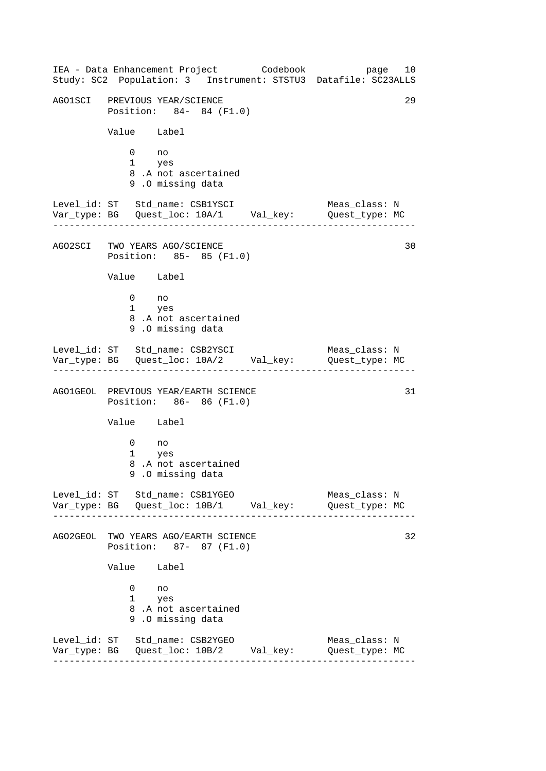------------------------------------------------------------------ ------------------------------------------------------------------ ------------------------------------------------------------------ ------------------------------------------------------------------ IEA - Data Enhancement Project Codebook page 10 Study: SC2 Population: 3 Instrument: STSTU3 Datafile: SC23ALLS AGO1SCI PREVIOUS YEAR/SCIENCE 29 Position: 84- 84 (F1.0) Value Label 0 no 1 yes 8 .A not ascertained 9 .O missing data Level\_id: ST Std\_name: CSB1YSCI Meas\_class: N Var\_type: BG Quest\_loc: 10A/1 Val\_key: Quest\_type: MC AGO2SCI TWO YEARS AGO/SCIENCE 30 Position: 85- 85 (F1.0) Value Label 0 no 1 yes 8 .A not ascertained 9 .O missing data Level\_id: ST Std\_name: CSB2YSCI Meas\_class: N Var\_type: BG Quest\_loc: 10A/2 Val\_key: Quest\_type: MC AGO1GEOL PREVIOUS YEAR/EARTH SCIENCE 31 Position: 86- 86 (F1.0) Value Label 0 no 1 yes 8 .A not ascertained 9 .O missing data Level id: ST Std name: CSB1YGEO Meas class: N Var\_type: BG Quest\_loc: 10B/1 Val\_key: Quest\_type: MC AGO2GEOL TWO YEARS AGO/EARTH SCIENCE 32 Position: 87- 87 (F1.0) Value Label 0 no 1 yes 8 .A not ascertained 9 .O missing data Level\_id: ST Std\_name: CSB2YGEO Meas\_class: N Var\_type: BG Quest\_loc: 10B/2 Val\_key: Quest\_type: MC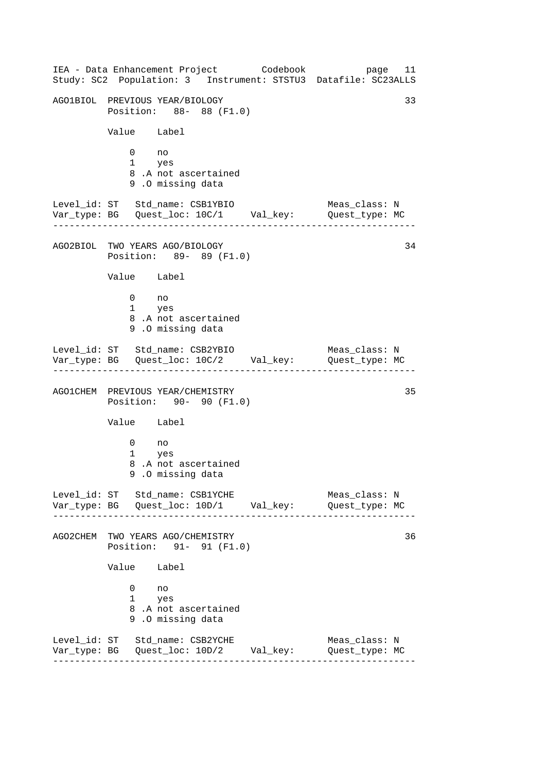------------------------------------------------------------------ ------------------------------------------------------------------ ------------------------------------------------------------------ ------------------------------------------------------------------ IEA - Data Enhancement Project Codebook page 11 Study: SC2 Population: 3 Instrument: STSTU3 Datafile: SC23ALLS AGO1BIOL PREVIOUS YEAR/BIOLOGY 33 Position: 88- 88 (F1.0) Value Label 0 no 1 yes 8 .A not ascertained 9 .O missing data Level\_id: ST Std\_name: CSB1YBIO Meas\_class: N Var\_type: BG Quest\_loc: 10C/1 Val\_key: Quest\_type: MC AGO2BIOL TWO YEARS AGO/BIOLOGY 34 Position: 89- 89 (F1.0) Value Label 0 no 1 yes 8 .A not ascertained 9 .O missing data Level\_id: ST Std\_name: CSB2YBIO Meas\_class: N Var\_type: BG Quest\_loc: 10C/2 Val\_key: Quest\_type: MC AGO1CHEM PREVIOUS YEAR/CHEMISTRY 35 Position: 90- 90 (F1.0) Value Label 0 no 1 yes 8 .A not ascertained 9 .O missing data Level id: ST Std name: CSB1YCHE Meas class: N Var\_type: BG Quest\_loc: 10D/1 Val\_key: Quest\_type: MC AGO2CHEM TWO YEARS AGO/CHEMISTRY 36 Position: 91- 91 (F1.0) Value Label 0 no 1 yes 8 .A not ascertained 9 .O missing data Level\_id: ST Std\_name: CSB2YCHE Meas\_class: N Var\_type: BG Quest\_loc: 10D/2 Val\_key: Quest\_type: MC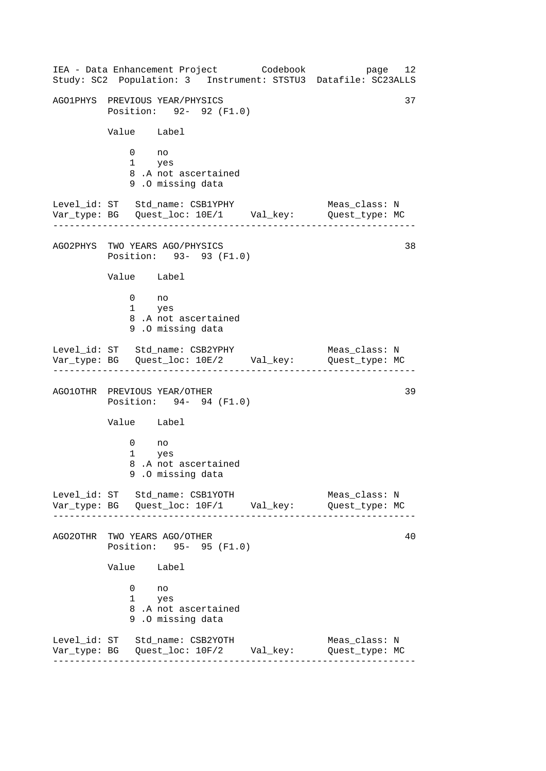------------------------------------------------------------------ ------------------------------------------------------------------ ------------------------------------------------------------------ ------------------------------------------------------------------ IEA - Data Enhancement Project Codebook page 12 Study: SC2 Population: 3 Instrument: STSTU3 Datafile: SC23ALLS AGO1PHYS PREVIOUS YEAR/PHYSICS 37 Position: 92- 92 (F1.0) Value Label 0 no 1 yes 8 .A not ascertained 9 .O missing data Level\_id: ST Std\_name: CSB1YPHY Meas\_class: N Var\_type: BG Quest\_loc: 10E/1 Val\_key: Quest\_type: MC AGO2PHYS TWO YEARS AGO/PHYSICS 38 Position: 93- 93 (F1.0) Value Label 0 no 1 yes 8 .A not ascertained 9 .O missing data Level\_id: ST Std\_name: CSB2YPHY Meas\_class: N Var\_type: BG Quest\_loc: 10E/2 Val\_key: Quest\_type: MC AGO1OTHR PREVIOUS YEAR/OTHER 39 Position: 94- 94 (F1.0) Value Label 0 no 1 yes 8 .A not ascertained 9 .O missing data Level\_id: ST Std\_name: CSB1YOTH Meas\_class: N Var\_type: BG Quest\_loc: 10F/1 Val\_key: Quest\_type: MC AGO2OTHR TWO YEARS AGO/OTHER 40 Position: 95- 95 (F1.0) Value Label 0 no 1 yes 8 .A not ascertained 9 .O missing data Level\_id: ST Std\_name: CSB2YOTH Meas\_class: N Var\_type: BG Quest\_loc: 10F/2 Val\_key: Quest\_type: MC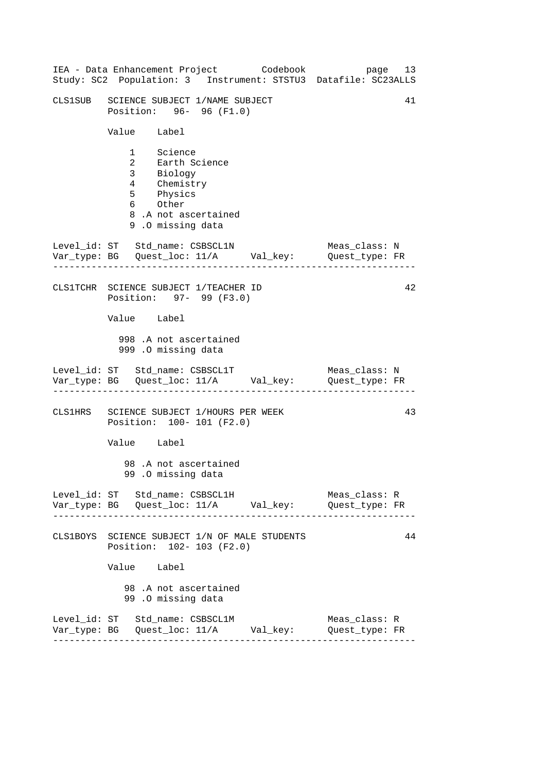| IEA - Data Enhancement Project Codebook<br>Study: SC2 Population: 3 Instrument: STSTU3 Datafile: SC23ALLS                   | page 13                         |
|-----------------------------------------------------------------------------------------------------------------------------|---------------------------------|
| CLS1SUB SCIENCE SUBJECT 1/NAME SUBJECT<br>Position: 96- 96 (F1.0)                                                           | 41                              |
| Value Label                                                                                                                 |                                 |
| 1 Science<br>2 Earth Science<br>3 Biology<br>4 Chemistry<br>5 Physics<br>6 Other<br>8.A not ascertained<br>9.0 missing data |                                 |
| Level_id: ST Std_name: CSBSCL1N<br>Var_type: BG    Quest_loc: 11/A    Val_key:    Quest_type: FR                            | Meas_class: N<br>-----------    |
| CLS1TCHR SCIENCE SUBJECT 1/TEACHER ID<br>Position: 97- 99 (F3.0)                                                            | 42                              |
| Value Label                                                                                                                 |                                 |
| 998 .A not ascertained<br>999 .O missing data                                                                               |                                 |
| Level_id: ST Std_name: CSBSCL1T                                                                                             | Meas_class: N                   |
| CLS1HRS SCIENCE SUBJECT 1/HOURS PER WEEK<br>Position: 100- 101 (F2.0)                                                       | 43                              |
| Value Label                                                                                                                 |                                 |
| 98.A not ascertained<br>99.0 missing data                                                                                   |                                 |
| Level_id: ST Std_name: CSBSCL1H                                                                                             | Meas_class: R<br>Quest_type: FR |
| CLS1BOYS SCIENCE SUBJECT 1/N OF MALE STUDENTS<br>Position: 102- 103 (F2.0)                                                  | 44                              |
| Value Label                                                                                                                 |                                 |
| 98.A not ascertained<br>99.0 missing data                                                                                   |                                 |
| Level_id: ST Std_name: CSBSCL1M<br>Var_type: BG    Quest_loc: 11/A    Val_key:    Quest_type: FR                            | Meas_class: R                   |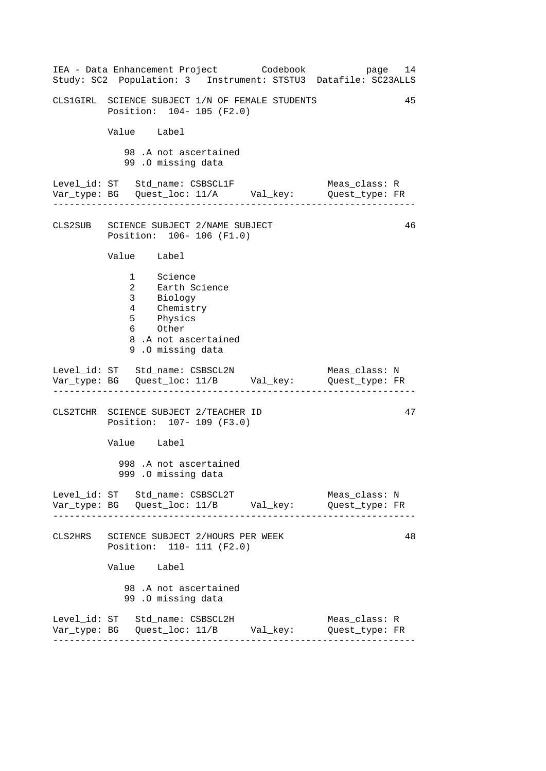------------------------------------------------------------------ ------------------------------------------------------------------ ------------------------------------------------------------------ ------------------------------------------------------------------ IEA - Data Enhancement Project Codebook page 14 Study: SC2 Population: 3 Instrument: STSTU3 Datafile: SC23ALLS CLS1GIRL SCIENCE SUBJECT 1/N OF FEMALE STUDENTS 45 Position: 104- 105 (F2.0) Value Label 98 .A not ascertained 99 .O missing data Level\_id: ST Std\_name: CSBSCL1F Meas\_class: R Var\_type: BG Quest\_loc: 11/A Val\_key: Quest\_type: FR CLS2SUB SCIENCE SUBJECT 2/NAME SUBJECT 46 Position: 106- 106 (F1.0) Value Label 1 Science 2 Earth Science 3 Biology 4 Chemistry 5 Physics 6 Other 8 .A not ascertained 9 .O missing data Level\_id: ST Std\_name: CSBSCL2N Meas\_class: N Var\_type: BG Quest\_loc: 11/B Val\_key: Quest\_type: FR CLS2TCHR SCIENCE SUBJECT 2/TEACHER ID Position: 107- 109 (F3.0) Value Label 998 .A not ascertained 999 .O missing data Level\_id: ST Std\_name: CSBSCL2T Meas\_class: N Var\_type: BG Quest\_loc: 11/B Val\_key: Quest\_type: FR CLS2HRS SCIENCE SUBJECT 2/HOURS PER WEEK Position: 110- 111 (F2.0) Value Label 98 .A not ascertained 99 .O missing data Level\_id: ST Std\_name: CSBSCL2H Meas\_class: R Var\_type: BG Quest\_loc: 11/B Val\_key: Quest\_type: FR 47 48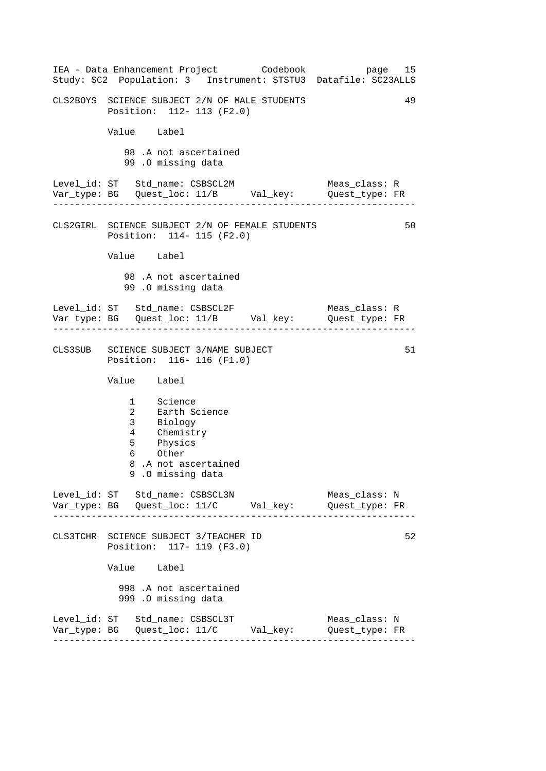------------------------------------------------------------------ ------------------------------------------------------------------ ------------------------------------------------------------------ ------------------------------------------------------------------ IEA - Data Enhancement Project Codebook page 15 Study: SC2 Population: 3 Instrument: STSTU3 Datafile: SC23ALLS CLS2BOYS SCIENCE SUBJECT 2/N OF MALE STUDENTS 49 Position: 112- 113 (F2.0) Value Label 98 .A not ascertained 99 .O missing data Level\_id: ST Std\_name: CSBSCL2M Meas\_class: R Var\_type: BG Quest\_loc: 11/B Val\_key: Quest\_type: FR CLS2GIRL SCIENCE SUBJECT 2/N OF FEMALE STUDENTS 50 Position: 114- 115 (F2.0) Value Label 98 .A not ascertained 99 .O missing data Level\_id: ST Std\_name: CSBSCL2F Meas\_class: R Var\_type: BG Quest\_loc: 11/B Val\_key: Quest\_type: FR CLS3SUB SCIENCE SUBJECT 3/NAME SUBJECT 51 Position: 116- 116 (F1.0) Value Label 1 Science 2 Earth Science 3 Biology 4 Chemistry 5 Physics 6 Other 8 .A not ascertained 9 .O missing data Level id: ST Std name: CSBSCL3N Meas class: N Var\_type: BG Quest\_loc: 11/C Val\_key: Quest\_type: FR CLS3TCHR SCIENCE SUBJECT 3/TEACHER ID Position: 117- 119 (F3.0) Value Label 998 .A not ascertained 999 .O missing data Level\_id: ST Std\_name: CSBSCL3T Meas\_class: N Var\_type: BG Quest\_loc: 11/C Val\_key: Quest\_type: FR 52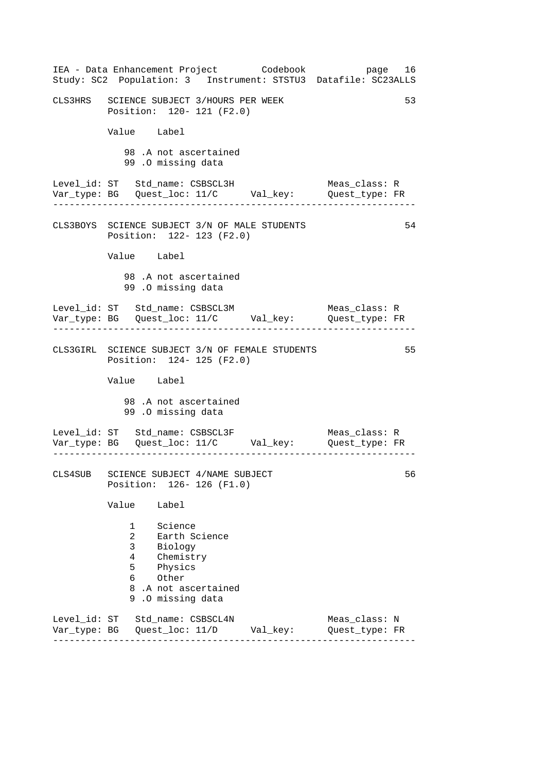------------------------------------------------------------------ ------------------------------------------------------------------ ------------------------------------------------------------------ ------------------------------------------------------------------ IEA - Data Enhancement Project Codebook page 16 Study: SC2 Population: 3 Instrument: STSTU3 Datafile: SC23ALLS CLS3HRS SCIENCE SUBJECT 3/HOURS PER WEEK 53 Position: 120- 121 (F2.0) Value Label 98 .A not ascertained 99 .O missing data Level\_id: ST Std\_name: CSBSCL3H Meas\_class: R Var\_type: BG Quest\_loc: 11/C Val\_key: Quest\_type: FR CLS3BOYS SCIENCE SUBJECT 3/N OF MALE STUDENTS 54 Position: 122- 123 (F2.0) Value Label 98 .A not ascertained 99 .O missing data Level\_id: ST Std\_name: CSBSCL3M Meas\_class: R Var\_type: BG Quest\_loc: 11/C Val\_key: Quest\_type: FR CLS3GIRL SCIENCE SUBJECT 3/N OF FEMALE STUDENTS 55 Position: 124- 125 (F2.0) Value Label 98 .A not ascertained 99 .O missing data Level\_id: ST Std\_name: CSBSCL3F Meas\_class: R Var\_type: BG Quest\_loc: 11/C Val\_key: Quest\_type: FR CLS4SUB SCIENCE SUBJECT 4/NAME SUBJECT 56 Position: 126- 126 (F1.0) Value Label 1 Science 2 Earth Science 3 Biology 4 Chemistry 5 Physics 6 Other 8 .A not ascertained 9 .O missing data Level\_id: ST Std\_name: CSBSCL4N Meas\_class: N Var\_type: BG Quest\_loc: 11/D Val\_key: Quest\_type: FR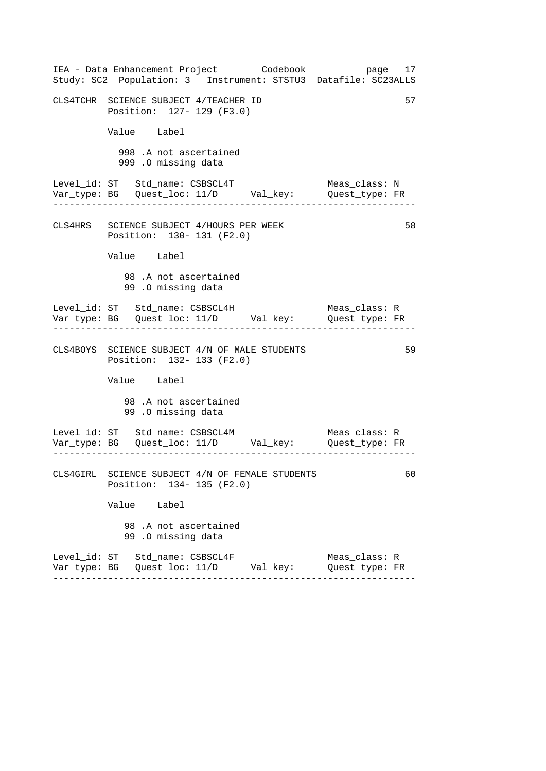| IEA - Data Enhancement Project Codebook<br>Study: SC2 Population: 3 Instrument: STSTU3 Datafile: SC23ALLS | page 17                         |
|-----------------------------------------------------------------------------------------------------------|---------------------------------|
| CLS4TCHR SCIENCE SUBJECT 4/TEACHER ID<br>Position: 127- 129 (F3.0)                                        | 57                              |
| Value Label                                                                                               |                                 |
| 998 .A not ascertained<br>999 .O missing data                                                             |                                 |
| Level_id: ST Std_name: CSBSCL4T<br>Var_type: BG    Quest_loc: 11/D    Val_key:    Quest_type: FR          | Meas_class: N                   |
| CLS4HRS SCIENCE SUBJECT 4/HOURS PER WEEK<br>Position: 130- 131 (F2.0)                                     | 58                              |
| Value Label                                                                                               |                                 |
| 98.A not ascertained<br>99.0 missing data                                                                 |                                 |
| Level_id: ST Std_name: CSBSCL4H<br>Var_type: BG    Quest_loc: 11/D    Val_key:    Quest_type: FR          | Meas_class: R                   |
| CLS4BOYS SCIENCE SUBJECT 4/N OF MALE STUDENTS<br>Position: 132- 133 (F2.0)                                | 59                              |
| Value Label                                                                                               |                                 |
| 98.A not ascertained<br>99.0 missing data                                                                 |                                 |
|                                                                                                           |                                 |
| CLS4GIRL SCIENCE SUBJECT 4/N OF FEMALE STUDENTS<br>Position: 134- 135 (F2.0)                              | 60                              |
| Value Label                                                                                               |                                 |
| 98 .A not ascertained<br>99.0 missing data                                                                |                                 |
| Level_id: ST Std_name: CSBSCL4F                                                                           | Meas_class: R<br>Quest_type: FR |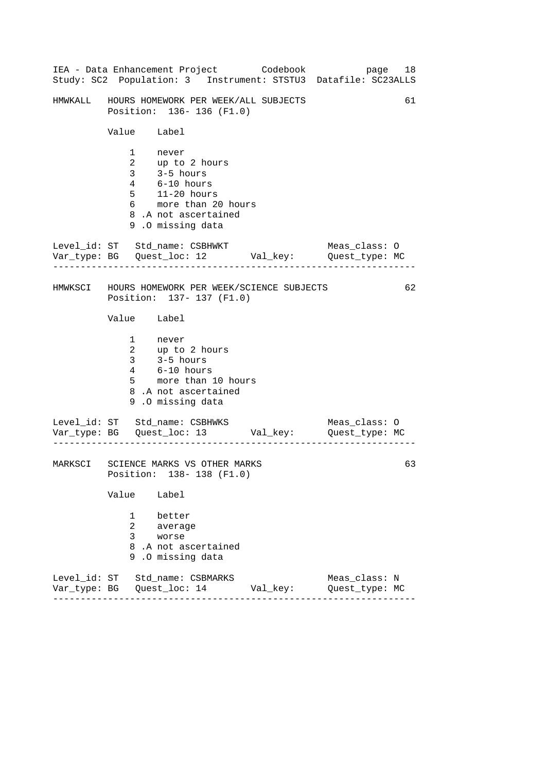|                                                                  | IEA - Data Enhancement Project Codebook<br>Study: SC2 Population: 3 Instrument: STSTU3 Datafile: SC23ALLS                                      |  | page 18                         |    |
|------------------------------------------------------------------|------------------------------------------------------------------------------------------------------------------------------------------------|--|---------------------------------|----|
|                                                                  | HMWKALL HOURS HOMEWORK PER WEEK/ALL SUBJECTS<br>Position: 136-136 (F1.0)                                                                       |  |                                 | 61 |
| Value Label                                                      |                                                                                                                                                |  |                                 |    |
| $6\overline{}$                                                   | 1 never<br>2 up to 2 hours<br>3 3-5 hours<br>4 6-10 hours<br>$5$ 11-20 hours<br>more than 20 hours<br>8.A not ascertained<br>9.0 missing data  |  |                                 |    |
| . Le le le le le le le le le le                                  | Level_id: ST Std_name: CSBHWKT<br>Var_type: BG    Quest_loc: 12    Val_key:    Quest_type: MC                                                  |  | Meas_class: O                   |    |
|                                                                  | HMWKSCI HOURS HOMEWORK PER WEEK/SCIENCE SUBJECTS<br>Position: 137- 137 (F1.0)                                                                  |  |                                 | 62 |
| Value Label                                                      |                                                                                                                                                |  |                                 |    |
|                                                                  | 1 never<br>2 up to 2 hours<br>3 3-5 hours<br>4 6-10 hours<br>5 more than 10 l<br>more than 10 hours<br>8.A not ascertained<br>9.0 missing data |  |                                 |    |
|                                                                  | Level_id: ST Std_name: CSBHWKS<br>Var_type: BG    Quest_loc: 13    Val_key:    Quest_type: MC                                                  |  | Meas_class: O                   |    |
| MARKSCI SCIENCE MARKS VS OTHER MARKS<br>Position: 138-138 (F1.0) |                                                                                                                                                |  |                                 |    |
| Value<br>1                                                       | Label<br>better                                                                                                                                |  |                                 |    |
| $\overline{a}$<br>3                                              | average<br>worse<br>8.A not ascertained<br>9.0 missing data                                                                                    |  |                                 |    |
|                                                                  | Level_id: ST Std_name: CSBMARKS                                                                                                                |  | Meas_class: N<br>Quest_type: MC |    |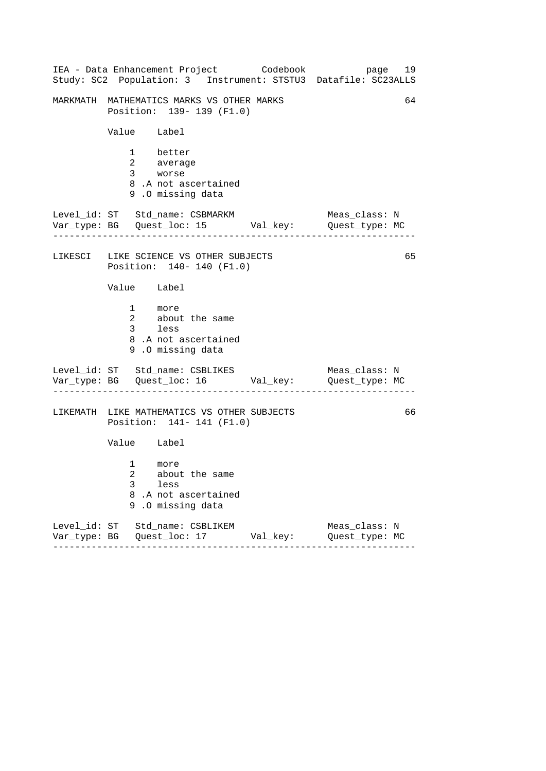|             |                                                  | IEA - Data Enhancement Project Codebook                                  |          | Study: SC2 Population: 3 Instrument: STSTU3 Datafile: SC23ALLS               | page 19 |
|-------------|--------------------------------------------------|--------------------------------------------------------------------------|----------|------------------------------------------------------------------------------|---------|
|             |                                                  | MARKMATH MATHEMATICS MARKS VS OTHER MARKS<br>Position: 139- 139 (F1.0)   |          |                                                                              | 64      |
|             | Value Label                                      |                                                                          |          |                                                                              |         |
|             | 1 better<br>2 average<br>3 <sup>7</sup><br>worse | 8.A not ascertained<br>9.0 missing data                                  |          |                                                                              |         |
|             |                                                  | Level_id: ST Std_name: CSBMARKM                                          |          | Meas_class: N<br>Var_type: BG    Quest_loc: 15    Val_key:    Quest_type: MC |         |
|             |                                                  | LIKESCI LIKE SCIENCE VS OTHER SUBJECTS<br>Position: 140- 140 (F1.0)      |          |                                                                              | 65      |
|             | Value Label                                      |                                                                          |          |                                                                              |         |
|             | 1 more<br>3 less                                 | 2 about the same<br>8.A not ascertained<br>9.0 missing data              |          |                                                                              |         |
|             |                                                  | Level_id: ST Std_name: CSBLIKES                                          |          | Meas_class: N                                                                |         |
|             |                                                  | LIKEMATH LIKE MATHEMATICS VS OTHER SUBJECTS<br>Position: 141- 141 (F1.0) |          |                                                                              | 66      |
|             | Value Label                                      |                                                                          |          |                                                                              |         |
| 3           | $1 \quad \Box$<br>more<br>$2^{\circ}$<br>less    | about the same<br>8.A not ascertained<br>9.0 missing data                |          |                                                                              |         |
| $- - - - -$ |                                                  | Level_id: ST Std_name: CSBLIKEM<br>.                                     | Val_key: | Meas_class: N<br>Quest_type: MC                                              |         |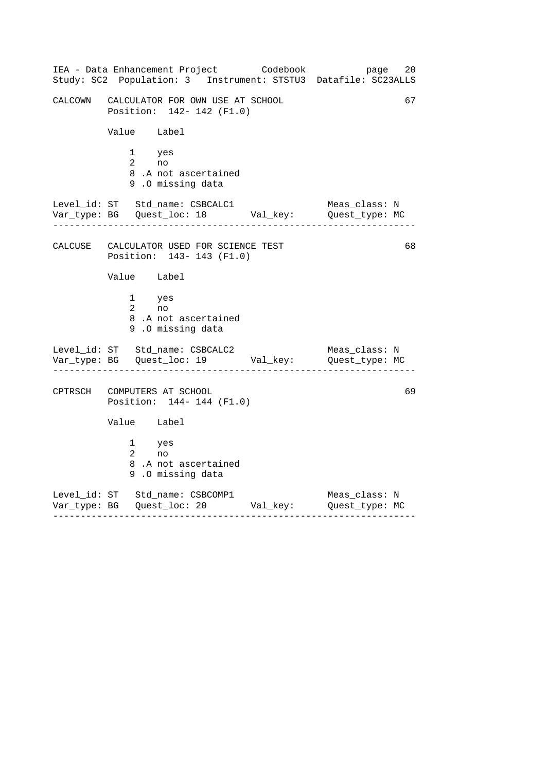------------------------------------------------------------------ ------------------------------------------------------------------ ------------------------------------------------------------------ IEA - Data Enhancement Project Codebook page 20 Study: SC2 Population: 3 Instrument: STSTU3 Datafile: SC23ALLS CALCOWN CALCULATOR FOR OWN USE AT SCHOOL 67 Position: 142- 142 (F1.0) Value Label 1 yes 2 no 8 .A not ascertained 9 .O missing data Level\_id: ST Std\_name: CSBCALC1 Meas\_class: N Var\_type: BG Quest\_loc: 18 Val\_key: Quest\_type: MC CALCUSE CALCULATOR USED FOR SCIENCE TEST 68 Position: 143- 143 (F1.0) Value Label 1 yes 2 no 8 .A not ascertained 9 .O missing data Level\_id: ST Std\_name: CSBCALC2 Meas\_class: N Var\_type: BG Quest\_loc: 19 Val\_key: Quest\_type: MC CPTRSCH COMPUTERS AT SCHOOL 69 Position: 144- 144 (F1.0) Value Label 1 yes 2 no 8 .A not ascertained 9 .O missing data Level\_id: ST Std\_name: CSBCOMP1 Meas\_class: N Var\_type: BG Quest\_loc: 20 Val\_key: Quest\_type: MC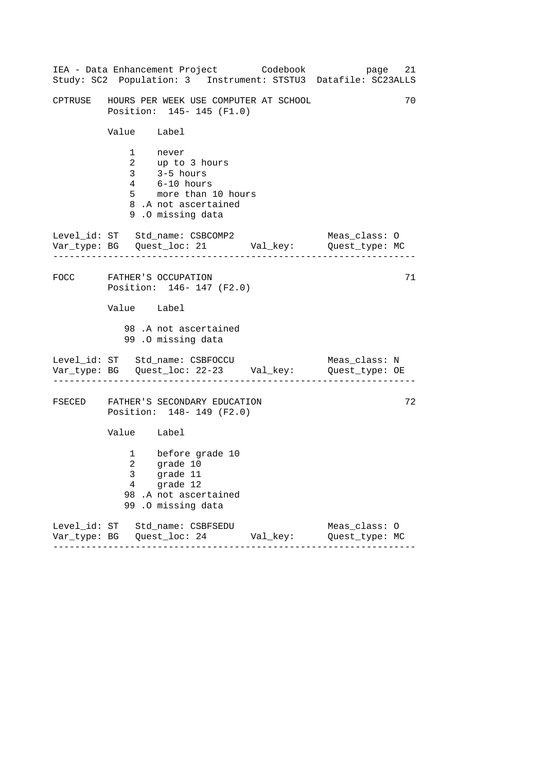|                        | IEA - Data Enhancement Project Codebook<br>Study: SC2 Population: 3 Instrument: STSTU3 Datafile: SC23ALLS                        |                         |               | page 21 |
|------------------------|----------------------------------------------------------------------------------------------------------------------------------|-------------------------|---------------|---------|
|                        | CPTRUSE GHOURS PER WEEK USE COMPUTER AT SCHOOL<br>Position: 145- 145 (F1.0)                                                      |                         |               | 70      |
| Value Label            |                                                                                                                                  |                         |               |         |
|                        | 1 never<br>2 up to 3 hours<br>3 3-5 hours<br>$4$ $6-10$ hours<br>5 more than 10 hours<br>8.A not ascertained<br>9.0 missing data |                         |               |         |
| . 2222222222223        | Level_id: ST Std_name: CSBCOMP2<br>Var_type: BG    Quest_loc: 21    Val_key:    Quest_type: MC                                   |                         | Meas_class: O |         |
|                        | FOCC FATHER'S OCCUPATION<br>Position: 146- 147 (F2.0)                                                                            |                         |               | 71      |
| Value Label            |                                                                                                                                  |                         |               |         |
|                        | 98.A not ascertained<br>99.0 missing data                                                                                        |                         |               |         |
|                        | Level_id: ST Std_name: CSBFOCCU Meas_class: N<br>Var_type: BG Quest_loc: 22-23 Val_key: Quest_type: OE                           |                         |               |         |
|                        | FSECED FATHER'S SECONDARY EDUCATION<br>Position: 148- 149 (F2.0)                                                                 |                         |               | 72      |
| Value Label            |                                                                                                                                  |                         |               |         |
| 2<br>$\mathbf{3}$<br>4 | 1 before grade 10<br>grade 10<br>grade 11<br>grade 12<br>98.A not ascertained<br>99 .O missing data                              |                         |               |         |
|                        | Level_id: ST Std_name: CSBFSEDU<br>. _ _ _ _ _ _ _ _ _                                                                           | Val_key: Quest_type: MC | Meas_class: 0 |         |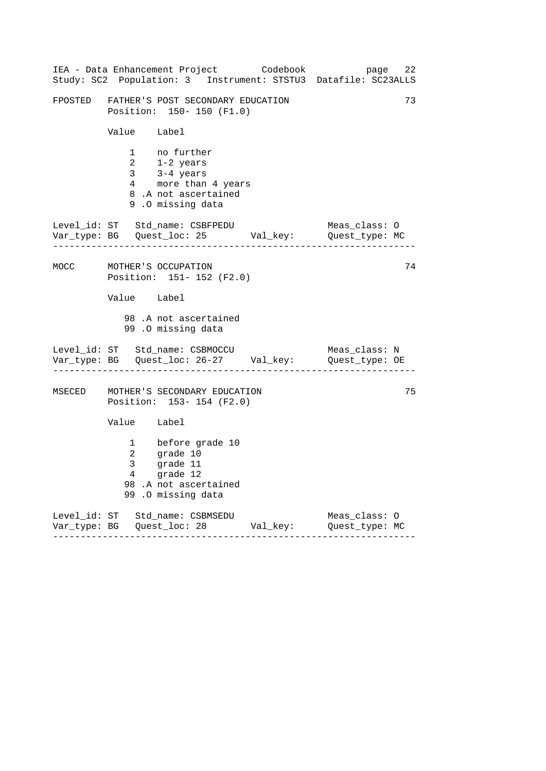|      |              | IEA - Data Enhancement Project Codebook<br>Study: SC2 Population: 3 Instrument: STSTU3 Datafile: SC23ALLS               | page 22                         |    |
|------|--------------|-------------------------------------------------------------------------------------------------------------------------|---------------------------------|----|
|      |              | FPOSTED FATHER'S POST SECONDARY EDUCATION<br>Position: 150- 150 (F1.0)                                                  |                                 | 73 |
|      | Value Label  |                                                                                                                         |                                 |    |
|      | $\mathbf{2}$ | 1 no further<br>1-2 years<br>3 $3-4$ years<br>4 more than 4 years<br>8.A not ascertained<br>9.0 missing data            |                                 |    |
|      |              | Level_id: ST Std_name: CSBFPEDU<br>Var_type: BG    Quest_loc: 25    Val_key:    Quest_type: MC                          | Meas_class: 0                   |    |
| MOCC |              | MOTHER'S OCCUPATION<br>Position: 151- 152 (F2.0)                                                                        |                                 | 74 |
|      | Value Label  |                                                                                                                         |                                 |    |
|      |              | 98 .A not ascertained<br>99.0 missing data                                                                              |                                 |    |
|      |              | Level_id: ST Std_name: CSBMOCCU<br>Var_type: BG    Quest_loc: 26-27    Val_key:    Quest_type: OE                       | Meas_class: N                   |    |
|      |              | MSECED MOTHER'S SECONDARY EDUCATION<br>Position: 153-154 (F2.0)                                                         |                                 | 75 |
|      | Value Label  |                                                                                                                         |                                 |    |
|      |              | 1 before grade 10<br>2 grade 10<br>3 grade 11<br>grade 11<br>$4$ grade 12<br>98.A not ascertained<br>99 .0 missing data |                                 |    |
|      |              | Level_id: ST Std_name: CSBMSEDU                                                                                         | Meas_class: 0<br>Quest_type: MC |    |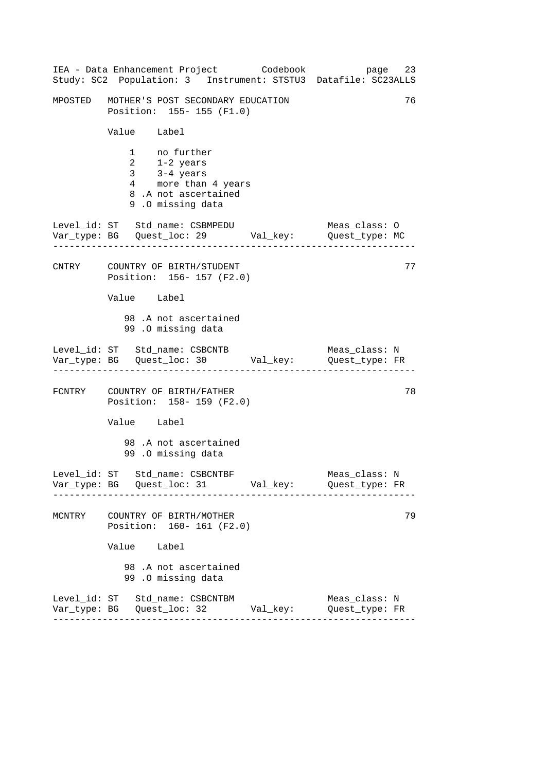|        | IEA - Data Enhancement Project Codebook<br>Study: SC2 Population: 3 Instrument: STSTU3 Datafile: SC23ALLS    |  | 23<br>page                      |  |  |  |
|--------|--------------------------------------------------------------------------------------------------------------|--|---------------------------------|--|--|--|
|        | 76<br>MPOSTED MOTHER'S POST SECONDARY EDUCATION<br>Position: 155-155 (F1.0)                                  |  |                                 |  |  |  |
|        | Value Label                                                                                                  |  |                                 |  |  |  |
|        | 1 no further<br>2 1-2 years<br>3 3-4 years<br>4 more than 4 years<br>8.A not ascertained<br>9.0 missing data |  |                                 |  |  |  |
|        | Level_id: ST Std_name: CSBMPEDU<br>Var_type: BG    Quest_loc: 29    Val_key:    Quest_type: MC               |  | Meas_class: O                   |  |  |  |
|        | CNTRY COUNTRY OF BIRTH/STUDENT<br>Position: 156-157 (F2.0)                                                   |  | 77                              |  |  |  |
|        | Value Label                                                                                                  |  |                                 |  |  |  |
|        | 98.A not ascertained<br>99.0 missing data                                                                    |  |                                 |  |  |  |
|        | Level_id: ST Std_name: CSBCNTB                                                                               |  | Meas_class: N                   |  |  |  |
|        | FCNTRY COUNTRY OF BIRTH/FATHER<br>Position: 158-159 (F2.0)                                                   |  | 78                              |  |  |  |
|        | Value Label                                                                                                  |  |                                 |  |  |  |
|        | 98 .A not ascertained<br>99.0 missing data                                                                   |  |                                 |  |  |  |
|        | Level_id: ST Std_name: CSBCNTBF<br>Var_type: BG    Quest_loc: 31    Val_key:    Quest_type: FR               |  | Meas_class: N                   |  |  |  |
| MCNTRY | COUNTRY OF BIRTH/MOTHER<br>Position: 160- 161 (F2.0)                                                         |  | 79                              |  |  |  |
|        | Value Label                                                                                                  |  |                                 |  |  |  |
|        | 98 .A not ascertained<br>99.0 missing data                                                                   |  |                                 |  |  |  |
|        | Level_id: ST Std_name: CSBCNTBM                                                                              |  | Meas_class: N<br>Quest_type: FR |  |  |  |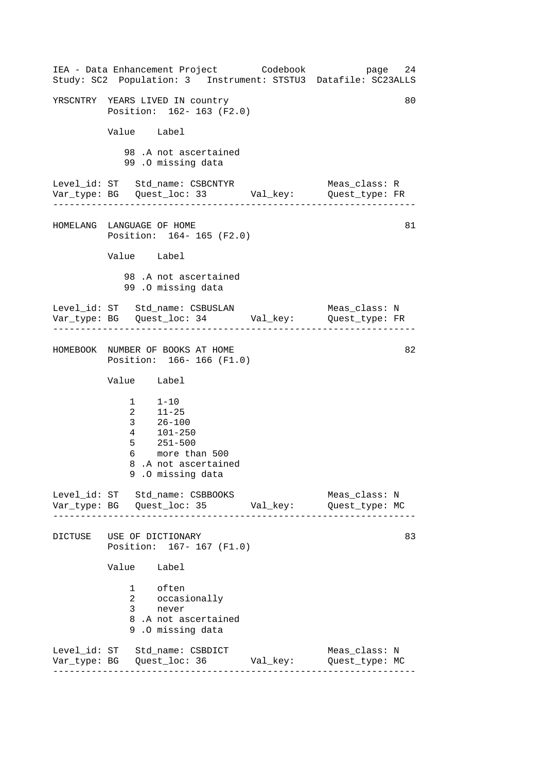------------------------------------------------------------------ ------------------------------------------------------------------ ------------------------------------------------------------------ ------------------------------------------------------------------ IEA - Data Enhancement Project Codebook page 24 Study: SC2 Population: 3 Instrument: STSTU3 Datafile: SC23ALLS YRSCNTRY YEARS LIVED IN country **1999 120 AU 120 AU 120 AU 120 AU 120 AU 120 AU 120 AU 120 AU 120 AU 120 AU 120** Position: 162- 163 (F2.0) Value Label 98 .A not ascertained 99 .O missing data Level\_id: ST Std\_name: CSBCNTYR Meas\_class: R Var\_type: BG Quest\_loc: 33 Val\_key: Quest\_type: FR HOMELANG LANGUAGE OF HOME 81 Position: 164- 165 (F2.0) Value Label 98 .A not ascertained 99 .O missing data Level\_id: ST Std\_name: CSBUSLAN Meas\_class: N Var\_type: BG Quest\_loc: 34 Val\_key: Quest\_type: FR HOMEBOOK NUMBER OF BOOKS AT HOME 82 Position: 166- 166 (F1.0) Value Label  $1 - 10$ 2 11-25 3 26-100 4 101-250 5 251-500 6 more than 500 8 .A not ascertained 9 .O missing data Level id: ST Std name: CSBBOOKS Meas class: N Var\_type: BG Quest\_loc: 35 Val\_key: Quest\_type: MC DICTUSE USE OF DICTIONARY Position: 167- 167 (F1.0) Value Label 1 often 2 occasionally 3 never 8 .A not ascertained 9 .O missing data Level\_id: ST Std\_name: CSBDICT Meas\_class: N Var\_type: BG Quest\_loc: 36 Val\_key: Quest\_type: MC 83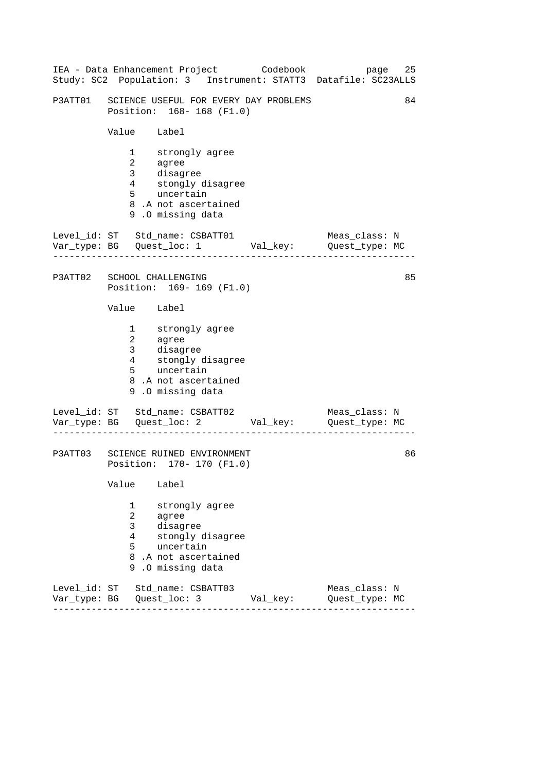|                              |                                                                                    | IEA - Data Enhancement Project Codebook                                                                             |          | 25<br>page<br>Study: SC2 Population: 3 Instrument: STATT3 Datafile: SC23ALLS |  |
|------------------------------|------------------------------------------------------------------------------------|---------------------------------------------------------------------------------------------------------------------|----------|------------------------------------------------------------------------------|--|
|                              |                                                                                    | P3ATT01 SCIENCE USEFUL FOR EVERY DAY PROBLEMS<br>Position: 168-168 (F1.0)                                           |          | 84                                                                           |  |
|                              | Value Label                                                                        |                                                                                                                     |          |                                                                              |  |
|                              | $\mathbf{1}$<br>$\overline{a}$<br>3 <sup>7</sup><br>$4\overline{ }$<br>$5^{\circ}$ | strongly agree<br>agree<br>disagree<br>stongly disagree<br>uncertain<br>8.A not ascertained<br>9.0 missing data     |          |                                                                              |  |
|                              |                                                                                    | Level_id: ST Std_name: CSBATT01<br>Var_type: BG    Quest_loc: 1    Val_key:    Quest_type: MC                       |          | Meas_class: N                                                                |  |
|                              |                                                                                    | P3ATT02 SCHOOL CHALLENGING<br>Position: 169-169 (F1.0)                                                              |          | 85                                                                           |  |
|                              | Value Label                                                                        |                                                                                                                     |          |                                                                              |  |
|                              | $\begin{array}{c} 2 \\ 3 \\ 4 \end{array}$                                         | 1 strongly agree<br>agree<br>disagree<br>stongly disagree<br>5 uncertain<br>8.A not ascertained<br>9.0 missing data |          |                                                                              |  |
|                              | . <u>.</u> .                                                                       | Level_id: ST Std_name: CSBATT02<br>Var_type: BG    Quest_loc: 2    Val_key:    Quest_type: MC                       |          | Meas_class: N                                                                |  |
|                              |                                                                                    | P3ATT03 SCIENCE RUINED ENVIRONMENT<br>Position: 170- 170 (F1.0)                                                     |          | 86                                                                           |  |
|                              | Value                                                                              | Label                                                                                                               |          |                                                                              |  |
|                              | 1<br>2<br>3<br>4<br>5<br>9                                                         | strongly agree<br>agree<br>disagree<br>stongly disagree<br>uncertain<br>8.A not ascertained<br>.0 missing data      |          |                                                                              |  |
| Level_id: ST<br>Var_type: BG |                                                                                    | Std_name: CSBATT03<br>Quest_loc: 3                                                                                  | Val_key: | Meas_class: N<br>Quest_type: MC                                              |  |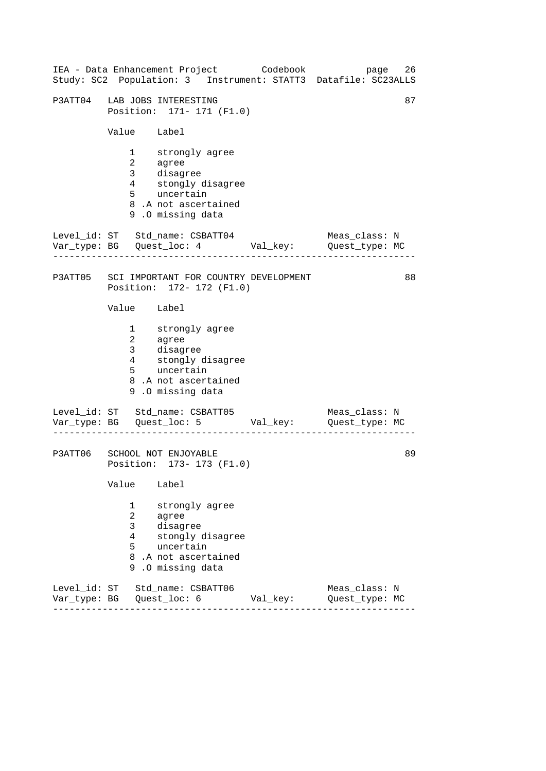|                              |                                               | IEA - Data Enhancement Project Codebook<br>Study: SC2 Population: 3 Instrument: STATT3 Datafile: SC23ALLS           |          | page                            | 26 |
|------------------------------|-----------------------------------------------|---------------------------------------------------------------------------------------------------------------------|----------|---------------------------------|----|
|                              |                                               | P3ATT04 LAB JOBS INTERESTING<br>Position: 171- 171 (F1.0)                                                           |          |                                 | 87 |
|                              | Value Label                                   |                                                                                                                     |          |                                 |    |
|                              | $\overline{2}$<br>$\mathbf{3}$<br>$5^{\circ}$ | 1 strongly agree<br>agree<br>disagree<br>4 stongly disagree<br>uncertain<br>8.A not ascertained<br>9.0 missing data |          |                                 |    |
|                              |                                               | Level_id: ST Std_name: CSBATT04<br>Var_type: BG    Quest_loc: 4    Val_key:    Quest_type: MC                       |          | Meas_class: N                   |    |
|                              |                                               | P3ATT05 SCI IMPORTANT FOR COUNTRY DEVELOPMENT<br>Position: 172- 172 (F1.0)                                          |          |                                 | 88 |
|                              | Value Label                                   |                                                                                                                     |          |                                 |    |
|                              | $\overline{a}$<br>3 <sup>7</sup><br>4         | 1 strongly agree<br>agree<br>disagree<br>stongly disagree<br>5 uncertain<br>8.A not ascertained<br>9.0 missing data |          |                                 |    |
|                              |                                               | Level_id: ST Std_name: CSBATT05<br>Var_type: BG    Quest_loc: 5    Val_key:    Quest_type: MC                       |          | Meas_class: N                   |    |
|                              | Value                                         | P3ATT06 SCHOOL NOT ENJOYABLE<br>Position: 173- 173 (F1.0)<br>Label                                                  |          |                                 | 89 |
|                              | 1<br>$\overline{a}$<br>3<br>4<br>5<br>8<br>9  | strongly agree<br>agree<br>disagree<br>stongly disagree<br>uncertain<br>.A not ascertained<br>.0 missing data       |          |                                 |    |
| Level_id: ST<br>Var_type: BG |                                               | Std_name: CSBATT06<br>Quest_loc: 6                                                                                  | Val_key: | Meas_class: N<br>Quest_type: MC |    |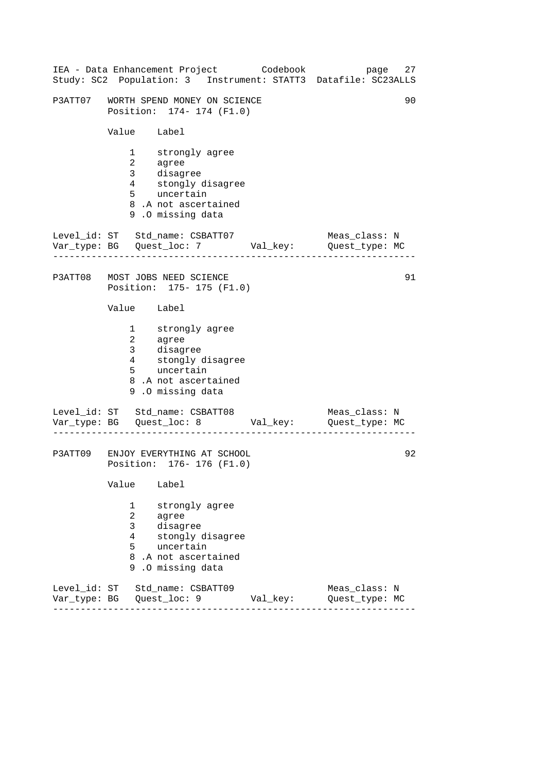|                              |                                                                                 | IEA - Data Enhancement Project Codebook<br>Study: SC2 Population: 3 Instrument: STATT3 Datafile: SC23ALLS                        |          | page                            | 27 |
|------------------------------|---------------------------------------------------------------------------------|----------------------------------------------------------------------------------------------------------------------------------|----------|---------------------------------|----|
|                              |                                                                                 | P3ATT07 WORTH SPEND MONEY ON SCIENCE<br>Position: 174- 174 (F1.0)                                                                |          |                                 | 90 |
|                              | Value Label                                                                     |                                                                                                                                  |          |                                 |    |
|                              | $1 \quad \blacksquare$<br>$\overline{2}$<br>3<br>$4\overline{ }$<br>$5^{\circ}$ | strongly agree<br>agree<br>$\tilde{d}$ isagree<br>stongly disagree<br>uncertain<br>8.A not ascertained<br>9.0 missing data       |          |                                 |    |
|                              |                                                                                 | Level_id: ST Std_name: CSBATT07 Meas_class: N<br>Var_type: BG Quest_loc: 7 Val_key: Quest_type: MC                               |          |                                 |    |
|                              |                                                                                 | P3ATT08 MOST JOBS NEED SCIENCE<br>Position: 175- 175 (F1.0)                                                                      |          |                                 | 91 |
|                              | Value Label                                                                     |                                                                                                                                  |          |                                 |    |
|                              | $\overline{a}$<br>3 <sup>7</sup><br>4                                           | 1 strongly agree<br>agree<br>disagree<br>stongly o<br>stongly disagree<br>5 uncertain<br>8.A not ascertained<br>9.0 missing data |          |                                 |    |
|                              |                                                                                 | Level_id: ST Std_name: CSBATT08<br>Var_type: BG    Quest_loc: 8    Val_key:    Quest_type: MC                                    |          | Meas_class: N                   |    |
|                              |                                                                                 | P3ATT09 ENJOY EVERYTHING AT SCHOOL<br>Position: 176- 176 (F1.0)                                                                  |          |                                 | 92 |
|                              | Value                                                                           | Label                                                                                                                            |          |                                 |    |
|                              | 1<br>2<br>3<br>4<br>5<br>8<br>9                                                 | strongly agree<br>agree<br>disagree<br>stongly disagree<br>uncertain<br>.A not ascertained<br>.0 missing data                    |          |                                 |    |
| Level_id: ST<br>Var_type: BG |                                                                                 | Std_name: CSBATT09<br>Quest_loc: 9                                                                                               | Val_key: | Meas_class: N<br>Quest_type: MC |    |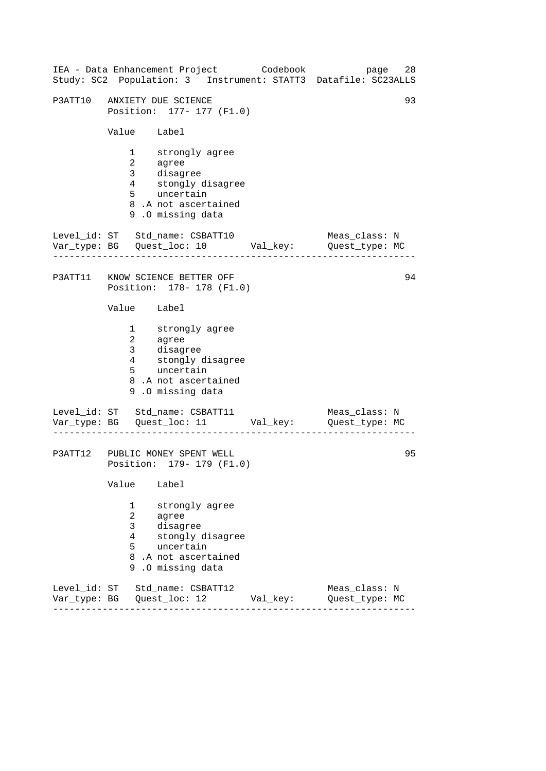|                              |                                 | IEA - Data Enhancement Project Codebook<br>Study: SC2 Population: 3 Instrument: STATT3 Datafile: SC23ALLS               |          | page                            | 28 |
|------------------------------|---------------------------------|-------------------------------------------------------------------------------------------------------------------------|----------|---------------------------------|----|
|                              | P3ATT10 ANXIETY DUE SCIENCE     | Position: 177- 177 (F1.0)                                                                                               |          |                                 | 93 |
|                              | Value Label                     |                                                                                                                         |          |                                 |    |
|                              | $\mathbf{2}$<br>$5^{\circ}$     | 1 strongly agree<br>agree<br>3 disagree<br>4 stongly disagree<br>uncertain<br>8.A not ascertained<br>9.0 missing data   |          |                                 |    |
|                              |                                 | Level_id: ST Std_name: CSBATT10 Meas_class: N<br>Var_type: BG Quest_loc: 10 Val_key: Quest_type: MC                     |          |                                 |    |
|                              |                                 | P3ATT11 KNOW SCIENCE BETTER OFF<br>Position: 178- 178 (F1.0)                                                            |          |                                 | 94 |
|                              | Value Label                     |                                                                                                                         |          |                                 |    |
|                              | $5^{\circ}$                     | 1 strongly agree<br>2 agree<br>3 disagree<br>4 stongly disagree<br>uncertain<br>8.A not ascertained<br>9.0 missing data |          |                                 |    |
|                              |                                 | Level_id: ST Std_name: CSBATT11<br>Var_type: BG    Quest_loc: 11    Val_key:    Quest_type: MC                          |          | Meas_class: N                   |    |
|                              |                                 | P3ATT12 PUBLIC MONEY SPENT WELL<br>Position: 179- 179 (F1.0)                                                            |          |                                 | 95 |
|                              | Value                           | Label                                                                                                                   |          |                                 |    |
|                              | 1<br>2<br>3<br>4<br>5<br>8<br>9 | strongly agree<br>agree<br>disagree<br>stongly disagree<br>uncertain<br>.A not ascertained<br>.0 missing data           |          |                                 |    |
| Level_id: ST<br>Var_type: BG |                                 | Std_name: CSBATT12<br>Quest_loc: 12                                                                                     | Val_key: | Meas_class: N<br>Quest_type: MC |    |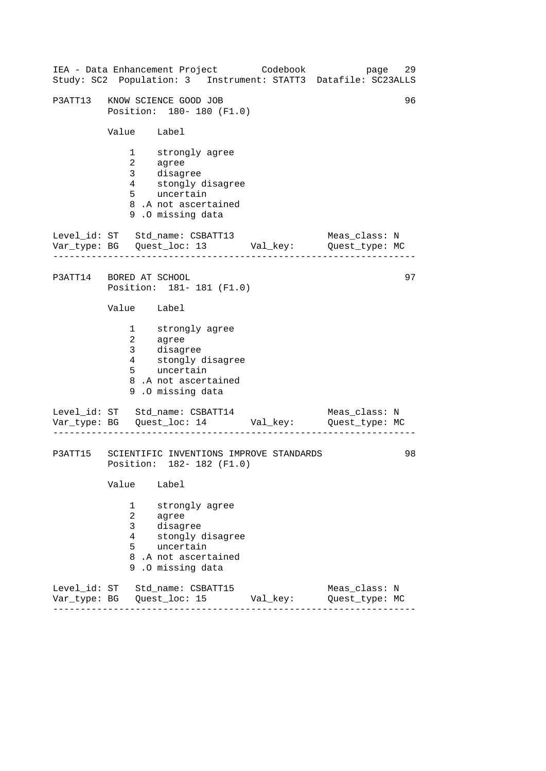|                              |                                                                                    | IEA - Data Enhancement Project Codebook<br>Study: SC2 Population: 3 Instrument: STATT3 Datafile: SC23ALLS           |          | page                            | 29 |
|------------------------------|------------------------------------------------------------------------------------|---------------------------------------------------------------------------------------------------------------------|----------|---------------------------------|----|
|                              |                                                                                    | P3ATT13 KNOW SCIENCE GOOD JOB<br>Position: 180- 180 (F1.0)                                                          |          |                                 | 96 |
|                              | Value Label                                                                        |                                                                                                                     |          |                                 |    |
|                              | $\mathbf{1}$<br>$\overline{a}$<br>3 <sup>7</sup><br>$4\overline{ }$<br>$5^{\circ}$ | strongly agree<br>agree<br>disagree<br>stongly disagree<br>uncertain<br>8.A not ascertained<br>9.0 missing data     |          |                                 |    |
|                              |                                                                                    | Level_id: ST Std_name: CSBATT13<br>Var_type: BG    Quest_loc: 13    Val_key:    Quest_type: MC                      |          | Meas_class: N                   |    |
| P3ATT14 BORED AT SCHOOL      |                                                                                    | Position: 181-181 (F1.0)                                                                                            |          |                                 | 97 |
|                              | Value Label                                                                        |                                                                                                                     |          |                                 |    |
|                              | $\overline{a}$<br>3 <sup>7</sup><br>$4\overline{ }$                                | 1 strongly agree<br>agree<br>disagree<br>stongly disagree<br>5 uncertain<br>8.A not ascertained<br>9.0 missing data |          |                                 |    |
|                              | . Lie Lie Lie Lie Lie Lie Lie                                                      | Level_id: ST Std_name: CSBATT14<br>Var_type: BG    Quest_loc: 14    Val_key:    Quest_type: MC                      |          | Meas_class: N                   |    |
|                              |                                                                                    | P3ATT15 SCIENTIFIC INVENTIONS IMPROVE STANDARDS<br>Position: 182- 182 (F1.0)                                        |          |                                 | 98 |
|                              | Value                                                                              | Label                                                                                                               |          |                                 |    |
|                              | 1<br>2<br>3<br>4<br>5<br>9                                                         | strongly agree<br>agree<br>disagree<br>stongly disagree<br>uncertain<br>8.A not ascertained<br>.0 missing data      |          |                                 |    |
| Level_id: ST<br>Var_type: BG |                                                                                    | Std_name: CSBATT15<br>Quest_loc: 15                                                                                 | Val_key: | Meas_class: N<br>Quest_type: MC |    |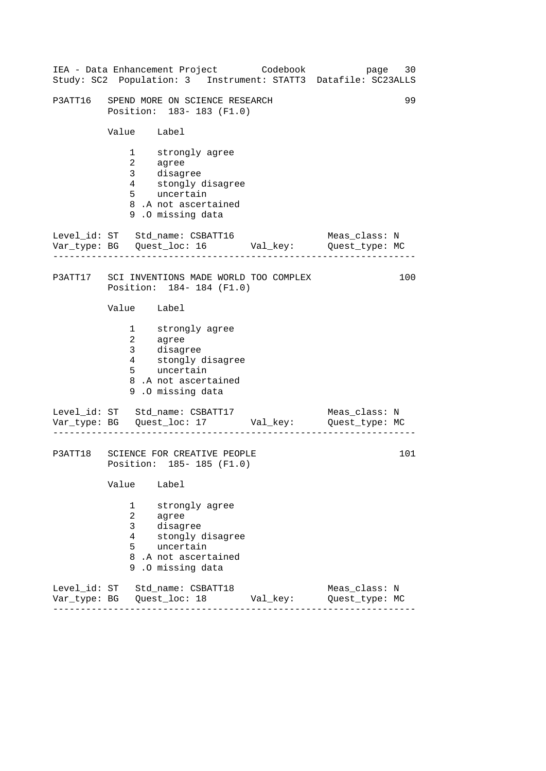|                              |                                                                                    | IEA - Data Enhancement Project Codebook                                                                                  |          | 30<br>page<br>Study: SC2 Population: 3 Instrument: STATT3 Datafile: SC23ALLS |  |
|------------------------------|------------------------------------------------------------------------------------|--------------------------------------------------------------------------------------------------------------------------|----------|------------------------------------------------------------------------------|--|
|                              |                                                                                    | P3ATT16 SPEND MORE ON SCIENCE RESEARCH<br>Position: 183-183 (F1.0)                                                       |          | 99                                                                           |  |
|                              | Value Label                                                                        |                                                                                                                          |          |                                                                              |  |
|                              | $\mathbf{1}$<br>$\overline{a}$<br>3 <sup>7</sup><br>$4\overline{ }$<br>$5^{\circ}$ | strongly agree<br>agree<br>agree<br>disagree<br>stongly disagree<br>uncertain<br>8.A not ascertained<br>9.0 missing data |          |                                                                              |  |
|                              | --------------                                                                     | Level_id: ST Std_name: CSBATT16                                                                                          |          | Meas_class: N                                                                |  |
|                              |                                                                                    | P3ATT17 SCI INVENTIONS MADE WORLD TOO COMPLEX<br>Position: 184-184 (F1.0)                                                |          | 100                                                                          |  |
|                              | Value Label                                                                        |                                                                                                                          |          |                                                                              |  |
|                              | $\begin{array}{c} 2 \\ 3 \\ 4 \end{array}$                                         | 1 strongly agree<br>agree<br>disagree<br>stongly disagree<br>5 uncertain<br>8.A not ascertained<br>9.0 missing data      |          |                                                                              |  |
|                              | . <u>.</u> .                                                                       | Level_id: ST Std_name: CSBATT17<br>Var_type: BG    Quest_loc: 17    Val_key:    Quest_type: MC                           |          | Meas_class: N                                                                |  |
| P3ATT18                      |                                                                                    | SCIENCE FOR CREATIVE PEOPLE<br>Position: 185-185 (F1.0)                                                                  |          | 101                                                                          |  |
|                              | Value                                                                              | Label                                                                                                                    |          |                                                                              |  |
|                              | 1<br>2<br>3<br>4<br>5<br>8<br>9                                                    | strongly agree<br>agree<br>disagree<br>stongly disagree<br>uncertain<br>.A not ascertained<br>.0 missing data            |          |                                                                              |  |
| Level_id: ST<br>Var_type: BG |                                                                                    | Std name: CSBATT18<br>Quest_loc: 18                                                                                      | Val_key: | Meas_class: N<br>Quest_type: MC                                              |  |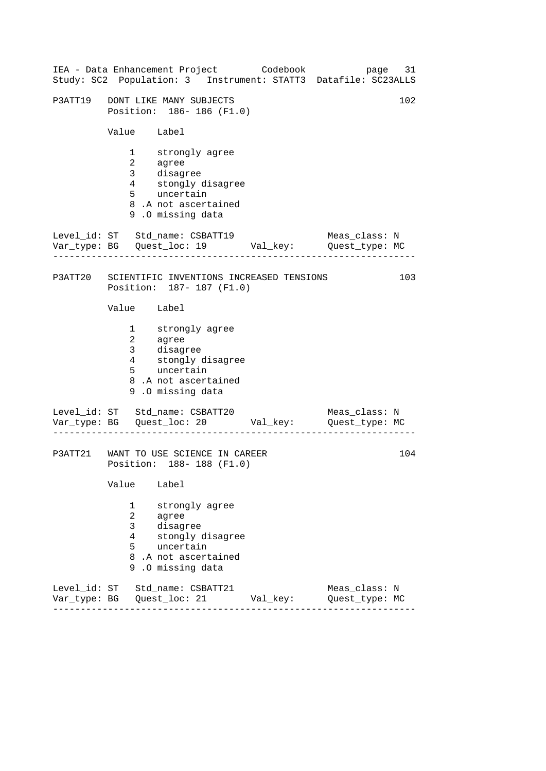|                              |                                            | IEA - Data Enhancement Project Codebook                                                                                                 |          | 31<br>page<br>Study: SC2 Population: 3 Instrument: STATT3 Datafile: SC23ALLS |
|------------------------------|--------------------------------------------|-----------------------------------------------------------------------------------------------------------------------------------------|----------|------------------------------------------------------------------------------|
| P3ATT19                      |                                            | DONT LIKE MANY SUBJECTS<br>Position: 186-186 (F1.0)                                                                                     |          | 102                                                                          |
|                              | Value Label                                |                                                                                                                                         |          |                                                                              |
|                              | $1 \quad \blacksquare$<br>4<br>$5^{\circ}$ | strongly agree<br>2 agree<br>3 disagree<br>stongly disagree<br>uncertain<br>8.A not ascertained<br>9.0 missing data                     |          |                                                                              |
|                              |                                            | Level_id: ST Std_name: CSBATT19<br>Var_type: BG    Quest_loc: 19    Val_key:    Quest_type: MC                                          |          | Meas_class: N                                                                |
|                              |                                            | P3ATT20 SCIENTIFIC INVENTIONS INCREASED TENSIONS<br>Position: 187- 187 (F1.0)                                                           |          | 103                                                                          |
|                              | Value Label                                |                                                                                                                                         |          |                                                                              |
|                              | 3 <sup>7</sup>                             | 1 strongly agree<br>2 agree<br>3 disagree<br>4 stongly d:<br>5 uncertain<br>stongly disagree<br>8.A not ascertained<br>9.0 missing data |          |                                                                              |
|                              |                                            | Level_id: ST Std_name: CSBATT20<br>Var_type: BG    Quest_loc: 20    Val_key:    Quest_type: MC                                          |          | Meas_class: N                                                                |
|                              |                                            | P3ATT21 WANT TO USE SCIENCE IN CAREER<br>Position: 188-188 (F1.0)                                                                       |          | 104                                                                          |
|                              | Value                                      | Label                                                                                                                                   |          |                                                                              |
|                              | 1<br>2<br>3<br>4<br>5<br>9                 | strongly agree<br>agree<br>disagree<br>stongly disagree<br>uncertain<br>8.A not ascertained<br>.0 missing data                          |          |                                                                              |
| Level id: ST<br>Var_type: BG |                                            | Std name: CSBATT21<br>Quest_loc: 21                                                                                                     | Val_key: | Meas_class: N<br>Quest_type: MC                                              |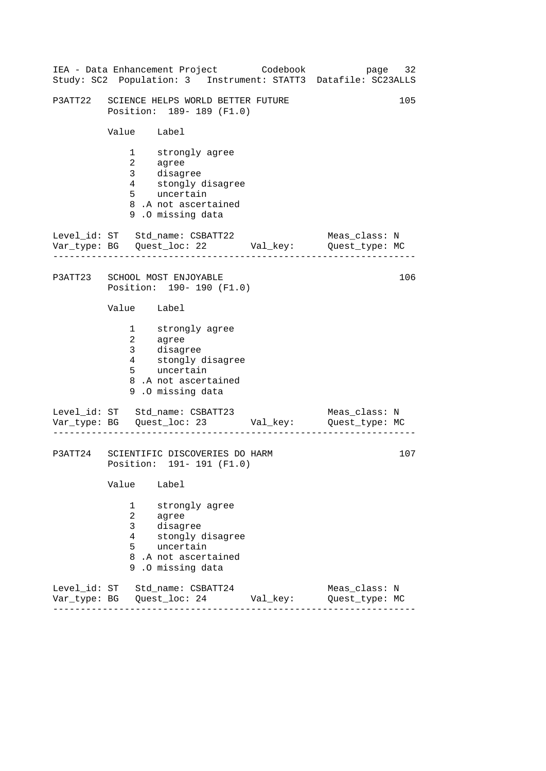|                              |                                        | IEA - Data Enhancement Project Codebook                                                                                           |          | page 32<br>Study: SC2 Population: 3 Instrument: STATT3 Datafile: SC23ALLS |  |
|------------------------------|----------------------------------------|-----------------------------------------------------------------------------------------------------------------------------------|----------|---------------------------------------------------------------------------|--|
| P3ATT22                      |                                        | SCIENCE HELPS WORLD BETTER FUTURE<br>Position: 189- 189 (F1.0)                                                                    |          | 105                                                                       |  |
|                              | Value Label                            |                                                                                                                                   |          |                                                                           |  |
|                              | 3 <sup>7</sup><br>$4\overline{ }$<br>5 | 1 strongly agree<br>2 agree<br>disagree<br>stongly di<br>uncertain<br>stongly disagree<br>8.A not ascertained<br>9.0 missing data |          |                                                                           |  |
|                              |                                        | Var_type: BG    Quest_loc: 22    Val_key:    Quest_type: MC                                                                       |          | Meas_class: N                                                             |  |
|                              |                                        | P3ATT23 SCHOOL MOST ENJOYABLE<br>Position: 190- 190 (F1.0)                                                                        |          | 106                                                                       |  |
|                              | Value Label                            |                                                                                                                                   |          |                                                                           |  |
|                              | 3 <sup>7</sup><br>$\frac{4}{5}$<br>5   | 1 strongly agree<br>2 agree<br>disagree<br>stongly disagree<br>uncertain<br>8.A not ascertained<br>9.0 missing data               |          |                                                                           |  |
|                              |                                        | Level_id: ST Std_name: CSBATT23<br>Var_type: BG    Quest_loc: 23    Val_key:    Quest_type: MC                                    |          | Meas_class: N                                                             |  |
| P3ATT24                      |                                        | SCIENTIFIC DISCOVERIES DO HARM<br>Position: 191- 191 (F1.0)                                                                       |          | 107                                                                       |  |
|                              | Value                                  | Label                                                                                                                             |          |                                                                           |  |
|                              | 1<br>2<br>3<br>4<br>5<br>8<br>9        | strongly agree<br>agree<br>disagree<br>stongly disagree<br>uncertain<br>.A not ascertained<br>.0 missing data                     |          |                                                                           |  |
| Level_id: ST<br>Var_type: BG |                                        | Std_name: CSBATT24<br>Quest_loc: 24                                                                                               | Val_key: | Meas_class: N<br>Quest_type: MC                                           |  |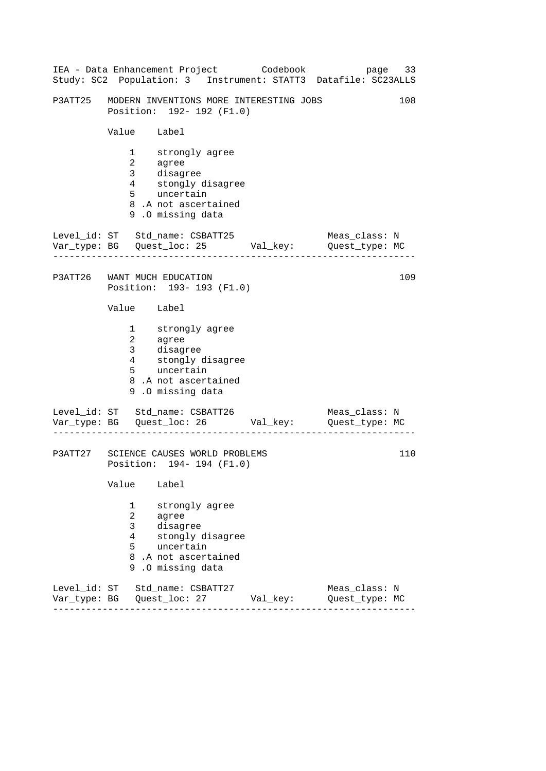|                           |                                                                                     | IEA - Data Enhancement Project Codebook                                                                             |          | 33<br>page<br>Study: SC2 Population: 3 Instrument: STATT3 Datafile: SC23ALLS |
|---------------------------|-------------------------------------------------------------------------------------|---------------------------------------------------------------------------------------------------------------------|----------|------------------------------------------------------------------------------|
| P3ATT25                   |                                                                                     | MODERN INVENTIONS MORE INTERESTING JOBS<br>Position: 192- 192 (F1.0)                                                |          | 108                                                                          |
|                           | Value Label                                                                         |                                                                                                                     |          |                                                                              |
|                           | $1 \quad \blacksquare$<br>$\begin{array}{c} 2 \\ 3 \\ 4 \end{array}$<br>$5^{\circ}$ | strongly agree<br>agree<br>disagree<br>stongly disagree<br>uncertain<br>8.A not ascertained<br>9.0 missing data     |          |                                                                              |
|                           |                                                                                     | Level_id: ST Std_name: CSBATT25<br>Var_type: BG    Quest_loc: 25    Val_key:    Quest_type: MC                      |          | Meas_class: N                                                                |
|                           |                                                                                     | P3ATT26 WANT MUCH EDUCATION<br>Position: 193- 193 (F1.0)                                                            |          | 109                                                                          |
|                           | Value Label                                                                         |                                                                                                                     |          |                                                                              |
|                           | $\overline{3}$<br>$4\overline{ }$<br>5                                              | 1 strongly agree<br>2 agree<br>disagree<br>stongly disagree<br>uncertain<br>8.A not ascertained<br>9.0 missing data |          |                                                                              |
|                           |                                                                                     | Level_id: ST Std_name: CSBATT26<br>Var_type: BG    Quest_loc: 26    Val_key:    Quest_type: MC                      |          | Meas_class: N                                                                |
|                           |                                                                                     | P3ATT27 SCIENCE CAUSES WORLD PROBLEMS<br>Position: 194- 194 (F1.0)                                                  |          | 110                                                                          |
|                           | Value                                                                               | Label                                                                                                               |          |                                                                              |
|                           | 1<br>2<br>3<br>4<br>5<br>8<br>9                                                     | strongly agree<br>agree<br>disagree<br>stongly disagree<br>uncertain<br>.A not ascertained<br>.0 missing data       |          |                                                                              |
| Level id: ST<br>Var_type: | BG                                                                                  | Std name: CSBATT27<br>Quest_loc: 27                                                                                 | Val_key: | Meas class: N<br>Quest_type: MC                                              |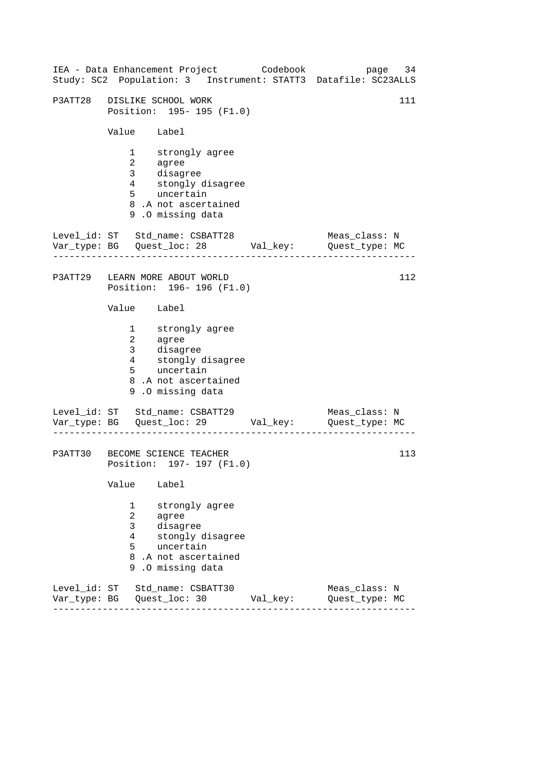|                              | IEA - Data Enhancement Project Codebook<br>Study: SC2 Population: 3 Instrument: STATT3 Datafile: SC23ALLS                                                     |          | page 34                         |  |  |  |
|------------------------------|---------------------------------------------------------------------------------------------------------------------------------------------------------------|----------|---------------------------------|--|--|--|
|                              | P3ATT28 DISLIKE SCHOOL WORK<br>111<br>Position: 195- 195 (F1.0)                                                                                               |          |                                 |  |  |  |
|                              | Value Label                                                                                                                                                   |          |                                 |  |  |  |
|                              | 1 strongly agree<br>agree<br>$\overline{a}$<br>disagree<br>3 <sup>7</sup><br>4 stongly disagree<br>5 uncertain<br>8.A not ascertained<br>9.0 missing data     |          |                                 |  |  |  |
|                              | Level_id: ST Std_name: CSBATT28                                                                                                                               |          | Meas_class: N                   |  |  |  |
|                              | P3ATT29 LEARN MORE ABOUT WORLD<br>Position: 196-196 (F1.0)                                                                                                    |          | 112                             |  |  |  |
|                              | Value Label                                                                                                                                                   |          |                                 |  |  |  |
|                              | 1 strongly agree<br>$\overline{a}$<br>agree<br>disagree<br>3 <sup>7</sup><br>stongly disagree<br>4<br>5 uncertain<br>8.A not ascertained<br>9.0 missing data  |          |                                 |  |  |  |
|                              | Level_id: ST Std_name: CSBATT29<br>Var_type: BG    Quest_loc: 29    Val_key:    Quest_type: MC                                                                |          | Meas_class: N                   |  |  |  |
|                              | P3ATT30 BECOME SCIENCE TEACHER<br>113<br>Position: 197- 197 (F1.0)                                                                                            |          |                                 |  |  |  |
|                              | Value<br>Label                                                                                                                                                |          |                                 |  |  |  |
|                              | strongly agree<br>1<br>$\overline{a}$<br>agree<br>3<br>disagree<br>stongly disagree<br>4<br>uncertain<br>5<br>8<br>.A not ascertained<br>.0 missing data<br>9 |          |                                 |  |  |  |
| Level_id: ST<br>Var_type: BG | Std_name: CSBATT30<br>Quest_loc: 30                                                                                                                           | Val_key: | Meas_class: N<br>Quest_type: MC |  |  |  |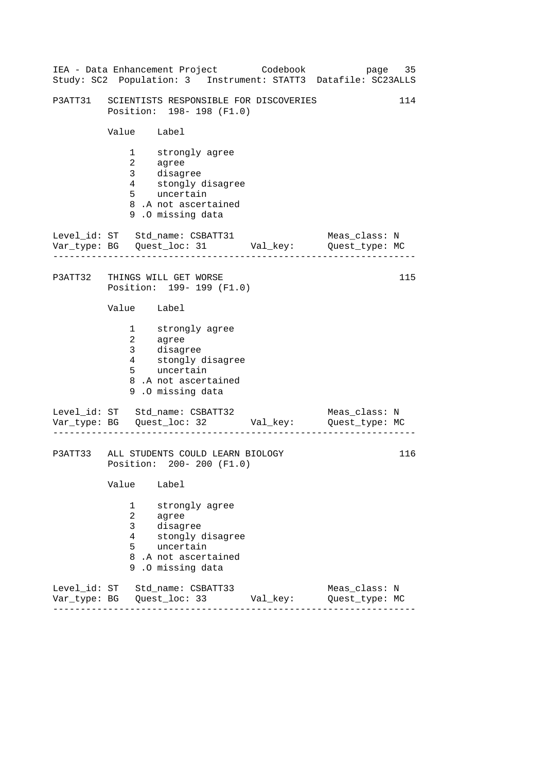|                        |                                                                              | IEA - Data Enhancement Project Codebook<br>Study: SC2 Population: 3 Instrument: STATT3 Datafile: SC23ALLS                         |          | page                            | 35  |  |
|------------------------|------------------------------------------------------------------------------|-----------------------------------------------------------------------------------------------------------------------------------|----------|---------------------------------|-----|--|
|                        |                                                                              | P3ATT31 SCIENTISTS RESPONSIBLE FOR DISCOVERIES<br>114<br>Position: 198- 198 (F1.0)                                                |          |                                 |     |  |
|                        | Value Label                                                                  |                                                                                                                                   |          |                                 |     |  |
|                        | 3 <sup>7</sup><br>$4\overline{ }$<br>5 <sup>1</sup>                          | 1 strongly agree<br>2 agree<br>disagree<br>stongly di<br>uncertain<br>stongly disagree<br>8.A not ascertained<br>9.0 missing data |          |                                 |     |  |
|                        |                                                                              | Level_id: ST Std_name: CSBATT31<br>Var_type: BG    Quest_loc: 31    Val_key:    Quest_type: MC                                    |          | Meas_class: N                   |     |  |
| P3ATT32                |                                                                              | THINGS WILL GET WORSE<br>Position: 199- 199 (F1.0)                                                                                |          |                                 | 115 |  |
|                        | Value Label                                                                  |                                                                                                                                   |          |                                 |     |  |
|                        | $\overline{3}$<br>$4\overline{ }$<br>5                                       | 1 strongly agree<br>2 agree<br>disagree<br>stongly disagree<br>stongly a:<br>uncertain<br>8.A not ascertained<br>9.0 missing data |          |                                 |     |  |
|                        |                                                                              | Level_id: ST Std_name: CSBATT32<br>Var_type: BG    Quest_loc: 32    Val_key:    Quest_type: MC                                    |          | Meas_class: N                   |     |  |
|                        | 116<br>P3ATT33 ALL STUDENTS COULD LEARN BIOLOGY<br>Position: 200- 200 (F1.0) |                                                                                                                                   |          |                                 |     |  |
|                        | Value                                                                        | Label                                                                                                                             |          |                                 |     |  |
|                        | 1<br>2<br>3<br>4<br>5<br>8<br>9                                              | strongly agree<br>agree<br>disagree<br>stongly disagree<br>uncertain<br>.A not ascertained<br>.0 missing data                     |          |                                 |     |  |
| Level_id:<br>Var_type: | SТ<br>BG                                                                     | Std name: CSBATT33<br>Quest_loc: 33                                                                                               | Val_key: | Meas_class: N<br>Quest_type: MC |     |  |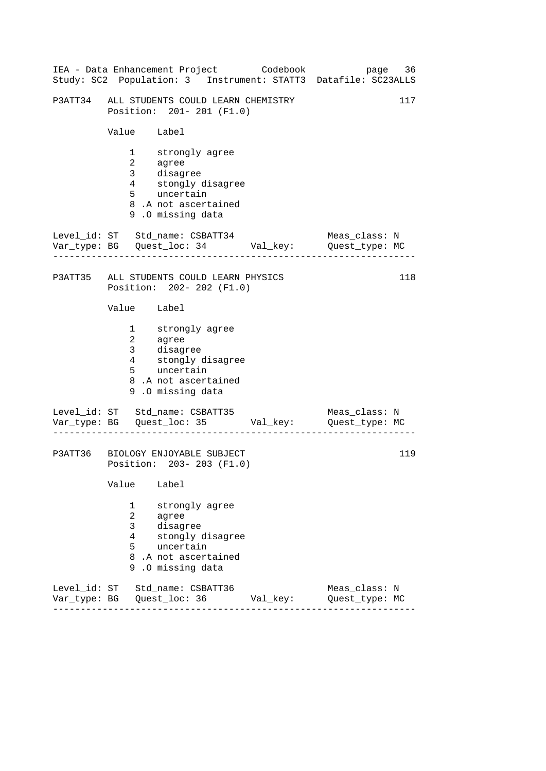|                           |                                                                      | IEA - Data Enhancement Project Codebook                                                                                           |          | 36<br>page<br>Study: SC2 Population: 3 Instrument: STATT3 Datafile: SC23ALLS |  |  |
|---------------------------|----------------------------------------------------------------------|-----------------------------------------------------------------------------------------------------------------------------------|----------|------------------------------------------------------------------------------|--|--|
|                           |                                                                      | P3ATT34 ALL STUDENTS COULD LEARN CHEMISTRY<br>Position: 201-201 (F1.0)                                                            |          | 117                                                                          |  |  |
|                           | Value Label                                                          |                                                                                                                                   |          |                                                                              |  |  |
|                           | 3 <sup>7</sup><br>$4\overline{ }$<br>5                               | 1 strongly agree<br>2 agree<br>disagree<br>stongly di<br>uncertain<br>stongly disagree<br>8.A not ascertained<br>9.0 missing data |          |                                                                              |  |  |
|                           |                                                                      | Var_type: BG    Quest_loc: 34    Val_key:    Quest_type: MC                                                                       |          | Meas_class: N                                                                |  |  |
|                           |                                                                      | P3ATT35 ALL STUDENTS COULD LEARN PHYSICS<br>Position: 202- 202 (F1.0)                                                             |          | 118                                                                          |  |  |
|                           | Value Label                                                          |                                                                                                                                   |          |                                                                              |  |  |
|                           | 3 <sup>7</sup><br>$\frac{4}{5}$<br>5                                 | 1 strongly agree<br>2 agree<br>disagree<br>stongly disagree<br>uncertain<br>8.A not ascertained<br>9.0 missing data               |          |                                                                              |  |  |
|                           |                                                                      | Level_id: ST Std_name: CSBATT35                                                                                                   |          | Meas_class: N                                                                |  |  |
|                           | 119<br>P3ATT36 BIOLOGY ENJOYABLE SUBJECT<br>Position: 203-203 (F1.0) |                                                                                                                                   |          |                                                                              |  |  |
|                           | Value                                                                | Label                                                                                                                             |          |                                                                              |  |  |
|                           | 1<br>2<br>3<br>4<br>5<br>8<br>9                                      | strongly agree<br>agree<br>disagree<br>stongly disagree<br>uncertain<br>.A not ascertained<br>.0 missing data                     |          |                                                                              |  |  |
| Level_id: ST<br>Var_type: | BG                                                                   | Std_name: CSBATT36<br>Quest_loc: 36                                                                                               | Val_key: | Meas_class: N<br>Quest_type: MC                                              |  |  |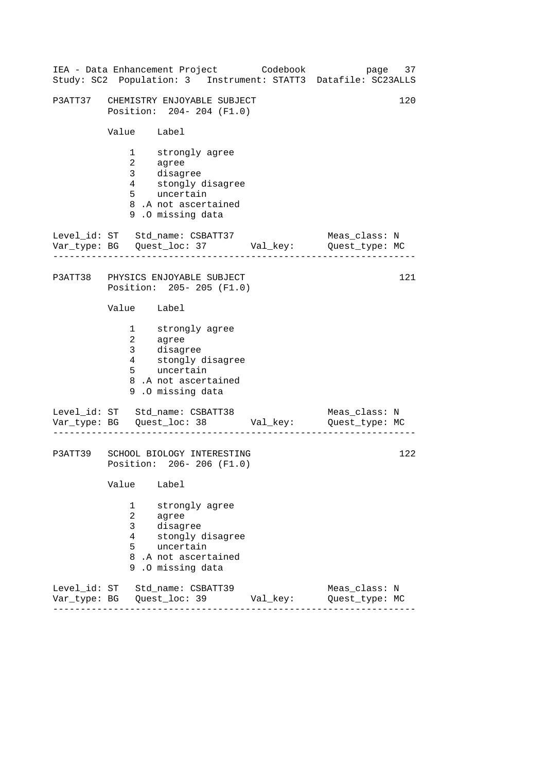|                              |                                                 | IEA - Data Enhancement Project Codebook                                                                               |          | 37<br>page<br>Study: SC2 Population: 3 Instrument: STATT3 Datafile: SC23ALLS |
|------------------------------|-------------------------------------------------|-----------------------------------------------------------------------------------------------------------------------|----------|------------------------------------------------------------------------------|
| P3ATT37                      |                                                 | CHEMISTRY ENJOYABLE SUBJECT<br>Position: 204-204 (F1.0)                                                               |          | 120                                                                          |
|                              | Value Label                                     |                                                                                                                       |          |                                                                              |
|                              | 1<br>3 <sup>7</sup><br>$4\overline{ }$<br>$5 -$ | strongly agree<br>2 agree<br>disagree<br>stongly disagree<br>uncertain<br>8.A not ascertained<br>9.0 missing data     |          |                                                                              |
|                              |                                                 | Level_id: ST Std_name: CSBATT37<br>Var_type: BG    Quest_loc: 37    Val_key:    Quest_type: MC                        |          | Meas_class: N                                                                |
|                              |                                                 | P3ATT38 PHYSICS ENJOYABLE SUBJECT<br>Position: 205-205 (F1.0)                                                         |          | 121                                                                          |
|                              | Value Label                                     |                                                                                                                       |          |                                                                              |
|                              | $4\overline{ }$<br>5                            | 1 strongly agree<br>2 agree<br>3 disagree<br>stongly disagree<br>uncertain<br>8.A not ascertained<br>9.0 missing data |          |                                                                              |
|                              |                                                 | Level_id: ST Std_name: CSBATT38<br>Var_type: BG    Quest_loc: 38    Val_key:    Quest_type: MC                        |          | Meas_class: N                                                                |
| P3ATT39                      |                                                 | SCHOOL BIOLOGY INTERESTING<br>Position: 206-206 (F1.0)                                                                |          | 122                                                                          |
|                              | Value                                           | Label                                                                                                                 |          |                                                                              |
|                              | 1<br>2<br>3<br>4<br>5<br>8<br>9                 | strongly agree<br>agree<br>disagree<br>stongly disagree<br>uncertain<br>.A not ascertained<br>.0 missing data         |          |                                                                              |
| Level id: ST<br>Var_type: BG |                                                 | Std name: CSBATT39<br>Quest_loc: 39                                                                                   | Val_key: | Meas class: N<br>Quest_type: MC                                              |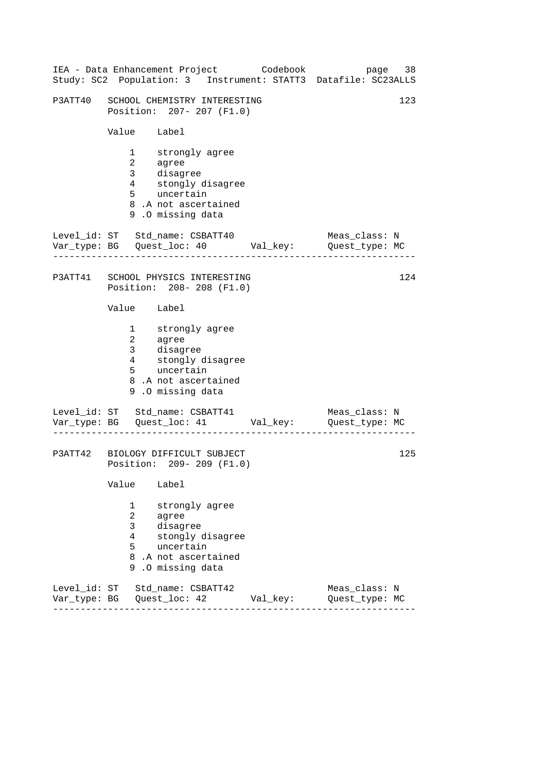|                              |                                                                    | IEA - Data Enhancement Project Codebook                                                                                              |          | page 38<br>Study: SC2 Population: 3 Instrument: STATT3 Datafile: SC23ALLS |
|------------------------------|--------------------------------------------------------------------|--------------------------------------------------------------------------------------------------------------------------------------|----------|---------------------------------------------------------------------------|
|                              |                                                                    | P3ATT40 SCHOOL CHEMISTRY INTERESTING<br>Position: 207- 207 (F1.0)                                                                    |          | 123                                                                       |
|                              | Value Label                                                        |                                                                                                                                      |          |                                                                           |
|                              | $\overline{a}$<br>3 <sup>7</sup><br>$4\overline{ }$<br>$5^{\circ}$ | 1 strongly agree<br>agree<br>disagree<br>stongly disagree<br>uncertain<br>8.A not ascertained<br>9.0 missing data                    |          |                                                                           |
|                              |                                                                    | Level_id: ST Std_name: CSBATT40<br>Var_type: BG    Quest_loc: 40    Val_key:    Quest_type: MC                                       |          | Meas_class: N                                                             |
|                              |                                                                    | P3ATT41 SCHOOL PHYSICS INTERESTING<br>Position: 208-208 (F1.0)                                                                       |          | 124                                                                       |
|                              | Value Label                                                        |                                                                                                                                      |          |                                                                           |
|                              |                                                                    | 1 strongly agree<br>2 agree<br>3 disagree<br>4 stongly<br>stongly disagree<br>5 uncertain<br>8.A not ascertained<br>9.0 missing data |          |                                                                           |
|                              | . <u>.</u> .                                                       | Level_id: ST Std_name: CSBATT41<br>Var_type: BG    Quest_loc: 41    Val_key:    Quest_type: MC                                       |          | Meas_class: N                                                             |
|                              |                                                                    | P3ATT42 BIOLOGY DIFFICULT SUBJECT<br>Position: 209- 209 (F1.0)                                                                       |          | 125                                                                       |
|                              | Value                                                              | Label                                                                                                                                |          |                                                                           |
|                              | 1<br>2<br>3<br>4<br>5<br>9                                         | strongly agree<br>agree<br>disagree<br>stongly disagree<br>uncertain<br>8.A not ascertained<br>.0 missing data                       |          |                                                                           |
| Level_id: ST<br>Var_type: BG |                                                                    | Std_name: CSBATT42<br>Quest_loc: 42                                                                                                  | Val_key: | Meas_class: N<br>Quest_type: MC                                           |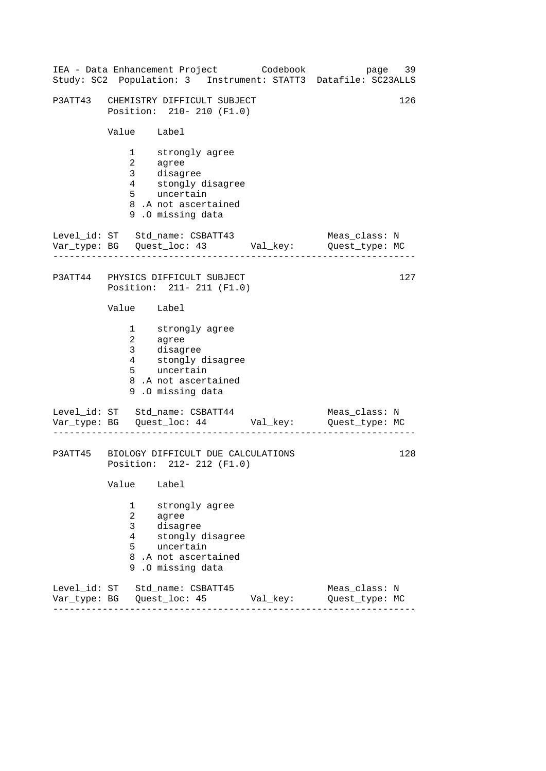|                           |                                                                                              | IEA - Data Enhancement Project Codebook                                                                             |          | 39<br>page<br>Study: SC2 Population: 3 Instrument: STATT3 Datafile: SC23ALLS |
|---------------------------|----------------------------------------------------------------------------------------------|---------------------------------------------------------------------------------------------------------------------|----------|------------------------------------------------------------------------------|
| P3ATT43                   |                                                                                              | CHEMISTRY DIFFICULT SUBJECT<br>Position: 210- 210 (F1.0)                                                            |          | 126                                                                          |
|                           | Value Label                                                                                  |                                                                                                                     |          |                                                                              |
|                           | $1 \quad \blacksquare$<br>$\overline{a}$<br>3 <sup>7</sup><br>$4\overline{ }$<br>$5^{\circ}$ | strongly agree<br>agree<br>disagree<br>stongly disagree<br>uncertain<br>8.A not ascertained<br>9.0 missing data     |          |                                                                              |
|                           |                                                                                              | Level_id: ST Std_name: CSBATT43<br>Var_type: BG    Quest_loc: 43    Val_key:    Quest_type: MC                      |          | Meas_class: N                                                                |
|                           |                                                                                              | P3ATT44 PHYSICS DIFFICULT SUBJECT<br>Position: 211- 211 (F1.0)                                                      |          | 127                                                                          |
|                           | Value Label                                                                                  |                                                                                                                     |          |                                                                              |
|                           | 3 <sup>7</sup><br>$4\overline{ }$<br>5                                                       | 1 strongly agree<br>2 agree<br>disagree<br>stongly disagree<br>uncertain<br>8.A not ascertained<br>9.0 missing data |          |                                                                              |
|                           |                                                                                              | Level_id: ST Std_name: CSBATT44<br>Var_type: BG    Quest_loc: 44    Val_key:    Quest_type: MC                      |          | Meas_class: N                                                                |
|                           |                                                                                              | P3ATT45 BIOLOGY DIFFICULT DUE CALCULATIONS<br>Position: 212- 212 (F1.0)                                             |          | 128                                                                          |
|                           | Value                                                                                        | Label                                                                                                               |          |                                                                              |
|                           | 1<br>2<br>3<br>4<br>5<br>8<br>9                                                              | strongly agree<br>agree<br>disagree<br>stongly disagree<br>uncertain<br>.A not ascertained<br>.0 missing data       |          |                                                                              |
| Level id: ST<br>Var_type: | BG                                                                                           | Std name: CSBATT45<br>Quest_loc: 45                                                                                 | Val_key: | Meas class: N<br>Quest_type: MC                                              |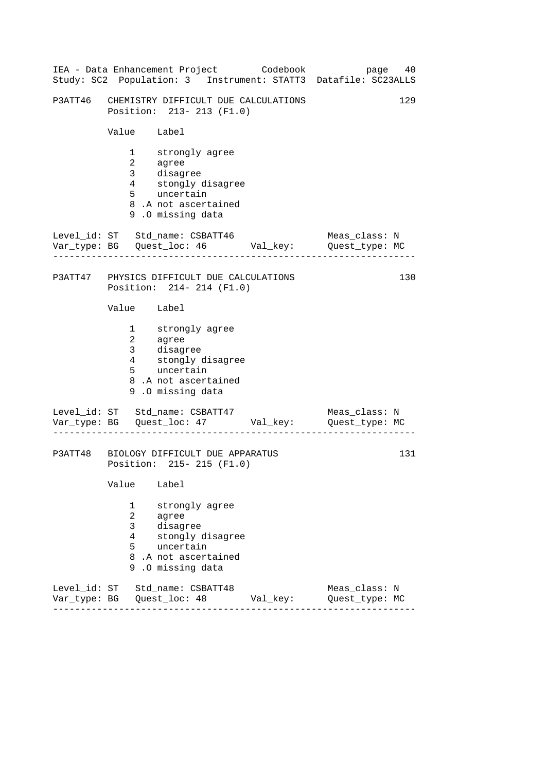|         |                                         | IEA - Data Enhancement Project Codebook                                                                             |  | 40<br>page<br>Study: SC2 Population: 3 Instrument: STATT3 Datafile: SC23ALLS |
|---------|-----------------------------------------|---------------------------------------------------------------------------------------------------------------------|--|------------------------------------------------------------------------------|
| P3ATT46 |                                         | CHEMISTRY DIFFICULT DUE CALCULATIONS<br>Position: 213-213 (F1.0)                                                    |  | 129                                                                          |
|         | Value Label                             |                                                                                                                     |  |                                                                              |
|         | $\overline{3}$<br>$4\overline{ }$<br>5  | 1 strongly agree<br>2 agree<br>disagree<br>stongly disagree<br>uncertain<br>8.A not ascertained<br>9.0 missing data |  |                                                                              |
|         |                                         | Level_id: ST Std_name: CSBATT46                                                                                     |  | Meas_class: N<br>Quest_type: MC                                              |
|         |                                         | P3ATT47 PHYSICS DIFFICULT DUE CALCULATIONS<br>Position: 214-214 (F1.0)                                              |  | 130                                                                          |
|         | Value Label                             |                                                                                                                     |  |                                                                              |
|         | 3 <sup>7</sup><br>$4\overline{ }$<br>5  | 1 strongly agree<br>2 agree<br>disagree<br>stongly disagree<br>uncertain<br>8.A not ascertained<br>9.0 missing data |  |                                                                              |
|         |                                         | Level_id: ST Std_name: CSBATT47                                                                                     |  | Meas_class: N<br>Quest_type: MC                                              |
|         |                                         | P3ATT48 BIOLOGY DIFFICULT DUE APPARATUS<br>Position: 215-215 (F1.0)                                                 |  | 131                                                                          |
|         | Value                                   | Label                                                                                                               |  |                                                                              |
|         | 1<br>2<br>3<br>4<br>5 <sup>1</sup><br>9 | strongly agree<br>agree<br>disagree<br>stongly disagree<br>uncertain<br>8.A not ascertained<br>.O missing data      |  |                                                                              |
|         |                                         | Level_id: ST Std_name: CSBATT48                                                                                     |  | Meas_class: N<br>Quest_type: MC                                              |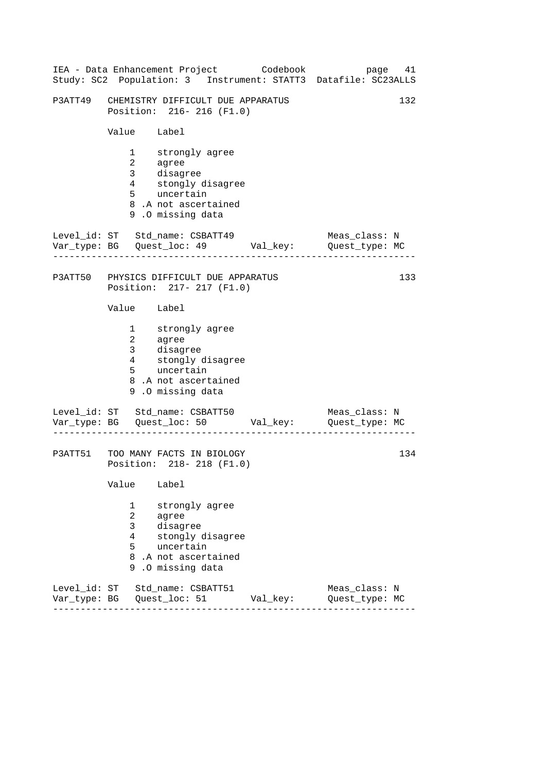|                        |                                                     | IEA - Data Enhancement Project Codebook                                                                                           |          | 41<br>page<br>Study: SC2 Population: 3 Instrument: STATT3 Datafile: SC23ALLS |
|------------------------|-----------------------------------------------------|-----------------------------------------------------------------------------------------------------------------------------------|----------|------------------------------------------------------------------------------|
| P3ATT49                |                                                     | CHEMISTRY DIFFICULT DUE APPARATUS<br>Position: 216-216 (F1.0)                                                                     |          | 132                                                                          |
|                        | Value Label                                         |                                                                                                                                   |          |                                                                              |
|                        | 3 <sup>7</sup><br>$4\overline{ }$<br>5 <sup>1</sup> | 1 strongly agree<br>2 agree<br>disagree<br>stongly di<br>uncertain<br>stongly disagree<br>8.A not ascertained<br>9.0 missing data |          |                                                                              |
|                        |                                                     | Level_id: ST Std_name: CSBATT49<br>Var_type: BG    Quest_loc: 49    Val_key:    Quest_type: MC                                    |          | Meas_class: N                                                                |
|                        |                                                     | P3ATT50 PHYSICS DIFFICULT DUE APPARATUS<br>Position: 217- 217 (F1.0)                                                              |          | 133                                                                          |
|                        | Value Label                                         |                                                                                                                                   |          |                                                                              |
|                        | 3 <sup>7</sup><br>$4\overline{ }$<br>5              | 1 strongly agree<br>2 agree<br>disagree<br>stongly disagree<br>uncertain<br>8.A not ascertained<br>9.0 missing data               |          |                                                                              |
|                        |                                                     | Level_id: ST Std_name: CSBATT50                                                                                                   |          | Meas_class: N<br>Quest_type: MC                                              |
|                        |                                                     | P3ATT51 TOO MANY FACTS IN BIOLOGY<br>Position: 218-218 (F1.0)                                                                     |          | 134                                                                          |
|                        | Value                                               | Label                                                                                                                             |          |                                                                              |
|                        | 1<br>2<br>3<br>4<br>5<br>8<br>9                     | strongly agree<br>agree<br>disagree<br>stongly disagree<br>uncertain<br>.A not ascertained<br>.0 missing data                     |          |                                                                              |
| Level_id:<br>Var_type: | SТ<br>BG                                            | Std name: CSBATT51<br>Quest_loc: 51                                                                                               | Val_key: | Meas_class: N<br>Quest_type: MC                                              |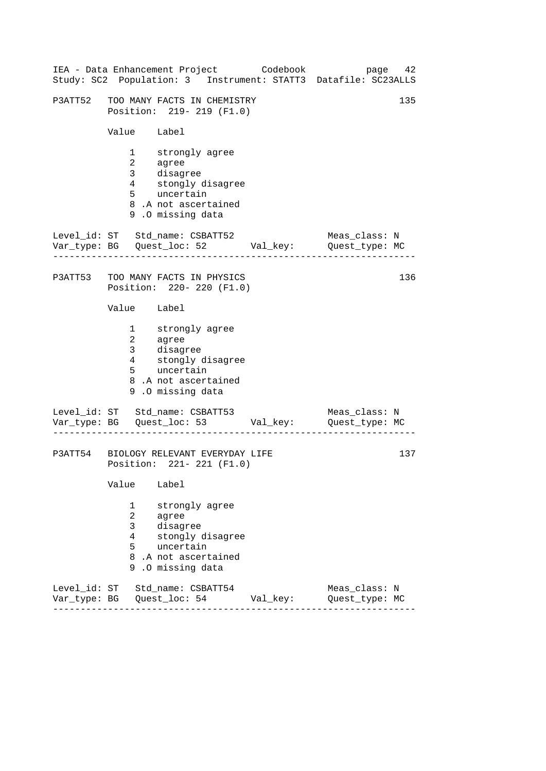|                           |                                                                                              | IEA - Data Enhancement Project Codebook                                                                             |          | 42<br>page<br>Study: SC2 Population: 3 Instrument: STATT3 Datafile: SC23ALLS |
|---------------------------|----------------------------------------------------------------------------------------------|---------------------------------------------------------------------------------------------------------------------|----------|------------------------------------------------------------------------------|
| P3ATT52                   |                                                                                              | TOO MANY FACTS IN CHEMISTRY<br>Position: 219- 219 (F1.0)                                                            |          | 135                                                                          |
|                           | Value Label                                                                                  |                                                                                                                     |          |                                                                              |
|                           | $1 \quad \blacksquare$<br>$\overline{a}$<br>3 <sup>7</sup><br>$4\overline{ }$<br>$5^{\circ}$ | strongly agree<br>agree<br>disagree<br>stongly disagree<br>uncertain<br>8.A not ascertained<br>9.0 missing data     |          |                                                                              |
|                           |                                                                                              | Level_id: ST Std_name: CSBATT52<br>Var_type: BG    Quest_loc: 52    Val_key:    Quest_type: MC                      |          | Meas_class: N                                                                |
| P3ATT53                   |                                                                                              | TOO MANY FACTS IN PHYSICS<br>Position: 220- 220 (F1.0)                                                              |          | 136                                                                          |
|                           | Value Label                                                                                  |                                                                                                                     |          |                                                                              |
|                           | 3 <sup>7</sup><br>$4\overline{ }$<br>5                                                       | 1 strongly agree<br>2 agree<br>disagree<br>stongly disagree<br>uncertain<br>8.A not ascertained<br>9.0 missing data |          |                                                                              |
|                           |                                                                                              | Level_id: ST Std_name: CSBATT53<br>Var_type: BG    Quest_loc: 53    Val_key:    Quest_type: MC                      |          | Meas_class: N                                                                |
|                           |                                                                                              | P3ATT54 BIOLOGY RELEVANT EVERYDAY LIFE<br>Position: 221- 221 (F1.0)                                                 |          | 137                                                                          |
|                           | Value                                                                                        | Label                                                                                                               |          |                                                                              |
|                           | 1<br>2<br>3<br>4<br>5<br>8<br>9                                                              | strongly agree<br>agree<br>disagree<br>stongly disagree<br>uncertain<br>.A not ascertained<br>.0 missing data       |          |                                                                              |
| Level id: ST<br>Var_type: | BG                                                                                           | Std name: CSBATT54<br>Quest_loc: 54                                                                                 | Val_key: | Meas class: N<br>Quest_type: MC                                              |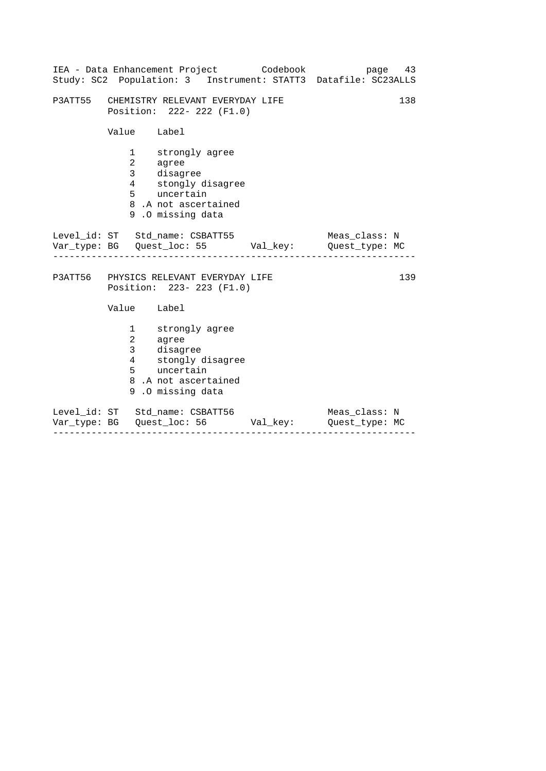| IEA - Data Enhancement Project Codebook<br>Study: SC2 Population: 3 Instrument: STATT3 Datafile: SC23ALLS                 | page 43                         |
|---------------------------------------------------------------------------------------------------------------------------|---------------------------------|
| P3ATT55 CHEMISTRY RELEVANT EVERYDAY LIFE<br>Position: 222- 222 (F1.0)                                                     | 138                             |
| Value Label                                                                                                               |                                 |
| 1 strongly agree<br>2 agree<br>3 disagree<br>4 stongly disagree<br>5 uncertain<br>8.A not ascertained<br>9.0 missing data |                                 |
| Level_id: ST Std_name: CSBATT55<br>Var_type: BG    Quest_loc: 55    Val_key:    Quest_type: MC                            | Meas class: N                   |
| P3ATT56 PHYSICS RELEVANT EVERYDAY LIFE<br>Position: 223- 223 (F1.0)                                                       | 139                             |
| Value Label                                                                                                               |                                 |
| 1 strongly agree<br>2 agree<br>3 disagree<br>4 stongly disagree<br>5 uncertain<br>8.A not ascertained<br>9.0 missing data |                                 |
| Level_id: ST Std_name: CSBATT56                                                                                           | Meas_class: N<br>Quest type: MC |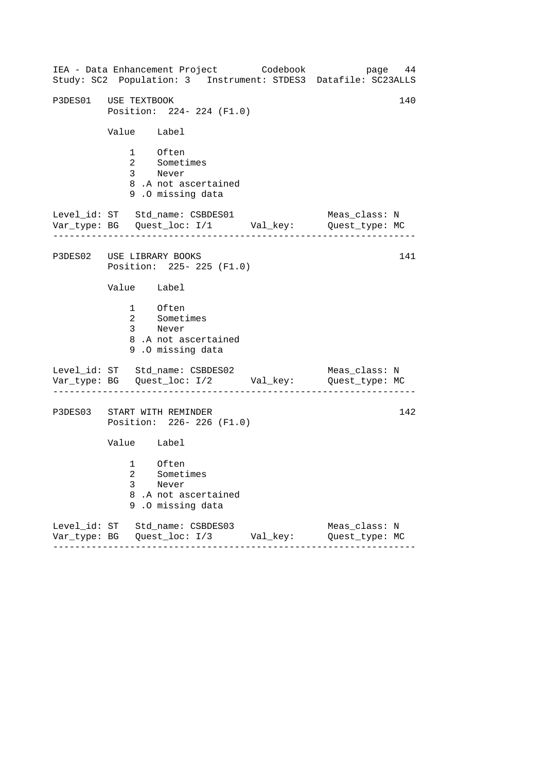------------------------------------------------------------------ ------------------------------------------------------------------ ------------------------------------------------------------------ IEA - Data Enhancement Project Codebook page 44 Study: SC2 Population: 3 Instrument: STDES3 Datafile: SC23ALLS P3DES01 USE TEXTBOOK 140 Position: 224- 224 (F1.0) Value Label 1 Often 2 Sometimes 3 Never 8 .A not ascertained 9 .O missing data Level\_id: ST Std\_name: CSBDES01 Meas\_class: N Var\_type: BG Quest\_loc: I/1 Val\_key: Quest\_type: MC P3DES02 USE LIBRARY BOOKS Position: 225- 225 (F1.0) Value Label 1 Often 2 Sometimes 3 Never 8 .A not ascertained 9 .O missing data Level\_id: ST Std\_name: CSBDES02 Var\_type: BG Quest\_loc: I/2 Val\_key: Quest\_type: MC Meas\_class: N P3DES03 START WITH REMINDER Position: 226- 226 (F1.0) Value Label 1 Often 2 Sometimes 3 Never 8 .A not ascertained 9 .O missing data Level\_id: ST Std\_name: CSBDES03 Meas\_class: N Var\_type: BG Quest\_loc: I/3 Val\_key: Quest\_type: MC 141 142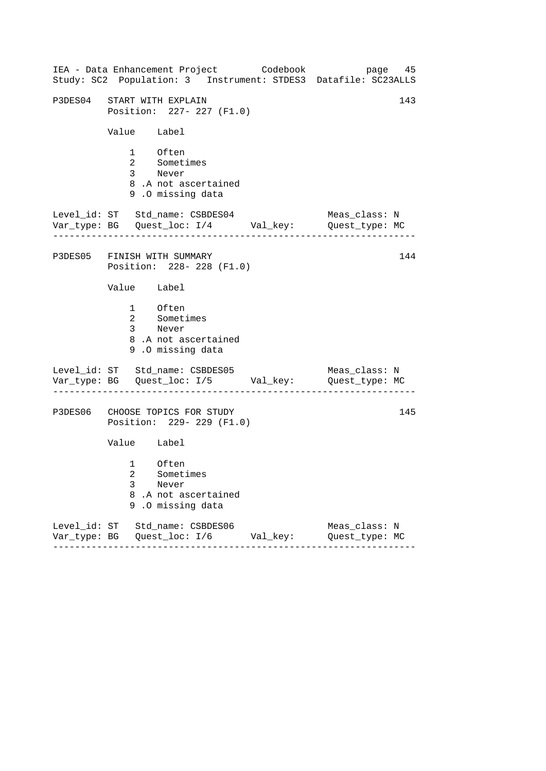| IEA - Data Enhancement Project Codebook<br>Study: SC2 Population: 3 Instrument: STDES3 Datafile: SC23ALLS |          | page 45                         |
|-----------------------------------------------------------------------------------------------------------|----------|---------------------------------|
| P3DES04 START WITH EXPLAIN<br>Position: 227- 227 (F1.0)                                                   |          | 143                             |
| Value Label                                                                                               |          |                                 |
| 1 Often<br>2 Sometimes<br>3 Never<br>8.A not ascertained<br>9.0 missing data                              |          |                                 |
| Level_id: ST Std_name: CSBDES04<br>Var_type: BG    Quest_loc: I/4    Val_key:    Quest_type: MC           |          | Meas_class: N                   |
| P3DES05 FINISH WITH SUMMARY<br>Position: 228- 228 (F1.0)                                                  |          | 144                             |
| Value Label                                                                                               |          |                                 |
| 1 Often<br>2 Sometimes<br>3 Never<br>8.A not ascertained<br>9.0 missing data                              |          |                                 |
| Level_id: ST Std_name: CSBDES05<br>Var_type: BG    Quest_loc: I/5    Val_key:    Quest_type: MC           |          | Meas_class: N                   |
| P3DES06 CHOOSE TOPICS FOR STUDY<br>Position: 229- 229 (F1.0)                                              |          | 145                             |
| Value Label                                                                                               |          |                                 |
| 1 Often<br>2 Sometimes<br>3<br>Never<br>8<br>.A not ascertained<br>.0 missing data<br>9                   |          |                                 |
| Level_id: ST Std_name: CSBDES06<br>------<br>---------                                                    | Val_key: | Meas_class: N<br>Quest_type: MC |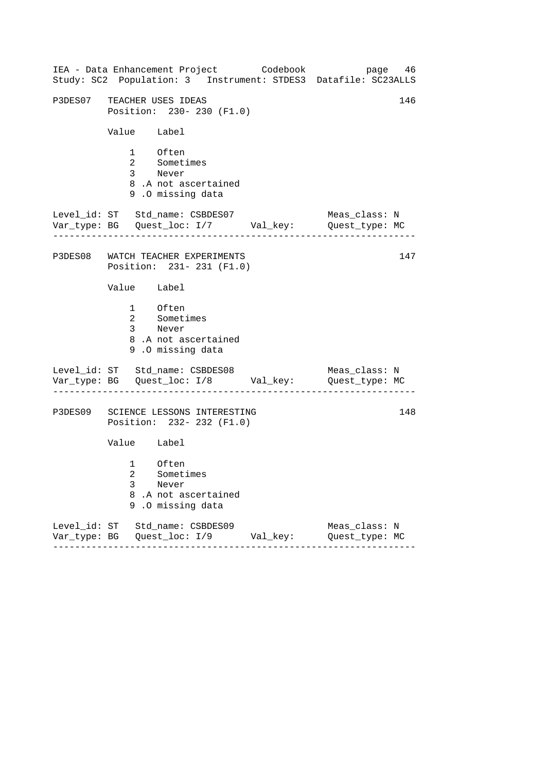| IEA - Data Enhancement Project Codebook<br>Study: SC2 Population: 3 Instrument: STDES3 Datafile: SC23ALLS |          | page 46                         |
|-----------------------------------------------------------------------------------------------------------|----------|---------------------------------|
| P3DES07 TEACHER USES IDEAS<br>Position: 230- 230 (F1.0)                                                   |          | 146                             |
| Value Label                                                                                               |          |                                 |
| 1 Often<br>2 Sometimes<br>3 Never<br>8.A not ascertained<br>9.0 missing data                              |          |                                 |
| Level_id: ST Std_name: CSBDES07<br>Var_type: BG    Quest_loc: I/7    Val_key:    Quest_type: MC           |          | Meas_class: N                   |
| P3DES08 WATCH TEACHER EXPERIMENTS<br>Position: 231- 231 (F1.0)                                            |          | 147                             |
| Value Label                                                                                               |          |                                 |
| 1 Often<br>2 Sometimes<br>3 Never<br>8.A not ascertained<br>9.0 missing data                              |          |                                 |
| Level_id: ST Std_name: CSBDES08<br>Var_type: BG    Quest_loc: I/8    Val_key:    Quest_type: MC           |          | Meas_class: N                   |
| P3DES09 SCIENCE LESSONS INTERESTING<br>Position: 232- 232 (F1.0)                                          |          | 148                             |
| Value Label                                                                                               |          |                                 |
| 1 Often<br>2 Sometimes<br>3<br>Never<br>8.A not ascertained<br>9.0 missing data                           |          |                                 |
| Level_id: ST Std_name: CSBDES09                                                                           | Val_key: | Meas_class: N<br>Quest_type: MC |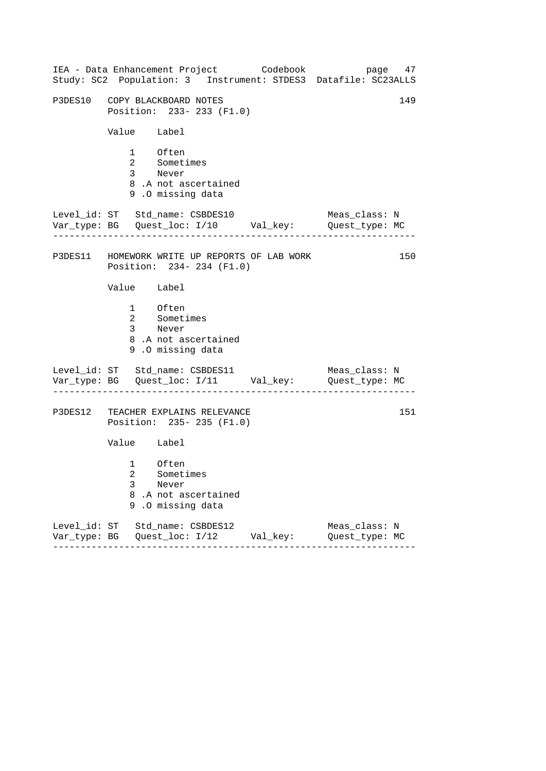|               | IEA - Data Enhancement Project Codebook                                        | page 47<br>Study: SC2 Population: 3 Instrument: STDES3 Datafile: SC23ALLS      |  |
|---------------|--------------------------------------------------------------------------------|--------------------------------------------------------------------------------|--|
|               | P3DES10 COPY BLACKBOARD NOTES<br>Position: 233- 233 (F1.0)                     | 149                                                                            |  |
| Value Label   |                                                                                |                                                                                |  |
|               | 1 Often<br>2 Sometimes<br>3 Never<br>8.A not ascertained<br>9.0 missing data   |                                                                                |  |
|               | Level_id: ST Std_name: CSBDES10                                                | Meas_class: N<br>Var_type: BG    Quest_loc: I/10    Val_key:    Quest_type: MC |  |
|               | P3DES11 HOMEWORK WRITE UP REPORTS OF LAB WORK<br>Position: 234-234 (F1.0)      | 150                                                                            |  |
| Value Label   |                                                                                |                                                                                |  |
|               | 1 Often<br>2 Sometimes<br>3 Never<br>8.A not ascertained<br>9.0 missing data   |                                                                                |  |
|               | Level_id: ST Std_name: CSBDES11                                                | Meas_class: N<br>Var_type: BG    Quest_loc: I/11    Val_key:    Quest_type: MC |  |
|               | P3DES12 TEACHER EXPLAINS RELEVANCE<br>Position: 235- 235 (F1.0)                | 151                                                                            |  |
| Value Label   |                                                                                |                                                                                |  |
| 3<br>8<br>9   | 1 Often<br>2 Sometimes<br>Never<br>.A not ascertained<br>.O missing data       |                                                                                |  |
| $- - - - - -$ | Level_id: ST Std_name: CSBDES12<br>Var_type: BG    Quest_loc: I/12    Val_key: | Meas_class: N<br>Quest_type: MC                                                |  |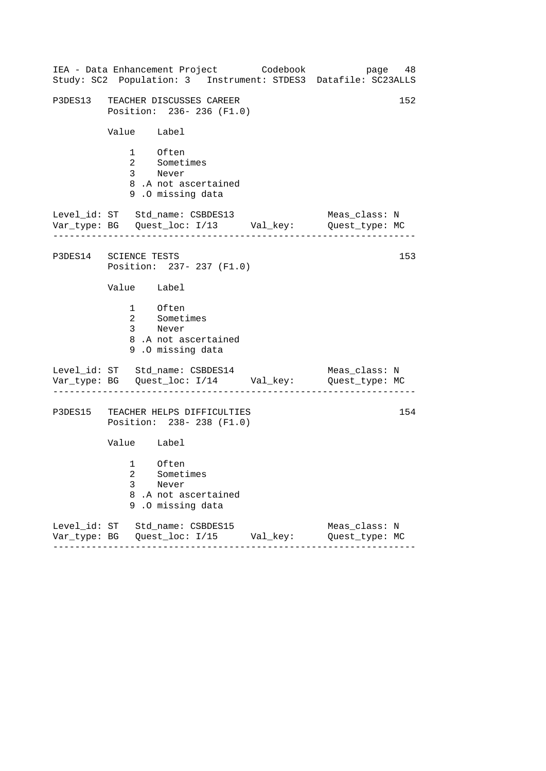| IEA - Data Enhancement Project Codebook<br>Study: SC2 Population: 3 Instrument: STDES3 Datafile: SC23ALLS | page 48                         |
|-----------------------------------------------------------------------------------------------------------|---------------------------------|
| P3DES13 TEACHER DISCUSSES CAREER<br>Position: 236-236 (F1.0)                                              | 152                             |
| Value Label                                                                                               |                                 |
| 1 Often<br>2 Sometimes<br>3 Never<br>8.A not ascertained<br>9.0 missing data                              |                                 |
| Level_id: ST Std_name: CSBDES13<br>Var_type: BG    Quest_loc: I/13    Val_key:    Quest_type: MC          | Meas_class: N                   |
| P3DES14 SCIENCE TESTS<br>Position: 237- 237 (F1.0)                                                        | 153                             |
| Value Label                                                                                               |                                 |
| 1 Often<br>2 Sometimes<br>3 Never<br>8.A not ascertained<br>9.0 missing data                              |                                 |
| Level_id: ST Std_name: CSBDES14<br>Var_type: BG    Quest_loc: I/14    Val_key:    Quest_type: MC          | Meas_class: N                   |
| P3DES15 TEACHER HELPS DIFFICULTIES<br>Position: 238-238 (F1.0)                                            | 154                             |
| Value Label                                                                                               |                                 |
| 1 Often<br>2 Sometimes<br>3<br>Never<br>8<br>.A not ascertained<br>.0 missing data<br>9                   |                                 |
| Level_id: ST Std_name: CSBDES15<br>Var_type: BG    Quest_loc: I/15    Val_key:                            | Meas_class: N<br>Quest_type: MC |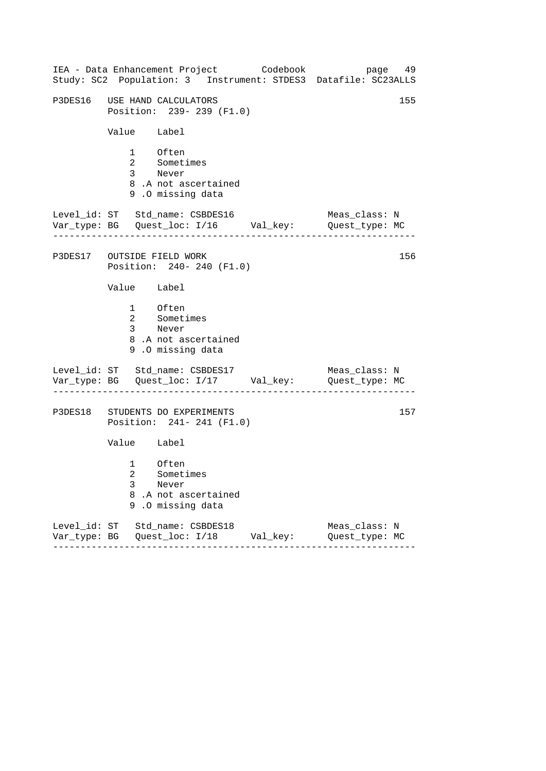|             | IEA - Data Enhancement Project Codebook<br>Study: SC2 Population: 3 Instrument: STDES3 Datafile: SC23ALLS | page 49                         |     |
|-------------|-----------------------------------------------------------------------------------------------------------|---------------------------------|-----|
|             | P3DES16 USE HAND CALCULATORS<br>Position: 239- 239 (F1.0)                                                 |                                 | 155 |
| Value Label |                                                                                                           |                                 |     |
|             | 1 Often<br>2 Sometimes<br>3 Never<br>8.A not ascertained<br>9.0 missing data                              |                                 |     |
|             | Level_id: ST Std_name: CSBDES16<br>Var_type: BG    Quest_loc: I/16    Val_key:    Quest_type: MC          | Meas_class: N                   |     |
|             | P3DES17 OUTSIDE FIELD WORK<br>Position: 240- 240 (F1.0)                                                   |                                 | 156 |
| Value Label |                                                                                                           |                                 |     |
|             | 1 Often<br>2 Sometimes<br>3 Never<br>8.A not ascertained<br>9.0 missing data                              |                                 |     |
|             | Level_id: ST Std_name: CSBDES17<br>Var_type: BG    Quest_loc: I/17    Val_key:    Quest_type: MC          | Meas_class: N                   |     |
|             | P3DES18 STUDENTS DO EXPERIMENTS<br>Position: 241- 241 (F1.0)                                              |                                 | 157 |
| Value Label |                                                                                                           |                                 |     |
| 3<br>8<br>9 | 1 Often<br>2 Sometimes<br>Never<br>.A not ascertained<br>.O missing data                                  |                                 |     |
| ------      | Level_id: ST Std_name: CSBDES18<br>Var_type: BG    Quest_loc: I/18    Val_key:<br>--------                | Meas_class: N<br>Quest_type: MC |     |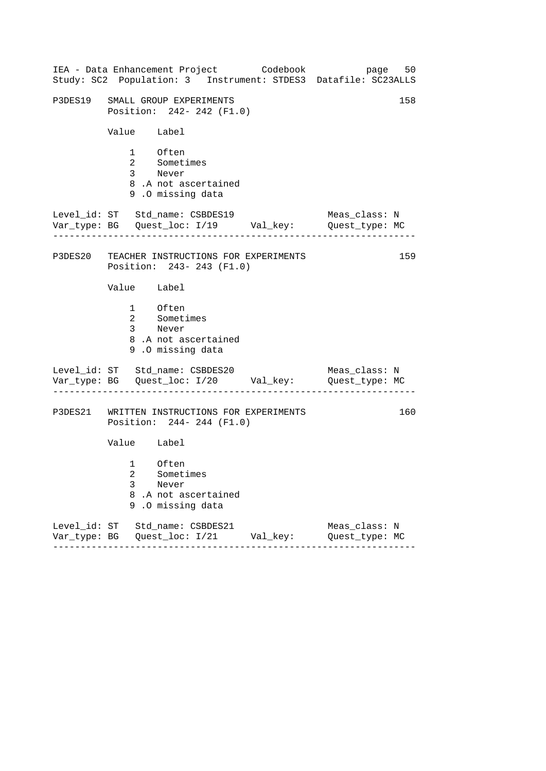|                                 |             |                                                       |                                 | IEA - Data Enhancement Project Codebook      | Study: SC2 Population: 3 Instrument: STDES3 Datafile: SC23ALLS                 | page 50 |
|---------------------------------|-------------|-------------------------------------------------------|---------------------------------|----------------------------------------------|--------------------------------------------------------------------------------|---------|
| P3DES19 SMALL GROUP EXPERIMENTS |             |                                                       | Position: 242- 242 (F1.0)       |                                              |                                                                                | 158     |
|                                 |             | Value Label                                           |                                 |                                              |                                                                                |         |
|                                 |             | 1 Often<br>2 Sometimes<br>3 Never<br>9.0 missing data | 8.A not ascertained             |                                              |                                                                                |         |
|                                 |             |                                                       | Level_id: ST Std_name: CSBDES19 |                                              | Meas_class: N<br>Var_type: BG    Quest_loc: I/19    Val_key:    Quest_type: MC |         |
|                                 |             |                                                       | Position: 243-243 (F1.0)        | P3DES20 TEACHER INSTRUCTIONS FOR EXPERIMENTS |                                                                                | 159     |
|                                 |             | Value Label                                           |                                 |                                              |                                                                                |         |
|                                 |             | 1 Often<br>2 Sometimes<br>3 Never<br>9.0 missing data | 8.A not ascertained             |                                              |                                                                                |         |
| Level_id: ST Std_name: CSBDES20 |             |                                                       |                                 |                                              | Meas_class: N<br>Var_type: BG    Quest_loc: I/20    Val_key:    Quest_type: MC |         |
|                                 |             |                                                       | Position: 244- 244 (F1.0)       | P3DES21 WRITTEN INSTRUCTIONS FOR EXPERIMENTS |                                                                                | 160     |
|                                 |             | Value Label                                           |                                 |                                              |                                                                                |         |
|                                 | 3<br>8<br>9 | 1 Often<br>2 Sometimes<br>Never<br>.0 missing data    | .A not ascertained              |                                              |                                                                                |         |
| Level_id: ST Std_name: CSBDES21 | .           |                                                       | --------------                  | Val_key:<br><u>. List List List</u>          | Meas_class: N<br>Quest_type: MC                                                |         |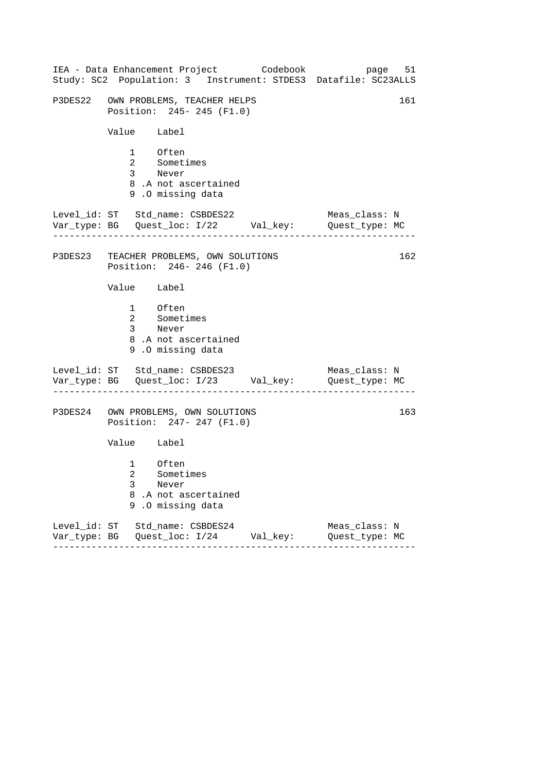| IEA - Data Enhancement Project Codebook<br>Study: SC2 Population: 3 Instrument: STDES3 Datafile: SC23ALLS |                   | page 51                         |
|-----------------------------------------------------------------------------------------------------------|-------------------|---------------------------------|
| P3DES22 OWN PROBLEMS, TEACHER HELPS<br>Position: 245- 245 (F1.0)                                          |                   | 161                             |
| Value Label                                                                                               |                   |                                 |
| 1 Often<br>2 Sometimes<br>3 Never<br>8.A not ascertained<br>9.0 missing data                              |                   |                                 |
| Level_id: ST Std_name: CSBDES22<br>Var_type: BG    Quest_loc: I/22    Val_key:    Quest_type: MC          |                   | Meas_class: N                   |
| P3DES23 TEACHER PROBLEMS, OWN SOLUTIONS<br>Position: 246-246 (F1.0)                                       |                   | 162                             |
| Value Label                                                                                               |                   |                                 |
| 1 Often<br>2 Sometimes<br>3 Never<br>8.A not ascertained<br>9.0 missing data                              |                   |                                 |
| Level_id: ST Std_name: CSBDES23<br>Var_type: BG    Quest_loc: I/23    Val_key:    Quest_type: MC          |                   | Meas_class: N                   |
| P3DES24 OWN PROBLEMS, OWN SOLUTIONS<br>Position: 247- 247 (F1.0)                                          |                   | 163                             |
| Value Label                                                                                               |                   |                                 |
| 1 Often<br>2 Sometimes<br>3<br>Never<br>8.A not ascertained<br>.O missing data<br>9                       |                   |                                 |
| Level_id: ST Std_name: CSBDES24<br>Var_type: BG    Quest_loc: I/24    Val_key:<br>------                  | - - - - - - - - - | Meas_class: N<br>Quest_type: MC |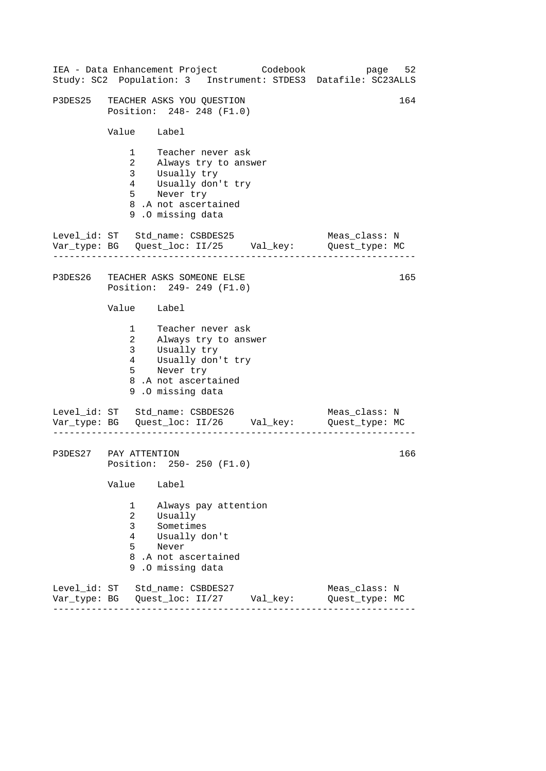|                              | IEA - Data Enhancement Project Codebook<br>Study: SC2 Population: 3 Instrument: STDES3 Datafile: SC23ALLS                                                                                                       | 52<br>page                      |
|------------------------------|-----------------------------------------------------------------------------------------------------------------------------------------------------------------------------------------------------------------|---------------------------------|
|                              | P3DES25 TEACHER ASKS YOU QUESTION<br>Position: 248- 248 (F1.0)                                                                                                                                                  | 164                             |
|                              | Value Label                                                                                                                                                                                                     |                                 |
|                              | $1 \quad$<br>Teacher never ask<br>2 Always try to answer<br>3 <sup>7</sup><br>Usually try<br>4<br>Usually don't try<br>5 <sub>5</sub><br>Never try<br>8.A not ascertained<br>9.0 missing data                   |                                 |
|                              | Level_id: ST Std_name: CSBDES25<br>Var_type: BG    Quest_loc: II/25    Val_key:    Quest_type: MC                                                                                                               | Meas_class: N                   |
|                              | P3DES26 TEACHER ASKS SOMEONE ELSE<br>Position: 249- 249 (F1.0)                                                                                                                                                  | 165                             |
|                              | Value Label                                                                                                                                                                                                     |                                 |
|                              | Teacher never ask<br>$1 \quad \blacksquare$<br>2 Always try to answer<br>3 <sup>7</sup><br>Usually try<br>Usually don't try<br>$4\overline{ }$<br>$5 -$<br>Never try<br>8.A not ascertained<br>9.0 missing data |                                 |
|                              | Level_id: ST Std_name: CSBDES26<br>Var_type: BG    Quest_loc: II/26    Val_key:    Quest_type: MC                                                                                                               | Meas_class: N                   |
|                              | P3DES27 PAY ATTENTION<br>Position: 250- 250 (F1.0)                                                                                                                                                              | 166                             |
|                              | Value<br>Label                                                                                                                                                                                                  |                                 |
|                              | Always pay attention<br>1<br>2<br>Usually<br>3<br>Sometimes<br>4<br>Usually don't<br>5<br>Never<br>8.A not ascertained<br>.0 missing data<br>9.                                                                 |                                 |
| Level id: ST<br>Var_type: BG | Std name: CSBDES27<br>Quest_loc: II/27<br>Val_key:                                                                                                                                                              | Meas class: N<br>Quest_type: MC |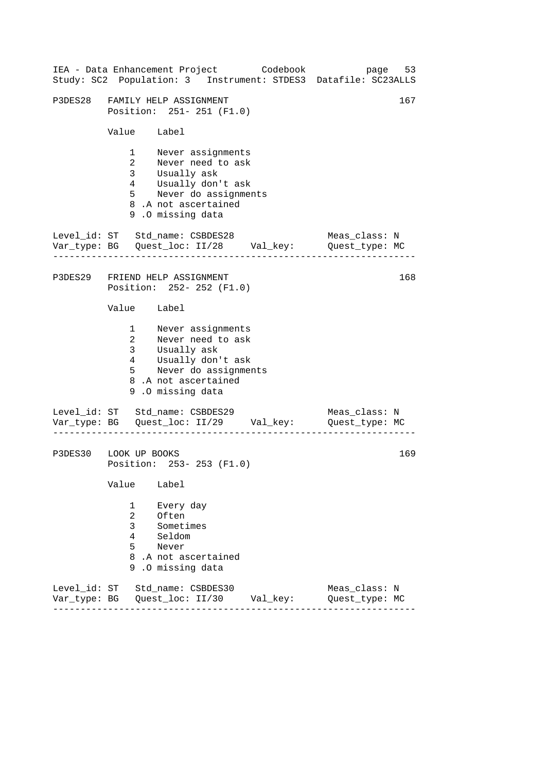|                              |                                 | IEA - Data Enhancement Project Codebook                                                                                                                 |          | Study: SC2 Population: 3 Instrument: STDES3 Datafile: SC23ALLS                  | page 53 |
|------------------------------|---------------------------------|---------------------------------------------------------------------------------------------------------------------------------------------------------|----------|---------------------------------------------------------------------------------|---------|
|                              |                                 | P3DES28 FAMILY HELP ASSIGNMENT<br>Position: 251- 251 (F1.0)                                                                                             |          |                                                                                 | 167     |
|                              | Value Label                     |                                                                                                                                                         |          |                                                                                 |         |
|                              | 5 <sub>5</sub>                  | 1 Never assignments<br>2 Never need to ask<br>3 Usually ask<br>4 Usually don't ask<br>Never do assignments<br>8.A not ascertained<br>9.0 missing data   |          |                                                                                 |         |
|                              |                                 | Level_id: ST Std_name: CSBDES28                                                                                                                         |          | Meas_class: N<br>Var_type: BG    Quest_loc: II/28    Val_key:    Quest_type: MC |         |
|                              |                                 | P3DES29 FRIEND HELP ASSIGNMENT<br>Position: 252- 252 (F1.0)                                                                                             |          |                                                                                 | 168     |
|                              | Value Label                     |                                                                                                                                                         |          |                                                                                 |         |
|                              |                                 | 1 Never assignments<br>2 Never need to ask<br>3 Usually ask<br>4 Usually don't ask<br>5 Never do assignments<br>8.A not ascertained<br>9.0 missing data |          |                                                                                 |         |
|                              |                                 | Level_id: ST Std_name: CSBDES29                                                                                                                         |          | Meas_class: N<br>Var_type: BG    Quest_loc: II/29    Val_key:    Quest_type: MC |         |
| P3DES30 LOOK UP BOOKS        |                                 | Position: 253- 253 (F1.0)                                                                                                                               |          |                                                                                 | 169     |
|                              | Value                           | Label                                                                                                                                                   |          |                                                                                 |         |
|                              | 1<br>2<br>3<br>4<br>5<br>8<br>9 | Every day<br>Often<br>Sometimes<br>Seldom<br>Never<br>.A not ascertained<br>.0 missing data                                                             |          |                                                                                 |         |
| Level_id: ST<br>Var_type: BG |                                 | Std_name: CSBDES30<br>Quest_loc: II/30                                                                                                                  | Val_key: | Meas_class: N<br>Quest_type: MC                                                 |         |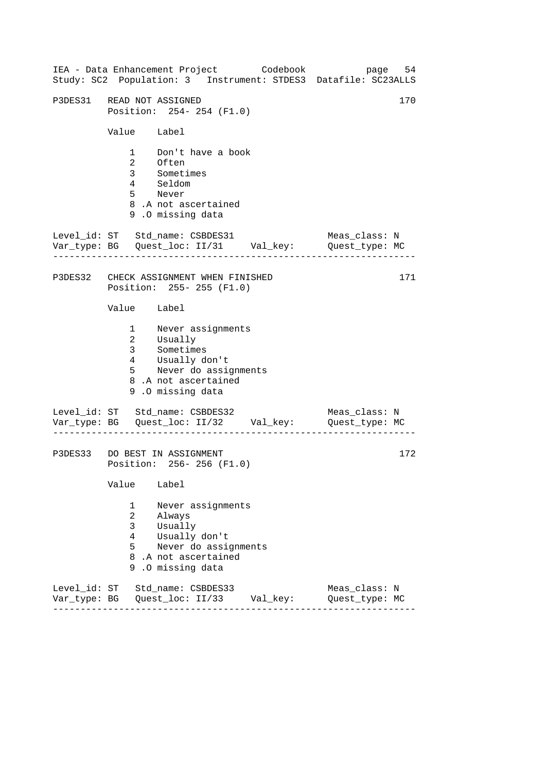| IEA - Data Enhancement Project Codebook<br>Study: SC2 Population: 3 Instrument: STDES3 Datafile: SC23ALLS                                                        | page 54                         |
|------------------------------------------------------------------------------------------------------------------------------------------------------------------|---------------------------------|
| P3DES31 READ NOT ASSIGNED<br>Position: 254- 254 (F1.0)                                                                                                           | 170                             |
| Value Label                                                                                                                                                      |                                 |
| 1 Don't have a book<br>--<br>Often<br>Sometimes<br>$\overline{2}$<br>$\overline{3}$<br>4 Seldom<br>5 Never<br>8.A not ascertained<br>9.0 missing data            |                                 |
| Level_id: ST Std_name: CSBDES31<br>Var_type: BG    Quest_loc: II/31    Val_key:    Quest_type: MC                                                                | Meas_class: N                   |
| P3DES32 CHECK ASSIGNMENT WHEN FINISHED<br>Position: 255- 255 (F1.0)                                                                                              | 171                             |
| Value Label                                                                                                                                                      |                                 |
| 1 Never assignments<br>2 Usually<br>3 Sometimes<br>Usually don't<br>$4\overline{ }$<br>-<br>5 Never do assignments<br>8.A not ascertained<br>9.0 missing data    |                                 |
| Level_id: ST Std_name: CSBDES32<br>Var_type: BG    Quest_loc: II/32    Val_key:    Quest_type: MC<br>. Lie Lie Lie Lie Lie Lie Lie                               | Meas_class: N                   |
| P3DES33 DO BEST IN ASSIGNMENT<br>Position: 256-256 (F1.0)                                                                                                        | 172                             |
| Value<br>Label                                                                                                                                                   |                                 |
| Never assignments<br>1<br>$\overline{2}$<br>Always<br>3<br>Usually<br>4<br>Usually don't<br>5<br>Never do assignments<br>8.A not ascertained<br>9.0 missing data |                                 |
| Level_id: ST Std_name: CSBDES33                                                                                                                                  | Meas_class: N<br>Quest_type: MC |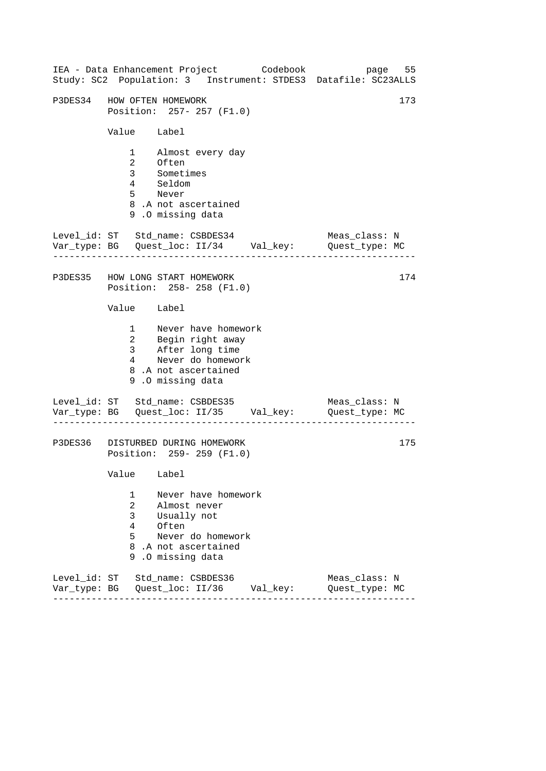|                                                 | IEA - Data Enhancement Project Codebook                                                                                            | page 55<br>Study: SC2 Population: 3 Instrument: STDES3 Datafile: SC23ALLS |
|-------------------------------------------------|------------------------------------------------------------------------------------------------------------------------------------|---------------------------------------------------------------------------|
|                                                 | P3DES34 HOW OFTEN HOMEWORK<br>Position: 257- 257 (F1.0)                                                                            | 173                                                                       |
| Value Label                                     |                                                                                                                                    |                                                                           |
|                                                 | 1 Almost every day<br>2 Often<br>3 Sometimes<br>4 Seldom<br>5 Never<br>8.A not ascertained<br>9.0 missing data                     |                                                                           |
|                                                 | Level_id: ST Std_name: CSBDES34                                                                                                    | Meas_class: N                                                             |
|                                                 | P3DES35 HOW LONG START HOMEWORK<br>Position: 258-258 (F1.0)                                                                        | 174                                                                       |
| Value Label                                     |                                                                                                                                    |                                                                           |
|                                                 | 1 Never have homework<br>2 Begin right away<br>3 After long time<br>4 Never do homework<br>8.A not ascertained<br>9.0 missing data |                                                                           |
|                                                 | Level_id: ST Std_name: CSBDES35<br>Var_type: BG    Quest_loc: II/35    Val_key:    Quest_type: MC<br>.                             | Meas_class: N                                                             |
|                                                 | P3DES36 DISTURBED DURING HOMEWORK<br>Position: 259- 259 (F1.0)                                                                     | 175                                                                       |
| Value Label                                     |                                                                                                                                    |                                                                           |
| 1<br>$\overline{2}$<br>3 <sup>7</sup><br>4<br>5 | Never have homework<br>Almost never<br>Usually not<br>Often<br>Never do homework<br>8.A not ascertained<br>9.0 missing data        |                                                                           |
|                                                 | Level_id: ST Std_name: CSBDES36                                                                                                    | Meas_class: N<br>Quest_type: MC                                           |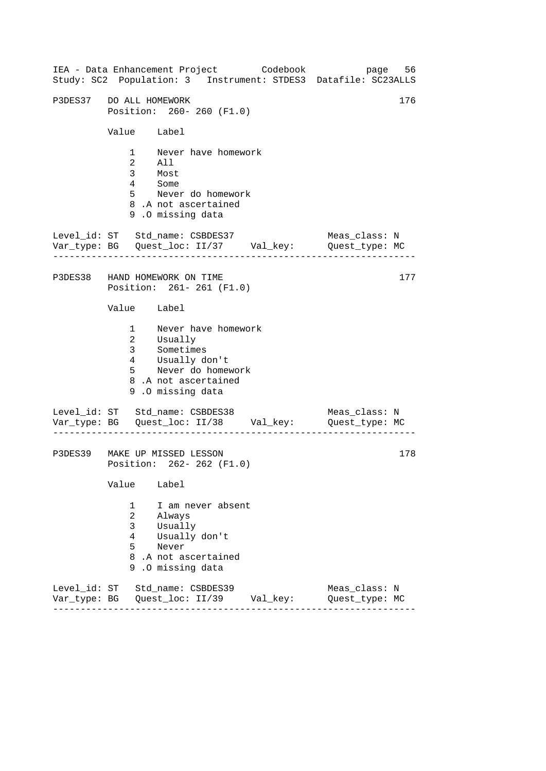------------------------------------------------------------------ ------------------------------------------------------------------ ------------------------------------------------------------------ IEA - Data Enhancement Project Codebook page 56 Study: SC2 Population: 3 Instrument: STDES3 Datafile: SC23ALLS P3DES37 DO ALL HOMEWORK 176 Position: 260- 260 (F1.0) Value Label 1 Never have homework 2 All 3 Most 4 Some 5 Never do homework 8 .A not ascertained 9 .O missing data Level\_id: ST Std\_name: CSBDES37 Meas\_class: N Var\_type: BG Quest\_loc: II/37 Val\_key: Quest\_type: MC P3DES38 HAND HOMEWORK ON TIME Position: 261- 261 (F1.0) Value Label 1 Never have homework 2 3 Usually Sometimes 4 5 Usually don't Never do homework 8 .A not ascertained 9 .O missing data Level\_id: ST Std\_name: CSBDES38 Meas\_class: N Var\_type: BG Quest\_loc: II/38 Val\_key: Quest\_type: MC P3DES39 MAKE UP MISSED LESSON Position: 262- 262 (F1.0) Value Label 1 I am never absent 2 Always 3 Usually 4 Usually don't 5 Never 8 .A not ascertained 9 .O missing data Level\_id: ST Std\_name: CSBDES39 Meas\_class: N Var\_type: BG Quest\_loc: II/39 Val\_key: Quest\_type: MC 177 178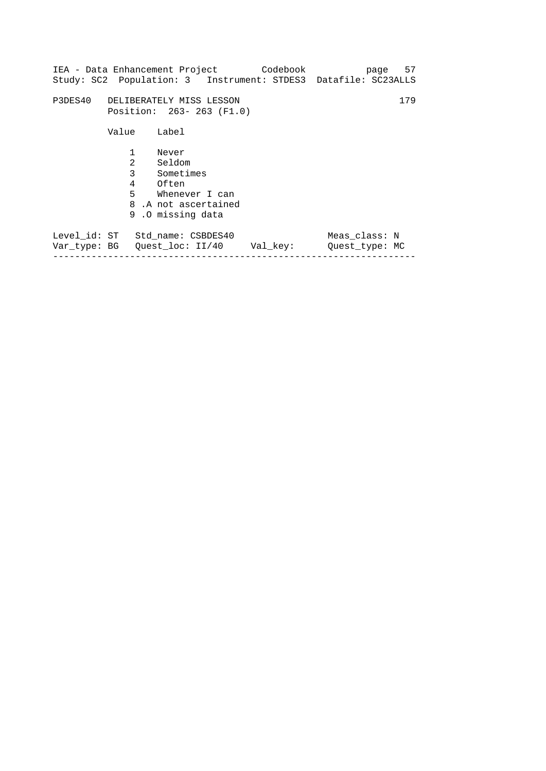|                                  |                           |                                                                                                          | Study: SC2 Population: 3 Instrument: STDES3 Datafile: SC23ALLS |                                 | page 57 |
|----------------------------------|---------------------------|----------------------------------------------------------------------------------------------------------|----------------------------------------------------------------|---------------------------------|---------|
| P3DES40 DELIBERATELY MISS LESSON | Position: 263- 263 (F1.0) |                                                                                                          |                                                                |                                 | 179     |
|                                  | Value                     | Label                                                                                                    |                                                                |                                 |         |
|                                  | $\mathbf{1}$<br>2         | Never<br>Seldom<br>3 Sometimes<br>4 Often<br>5 Whenever I can<br>8.A not ascertained<br>9.0 missing data |                                                                |                                 |         |
| Level_id: ST Std_name: CSBDES40  |                           |                                                                                                          | Val key:                                                       | Meas class: N<br>Quest type: MC |         |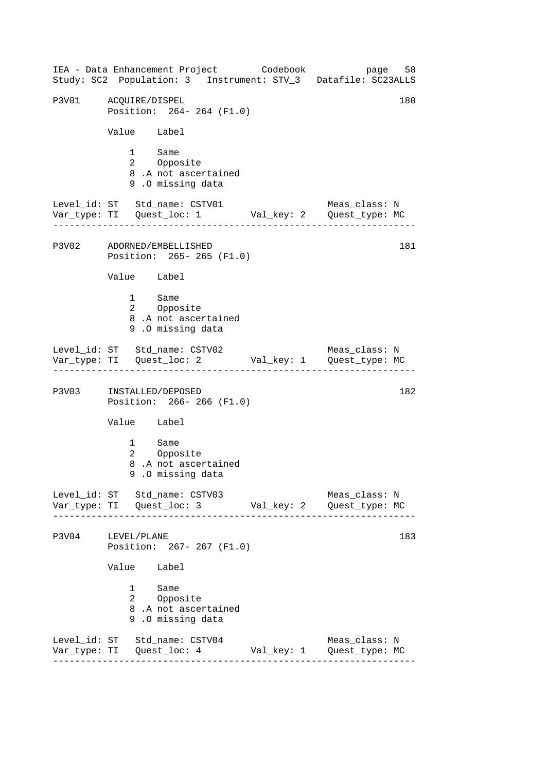------------------------------------------------------------------ ------------------------------------------------------------------ ------------------------------------------------------------------ ------------------------------------------------------------------ IEA - Data Enhancement Project Codebook page 58 Study: SC2 Population: 3 Instrument: STV\_3 Datafile: SC23ALLS P3V01 ACOUIRE/DISPEL 180 Position: 264- 264 (F1.0) Value Label 1 Same<br>2 Oppos Opposite 8 .A not ascertained 9 .O missing data Level\_id: ST Std\_name: CSTV01 Meas\_class: N Var\_type: TI Quest\_loc: 1 Val\_key: 2 Quest\_type: MC P3V02 ADORNED/EMBELLISHED Position: 265- 265 (F1.0) Value Label 1 Same 2 Opposite 8 .A not ascertained 9 .O missing data Level\_id: ST Std\_name: CSTV02 Meas\_class: N Var\_type: TI Quest\_loc: 2 Val\_key: 1 Quest\_type: MC P3V03 INSTALLED/DEPOSED 182 Position: 266- 266 (F1.0) Value Label 1 Same 2 Opposite 8 .A not ascertained 9 .O missing data Level\_id: ST Std\_name: CSTV03 Meas\_class: N Var\_type: TI Quest\_loc: 3 Val\_key: 2 Quest\_type: MC P3V04 LEVEL/PLANE 183 Position: 267- 267 (F1.0) Value Label 1 Same 2 Opposite 8 .A not ascertained 9 .O missing data Level\_id: ST Std\_name: CSTV04 Meas\_class: N Var\_type: TI Quest\_loc: 4 Val\_key: 1 Quest\_type: MC 181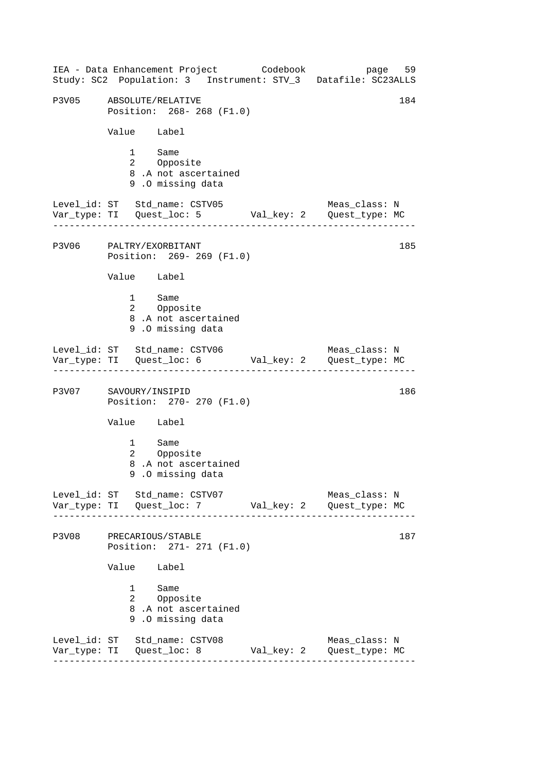------------------------------------------------------------------ ------------------------------------------------------------------ ------------------------------------------------------------------ ------------------------------------------------------------------ IEA - Data Enhancement Project Codebook page 59 Study: SC2 Population: 3 Instrument: STV\_3 Datafile: SC23ALLS P3V05 ABSOLUTE/RELATIVE 184 Position: 268- 268 (F1.0) Value Label 1 Same<br>2 Oppos Opposite 8 .A not ascertained 9 .O missing data Level\_id: ST Std\_name: CSTV05 Meas\_class: N Var\_type: TI Quest\_loc: 5 Val\_key: 2 Quest\_type: MC P3V06 PALTRY/EXORBITANT Position: 269- 269 (F1.0) Value Label 1 Same 2 Opposite 8 .A not ascertained 9 .O missing data Level\_id: ST Std\_name: CSTV06 Meas\_class: N Var\_type: TI Quest\_loc: 6 Val\_key: 2 Quest\_type: MC P3V07 SAVOURY/INSIPID 186 Position: 270- 270 (F1.0) Value Label 1 Same 2 Opposite 8 .A not ascertained 9 .O missing data Level\_id: ST Std\_name: CSTV07 Meas\_class: N Var\_type: TI Quest\_loc: 7 Val\_key: 2 Quest\_type: MC P3V08 PRECARIOUS/STABLE 187 Position: 271- 271 (F1.0) Value Label 1 Same 2 Opposite 8 .A not ascertained 9 .O missing data Level\_id: ST Std\_name: CSTV08 Meas\_class: N Var\_type: TI Quest\_loc: 8 Val\_key: 2 Quest\_type: MC 185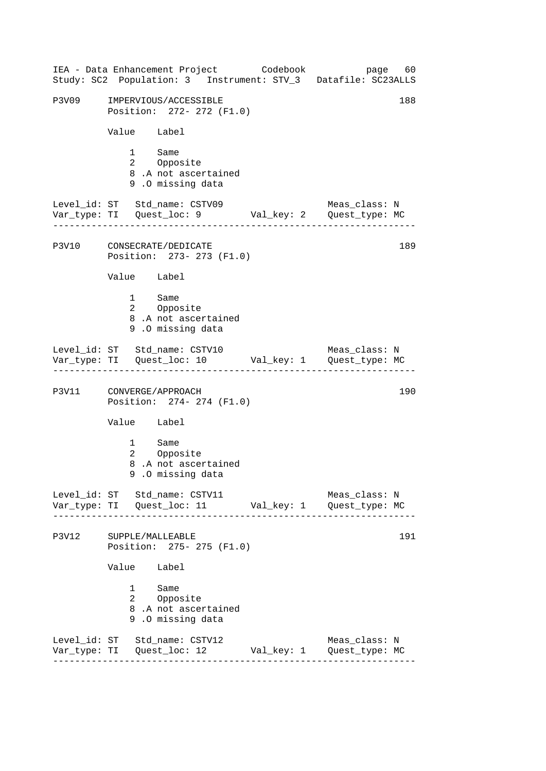|       | IEA - Data Enhancement Project Codebook<br>Study: SC2 Population: 3 Instrument: STV_3 Datafile: SC23ALLS      | page 60                         |
|-------|---------------------------------------------------------------------------------------------------------------|---------------------------------|
| P3V09 | IMPERVIOUS/ACCESSIBLE<br>Position: 272- 272 (F1.0)                                                            | 188                             |
|       | Value Label                                                                                                   |                                 |
|       | $1 \quad \Box$<br>Same<br>2 Opposite<br>8.A not ascertained<br>9.0 missing data                               |                                 |
|       | Level_id: ST Std_name: CSTV09                                                                                 | Meas_class: N                   |
|       | P3V10 CONSECRATE/DEDICATE<br>Position: 273- 273 (F1.0)                                                        | 189                             |
|       | Value Label                                                                                                   |                                 |
|       | 1 Same<br>2 Opposite<br>8.A not ascertained<br>9.0 missing data                                               |                                 |
|       | Level_id: ST Std_name: CSTV10                                                                                 | Meas_class: N                   |
|       | P3V11 CONVERGE/APPROACH<br>Position: 274- 274 (F1.0)                                                          | 190                             |
|       | Value Label                                                                                                   |                                 |
|       | 1 Same<br>2 Opposite<br>8.A not ascertained<br>9.0 missing data                                               |                                 |
|       | Level_id: ST Std_name: CSTV11                                                                                 | Meas_class: N                   |
| P3V12 | SUPPLE/MALLEABLE<br>Position: 275- 275 (F1.0)                                                                 | 191                             |
|       | Value Label                                                                                                   |                                 |
|       | $1 \quad \Box$<br>Same<br>2 Opposite<br>8.A not ascertained<br>9.0 missing data                               |                                 |
|       | Level_id: ST Std_name: CSTV12<br>Var_type: TI Quest_loc: 12 Val_key: 1<br>----------------------------------- | Meas_class: N<br>Quest_type: MC |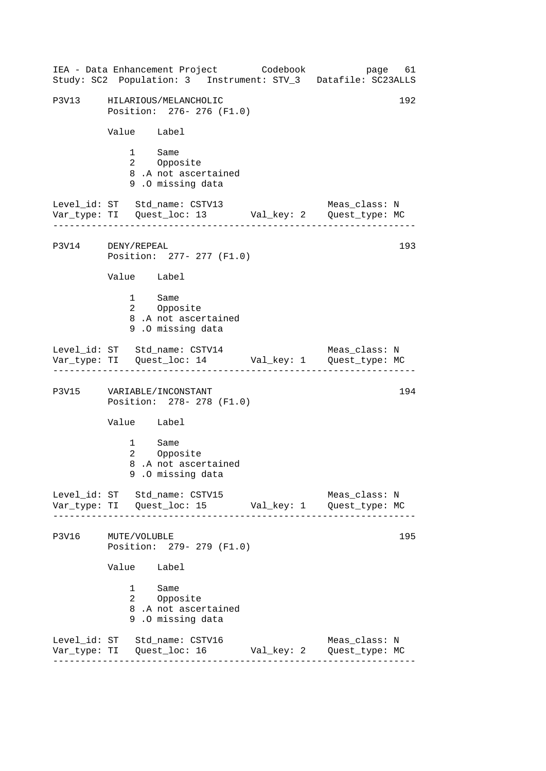------------------------------------------------------------------ ------------------------------------------------------------------ ------------------------------------------------------------------ ------------------------------------------------------------------ IEA - Data Enhancement Project Codebook page 61 Study: SC2 Population: 3 Instrument: STV\_3 Datafile: SC23ALLS P3V13 HILARIOUS/MELANCHOLIC 192 Position: 276- 276 (F1.0) Value Label 1 Same<br>2 Oppos Opposite 8 .A not ascertained 9 .O missing data Level\_id: ST Std\_name: CSTV13 Meas\_class: N Var\_type: TI Quest\_loc: 13 Val\_key: 2 Quest\_type: MC P3V14 DENY/REPEAL Position: 277- 277 (F1.0) Value Label 1 Same 2 Opposite 8 .A not ascertained 9 .O missing data Level\_id: ST Std\_name: CSTV14 Meas\_class: N Var\_type: TI Quest\_loc: 14 Val\_key: 1 Quest\_type: MC P3V15 VARIABLE/INCONSTANT 194 Position: 278- 278 (F1.0) Value Label 1 Same 2 Opposite 8 .A not ascertained 9 .O missing data Level\_id: ST Std\_name: CSTV15 Meas\_class: N Var\_type: TI Quest\_loc: 15 Val\_key: 1 Quest\_type: MC P3V16 MUTE/VOLUBLE 195 Position: 279- 279 (F1.0) Value Label 1 Same 2 Opposite 8 .A not ascertained 9 .O missing data Level\_id: ST Std\_name: CSTV16 Meas\_class: N Var\_type: TI Quest\_loc: 16 Val\_key: 2 Quest\_type: MC 193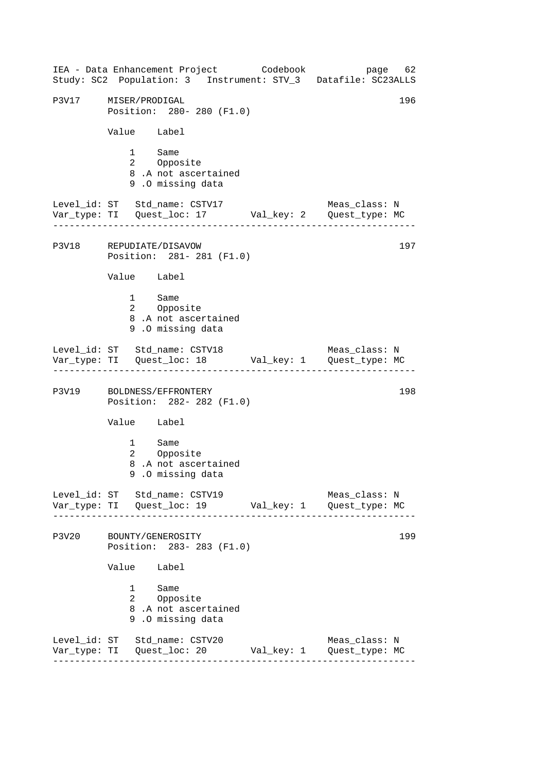------------------------------------------------------------------ ------------------------------------------------------------------ ------------------------------------------------------------------ ------------------------------------------------------------------ IEA - Data Enhancement Project Codebook page 62 Study: SC2 Population: 3 Instrument: STV\_3 Datafile: SC23ALLS P3V17 MISER/PRODIGAL 196 Position: 280- 280 (F1.0) Value Label 1 Same<br>2 Oppos Opposite 8 .A not ascertained 9 .O missing data Level\_id: ST Std\_name: CSTV17 Meas\_class: N Var\_type: TI Quest\_loc: 17 Val\_key: 2 Quest\_type: MC P3V18 REPUDIATE/DISAVOW Position: 281- 281 (F1.0) Value Label 1 Same 2 Opposite 8 .A not ascertained 9 .O missing data Level\_id: ST Std\_name: CSTV18 Meas\_class: N Var\_type: TI Quest\_loc: 18 Val\_key: 1 Quest\_type: MC P3V19 BOLDNESS/EFFRONTERY 198 Position: 282- 282 (F1.0) Value Label 1 Same 2 Opposite 8 .A not ascertained 9 .O missing data Level\_id: ST Std\_name: CSTV19 Meas\_class: N Var\_type: TI Quest\_loc: 19 Val\_key: 1 Quest\_type: MC P3V20 BOUNTY/GENEROSITY 199 Position: 283- 283 (F1.0) Value Label 1 Same 2 Opposite 8 .A not ascertained 9 .O missing data Level\_id: ST Std\_name: CSTV20 Meas\_class: N Var\_type: TI Quest\_loc: 20 Val\_key: 1 Quest\_type: MC 197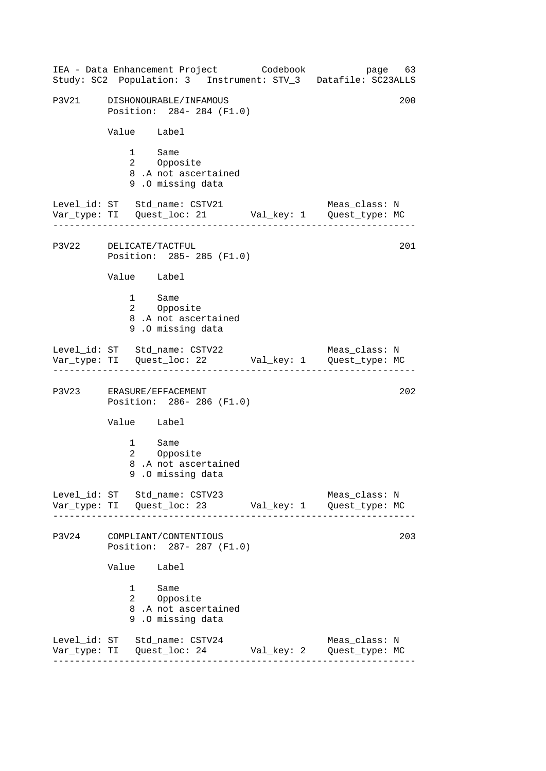------------------------------------------------------------------ ------------------------------------------------------------------ ------------------------------------------------------------------ ------------------------------------------------------------------ IEA - Data Enhancement Project Codebook page 63 Study: SC2 Population: 3 Instrument: STV\_3 Datafile: SC23ALLS P3V21 DISHONOURABLE/INFAMOUS 200 Position: 284- 284 (F1.0) Value Label 1 Same<br>2 Oppos Opposite 8 .A not ascertained 9 .O missing data Level\_id: ST Std\_name: CSTV21 Meas\_class: N Var\_type: TI Quest\_loc: 21 Val\_key: 1 Quest\_type: MC P3V22 DELICATE/TACTFUL Position: 285- 285 (F1.0) Value Label 1 Same 2 Opposite 8 .A not ascertained 9 .O missing data Level\_id: ST Std\_name: CSTV22 Meas\_class: N Var\_type: TI Quest\_loc: 22 Val\_key: 1 Quest\_type: MC P3V23 ERASURE/EFFACEMENT 202 Position: 286- 286 (F1.0) Value Label 1 Same 2 Opposite 8 .A not ascertained 9 .O missing data Level id: ST Std name: CSTV23 Meas class: N Var\_type: TI Quest\_loc: 23 Val\_key: 1 Quest\_type: MC P3V24 COMPLIANT/CONTENTIOUS 203 Position: 287- 287 (F1.0) Value Label 1 Same 2 Opposite 8 .A not ascertained 9 .O missing data Level\_id: ST Std\_name: CSTV24 Meas\_class: N Var\_type: TI Quest\_loc: 24 Val\_key: 2 Quest\_type: MC 201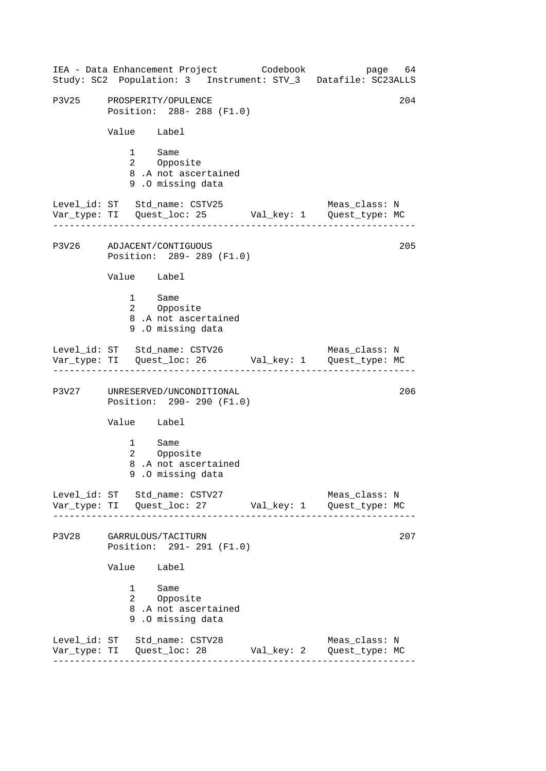------------------------------------------------------------------ ------------------------------------------------------------------ ------------------------------------------------------------------ ------------------------------------------------------------------ IEA - Data Enhancement Project Codebook page 64 Study: SC2 Population: 3 Instrument: STV\_3 Datafile: SC23ALLS P3V25 PROSPERITY/OPULENCE 204 Position: 288- 288 (F1.0) Value Label 1 Same<br>2 Oppos Opposite 8 .A not ascertained 9 .O missing data Level\_id: ST Std\_name: CSTV25 Meas\_class: N Var\_type: TI Quest\_loc: 25 Val\_key: 1 Quest\_type: MC P3V26 ADJACENT/CONTIGUOUS Position: 289- 289 (F1.0) Value Label 1 Same 2 Opposite 8 .A not ascertained 9 .O missing data Level\_id: ST Std\_name: CSTV26 Meas\_class: N Var\_type: TI Quest\_loc: 26 Val\_key: 1 Quest\_type: MC P3V27 UNRESERVED/UNCONDITIONAL 206 Position: 290- 290 (F1.0) Value Label 1 Same 2 Opposite 8 .A not ascertained 9 .O missing data Level\_id: ST Std\_name: CSTV27 Meas\_class: N Var\_type: TI Quest\_loc: 27 Val\_key: 1 Quest\_type: MC P3V28 GARRULOUS/TACITURN 207 Position: 291- 291 (F1.0) Value Label 1 Same 2 Opposite 8 .A not ascertained 9 .O missing data Level\_id: ST Std\_name: CSTV28 Meas\_class: N Var\_type: TI Quest\_loc: 28 Val\_key: 2 Quest\_type: MC 205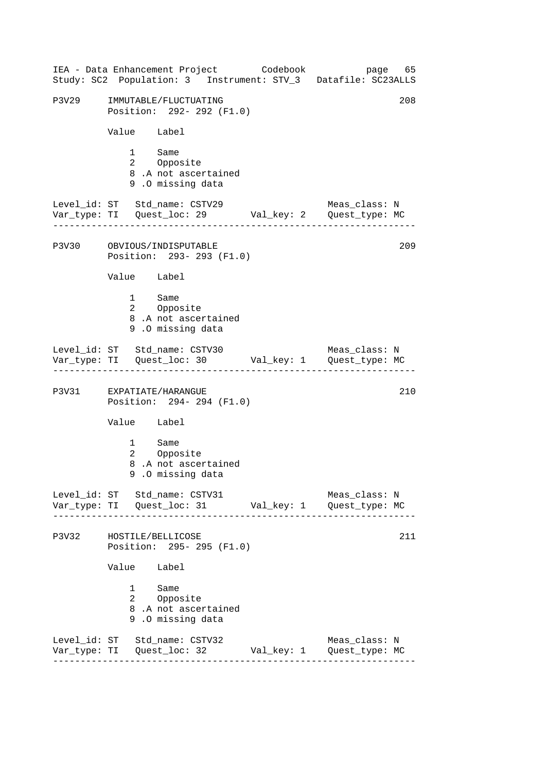|       | IEA - Data Enhancement Project Codebook<br>Study: SC2 Population: 3 Instrument: STV_3 Datafile: SC23ALLS |            | page 65                         |
|-------|----------------------------------------------------------------------------------------------------------|------------|---------------------------------|
|       | P3V29 IMMUTABLE/FLUCTUATING<br>Position: 292- 292 (F1.0)                                                 |            | 208                             |
|       | Value Label                                                                                              |            |                                 |
|       | 1 Same<br>2 Opposite<br>8.A not ascertained<br>9.0 missing data                                          |            |                                 |
|       | Level_id: ST Std_name: CSTV29                                                                            |            | Meas_class: N                   |
|       | P3V30 OBVIOUS/INDISPUTABLE<br>Position: 293- 293 (F1.0)                                                  |            | 209                             |
|       | Value Label                                                                                              |            |                                 |
|       | 1 Same<br>2 Opposite<br>8.A not ascertained<br>9.0 missing data                                          |            |                                 |
|       | Level_id: ST Std_name: CSTV30 Meas_class: N<br>Var_type: TI Quest_loc: 30 Val_key: 1 Quest_type: MC      |            |                                 |
|       | P3V31 EXPATIATE/HARANGUE<br>Position: 294- 294 (F1.0)                                                    |            | 210                             |
|       | Value Label                                                                                              |            |                                 |
|       | 1 Same<br>Opposite<br>$\mathbf{2}$<br>8.A not ascertained<br>9.0 missing data                            |            |                                 |
|       | Level_id: ST Std_name: CSTV31                                                                            |            | Meas_class: N                   |
| P3V32 | HOSTILE/BELLICOSE<br>Position: 295- 295 (F1.0)                                                           |            | 211                             |
|       | Value Label                                                                                              |            |                                 |
|       | 1<br>Same<br>2 Opposite<br>8.A not ascertained<br>9.0 missing data                                       |            |                                 |
|       | Level_id: ST Std_name: CSTV32<br>Var_type: TI Quest_loc: 32                                              | Val_key: 1 | Meas_class: N<br>Quest_type: MC |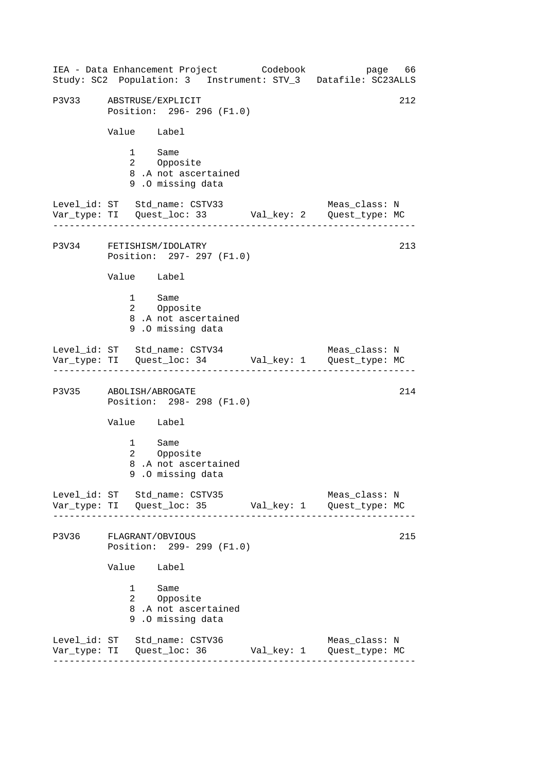------------------------------------------------------------------ ------------------------------------------------------------------ ------------------------------------------------------------------ ------------------------------------------------------------------ IEA - Data Enhancement Project Codebook page 66 Study: SC2 Population: 3 Instrument: STV\_3 Datafile: SC23ALLS P3V33 ABSTRUSE/EXPLICIT 212 Position: 296- 296 (F1.0) Value Label 1 Same<br>2 Oppos Opposite 8 .A not ascertained 9 .O missing data Level\_id: ST Std\_name: CSTV33 Meas\_class: N Var\_type: TI Quest\_loc: 33 Val\_key: 2 Quest\_type: MC P3V34 FETISHISM/IDOLATRY Position: 297- 297 (F1.0) Value Label 1 Same 2 Opposite 8 .A not ascertained 9 .O missing data Level\_id: ST Std\_name: CSTV34 Meas\_class: N Var\_type: TI Quest\_loc: 34 Val\_key: 1 Quest\_type: MC P3V35 ABOLISH/ABROGATE 214 Position: 298- 298 (F1.0) Value Label 1 Same 2 Opposite 8 .A not ascertained 9 .O missing data Level\_id: ST Std\_name: CSTV35 Meas\_class: N Var\_type: TI Quest\_loc: 35 Val\_key: 1 Quest\_type: MC P3V36 FLAGRANT/OBVIOUS 215 Position: 299- 299 (F1.0) Value Label 1 Same 2 Opposite 8 .A not ascertained 9 .O missing data Level\_id: ST Std\_name: CSTV36 Meas\_class: N Var\_type: TI Quest\_loc: 36 Val\_key: 1 Quest\_type: MC 213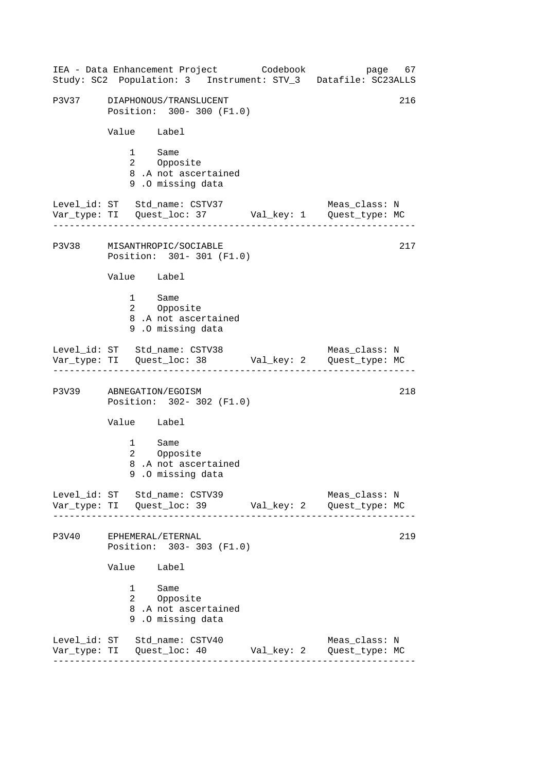------------------------------------------------------------------ ------------------------------------------------------------------ ------------------------------------------------------------------ ------------------------------------------------------------------ IEA - Data Enhancement Project Codebook page 67 Study: SC2 Population: 3 Instrument: STV\_3 Datafile: SC23ALLS P3V37 DIAPHONOUS/TRANSLUCENT 216 Position: 300- 300 (F1.0) Value Label 1 Same<br>2 Oppos Opposite 8 .A not ascertained 9 .O missing data Level\_id: ST Std\_name: CSTV37 Meas\_class: N Var\_type: TI Quest\_loc: 37 Val\_key: 1 Quest\_type: MC P3V38 MISANTHROPIC/SOCIABLE Position: 301- 301 (F1.0) Value Label 1 Same 2 Opposite 8 .A not ascertained 9 .O missing data Level\_id: ST Std\_name: CSTV38 Meas\_class: N Var\_type: TI Quest\_loc: 38 Val\_key: 2 Quest\_type: MC P3V39 ABNEGATION/EGOISM 218 Position: 302- 302 (F1.0) Value Label 1 Same 2 Opposite 8 .A not ascertained 9 .O missing data Level\_id: ST Std\_name: CSTV39 Meas\_class: N Var\_type: TI Quest\_loc: 39 Val\_key: 2 Quest\_type: MC P3V40 EPHEMERAL/ETERNAL 219 Position: 303- 303 (F1.0) Value Label 1 Same 2 Opposite 8 .A not ascertained 9 .O missing data Level\_id: ST Std\_name: CSTV40 Meas\_class: N Var\_type: TI Quest\_loc: 40 Val\_key: 2 Quest\_type: MC 217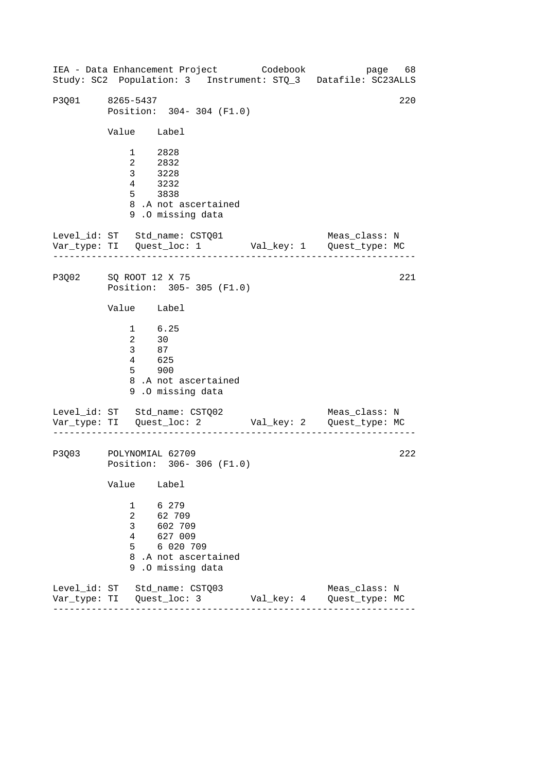------------------------------------------------------------------ ------------------------------------------------------------------ IEA - Data Enhancement Project Codebook page 68 Study: SC2 Population: 3 Instrument: STQ\_3 Datafile: SC23ALLS P3Q01 8265-5437 220 Position: 304- 304 (F1.0) Value Label 1 2828 2 2832 3 3228 4 3232 5 3838 8 .A not ascertained 9 .O missing data Level\_id: ST Std\_name: CSTQ01 Meas\_class: N Var\_type: TI Quest\_loc: 1 Val\_key: 1 Quest\_type: MC P3Q02 SQ ROOT 12 X 75 Position: 305- 305 (F1.0) Value Label 1 6.25 2 30 3 87  $4 \overline{625}$ 5 900 8 .A not ascertained 9 .O missing data Level\_id: ST Std\_name: CSTQ02 Var\_type: TI Quest\_loc: 2 Val\_key: 2 Quest\_type: MC Meas\_class: N P3Q03 POLYNOMIAL 62709 Position: 306- 306 (F1.0) Value Label 1 6 279 2 62 709 3 602 709 4 627 009 5 6 020 709 8 .A not ascertained 9 .O missing data Level\_id: ST Std\_name: CSTQ03 Meas\_class: N Var\_type: TI Quest\_loc: 3 Val\_key: 4 Quest\_type: MC 221 222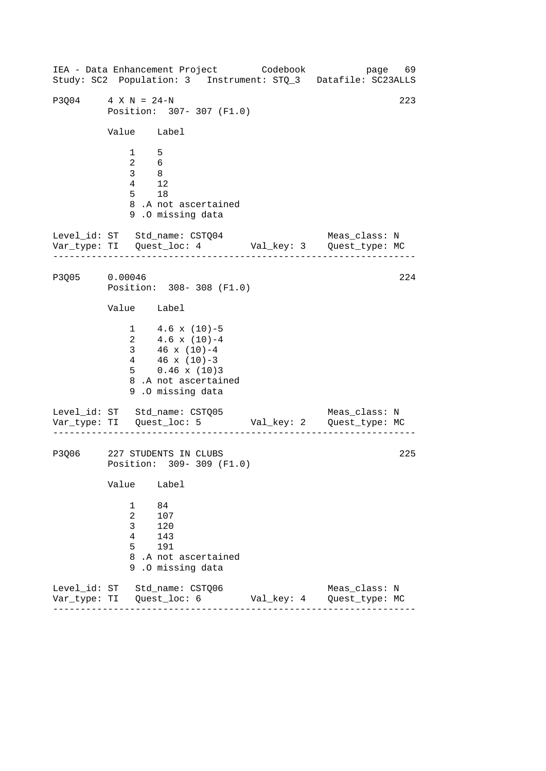------------------------------------------------------------------ ------------------------------------------------------------------ IEA - Data Enhancement Project Codebook page 69 Study: SC2 Population: 3 Instrument: STQ\_3 Datafile: SC23ALLS P3Q04 4 X N = 24-N 223 Position: 307- 307 (F1.0) Value Label 1 5 2 6 3 8 4 12 5 18 8 .A not ascertained 9 .O missing data Level\_id: ST Std\_name: CSTQ04 Meas\_class: N Var\_type: TI Quest\_loc: 4 Val\_key: 3 Quest\_type: MC P3Q05 0.00046 Position: 308- 308 (F1.0) Value Label  $1 \t 4.6 \t x \t (10)-5$ 2  $4.6 \times (10)-4$ 3 46 x (10)-4 4 46 x (10)-3 5 0.46 x (10)3 8 .A not ascertained 9 .O missing data Level\_id: ST Std\_name: CSTQ05 Var\_type: TI Quest\_loc: 5 Val\_key: 2 Quest\_type: MC Meas\_class: N P3Q06 227 STUDENTS IN CLUBS Position: 309- 309 (F1.0) Value Label 1 84 2 107 3 120 4 143 5 191 8 .A not ascertained 9 .O missing data Level\_id: ST Std\_name: CSTQ06 Meas\_class: N Var\_type: TI Quest\_loc: 6 Val\_key: 4 Quest\_type: MC 224 225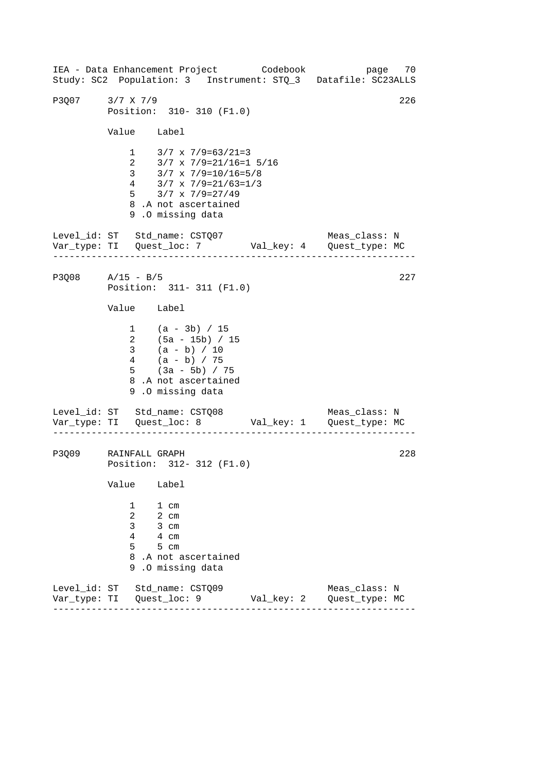------------------------------------------------------------------ ------------------------------------------------------------------ IEA - Data Enhancement Project Codebook page 70 Study: SC2 Population: 3 Instrument: STQ\_3 Datafile: SC23ALLS P3O07 3/7 X 7/9 226 Position: 310- 310 (F1.0) Value Label  $1 \quad 3/7 \times 7/9 = 63/21 = 3$ 2 3/7 x 7/9=21/16=1 5/16<br>3 3/7 x 7/9=10/16=5/8 3 3/7 x 7/9=10/16=5/8 4 3/7 x 7/9=21/63=1/3 5 3/7 x 7/9=27/49 8 .A not ascertained 9 .O missing data Level\_id: ST Std\_name: CSTQ07 Meas\_class: N Var\_type: TI Quest\_loc: 7 Val\_key: 4 Quest\_type: MC P3008 A/15 - B/5 227 Position: 311- 311 (F1.0) Value Label 1 (a - 3b) / 15 2 (5a - 15b) / 15 3 (a - b) / 10 4 (a - b) / 75 5 (3a - 5b) / 75 8 .A not ascertained 9 .O missing data Level\_id: ST Std\_name: CSTQ08 Meas\_class: N Var\_type: TI Quest\_loc: 8 Val\_key: 1 Quest\_type: MC P3Q09 RAINFALL GRAPH 228 Position: 312- 312 (F1.0) Value Label 1 1 cm 2 2 cm 3 3 cm 4 4 cm 5 5 cm 8 .A not ascertained 9 .O missing data Level\_id: ST Std\_name: CSTQ09 Meas\_class: N Var\_type: TI Quest\_loc: 9 Val\_key: 2 Quest\_type: MC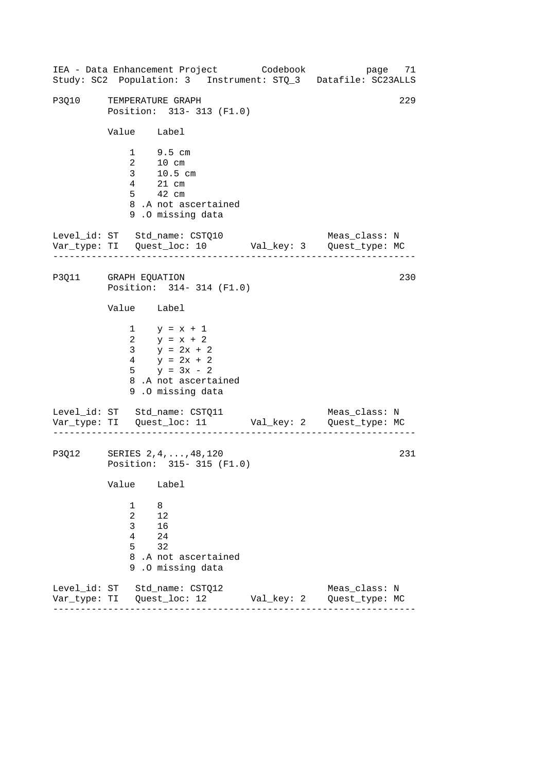------------------------------------------------------------------ ------------------------------------------------------------------ IEA - Data Enhancement Project Codebook page 71 Study: SC2 Population: 3 Instrument: STQ\_3 Datafile: SC23ALLS P3O10 TEMPERATURE GRAPH 229 Position: 313- 313 (F1.0) Value Label 1 9.5 cm 2 10 cm 3 10.5 cm 4 21 cm 5 42 cm 8 .A not ascertained 9 .O missing data Level\_id: ST Std\_name: CSTQ10 Meas\_class: N Var\_type: TI Quest\_loc: 10 Val\_key: 3 Quest\_type: MC P3011 GRAPH EQUATION 230 Position: 314- 314 (F1.0) Value Label 1  $y = x + 1$ 2  $y = x + 2$ 3  $y = 2x + 2$  $4 \quad y = 2x + 2$ 5  $y = 3x - 2$ 8 .A not ascertained 9 .O missing data Level\_id: ST Std\_name: CSTQ11 Meas\_class: N Var\_type: TI Quest\_loc: 11 Val\_key: 2 Quest\_type: MC P3Q12 SERIES 2,4,...,48,120 231 Position: 315- 315 (F1.0) Value Label [1 8](#page-73-0)  2 12 3 16 4 24 5 32 8 .A not ascertained 9 .O missing data Level\_id: ST Std\_name: CSTQ12 Meas\_class: N Var\_type: TI Quest\_loc: 12 Val\_key: 2 Quest\_type: MC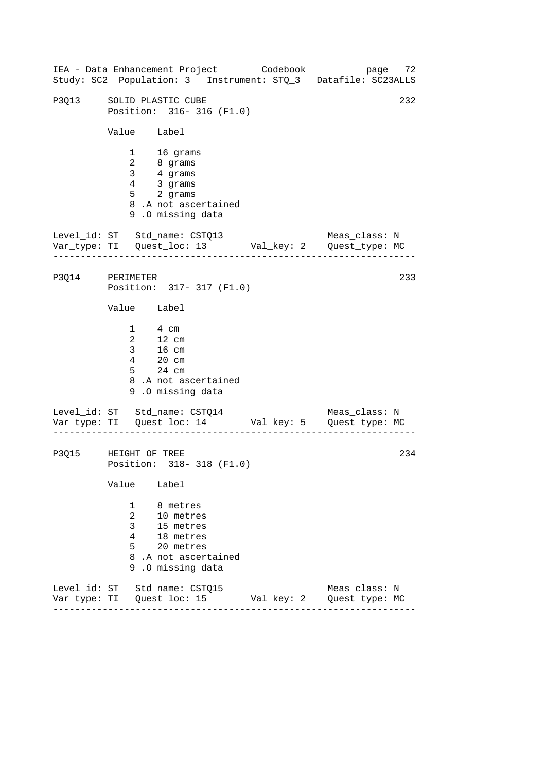------------------------------------------------------------------ ------------------------------------------------------------------ IEA - Data Enhancement Project Codebook page 72 Study: SC2 Population: 3 Instrument: STQ\_3 Datafile: SC23ALLS P3013 SOLID PLASTIC CUBE 232 Position: 316- 316 (F1.0) Value Label 1 16 grams 2 8 grams 3 4 grams 4 3 grams 5 2 grams 8 .A not ascertained 9 .O missing data Level\_id: ST Std\_name: CSTQ13 Meas\_class: N Var\_type: TI Quest\_loc: 13 Val\_key: 2 Quest\_type: MC P3Q14 PERIMETER Position: 317- 317 (F1.0) Value Label 1 4 cm 2 12 cm 3 16 cm 4 20 cm 5 24 cm 8 .A not ascertained 9 .O missing data Level\_id: ST Std\_name: CSTQ14 Var\_type: TI Quest\_loc: 14 Val\_key: 5 Quest\_type: MC Meas\_class: N P3Q15 HEIGHT OF TREE Position: 318- 318 (F1.0) Value Label 1 8 metres 2 10 metres 3 15 metres 4 18 metres 5 20 metres 8 .A not ascertained 9 .O missing data Level\_id: ST Std\_name: CSTQ15 Meas\_class: N Var\_type: TI Quest\_loc: 15 Val\_key: 2 Quest\_type: MC 233 234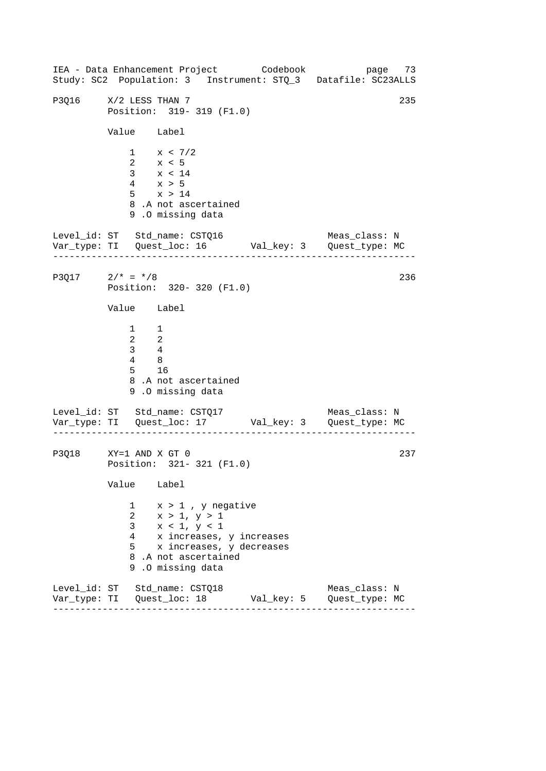------------------------------------------------------------------ ------------------------------------------------------------------ IEA - Data Enhancement Project Codebook page 73 Study: SC2 Population: 3 Instrument: STQ\_3 Datafile: SC23ALLS P3016 X/2 LESS THAN 7 235 Position: 319- 319 (F1.0) Value Label  $1 \times < 7/2$ 2 x < 5 3 x < 14 4 x > 5 5 x > 14 8 .A not ascertained 9 .O missing data Level\_id: ST Std\_name: CSTQ16 Meas\_class: N Var\_type: TI Quest\_loc: 16 Val\_key: 3 Quest\_type: MC P3Q17  $2/* = * / 8$ Position: 320- 320 (F1.0) Value Label 1 1 2 2 3 4 4 8 5 16 8 .A not ascertained 9 .O missing data Level\_id: ST Std\_name: CSTQ17 Var\_type: TI Quest\_loc: 17 Val\_key: 3 Quest\_type: MC Meas\_class: N P3Q18 XY=1 AND X GT 0 Position: 321- 321 (F1.0) Value Label 1 x > 1 , y negative 2 x > 1, y > 1 3  $x < 1, y < 1$ 4 x increases, y increases 5 x increases, y decreases 8 .A not ascertained 9 .O missing data Level\_id: ST Std\_name: CSTQ18 Meas\_class: N Var\_type: TI Quest\_loc: 18 Val\_key: 5 Quest\_type: MC 236 237

------------------------------------------------------------------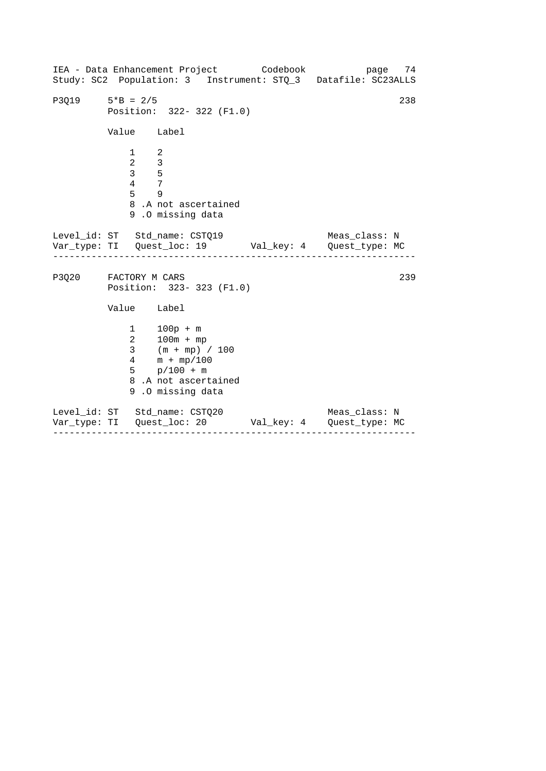------------------------------------------------------------------ ------------------------------------------------------------------ IEA - Data Enhancement Project Codebook page 74 Study: SC2 Population: 3 Instrument: STQ\_3 Datafile: SC23ALLS  $P3Q19$   $5*B = 2/5$  238 Position: 322- 322 (F1.0) Value Label  $\begin{array}{ccc} 1 & 2 \\ 2 & 3 \end{array}$ 2 3 3 5 4 7 5 9 8 .A not ascertained 9 .O missing data Level\_id: ST Std\_name: CSTQ19 Meas\_class: N Var\_type: TI Quest\_loc: 19 Val\_key: 4 Quest\_type: MC P3Q20 FACTORY M CARS 239 Position: 323- 323 (F1.0) Value Label 1 100p + m 2 100m + mp 3 (m + mp) / 100 4 m + mp/100 5 p/100 + m 8 .A not ascertained 9 .O missing data Level\_id: ST Std\_name: CSTQ20 Meas\_class: N Var\_type: TI Quest\_loc: 20 Val\_key: 4 Quest\_type: MC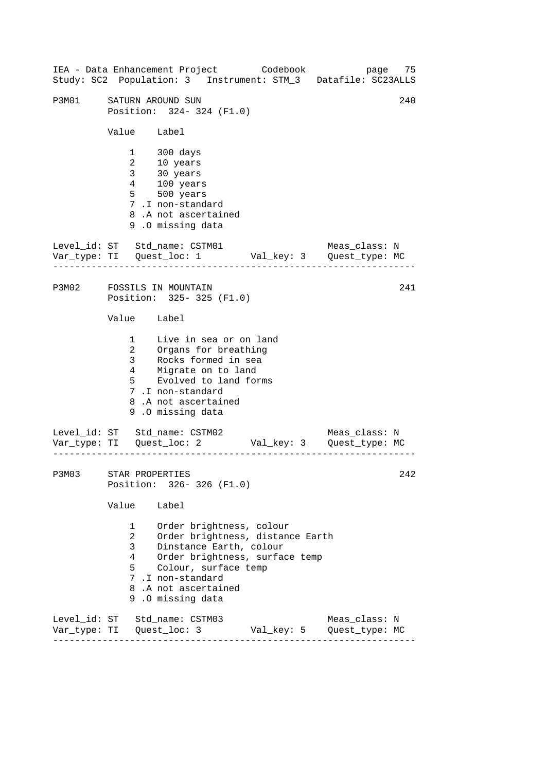------------------------------------------------------------------ ------------------------------------------------------------------ ------------------------------------------------------------------ IEA - Data Enhancement Project Codebook page 75 Study: SC2 Population: 3 Instrument: STM\_3 Datafile: SC23ALLS P3M01 SATURN AROUND SUN 240 Position: 324- 324 (F1.0) Value Label 1 300 days 2 10 years 3 30 years 4 100 years 5 500 years 7 .I non-standard 8 .A not ascertained 9 .O missing data Level\_id: ST Std\_name: CSTM01 Meas\_class: N Var\_type: TI Quest\_loc: 1 Val\_key: 3 Quest\_type: MC P3M02 FOSSILS IN MOUNTAIN Position: 325- 325 (F1.0) Value Label 1 Live in sea or on land 2 Organs for breathing 3 Rocks formed in sea 4 5 Migrate on to land Evolved to land forms 7 .I non-standard 8 .A not ascertained 9 .O missing data Level\_id: ST Std\_name: CSTM02 Meas\_class: N Var\_type: TI Quest\_loc: 2 Val\_key: 3 Quest\_type: MC P3M03 STAR PROPERTIES Position: 326- 326 (F1.0) Value Label 1 Order brightness, colour 2 Order brightness, distance Earth 3 Dinstance Earth, colour 4 Order brightness, surface temp 5 Colour, surface temp 7 .I non-standard 8 .A not ascertained 9 .O missing data Level\_id: ST Std\_name: CSTM03 Meas\_class: N Var\_type: TI Quest\_loc: 3 Val\_key: 5 Quest\_type: MC 241 242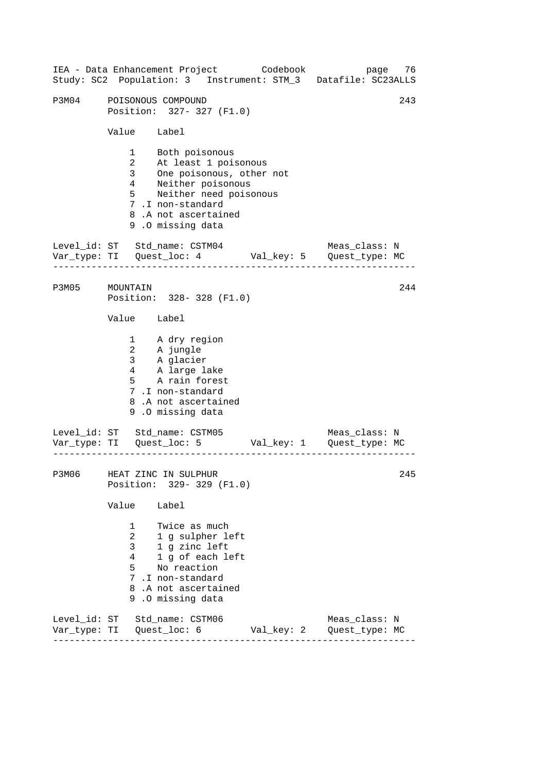------------------------------------------------------------------ ------------------------------------------------------------------ ------------------------------------------------------------------ 243 IEA - Data Enhancement Project Codebook page 76 Study: SC2 Population: 3 Instrument: STM\_3 Datafile: SC23ALLS P3M04 POISONOUS COMPOUND Position: 327- 327 (F1.0) Value Label 1 Both poisonous 2 At least 1 poisonous 3 One poisonous, other not 4 Neither poisonous 5 Neither need poisonous 7 .I non-standard 8 .A not ascertained 9 .O missing data Level\_id: ST Std\_name: CSTM04 Meas\_class: N Var\_type: TI Quest\_loc: 4 Val\_key: 5 Quest\_type: MC P3M05 MOUNTAIN Position: 328- 328 (F1.0) Value Label 1 2 3 4 5 A dry region A jungle A glacier A large lake A rain forest 7 .I non-standard 8 .A not ascertained 9 .O missing data Level\_id: ST Std\_name: CSTM05 Meas\_class: N Var\_type: TI Quest\_loc: 5 Val\_key: 1 Quest\_type: MC P3M06 HEAT ZINC IN SULPHUR Position: 329- 329 (F1.0) Value Label 1 Twice as much 2 1 g sulpher left 3 1 g zinc left 4 1 g of each left 5 No reaction 7 .I non-standard 8 .A not ascertained 9 .O missing data Level\_id: ST Std\_name: CSTM06 Meas\_class: N Var\_type: TI Quest\_loc: 6 Val\_key: 2 Quest\_type: MC 244 245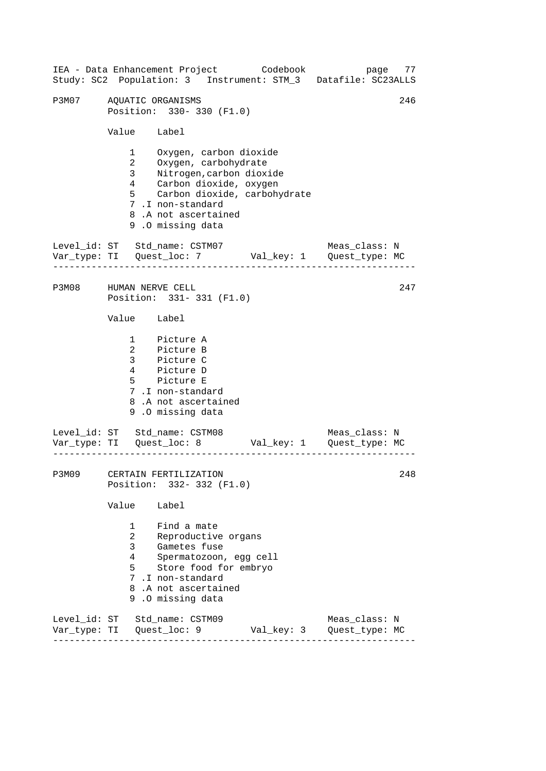|              |                                                                                      | IEA - Data Enhancement Project Codebook<br>Study: SC2 Population: 3 Instrument: STM_3 Datafile: SC23ALLS                                                                                            |            | page                            | 77  |
|--------------|--------------------------------------------------------------------------------------|-----------------------------------------------------------------------------------------------------------------------------------------------------------------------------------------------------|------------|---------------------------------|-----|
| P3M07        |                                                                                      | AQUATIC ORGANISMS<br>Position: 330-330 (F1.0)                                                                                                                                                       |            |                                 | 246 |
|              | Value Label                                                                          |                                                                                                                                                                                                     |            |                                 |     |
|              | $1 \quad \Box$<br>$\overline{a}$<br>3 <sup>7</sup><br>$4\overline{ }$<br>$5^{\circ}$ | Oxygen, carbon dioxide<br>Oxygen, carbohydrate<br>Nitrogen, carbon dioxide<br>Carbon dioxide, oxygen<br>Carbon dioxide, carbohydrate<br>7.I non-standard<br>8.A not ascertained<br>9.0 missing data |            |                                 |     |
|              |                                                                                      | Level_id: ST Std_name: CSTM07                                                                                                                                                                       |            | Meas_class: N                   |     |
| P3M08        | HUMAN NERVE CELL                                                                     | Position: 331-331 (F1.0)                                                                                                                                                                            |            |                                 | 247 |
|              | Value Label                                                                          |                                                                                                                                                                                                     |            |                                 |     |
|              |                                                                                      | 1 Picture A<br>2 Picture B<br>3 Picture C<br>4 Picture D<br>5 Picture E<br>7.I non-standard<br>8.A not ascertained<br>9.0 missing data                                                              |            |                                 |     |
|              |                                                                                      | Level_id: ST Std_name: CSTM08<br>Var_type: TI Quest_loc: 8 Val_key: 1 Quest_type: MC                                                                                                                |            | Meas_class: N                   |     |
| <b>P3M09</b> |                                                                                      | CERTAIN FERTILIZATION<br>Position: 332- 332 (F1.0)                                                                                                                                                  |            |                                 | 248 |
|              | Value                                                                                | Label                                                                                                                                                                                               |            |                                 |     |
|              | 1<br>$\overline{a}$<br>3<br>4<br>5                                                   | Find a mate<br>Reproductive organs<br>Gametes fuse<br>Spermatozoon, egg cell<br>Store food for embryo<br>7.I non-standard<br>8.A not ascertained<br>9.0 missing data                                |            |                                 |     |
| Var_type: TI |                                                                                      | Level_id: ST Std_name: CSTM09<br>Quest_loc: 9                                                                                                                                                       | Val_key: 3 | Meas_class: N<br>Quest_type: MC |     |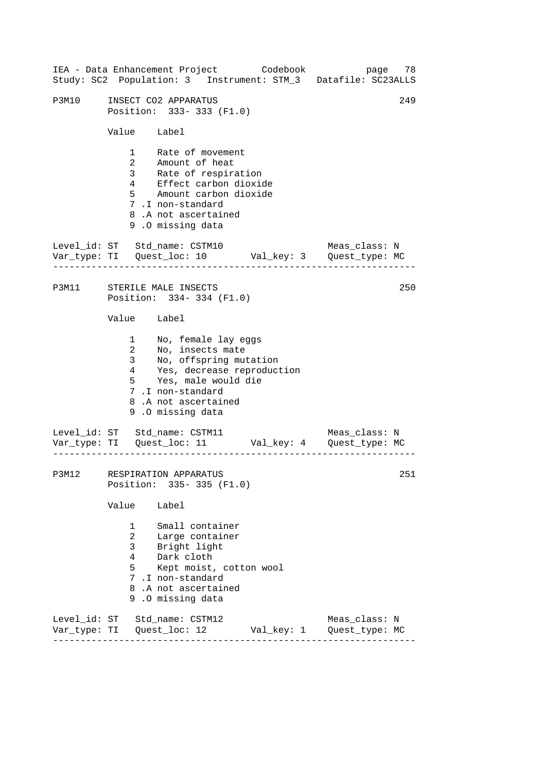------------------------------------------------------------------ ------------------------------------------------------------------ ------------------------------------------------------------------ IEA - Data Enhancement Project Codebook page 78 Study: SC2 Population: 3 Instrument: STM\_3 Datafile: SC23ALLS P3M10 INSECT CO2 APPARATUS 249 Position: 333- 333 (F1.0) Value Label 1 Rate of movement 2 Amount of heat 3 Rate of respiration 4 Effect carbon dioxide 5 Amount carbon dioxide 7 .I non-standard 8 .A not ascertained 9 .O missing data Level id: ST Std name: CSTM10 Meas class: N Var\_type: TI Quest\_loc: 10 Val\_key: 3 Quest\_type: MC P3M11 STERILE MALE INSECTS Position: 334- 334 (F1.0) Value Label 1 No, female lay eggs 2 No, insects mate 3 No, offspring mutation Yes, decrease reproduction 5 Yes, male would die 7 .I non-standard 8 .A not ascertained 9 .O missing data Level\_id: ST Std\_name: CSTM11 Meas\_class: N Var\_type: TI Quest\_loc: 11 Val\_key: 4 Quest\_type: MC P3M12 RESPIRATION APPARATUS Position: 335- 335 (F1.0) Value Label 1 Small container 2 Large container 3 Bright light 4 Dark cloth 5 Kept moist, cotton wool 7 .I non-standard 8 .A not ascertained 9 .O missing data Level\_id: ST Std\_name: CSTM12 Meas\_class: N Var\_type: TI Quest\_loc: 12 Val\_key: 1 Quest\_type: MC 250 251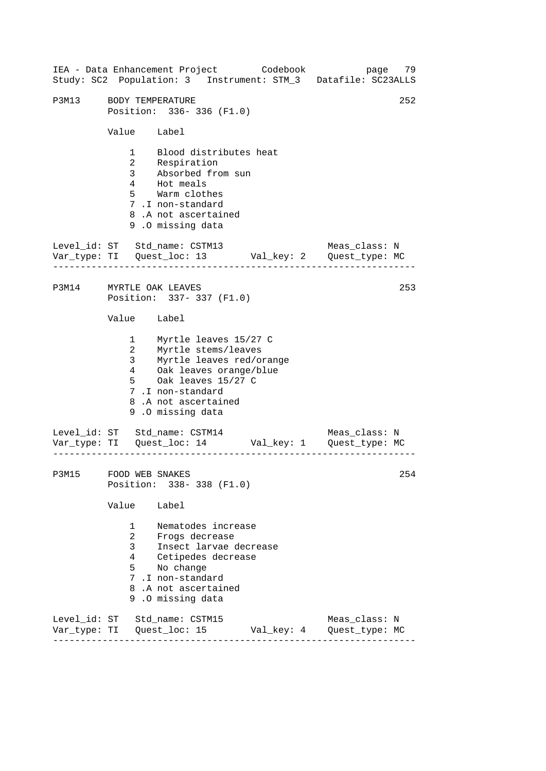------------------------------------------------------------------ ------------------------------------------------------------------ ------------------------------------------------------------------ IEA - Data Enhancement Project Codebook page 79 Study: SC2 Population: 3 Instrument: STM\_3 Datafile: SC23ALLS P3M13 BODY TEMPERATURE 252 Position: 336- 336 (F1.0) Value Label 1 Blood distributes heat 2 Respiration 3 Absorbed from sun 4 Hot meals 5 Warm clothes 7 .I non-standard 8 .A not ascertained 9 .O missing data Level id: ST Std name: CSTM13 Meas class: N Var\_type: TI Quest\_loc: 13 Val\_key: 2 Quest\_type: MC P3M14 MYRTLE OAK LEAVES Position: 337- 337 (F1.0) Value Label 1 Myrtle leaves 15/27 C 2 Myrtle stems/leaves 3 Myrtle leaves red/orange 4 Oak leaves orange/blue 5 Oak leaves 15/27 C 7 .I non-standard 8 .A not ascertained 9 .O missing data Level\_id: ST Std\_name: CSTM14 Meas\_class: N Var\_type: TI Quest\_loc: 14 Val\_key: 1 Quest\_type: MC P3M15 FOOD WEB SNAKES Position: 338- 338 (F1.0) Value Label 1 Nematodes increase 2 Frogs decrease 3 Insect larvae decrease 4 Cetipedes decrease 5 No change 7 .I non-standard 8 .A not ascertained 9 .O missing data Level\_id: ST Std\_name: CSTM15 Meas\_class: N Var\_type: TI Quest\_loc: 15 Val\_key: 4 Quest\_type: MC 253 254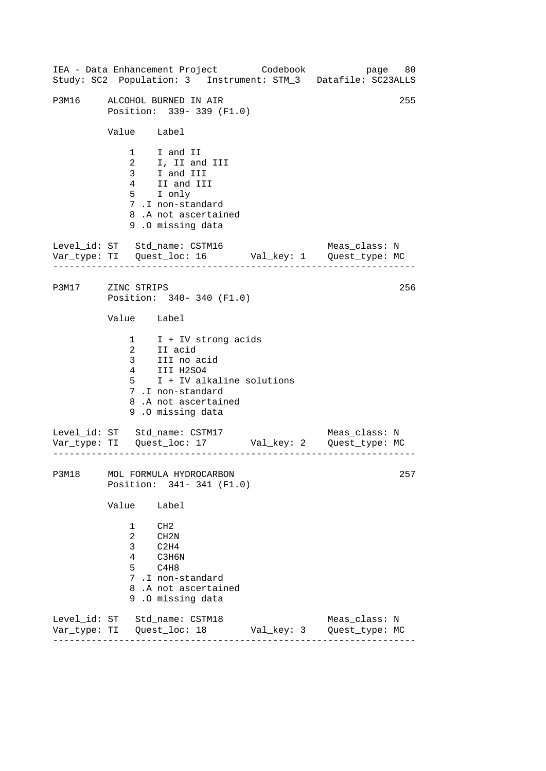------------------------------------------------------------------ ------------------------------------------------------------------ ------------------------------------------------------------------ IEA - Data Enhancement Project Codebook page 80 Study: SC2 Population: 3 Instrument: STM\_3 Datafile: SC23ALLS P3M16 ALCOHOL BURNED IN AIR 255 Position: 339- 339 (F1.0) Value Label 1 I and II 2 I, II and III  $\frac{2}{3}$  I and III 4 II and III 5 I only 7 .I non-standard 8 .A not ascertained 9 .O missing data Level\_id: ST Std\_name: CSTM16 Meas\_class: N Var\_type: TI Quest\_loc: 16 Val\_key: 1 Quest\_type: MC P3M17 ZINC STRIPS Position: 340- 340 (F1.0) Value Label 1 2 I + IV strong acids II acid 3 III no acid  $4$  III H2SO4 5 I + IV alkaline solutions 7 .I non-standard 8 .A not ascertained 9 .O missing data Level\_id: ST Std\_name: CSTM17 Meas\_class: N Var\_type: TI Quest\_loc: 17 Val\_key: 2 Quest\_type: MC P3M18 MOL FORMULA HYDROCARBON Position: 341- 341 (F1.0) Value Label 1 CH2 2 CH2N 3 C2H4 4 C3H6N 5 C4H8 7 .I non-standard 8 .A not ascertained 9 .O missing data Level\_id: ST Std\_name: CSTM18 Meas\_class: N Var\_type: TI Quest\_loc: 18 Val\_key: 3 Quest\_type: MC 256 257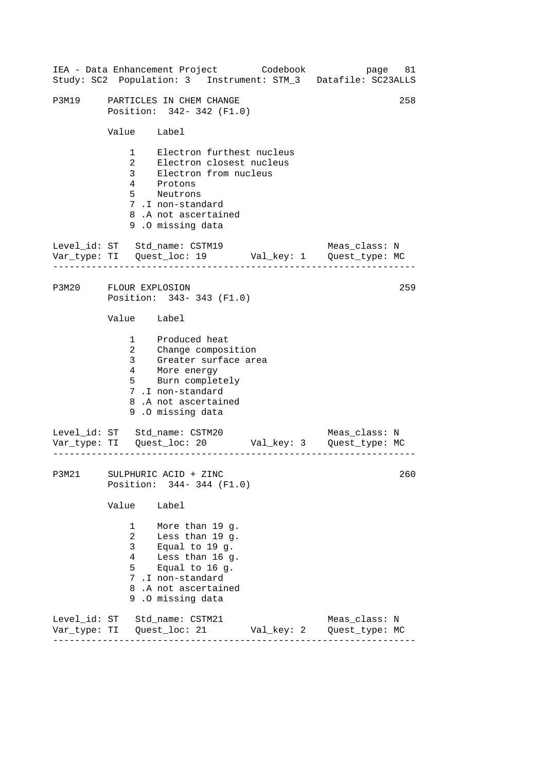|                       |                                                                              | IEA - Data Enhancement Project Codebook<br>Study: SC2 Population: 3 Instrument: STM_3 Datafile: SC23ALLS                                                               | page 81       |     |
|-----------------------|------------------------------------------------------------------------------|------------------------------------------------------------------------------------------------------------------------------------------------------------------------|---------------|-----|
| P3M19                 |                                                                              | PARTICLES IN CHEM CHANGE<br>Position: 342-342 (F1.0)                                                                                                                   |               | 258 |
|                       | Value Label                                                                  |                                                                                                                                                                        |               |     |
|                       | $1 \quad \blacksquare$<br>$\overline{a}$<br>3 <sup>7</sup><br>$\overline{4}$ | Electron furthest nucleus<br>Electron closest nucleus<br>Electron from nucleus<br>Protons<br>5 Neutrons<br>7.I non-standard<br>8.A not ascertained<br>9.0 missing data |               |     |
|                       |                                                                              | Level_id: ST Std_name: CSTM19                                                                                                                                          | Meas_class: N |     |
| P3M20 FLOUR EXPLOSION |                                                                              | Position: 343-343 (F1.0)                                                                                                                                               |               | 259 |
|                       | Value Label                                                                  |                                                                                                                                                                        |               |     |
|                       | 3 <sup>7</sup><br>4                                                          | 1 Produced heat<br>2 Change composition<br>Greater surface area<br>More energy<br>5 Burn completely<br>7.I non-standard<br>8.A not ascertained<br>9.0 missing data     |               |     |
|                       |                                                                              | Level_id: ST Std_name: CSTM20                                                                                                                                          | Meas_class: N |     |
| P3M21                 |                                                                              | SULPHURIC ACID + ZINC<br>Position: 344- 344 (F1.0)                                                                                                                     |               | 260 |
|                       | Value                                                                        | Label                                                                                                                                                                  |               |     |
|                       | $1 \quad$<br>$\overline{2}$<br>3 <sup>7</sup><br>4<br>5                      | More than 19 g.<br>Less than 19 g.<br>Equal to 19 g.<br>Less than 16 g.<br>Equal to $16$ g.<br>7.I non-standard<br>8.A not ascertained<br>9.0 missing data             |               |     |
|                       |                                                                              | Level_id: ST Std_name: CSTM21                                                                                                                                          | Meas_class: N |     |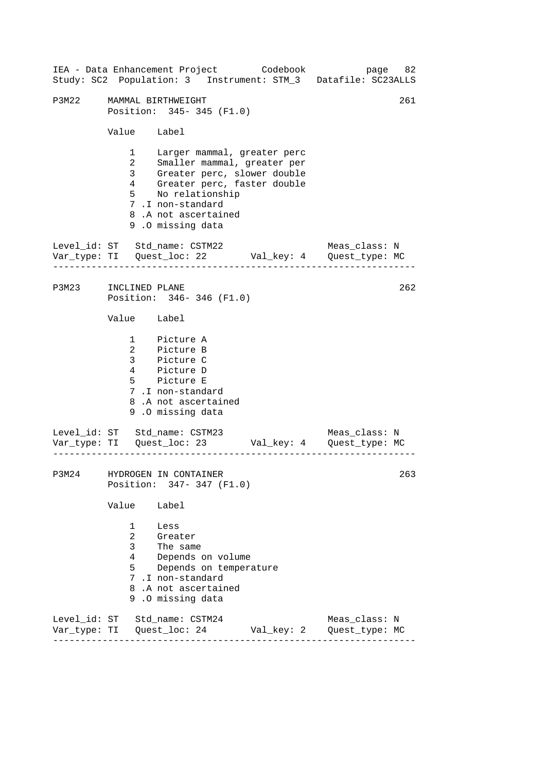|                      |                                                                                              |                                                                                                                                                                                                            | IEA - Data Enhancement Project Codebook | Study: SC2 Population: 3 Instrument: STM_3 Datafile: SC23ALLS | page 82 |
|----------------------|----------------------------------------------------------------------------------------------|------------------------------------------------------------------------------------------------------------------------------------------------------------------------------------------------------------|-----------------------------------------|---------------------------------------------------------------|---------|
| P3M22                |                                                                                              | MAMMAL BIRTHWEIGHT<br>Position: 345-345 (F1.0)                                                                                                                                                             |                                         |                                                               | 261     |
|                      | Value Label                                                                                  |                                                                                                                                                                                                            |                                         |                                                               |         |
|                      | $1 \quad \blacksquare$<br>$\overline{a}$<br>3 <sup>7</sup><br>$4\overline{ }$<br>$5^{\circ}$ | Larger mammal, greater perc<br>Smaller mammal, greater per<br>Greater perc, slower double<br>Greater perc, faster double<br>No relationship<br>7.I non-standard<br>8.A not ascertained<br>9.0 missing data |                                         |                                                               |         |
|                      |                                                                                              | Level_id: ST Std_name: CSTM22                                                                                                                                                                              |                                         | Meas_class: N                                                 |         |
| P3M23 INCLINED PLANE |                                                                                              | Position: 346-346 (F1.0)                                                                                                                                                                                   |                                         |                                                               | 262     |
|                      | Value Label                                                                                  |                                                                                                                                                                                                            |                                         |                                                               |         |
|                      |                                                                                              | 1 Picture A<br>2 Picture B<br>3 Picture C<br>4 Picture D<br>5 Picture E<br>7.I non-standard<br>8.A not ascertained<br>9.0 missing data                                                                     |                                         |                                                               |         |
|                      |                                                                                              | Level_id: ST Std_name: CSTM23                                                                                                                                                                              |                                         | Meas_class: N                                                 |         |
| P3M24                |                                                                                              | HYDROGEN IN CONTAINER<br>Position: 347- 347 (F1.0)                                                                                                                                                         |                                         |                                                               | 263     |
|                      | Value                                                                                        | Label                                                                                                                                                                                                      |                                         |                                                               |         |
|                      | $1 \quad \blacksquare$<br>$\overline{a}$<br>3 <sup>7</sup><br>4<br>5                         | Less<br>Greater<br>The same<br>Depends on volume<br>Depends on temperature<br>7 .I non-standard<br>8.A not ascertained<br>9.0 missing data                                                                 |                                         |                                                               |         |
|                      |                                                                                              | Level_id: ST Std_name: CSTM24                                                                                                                                                                              |                                         | Meas_class: N                                                 |         |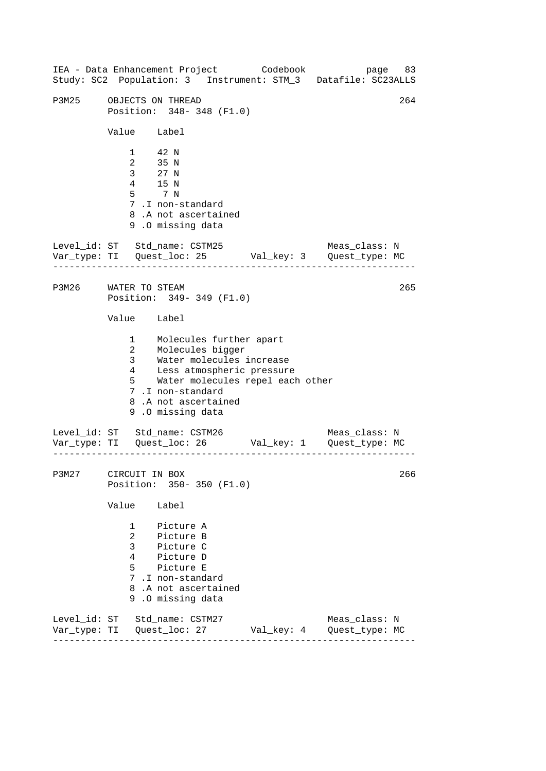------------------------------------------------------------------ ------------------------------------------------------------------ ------------------------------------------------------------------ IEA - Data Enhancement Project Codebook page 83 Study: SC2 Population: 3 Instrument: STM\_3 Datafile: SC23ALLS P3M25 OBJECTS ON THREAD 264 Position: 348- 348 (F1.0) Value Label 1 42 N 2 35 N<br>3 27 N 3 27 N 4 15 N 5 7 N 7 .I non-standard 8 .A not ascertained 9 .O missing data Level id: ST Std name: CSTM25 Meas class: N Var\_type: TI Quest\_loc: 25 Val\_key: 3 Quest\_type: MC P3M26 WATER TO STEAM 265 Position: 349- 349 (F1.0) Value Label 1 Molecules further apart 2 Molecules bigger<br>3 Water molecules 3 Water molecules increase<br>4 Less atmospheric pressure 4 Less atmospheric pressure 5 Water molecules repel each other 7 .I non-standard 8 .A not ascertained 9 .O missing data Level\_id: ST Std\_name: CSTM26 Meas\_class: N Var\_type: TI Quest\_loc: 26 Val\_key: 1 Quest\_type: MC P3M27 CIRCUIT IN BOX 266 Position: 350- 350 (F1.0) Value Label 1 Picture A 2 Picture B 3 Picture C 4 Picture D 5 Picture E 7 .I non-standard 8 .A not ascertained 9 .O missing data Level\_id: ST Std\_name: CSTM27 Meas\_class: N Var\_type: TI Quest\_loc: 27 Val\_key: 4 Quest\_type: MC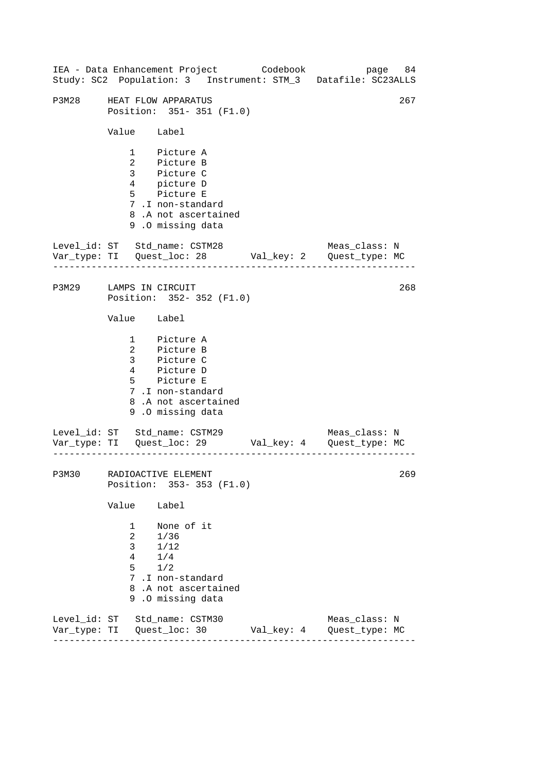|                        |                                                                   | IEA - Data Enhancement Project Codebook<br>Study: SC2 Population: 3 Instrument: STM_3 Datafile: SC23ALLS                               | page 84       |     |
|------------------------|-------------------------------------------------------------------|----------------------------------------------------------------------------------------------------------------------------------------|---------------|-----|
| P3M28                  |                                                                   | HEAT FLOW APPARATUS<br>Position: 351-351 (F1.0)                                                                                        |               | 267 |
|                        | Value Label                                                       |                                                                                                                                        |               |     |
|                        |                                                                   | 1 Picture A<br>2 Picture B<br>3 Picture C<br>4 picture D<br>5 Picture E<br>7.I non-standard<br>8.A not ascertained<br>9.0 missing data |               |     |
|                        |                                                                   | Level_id: ST Std_name: CSTM28<br>Var_type: TI    Quest_loc: 28    Val_key: 2    Quest_type: MC                                         | Meas_class: N |     |
| P3M29 LAMPS IN CIRCUIT |                                                                   | Position: 352-352 (F1.0)                                                                                                               |               | 268 |
|                        | Value Label                                                       |                                                                                                                                        |               |     |
|                        |                                                                   | 1 Picture A<br>2 Picture B<br>3 Picture C<br>4 Picture D<br>5 Picture E<br>7.I non-standard<br>8.A not ascertained<br>9.0 missing data |               |     |
|                        |                                                                   | Level_id: ST Std_name: CSTM29                                                                                                          | Meas_class: N |     |
|                        |                                                                   | P3M30 RADIOACTIVE ELEMENT<br>Position: 353-353 (F1.0)                                                                                  |               | 269 |
|                        | Value                                                             | Label                                                                                                                                  |               |     |
|                        | $1 \quad$<br>$\overline{2}$<br>3 <sup>7</sup><br>4<br>$5^{\circ}$ | None of it<br>1/36<br>1/12<br>1/4<br>1/2<br>7.I non-standard<br>8.A not ascertained<br>9.0 missing data                                |               |     |
|                        |                                                                   | Level_id: ST Std_name: CSTM30                                                                                                          | Meas_class: N |     |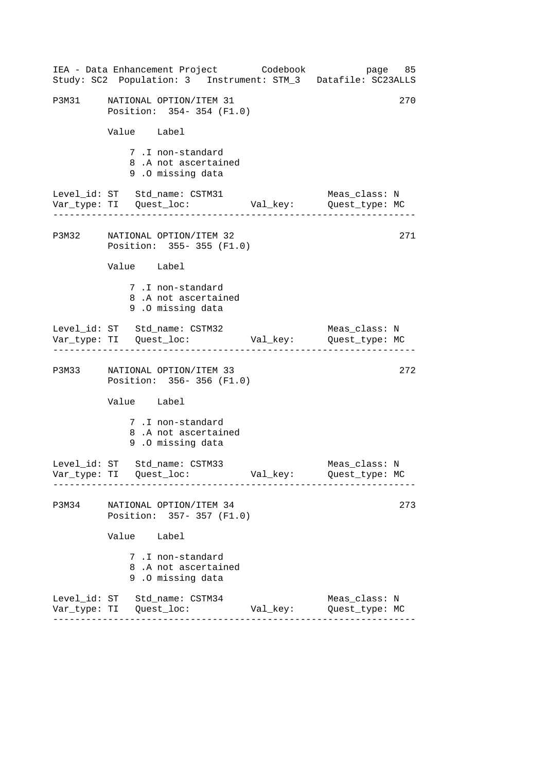|       |                                                              |                                                 | IEA - Data Enhancement Project Codebook bage 85<br>Study: SC2 Population: 3 Instrument: STM_3 Datafile: SC23ALLS |
|-------|--------------------------------------------------------------|-------------------------------------------------|------------------------------------------------------------------------------------------------------------------|
|       | P3M31 NATIONAL OPTION/ITEM 31<br>Position: 354-354 (F1.0)    |                                                 | 270                                                                                                              |
|       | Value Label                                                  |                                                 |                                                                                                                  |
|       | 7.I non-standard<br>8.A not ascertained<br>9.0 missing data  |                                                 |                                                                                                                  |
|       | Level_id: ST Std_name: CSTM31                                |                                                 | Meas class: N                                                                                                    |
|       | P3M32 NATIONAL OPTION/ITEM 32<br>Position: 355-355 (F1.0)    |                                                 | 271                                                                                                              |
|       | Value Label                                                  |                                                 |                                                                                                                  |
|       | 7.I non-standard<br>8.A not ascertained<br>9.0 missing data  |                                                 |                                                                                                                  |
|       | Level_id: ST Std_name: CSTM32                                | Var_type: TI Quest_loc: Val_key: Quest_type: MC | Meas_class: N                                                                                                    |
|       | P3M33 NATIONAL OPTION/ITEM 33<br>Position: 356-356 (F1.0)    |                                                 | 272                                                                                                              |
|       | Value Label                                                  |                                                 |                                                                                                                  |
|       | 7.I non-standard<br>8.A not ascertained<br>9.0 missing data  |                                                 |                                                                                                                  |
|       | Level_id: ST Std_name: CSTM33                                |                                                 | Meas_class: N<br>Quest_type: MC                                                                                  |
| P3M34 | NATIONAL OPTION/ITEM 34<br>Position: 357-357 (F1.0)          |                                                 | 273                                                                                                              |
|       | Value Label                                                  |                                                 |                                                                                                                  |
|       | 7 .I non-standard<br>8.A not ascertained<br>9.0 missing data |                                                 |                                                                                                                  |
|       | Level_id: ST Std_name: CSTM34<br>----------------------      | Val_key:                                        | Meas_class: N<br>Quest_type: MC                                                                                  |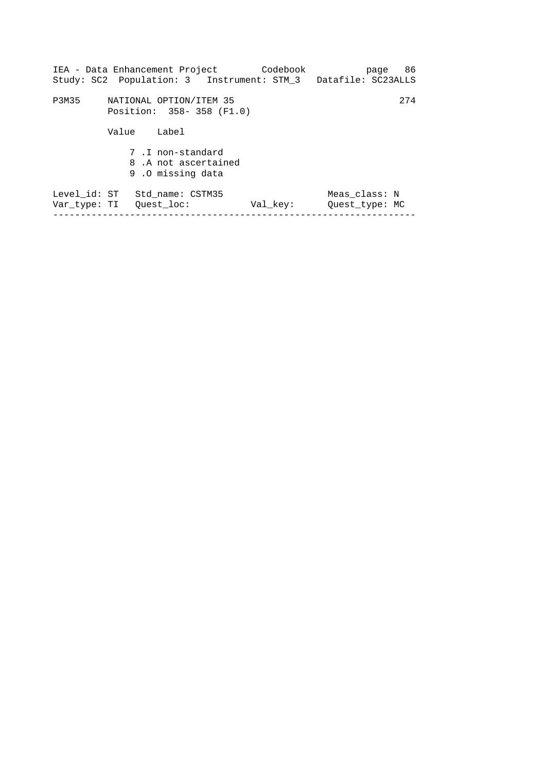|              |       | IEA - Data Enhancement Project                              | Codebook<br>Study: SC2 Population: 3 Instrument: STM_3 Datafile: SC23ALLS |                                 | 86<br>page |
|--------------|-------|-------------------------------------------------------------|---------------------------------------------------------------------------|---------------------------------|------------|
| P3M35        |       | NATIONAL OPTION/ITEM 35<br>Position: 358-358 (F1.0)         |                                                                           |                                 | 274        |
|              | Value | Label                                                       |                                                                           |                                 |            |
|              |       | 7.I non-standard<br>8.A not ascertained<br>9.0 missing data |                                                                           |                                 |            |
| Level id: ST |       | Std name: CSTM35<br>Var type: TI – Ouest loc:               | Val key:                                                                  | Meas class: N<br>Ouest type: MC |            |
|              |       |                                                             |                                                                           |                                 |            |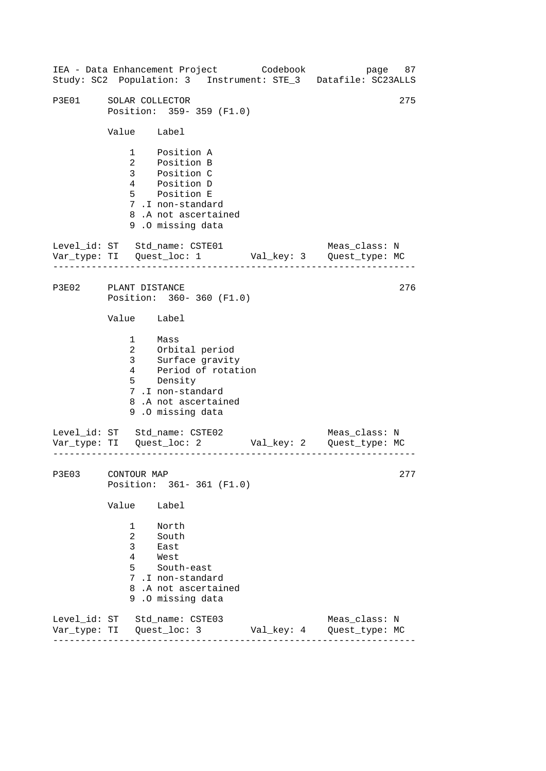------------------------------------------------------------------ ------------------------------------------------------------------ ------------------------------------------------------------------ IEA - Data Enhancement Project Codebook page 87 Study: SC2 Population: 3 Instrument: STE\_3 Datafile: SC23ALLS P3E01 SOLAR COLLECTOR 275 Position: 359- 359 (F1.0) Value Label 1 Position A 2 Position B 3 Position C 4 Position D 5 Position E 7 .I non-standard 8 .A not ascertained 9 .O missing data Level\_id: ST Std\_name: CSTE01 Meas\_class: N Var\_type: TI Quest\_loc: 1 Val\_key: 3 Quest\_type: MC P3E02 PLANT DISTANCE Position: 360- 360 (F1.0) Value Label 1 Mass 2 3 4 Orbital period Surface gravity Period of rotation 5 Density 7 .I non-standard 8 .A not ascertained 9 .O missing data Level\_id: ST Std\_name: CSTE02 Meas\_class: N Var\_type: TI Quest\_loc: 2 Val\_key: 2 Quest\_type: MC P3E03 CONTOUR MAP Position: 361- 361 (F1.0) Value Label 1 North 2 South 3 East 4 West 5 South-east 7 .I non-standard 8 .A not ascertained 9 .O missing data Level\_id: ST Std\_name: CSTE03 Meas\_class: N Var\_type: TI Quest\_loc: 3 Val\_key: 4 Quest\_type: MC 276 277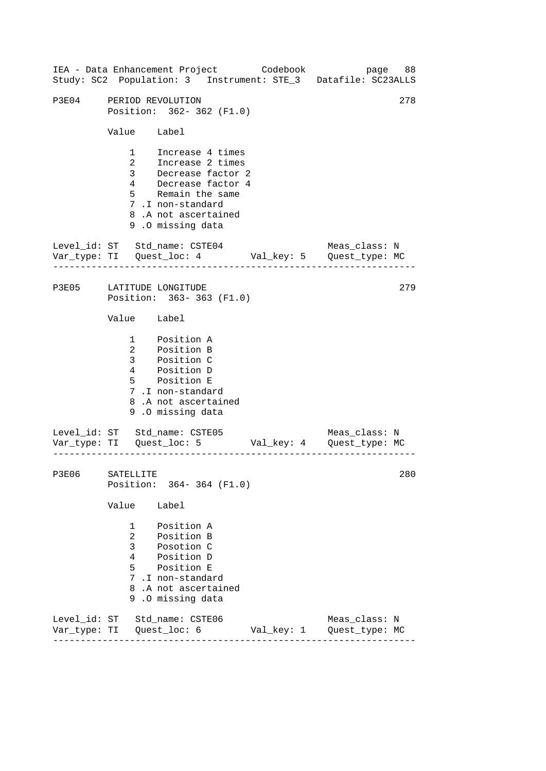|                             |                                              |                                                                                                                                                                            |            | IEA - Data Enhancement Project Codebook bage 88<br>Study: SC2 Population: 3 Instrument: STE_3 Datafile: SC23ALLS |     |
|-----------------------------|----------------------------------------------|----------------------------------------------------------------------------------------------------------------------------------------------------------------------------|------------|------------------------------------------------------------------------------------------------------------------|-----|
| P3E04 PERIOD REVOLUTION     |                                              | Position: 362-362 (F1.0)                                                                                                                                                   |            |                                                                                                                  | 278 |
|                             | Value Label                                  |                                                                                                                                                                            |            |                                                                                                                  |     |
|                             |                                              | 1 Increase 4 times<br>2 Increase 2 times<br>3 Decrease factor 2<br>4 Decrease factor 4<br>5 Remain the same<br>7.I non-standard<br>8.A not ascertained<br>9.0 missing data |            |                                                                                                                  |     |
|                             |                                              | Level_id: ST Std_name: CSTE04                                                                                                                                              |            | Meas_class: N<br>Var_type: TI Quest_loc: 4 Val_key: 5 Quest_type: MC                                             |     |
|                             |                                              | P3E05 LATITUDE LONGITUDE<br>Position: 363-363 (F1.0)                                                                                                                       |            |                                                                                                                  | 279 |
|                             | Value Label                                  |                                                                                                                                                                            |            |                                                                                                                  |     |
|                             |                                              | 1 Position A<br>2 Position B<br>3 Position C<br>4 Position D<br>5 Position E<br>7.I non-standard<br>8.A not ascertained<br>9.0 missing data                                |            |                                                                                                                  |     |
|                             |                                              | Level_id: ST Std_name: CSTE05                                                                                                                                              |            | Meas_class: N                                                                                                    |     |
| P3E06 SATELLITE             |                                              | Position: 364-364 (F1.0)                                                                                                                                                   |            |                                                                                                                  | 280 |
|                             | Value                                        | Label                                                                                                                                                                      |            |                                                                                                                  |     |
|                             | $\mathbf{1}$<br>$\overline{2}$<br>3<br>5 - 1 | Position A<br>Position B<br>Posotion C<br>4 Position D<br>Position E<br>7.I non-standard<br>8.A not ascertained<br>9.0 missing data                                        |            |                                                                                                                  |     |
| Var_type: TI   Quest_loc: 6 |                                              | Level_id: ST Std_name: CSTE06                                                                                                                                              | Val_key: 1 | Meas_class: N<br>Quest_type: MC                                                                                  |     |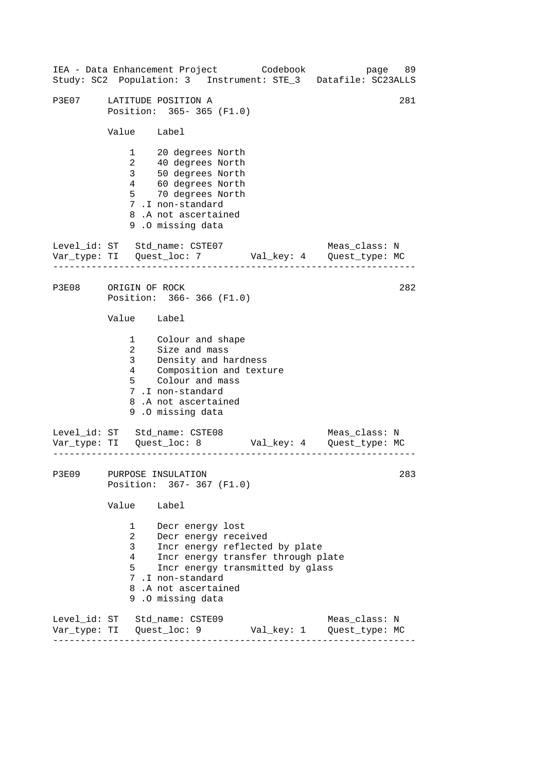|              |                                                        | IEA - Data Enhancement Project Codebook                                                                                                                                                                             |  | page<br>Study: SC2 Population: 3 Instrument: STE_3 Datafile: SC23ALLS | 89  |
|--------------|--------------------------------------------------------|---------------------------------------------------------------------------------------------------------------------------------------------------------------------------------------------------------------------|--|-----------------------------------------------------------------------|-----|
| P3E07        |                                                        | LATITUDE POSITION A<br>Position: 365-365 (F1.0)                                                                                                                                                                     |  |                                                                       | 281 |
|              | Value Label                                            |                                                                                                                                                                                                                     |  |                                                                       |     |
|              | $1 \quad \blacksquare$<br>3 <sup>7</sup><br>$4\degree$ | 20 degrees North<br>2 40 degrees North<br>50 degrees<br>60 degrees North<br>- Tines North<br>5 70 degrees North<br>7.I non-standard<br>8.A not ascertained<br>9.0 missing data                                      |  |                                                                       |     |
|              |                                                        | Level_id: ST Std_name: CSTE07                                                                                                                                                                                       |  | Meas_class: N                                                         |     |
| <b>P3E08</b> | ORIGIN OF ROCK                                         | Position: 366-366 (F1.0)                                                                                                                                                                                            |  |                                                                       | 282 |
|              | Value Label                                            |                                                                                                                                                                                                                     |  |                                                                       |     |
|              | $\overline{a}$<br>3 <sup>7</sup><br>4<br>$5^{\circ}$   | 1 Colour and shape<br>Size and mass<br>Density and hardness<br>Composition and texture<br>Colour and mass<br>7.I non-standard<br>8.A not ascertained<br>9.0 missing data                                            |  |                                                                       |     |
|              |                                                        | Level_id: ST Std_name: CSTE08                                                                                                                                                                                       |  | Meas_class: N                                                         |     |
| <b>P3E09</b> |                                                        | PURPOSE INSULATION<br>Position: 367-367 (F1.0)                                                                                                                                                                      |  |                                                                       | 283 |
|              | Value                                                  | Label                                                                                                                                                                                                               |  |                                                                       |     |
|              | $1 \quad$<br>$\overline{2}$<br>3<br>4<br>5             | Decr energy lost<br>Decr energy received<br>Incr energy reflected by plate<br>Incr energy transfer through plate<br>Incr energy transmitted by glass<br>7.I non-standard<br>8.A not ascertained<br>9.0 missing data |  |                                                                       |     |
|              |                                                        | Level_id: ST Std_name: CSTE09                                                                                                                                                                                       |  | Meas_class: N                                                         |     |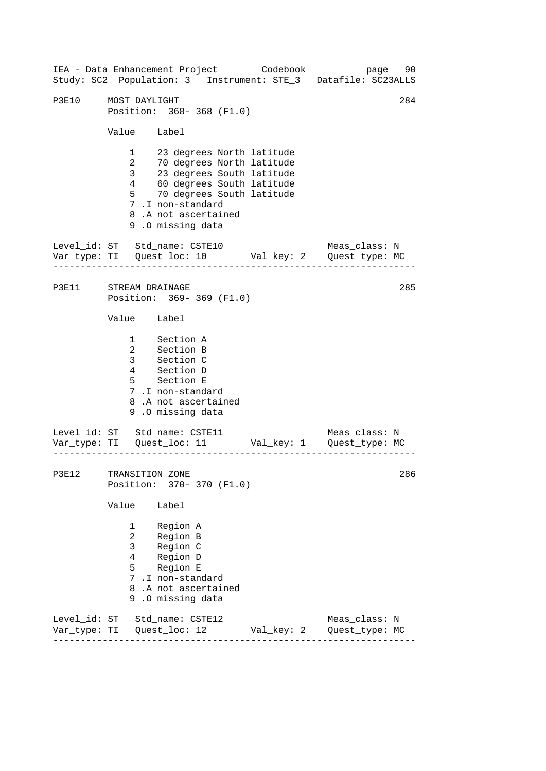------------------------------------------------------------------ ------------------------------------------------------------------ ------------------------------------------------------------------ 284 IEA - Data Enhancement Project Codebook page 90 Study: SC2 Population: 3 Instrument: STE\_3 Datafile: SC23ALLS P3E10 MOST DAYLIGHT Position: 368- 368 (F1.0) Value Label 1 23 degrees North latitude 2 70 degrees North latitude 3 23 degrees South latitude 4 60 degrees South latitude 5 70 degrees South latitude 7 .I non-standard 8 .A not ascertained 9 .O missing data Level id: ST Std name: CSTE10 Meas class: N Var\_type: TI Quest\_loc: 10 Val\_key: 2 Quest\_type: MC P3E11 STREAM DRAINAGE Position: 369- 369 (F1.0) Value Label 1 Section A 2 Section B 3 Section C 4 Section D 5 Section E 7 .I non-standard 8 .A not ascertained 9 .O missing data Level\_id: ST Std\_name: CSTE11 Var\_type: TI Quest\_loc: 11 Val\_key: 1 Quest\_type: MC Meas\_class: N P3E12 TRANSITION ZONE Position: 370- 370 (F1.0) Value Label 1 Region A 2 Region B 3 Region C 4 Region D 5 Region E 7 .I non-standard 8 .A not ascertained 9 .O missing data Level\_id: ST Std\_name: CSTE12 Meas\_class: N Var\_type: TI Quest\_loc: 12 Val\_key: 2 Quest\_type: MC 285 286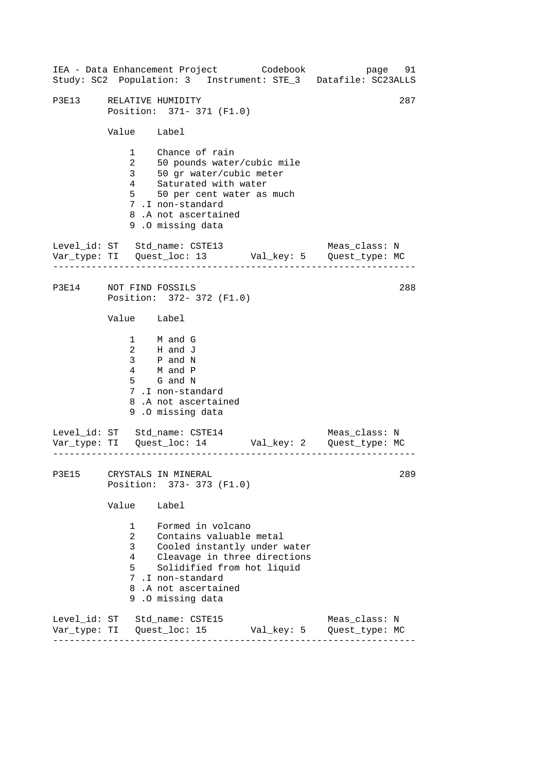------------------------------------------------------------------ ------------------------------------------------------------------ ------------------------------------------------------------------ IEA - Data Enhancement Project Codebook page 91 Study: SC2 Population: 3 Instrument: STE\_3 Datafile: SC23ALLS P3E13 RELATIVE HUMIDITY 287 Position: 371- 371 (F1.0) Value Label 1 Chance of rain 2 50 pounds water/cubic mile 3 50 gr water/cubic meter 4 Saturated with water 5 50 per cent water as much 7 .I non-standard 8 .A not ascertained 9 .O missing data Level id: ST Std name: CSTE13 Meas class: N Var\_type: TI Quest\_loc: 13 Val\_key: 5 Quest\_type: MC P3E14 NOT FIND FOSSILS Position: 372- 372 (F1.0) Value Label 1 M and G 2 H and J 3 P and N  $\begin{array}{ccc} 4 & & \text{M} & \text{and} & \text{P} \\ 1 & & \text{M} & \text{and} & \text{P} \end{array}$ 5 G and N 7 .I non-standard 8 .A not ascertained 9 .O missing data Level\_id: ST Std\_name: CSTE14 Var\_type: TI Quest\_loc: 14 Val\_key: 2 Quest\_type: MC Meas\_class: N P3E15 CRYSTALS IN MINERAL Position: 373- 373 (F1.0) Value Label 1 Formed in volcano 2 Contains valuable metal 3 Cooled instantly under water 4 Cleavage in three directions 5 Solidified from hot liquid 7 .I non-standard 8 .A not ascertained 9 .O missing data Level\_id: ST Std\_name: CSTE15 Meas\_class: N Var\_type: TI Quest\_loc: 15 Val\_key: 5 Quest\_type: MC 288 289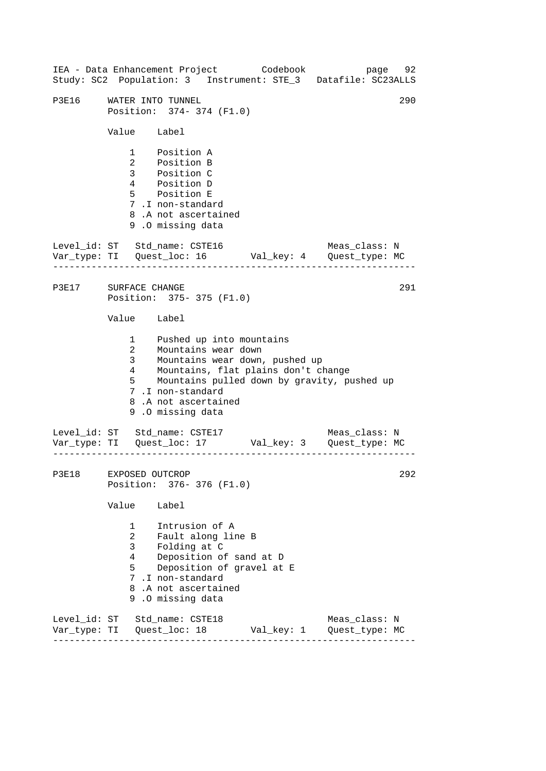------------------------------------------------------------------ ------------------------------------------------------------------ ------------------------------------------------------------------ IEA - Data Enhancement Project Codebook page 92 Study: SC2 Population: 3 Instrument: STE\_3 Datafile: SC23ALLS P3E16 WATER INTO TUNNEL 290 Position: 374- 374 (F1.0) Value Label 1 Position A 2 Position B 3 Position C 4 Position D 5 Position E 7 .I non-standard 8 .A not ascertained 9 .O missing data Level id: ST Std name: CSTE16 Meas class: N Var\_type: TI Quest\_loc: 16 Val\_key: 4 Quest\_type: MC P3E17 SURFACE CHANGE 291 Position: 375- 375 (F1.0) Value Label 1 Pushed up into mountains 2 Mountains wear down<br>3 Mountains wear down, Mountains wear down, pushed up 4 Mountains, flat plains don't change 5 Mountains pulled down by gravity, pushed up 7 .I non-standard 8 .A not ascertained 9 .O missing data Level\_id: ST Std\_name: CSTE17 Meas\_class: N Var\_type: TI Quest\_loc: 17 Val\_key: 3 Quest\_type: MC P3E18 EXPOSED OUTCROP 292 Position: 376- 376 (F1.0) Value Label 1 Intrusion of A 2 Fault along line B 3 Folding at C 4 Deposition of sand at D 5 Deposition of gravel at E 7 .I non-standard 8 .A not ascertained 9 .O missing data Level\_id: ST Std\_name: CSTE18 Meas\_class: N Var\_type: TI Quest\_loc: 18 Val\_key: 1 Quest\_type: MC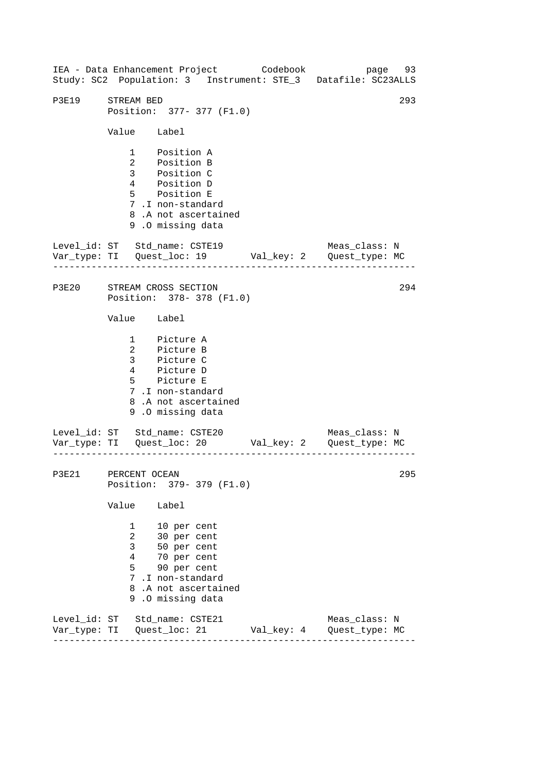------------------------------------------------------------------ ------------------------------------------------------------------ ------------------------------------------------------------------ IEA - Data Enhancement Project Codebook page 93 Study: SC2 Population: 3 Instrument: STE\_3 Datafile: SC23ALLS P3E19 STREAM BED 293 Position: 377- 377 (F1.0) Value Label 1 Position A 2 Position B 3 Position C 4 Position D 5 Position E 7 .I non-standard 8 .A not ascertained 9 .O missing data Level\_id: ST Std\_name: CSTE19 Meas\_class: N Var\_type: TI Quest\_loc: 19 Val\_key: 2 Quest\_type: MC P3E20 STREAM CROSS SECTION Position: 378- 378 (F1.0) Value Label 1 Picture A 2 Picture B 3 Picture C 4 Picture D 5 Picture E 7 .I non-standard 8 .A not ascertained 9 .O missing data Level\_id: ST Std\_name: CSTE20 Var\_type: TI Quest\_loc: 20 Val\_key: 2 Quest\_type: MC Meas\_class: N P3E21 PERCENT OCEAN Position: 379- 379 (F1.0) Value Label 1 10 per cent 2 30 per cent 3 50 per cent 4 70 per cent 5 90 per cent 7 .I non-standard 8 .A not ascertained 9 .O missing data Level\_id: ST Std\_name: CSTE21 Meas\_class: N Var\_type: TI Quest\_loc: 21 Val\_key: 4 Quest\_type: MC 294 295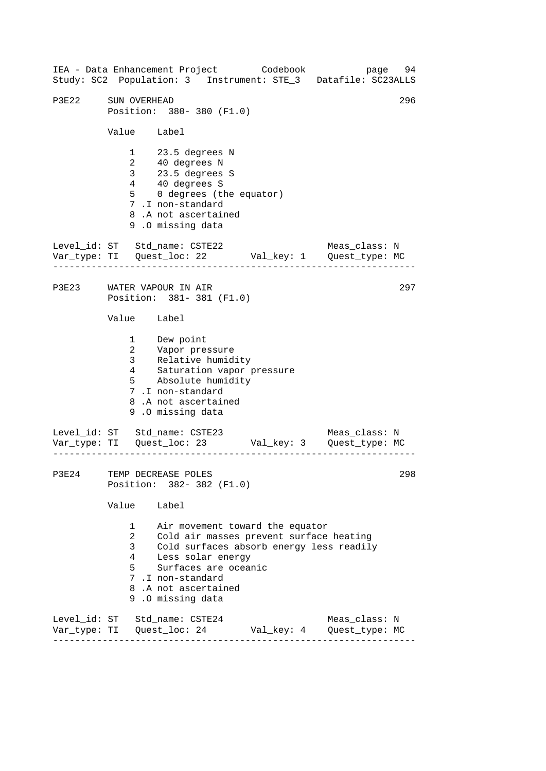------------------------------------------------------------------ ------------------------------------------------------------------ ------------------------------------------------------------------ 296 IEA - Data Enhancement Project Codebook page 94 Study: SC2 Population: 3 Instrument: STE\_3 Datafile: SC23ALLS P3E22 SUN OVERHEAD Position: 380- 380 (F1.0) Value Label 1 23.5 degrees N 2 40 degrees N 3 23.5 degrees S 4 40 degrees S 5 0 degrees (the equator) 7 .I non-standard 8 .A not ascertained 9 .O missing data Level id: ST Std name: CSTE22 Meas class: N Var\_type: TI Quest\_loc: 22 Val\_key: 1 Quest\_type: MC P3E23 WATER VAPOUR IN AIR Position: 381- 381 (F1.0) Value Label 1 Dew point 2 Vapor pressure 3 Relative humidity 4 Saturation vapor pressure 5 Absolute humidity 7 .I non-standard 8 .A not ascertained 9 .O missing data Level\_id: ST Std\_name: CSTE23 Meas\_class: N Var\_type: TI Quest\_loc: 23 Val\_key: 3 Quest\_type: MC P3E24 TEMP DECREASE POLES Position: 382- 382 (F1.0) Value Label 1 Air movement toward the equator 2 Cold air masses prevent surface heating 3 Cold surfaces absorb energy less readily 4 Less solar energy 5 Surfaces are oceanic 7 .I non-standard 8 .A not ascertained 9 .O missing data Level\_id: ST Std\_name: CSTE24 Meas\_class: N Var\_type: TI Quest\_loc: 24 Val\_key: 4 Quest\_type: MC 297 298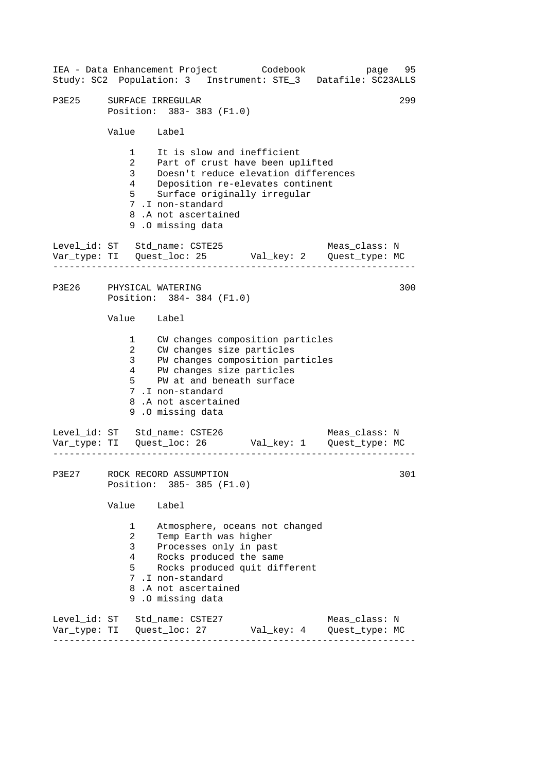------------------------------------------------------------------ ------------------------------------------------------------------ ------------------------------------------------------------------ IEA - Data Enhancement Project Codebook page 95 Study: SC2 Population: 3 Instrument: STE\_3 Datafile: SC23ALLS P3E25 SURFACE IRREGULAR 299 Position: 383- 383 (F1.0) Value Label 1 It is slow and inefficient 2 Part of crust have been uplifted 3 Doesn't reduce elevation differences 4 Deposition re-elevates continent 5 Surface originally irregular 7 .I non-standard 8 .A not ascertained 9 .O missing data Level id: ST Std name: CSTE25 Meas class: N Var\_type: TI Quest\_loc: 25 Val\_key: 2 Quest\_type: MC P3E26 PHYSICAL WATERING 300 Position: 384- 384 (F1.0) Value Label 1 CW changes composition particles 2 CW changes size particles 3 PW changes composition particles 4 PW changes size particles 5 PW at and beneath surface 7 .I non-standard 8 .A not ascertained 9 .O missing data Level\_id: ST Std\_name: CSTE26 Meas\_class: N Var\_type: TI Quest\_loc: 26 Val\_key: 1 Quest\_type: MC P3E27 ROCK RECORD ASSUMPTION 301 Position: 385- 385 (F1.0) Value Label 1 Atmosphere, oceans not changed 2 Temp Earth was higher 3 Processes only in past 4 Rocks produced the same 5 Rocks produced quit different 7 .I non-standard 8 .A not ascertained 9 .O missing data Level\_id: ST Std\_name: CSTE27 Meas\_class: N Var\_type: TI Quest\_loc: 27 Val\_key: 4 Quest\_type: MC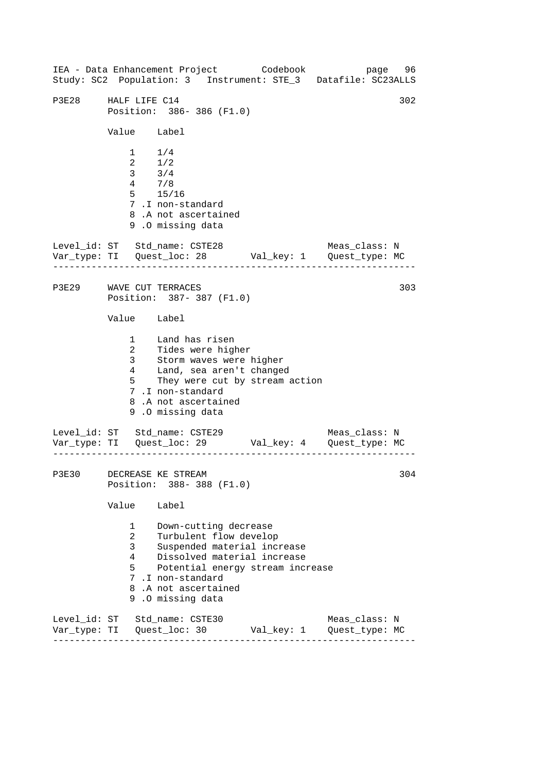------------------------------------------------------------------ ------------------------------------------------------------------ ------------------------------------------------------------------ IEA - Data Enhancement Project Codebook page 96 Study: SC2 Population: 3 Instrument: STE\_3 Datafile: SC23ALLS P3E28 HALF LIFE C14 302 Position: 386- 386 (F1.0) Value Label  $1 \t1/4$ 2 1/2 3 3/4 4 7/8 5 15/16 7 .I non-standard 8 .A not ascertained 9 .O missing data Level id: ST Std name: CSTE28 Meas class: N Var\_type: TI Quest\_loc: 28 Val\_key: 1 Quest\_type: MC P3E29 WAVE CUT TERRACES 303 Position: 387- 387 (F1.0) Value Label 1 Land has risen 2 Tides were higher 3 Storm waves were higher 4 Land, sea aren't changed 5 They were cut by stream action 7 .I non-standard 8 .A not ascertained 9 .O missing data Level\_id: ST Std\_name: CSTE29 Meas\_class: N Var\_type: TI Quest\_loc: 29 Val\_key: 4 Quest\_type: MC P3E30 DECREASE KE STREAM 304 Position: 388- 388 (F1.0) Value Label 1 Down-cutting decrease 2 Turbulent flow develop 3 Suspended material increase 4 Dissolved material increase 5 Potential energy stream increase 7 .I non-standard 8 .A not ascertained 9 .O missing data Level\_id: ST Std\_name: CSTE30 Meas\_class: N Var\_type: TI Quest\_loc: 30 Val\_key: 1 Quest\_type: MC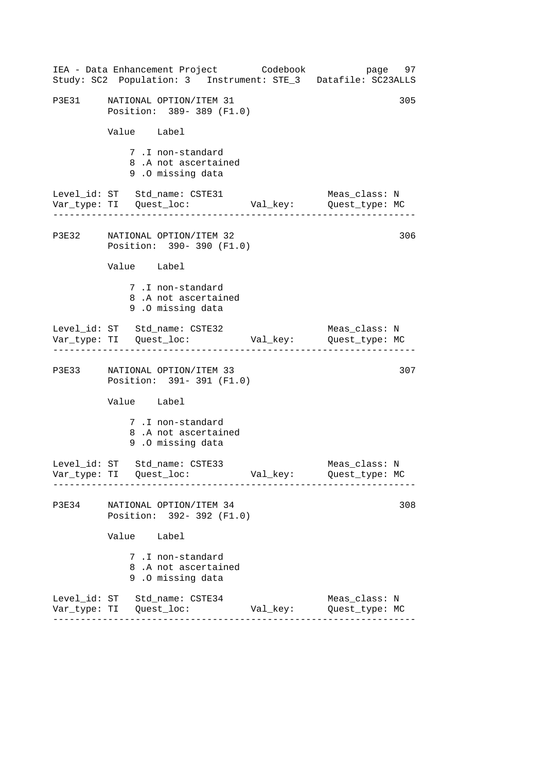|       | IEA - Data Enhancement Project Codebook<br>Study: SC2 Population: 3 Instrument: STE_3 Datafile: SC23ALLS |          | page 97                         |
|-------|----------------------------------------------------------------------------------------------------------|----------|---------------------------------|
| P3E31 | NATIONAL OPTION/ITEM 31<br>Position: 389-389 (F1.0)                                                      |          | 305                             |
|       | Value Label                                                                                              |          |                                 |
|       | 7.I non-standard<br>8.A not ascertained<br>9.0 missing data                                              |          |                                 |
|       | Level_id: ST Std_name: CSTE31<br>Var_type: TI     Quest_loc:     Val_key:     Quest_type: MC             |          | Meas_class: N                   |
|       | P3E32 NATIONAL OPTION/ITEM 32<br>Position: 390-390 (F1.0)                                                |          | 306                             |
|       | Value Label                                                                                              |          |                                 |
|       | 7.I non-standard<br>8.A not ascertained<br>9.0 missing data                                              |          |                                 |
|       | Level_id: ST Std_name: CSTE32                                                                            |          | Meas_class: N                   |
|       | P3E33 NATIONAL OPTION/ITEM 33<br>Position: 391-391 (F1.0)                                                |          | 307                             |
|       | Value Label                                                                                              |          |                                 |
|       | 7.I non-standard<br>8.A not ascertained<br>9.0 missing data                                              |          |                                 |
|       | Level_id: ST Std_name: CSTE33                                                                            |          | Meas_class: N<br>Quest_type: MC |
| P3E34 | NATIONAL OPTION/ITEM 34<br>Position: 392- 392 (F1.0)                                                     |          | 308                             |
|       | Value Label                                                                                              |          |                                 |
|       | 7.I non-standard<br>8.A not ascertained<br>9.0 missing data                                              |          |                                 |
|       | Level_id: ST Std_name: CSTE34<br>____________________________                                            | Val_key: | Meas_class: N<br>Quest_type: MC |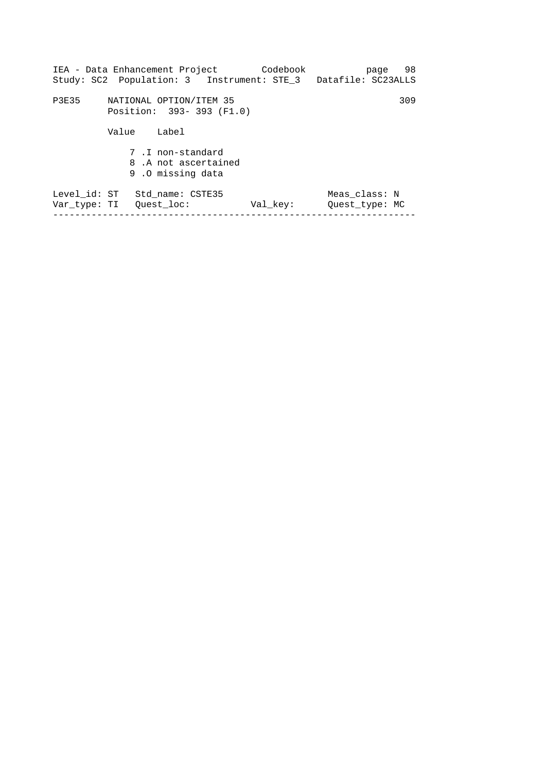| IEA - Data Enhancement Project                              | Codebook                                  | 98<br>page                                                                                |
|-------------------------------------------------------------|-------------------------------------------|-------------------------------------------------------------------------------------------|
| NATIONAL OPTION/ITEM 35                                     |                                           | 309                                                                                       |
| Value<br>Label                                              |                                           |                                                                                           |
| 7.I non-standard<br>8.A not ascertained<br>9.0 missing data |                                           |                                                                                           |
| Std name: CSTE35                                            | Val key:                                  | Meas class: N<br>Ouest type: MC                                                           |
|                                                             | Level id: ST<br>Var type: TI – Ouest loc: | Study: SC2 Population: 3 Instrument: STE_3 Datafile: SC23ALLS<br>Position: 393-393 (F1.0) |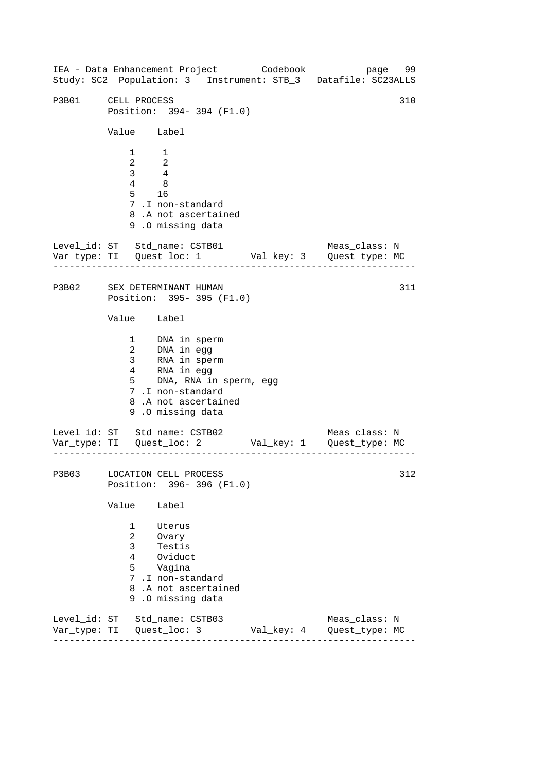------------------------------------------------------------------ ------------------------------------------------------------------ ------------------------------------------------------------------ IEA - Data Enhancement Project Codebook page 99 Study: SC2 Population: 3 Instrument: STB\_3 Datafile: SC23ALLS P3B01 CELL PROCESS 310 Position: 394- 394 (F1.0) Value Label 1 1 2 2 3 4 4 8 5 16 7 .I non-standard 8 .A not ascertained 9 .O missing data Level id: ST Std name: CSTB01 Meas class: N Var\_type: TI Quest\_loc: 1 Val\_key: 3 Quest\_type: MC P3B02 SEX DETERMINANT HUMAN Position: 395- 395 (F1.0) Value Label 1 DNA in sperm 2 DNA in egg 3 RNA in sperm 4 RNA in egg 5 DNA, RNA in sperm, egg 7 .I non-standard 8 .A not ascertained 9 .O missing data Level\_id: ST Std\_name: CSTB02 Meas\_class: N Var\_type: TI Quest\_loc: 2 Val\_key: 1 Quest\_type: MC P3B03 LOCATION CELL PROCESS Position: 396- 396 (F1.0) Value Label 1 Uterus 2 Ovary 3 Testis 4 Oviduct 5 Vagina 7 .I non-standard 8 .A not ascertained 9 .O missing data Level\_id: ST Std\_name: CSTB03 Meas\_class: N Var\_type: TI Quest\_loc: 3 Val\_key: 4 Quest\_type: MC 311 312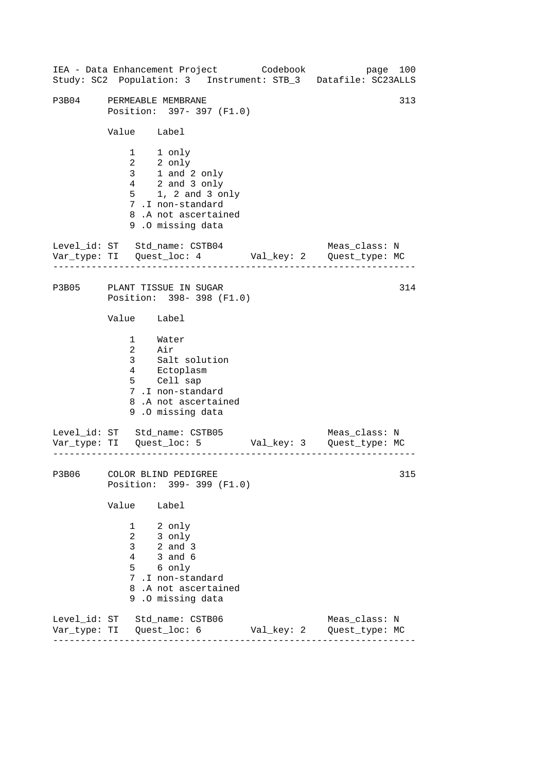|       | IEA - Data Enhancement Project Codebook<br>Study: SC2 Population: 3 Instrument: STB_3 Datafile: SC23ALLS                                                                                                                                                  |            | page 100                        |
|-------|-----------------------------------------------------------------------------------------------------------------------------------------------------------------------------------------------------------------------------------------------------------|------------|---------------------------------|
| P3B04 | PERMEABLE MEMBRANE<br>Position: 397-397 (F1.0)<br>Value Label<br>1 1 only<br>$\begin{tabular}{ll} 2 & 2 only \\ 3 & 1 and 2 only \\ 4 & 2 and 3 only \end{tabular}$<br>$5$ 1, 2 and 3 only<br>7.I non-standard<br>8.A not ascertained<br>9.0 missing data |            | 313                             |
|       | Level_id: ST Std_name: CSTB04<br>Var_type: TI    Quest_loc: 4    Val_key: 2    Quest_type: MC                                                                                                                                                             |            | Meas_class: N                   |
|       | P3B05 PLANT TISSUE IN SUGAR<br>Position: 398-398 (F1.0)<br>Value Label<br>1 Water<br>2 Air<br>3 Salt solution<br>4 Ectoplasm<br>5 Cell sap<br>7.I non-standard<br>8.A not ascertained<br>9.0 missing data                                                 |            | 314                             |
|       | Level_id: ST Std_name: CSTB05<br>Var_type: TI    Quest_loc: 5    Val_key: 3    Quest_type: MC                                                                                                                                                             |            | Meas_class: N                   |
|       | P3B06 COLOR BLIND PEDIGREE<br>Position: 399- 399 (F1.0)<br>Value<br>Label<br>1<br>2 only<br>$\overline{2}$<br>3 only<br>3 <sup>7</sup><br>$2$ and $3$<br>3 and 6<br>4<br>5 6 only<br>7.I non-standard<br>8.A not ascertained<br>9.0 missing data          |            | 315                             |
|       | Level_id: ST Std_name: CSTB06<br>Var_type: TI   Quest_loc: 6                                                                                                                                                                                              | Val_key: 2 | Meas_class: N<br>Quest_type: MC |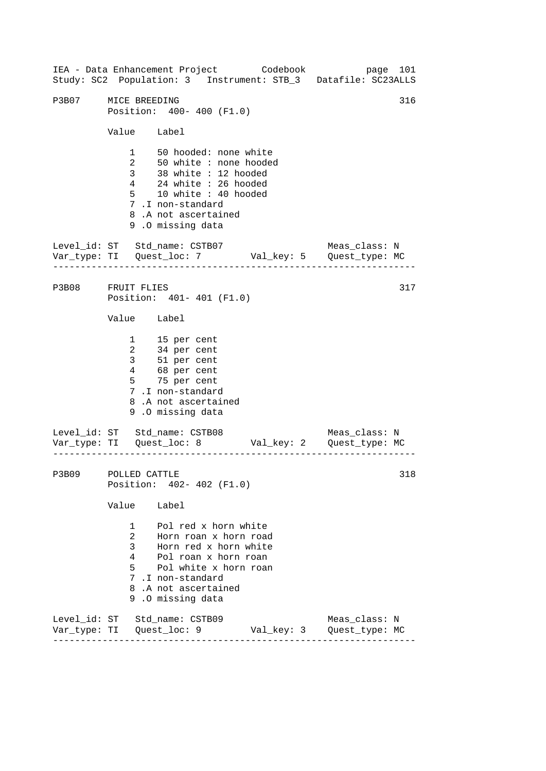------------------------------------------------------------------ ------------------------------------------------------------------ ------------------------------------------------------------------ IEA - Data Enhancement Project Codebook page 101 Study: SC2 Population: 3 Instrument: STB\_3 Datafile: SC23ALLS P3B07 MICE BREEDING 316 Position: 400- 400 (F1.0) Value Label 1 50 hooded: none white 2 50 white : none hooded 3 38 white : 12 hooded 4 24 white : 26 hooded 5 10 white : 40 hooded 7 .I non-standard 8 .A not ascertained 9 .O missing data Level\_id: ST Std\_name: CSTB07 Meas\_class: N Var\_type: TI Quest\_loc: 7 Val\_key: 5 Quest\_type: MC P3B08 FRUIT FLIES Position: 401- 401 (F1.0) Value Label 1 15 per cent 2 34 per cent 3 51 per cent 4 68 per cent 5 75 per cent 7 .I non-standard 8 .A not ascertained 9 .O missing data Level\_id: ST Std\_name: CSTB08 Meas\_class: N Var\_type: TI Quest\_loc: 8 Val\_key: 2 Quest\_type: MC P3B09 POLLED CATTLE Position: 402- 402 (F1.0) Value Label 1 Pol red x horn white 2 Horn roan x horn road 3 Horn red x horn white 4 Pol roan x horn roan 5 Pol white x horn roan 7 .I non-standard 8 .A not ascertained 9 .O missing data Level\_id: ST Std\_name: CSTB09 Meas\_class: N Var\_type: TI Quest\_loc: 9 Val\_key: 3 Quest\_type: MC 317 318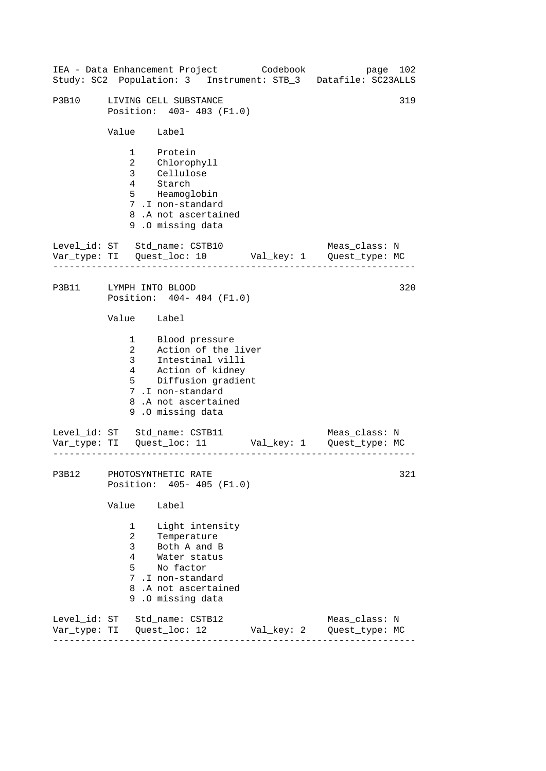| IEA - Data Enhancement Project Codebook |                                               |                                                                                                                                                                              |  | Study: SC2 Population: 3 Instrument: STB_3 Datafile: SC23ALLS | page 102 |
|-----------------------------------------|-----------------------------------------------|------------------------------------------------------------------------------------------------------------------------------------------------------------------------------|--|---------------------------------------------------------------|----------|
| P3B10                                   |                                               | LIVING CELL SUBSTANCE<br>Position: 403-403 (F1.0)                                                                                                                            |  |                                                               | 319      |
|                                         | Value Label                                   |                                                                                                                                                                              |  |                                                               |          |
|                                         |                                               | 1 Protein<br>2 Chlorophyll<br>3 Cellulose<br>4 Starch<br>5 Heamoglobin<br>7.I non-standard<br>8.A not ascertained<br>9.0 missing data                                        |  |                                                               |          |
| Level_id: ST Std_name: CSTB10           |                                               |                                                                                                                                                                              |  | Meas_class: N                                                 |          |
| P3B11 LYMPH INTO BLOOD                  |                                               | Position: 404-404 (F1.0)                                                                                                                                                     |  |                                                               | 320      |
|                                         | Value Label                                   |                                                                                                                                                                              |  |                                                               |          |
|                                         |                                               | 1 Blood pressure<br>2 Action of the liver<br>3 Intestinal villi<br>4 Action of kidney<br>5 Diffusion gradient<br>7.I non-standard<br>8.A not ascertained<br>9.0 missing data |  |                                                               |          |
| Level_id: ST Std_name: CSTB11           |                                               |                                                                                                                                                                              |  | Meas_class: N                                                 |          |
| P3B12 PHOTOSYNTHETIC RATE               |                                               | Position: 405- 405 (F1.0)                                                                                                                                                    |  |                                                               | 321      |
|                                         | Value                                         | Label                                                                                                                                                                        |  |                                                               |          |
|                                         | $\mathbf{1}$<br>$\overline{2}$<br>3<br>4<br>5 | Light intensity<br>Temperature<br>Both A and B<br>Water status<br>No factor<br>7.I non-standard<br>8.A not ascertained<br>9.0 missing data                                   |  |                                                               |          |
| Level_id: ST Std_name: CSTB12           |                                               |                                                                                                                                                                              |  | Meas_class: N                                                 |          |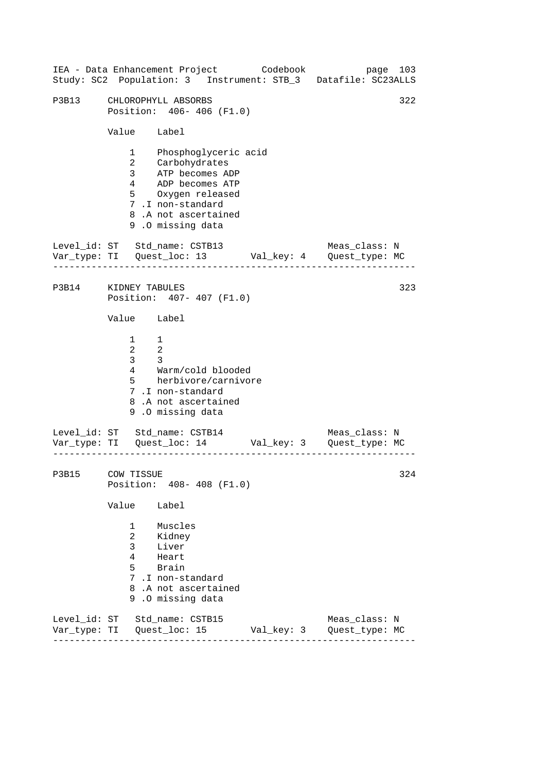|                                                                      | IEA - Data Enhancement Project Codebook                                                                                                                               |            | page 103<br>Study: SC2 Population: 3 Instrument: STB_3 Datafile: SC23ALLS                           |  |  |
|----------------------------------------------------------------------|-----------------------------------------------------------------------------------------------------------------------------------------------------------------------|------------|-----------------------------------------------------------------------------------------------------|--|--|
| 322<br>P3B13 CHLOROPHYLL ABSORBS<br>Position: 406-406 (F1.0)         |                                                                                                                                                                       |            |                                                                                                     |  |  |
| Value Label                                                          |                                                                                                                                                                       |            |                                                                                                     |  |  |
| $\overline{2}$                                                       | 1 Phosphoglyceric acid<br>Carbohydrates<br>3 ATP becomes ADP<br>4 ADP becomes ATP<br>5 Oxygen released<br>7.I non-standard<br>8.A not ascertained<br>9.0 missing data |            |                                                                                                     |  |  |
|                                                                      |                                                                                                                                                                       |            | Level_id: ST Std_name: CSTB13 Meas_class: N<br>Var_type: TI Quest_loc: 13 Val_key: 4 Quest_type: MC |  |  |
| P3B14 KIDNEY TABULES<br>323<br>Position: 407- 407 (F1.0)             |                                                                                                                                                                       |            |                                                                                                     |  |  |
| Value Label                                                          |                                                                                                                                                                       |            |                                                                                                     |  |  |
| $1 \quad 1$<br>$\begin{array}{ccc} 2 & 2 \end{array}$<br>$3^3$ 3     | 4 Warm/cold blooded<br>5 herbivore/carnivore<br>7.I non-standard<br>8.A not ascertained<br>9.0 missing data                                                           |            |                                                                                                     |  |  |
|                                                                      |                                                                                                                                                                       |            | Level_id: ST Std_name: CSTB14 Meas_class: N<br>Var_type: TI Quest_loc: 14 Val_key: 3 Quest_type: MC |  |  |
| P3B15 COW TISSUE<br>324<br>Position: 408-408 (F1.0)                  |                                                                                                                                                                       |            |                                                                                                     |  |  |
| Value                                                                | Label                                                                                                                                                                 |            |                                                                                                     |  |  |
| 1<br>$\overline{a}$<br>$\mathbf{3}$<br>$\overline{4}$<br>$5^{\circ}$ | Muscles<br>Kidney<br>Liver<br>Heart<br>Brain<br>7.I non-standard<br>8.A not ascertained<br>9.0 missing data                                                           |            |                                                                                                     |  |  |
|                                                                      | Level_id: ST Std_name: CSTB15<br>Var_type: TI Quest_loc: 15                                                                                                           | Val_key: 3 | Meas_class: N<br>Quest_type: MC                                                                     |  |  |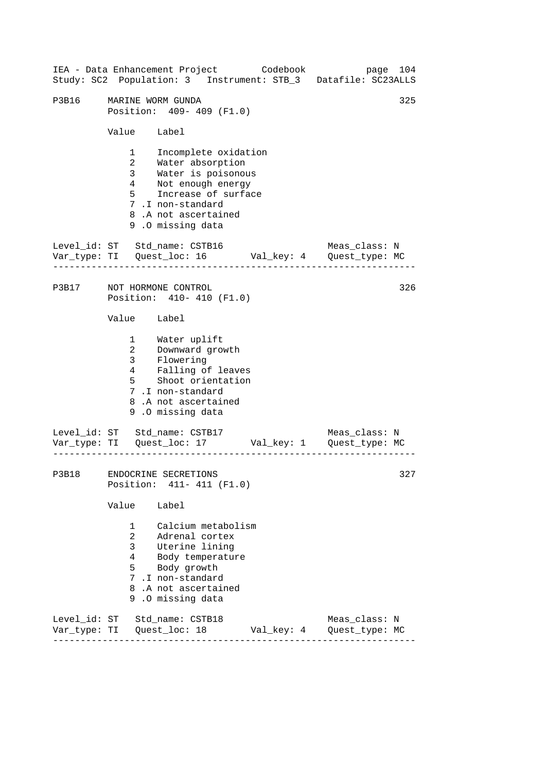------------------------------------------------------------------ ------------------------------------------------------------------ ------------------------------------------------------------------ IEA - Data Enhancement Project Codebook page 104 Study: SC2 Population: 3 Instrument: STB\_3 Datafile: SC23ALLS P3B16 MARINE WORM GUNDA 325 Position: 409- 409 (F1.0) Value Label 1 Incomplete oxidation 2 Water absorption 3 Water is poisonous 4 Not enough energy 5 Increase of surface 7 .I non-standard 8 .A not ascertained 9 .O missing data Level id: ST Std name: CSTB16 Meas class: N Var\_type: TI Quest\_loc: 16 Val\_key: 4 Quest\_type: MC P3B17 NOT HORMONE CONTROL Position: 410- 410 (F1.0) Value Label 1 2 3 4 5 Water uplift Downward growth Flowering Ealling of leaves Shoot orientation 7 .I non-standard 8 .A not ascertained 9 .O missing data Level\_id: ST Std\_name: CSTB17 Meas\_class: N Var\_type: TI Quest\_loc: 17 Val\_key: 1 Quest\_type: MC P3B18 ENDOCRINE SECRETIONS Position: 411- 411 (F1.0) Value Label 1 Calcium metabolism 2 Adrenal cortex 3 Uterine lining 4 Body temperature 5 Body growth 7 .I non-standard 8 .A not ascertained 9 .O missing data Level\_id: ST Std\_name: CSTB18 Meas\_class: N Var\_type: TI Quest\_loc: 18 Val\_key: 4 Quest\_type: MC 326 327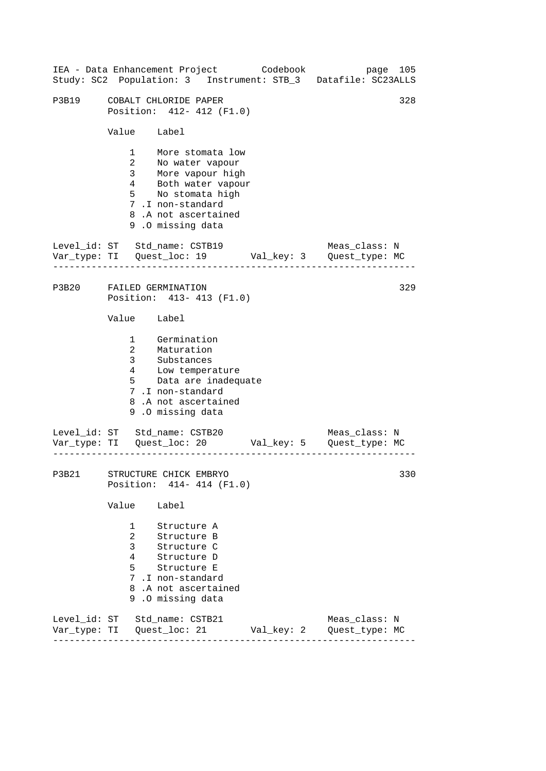| IEA - Data Enhancement Project Codebook<br>page 105<br>Study: SC2 Population: 3 Instrument: STB_3 Datafile: SC23ALLS |                                                                  |                                                                                                                                                                          |            |                                 |  |  |
|----------------------------------------------------------------------------------------------------------------------|------------------------------------------------------------------|--------------------------------------------------------------------------------------------------------------------------------------------------------------------------|------------|---------------------------------|--|--|
| P3B19                                                                                                                | COBALT CHLORIDE PAPER<br>328<br>Position: 412- 412 (F1.0)        |                                                                                                                                                                          |            |                                 |  |  |
|                                                                                                                      | Value Label                                                      |                                                                                                                                                                          |            |                                 |  |  |
|                                                                                                                      | $\overline{2}$                                                   | 1 More stomata low<br>2 No water vapour<br>3 More vapour high<br>4 Both water vapour<br>5 No stomata high<br>7.I non-standard<br>8.A not ascertained<br>9.0 missing data |            |                                 |  |  |
|                                                                                                                      |                                                                  | Level_id: ST Std_name: CSTB19                                                                                                                                            |            | Meas_class: N                   |  |  |
|                                                                                                                      | P3B20 FAILED GERMINATION<br>329<br>Position: 413- 413 (F1.0)     |                                                                                                                                                                          |            |                                 |  |  |
|                                                                                                                      | Value Label                                                      |                                                                                                                                                                          |            |                                 |  |  |
|                                                                                                                      | $\overline{3}$                                                   | 1 Germination<br>2 Maturation<br>3 Substances<br>4 Low temperature<br>5 Data are inadequate<br>7.I non-standard<br>8.A not ascertained<br>9.0 missing data               |            |                                 |  |  |
|                                                                                                                      |                                                                  | Level_id: ST Std_name: CSTB20                                                                                                                                            |            | Meas_class: N                   |  |  |
|                                                                                                                      | 330<br>P3B21 STRUCTURE CHICK EMBRYO<br>Position: 414- 414 (F1.0) |                                                                                                                                                                          |            |                                 |  |  |
|                                                                                                                      | Value                                                            | Label                                                                                                                                                                    |            |                                 |  |  |
|                                                                                                                      | 1<br>$\overline{2}$<br>3<br>4<br>5                               | Structure A<br>Structure B<br>Structure C<br>Structure D<br>Structure E<br>7.I non-standard<br>8.A not ascertained<br>9.0 missing data                                   |            |                                 |  |  |
|                                                                                                                      |                                                                  | Level_id: ST Std_name: CSTB21                                                                                                                                            | Val_key: 2 | Meas_class: N<br>Quest_type: MC |  |  |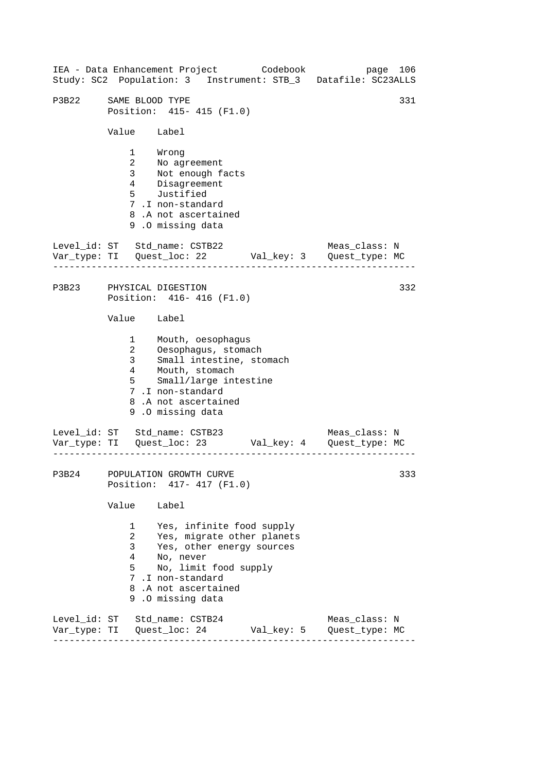------------------------------------------------------------------ ------------------------------------------------------------------ ------------------------------------------------------------------ IEA - Data Enhancement Project Codebook page 106 Study: SC2 Population: 3 Instrument: STB\_3 Datafile: SC23ALLS P3B22 SAME BLOOD TYPE 331 Position: 415- 415 (F1.0) Value Label 1 Wrong 2 No agreement 3 Not enough facts 4 Disagreement 5 Justified 7 .I non-standard 8 .A not ascertained 9 .O missing data Level id: ST Std name: CSTB22 Meas class: N Var\_type: TI Quest\_loc: 22 Val\_key: 3 Quest\_type: MC P3B23 PHYSICAL DIGESTION Position: 416- 416 (F1.0) Value Label 1 Mouth, oesophagus 2 Oesophagus, stomach 3 Small intestine, stomach 4 Mouth, stomach 5 Small/large intestine 7 .I non-standard 8 .A not ascertained 9 .O missing data Level\_id: ST Std\_name: CSTB23 Meas\_class: N Var\_type: TI Quest\_loc: 23 Val\_key: 4 Quest\_type: MC P3B24 POPULATION GROWTH CURVE Position: 417- 417 (F1.0) Value Label 1 Yes, infinite food supply 2 Yes, migrate other planets 3 Yes, other energy sources 4 No, never 5 No, limit food supply 7 .I non-standard 8 .A not ascertained 9 .O missing data Level\_id: ST Std\_name: CSTB24 Meas\_class: N Var\_type: TI Quest\_loc: 24 Val\_key: 5 Quest\_type: MC 332 333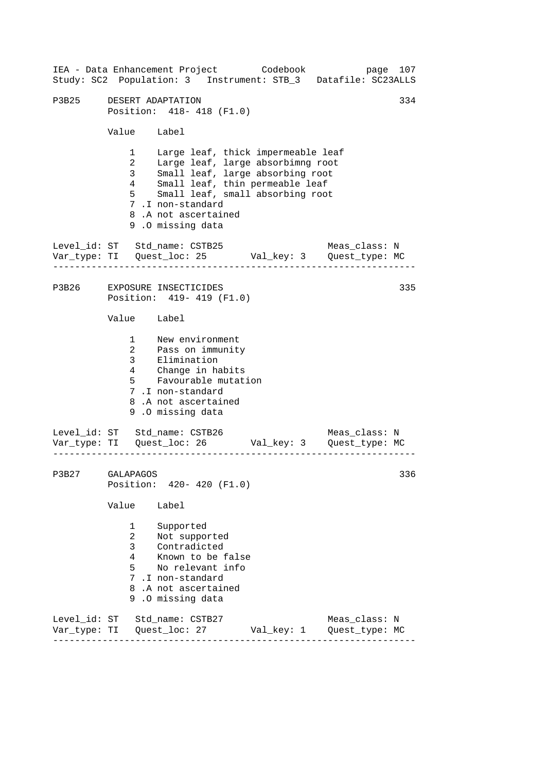------------------------------------------------------------------ ------------------------------------------------------------------ ------------------------------------------------------------------ IEA - Data Enhancement Project Codebook page 107 Study: SC2 Population: 3 Instrument: STB\_3 Datafile: SC23ALLS P3B25 DESERT ADAPTATION 334 Position: 418- 418 (F1.0) Value Label 1 Large leaf, thick impermeable leaf 2 Large leaf, large absorbimng root 3 Small leaf, large absorbing root 4 Small leaf, thin permeable leaf 5 Small leaf, small absorbing root 7 .I non-standard 8 .A not ascertained 9 .O missing data Level id: ST Std name: CSTB25 Meas class: N Var\_type: TI Quest\_loc: 25 Val\_key: 3 Quest\_type: MC P3B26 EXPOSURE INSECTICIDES Position: 419- 419 (F1.0) Value Label 1 New environment 2 3 Pass on immunity Elimination 4 5 Change in habits Favourable mutation 7 .I non-standard 8 .A not ascertained 9 .O missing data Level\_id: ST Std\_name: CSTB26 Meas\_class: N Var\_type: TI Quest\_loc: 26 Val\_key: 3 Quest\_type: MC P3B27 GALAPAGOS Position: 420- 420 (F1.0) Value Label 1 Supported 2 Not supported 3 Contradicted 4 Known to be false 5 No relevant info 7 .I non-standard 8 .A not ascertained 9 .O missing data Level\_id: ST Std\_name: CSTB27 Meas\_class: N Var\_type: TI Quest\_loc: 27 Val\_key: 1 Quest\_type: MC 335 336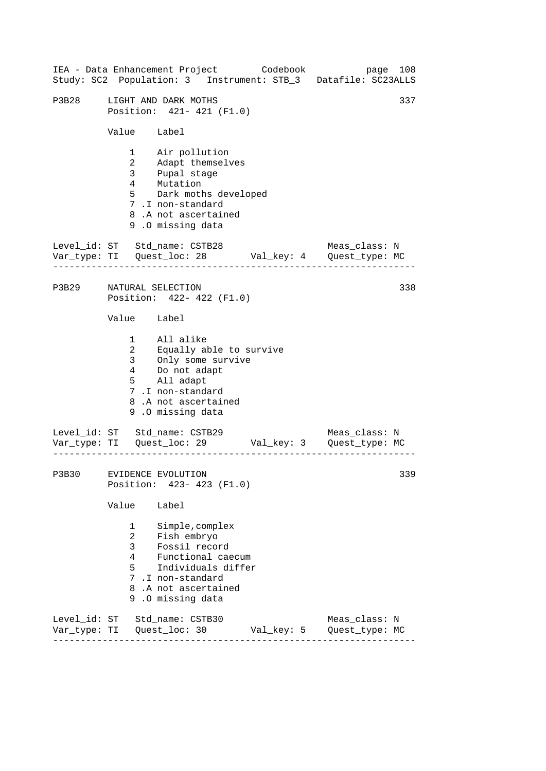------------------------------------------------------------------ ------------------------------------------------------------------ ------------------------------------------------------------------ IEA - Data Enhancement Project Codebook page 108 Study: SC2 Population: 3 Instrument: STB\_3 Datafile: SC23ALLS P3B28 LIGHT AND DARK MOTHS 337 Position: 421- 421 (F1.0) Value Label 1 Air pollution 2 Adapt themselves 3 Pupal stage 4 Mutation 5 Dark moths developed 7 .I non-standard 8 .A not ascertained 9 .O missing data Level id: ST Std name: CSTB28 Meas class: N Var\_type: TI Quest\_loc: 28 Val\_key: 4 Quest\_type: MC P3B29 NATURAL SELECTION Position: 422- 422 (F1.0) Value Label 1 All alike 2 Equally able to survive 3 Only some survive  $\frac{1}{4}$  Do not adapt 5 All adapt 7 .I non-standard 8 .A not ascertained 9 .O missing data Level\_id: ST Std\_name: CSTB29 Meas\_class: N Var\_type: TI Quest\_loc: 29 Val\_key: 3 Quest\_type: MC P3B30 EVIDENCE EVOLUTION Position: 423- 423 (F1.0) Value Label 1 Simple,complex 2 Fish embryo 3 Fossil record 4 Functional caecum 5 Individuals differ 7 .I non-standard 8 .A not ascertained 9 .O missing data Level\_id: ST Std\_name: CSTB30 Meas\_class: N Var\_type: TI Quest\_loc: 30 Val\_key: 5 Quest\_type: MC 338 339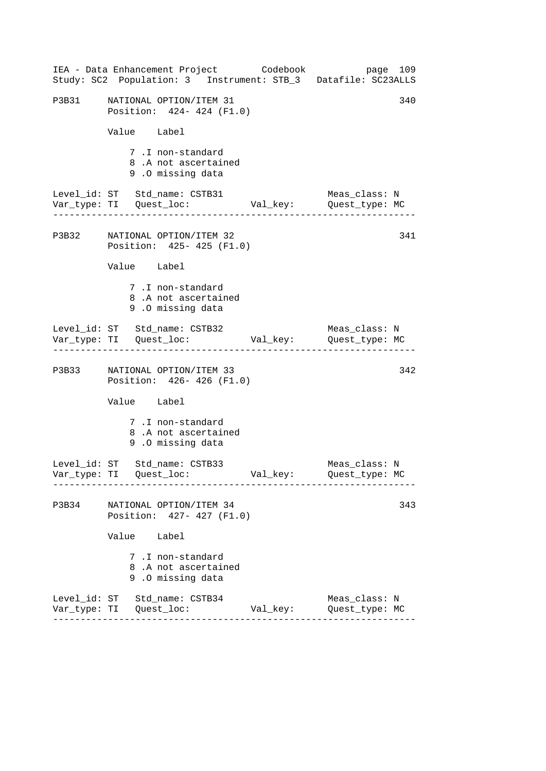|       | IEA - Data Enhancement Project Codebook<br>Study: SC2 Population: 3 Instrument: STB_3 Datafile: SC23ALLS |          | page 109                             |
|-------|----------------------------------------------------------------------------------------------------------|----------|--------------------------------------|
|       | P3B31 NATIONAL OPTION/ITEM 31<br>Position: 424- 424 (F1.0)                                               |          | 340                                  |
|       | Value Label                                                                                              |          |                                      |
|       | 7.I non-standard<br>8.A not ascertained<br>9.0 missing data                                              |          |                                      |
|       | Level_id: ST Std_name: CSTB31<br>Var_type: TI     Quest_loc:     Val_key:     Quest_type: MC             |          | Meas_class: N                        |
|       | P3B32 NATIONAL OPTION/ITEM 32<br>Position: 425- 425 (F1.0)                                               |          | 341                                  |
|       | Value Label                                                                                              |          |                                      |
|       | 7.I non-standard<br>8.A not ascertained<br>9.0 missing data                                              |          |                                      |
|       | Level_id: ST Std_name: CSTB32                                                                            |          | Meas_class: N                        |
|       | P3B33 NATIONAL OPTION/ITEM 33<br>Position: 426- 426 (F1.0)                                               |          | 342                                  |
|       | Value Label                                                                                              |          |                                      |
|       | 7.I non-standard<br>8.A not ascertained<br>9.0 missing data                                              |          |                                      |
|       | Level_id: ST Std_name: CSTB33                                                                            |          | Meas_class: N<br>Quest_type: MC      |
| P3B34 | NATIONAL OPTION/ITEM 34<br>Position: 427- 427 (F1.0)                                                     |          | 343                                  |
|       | Value Label                                                                                              |          |                                      |
|       | 7.I non-standard<br>8.A not ascertained<br>9.0 missing data                                              |          |                                      |
|       | Level_id: ST Std_name: CSTB34                                                                            | Val_key: | Meas_class: N<br>Quest_type: MC<br>. |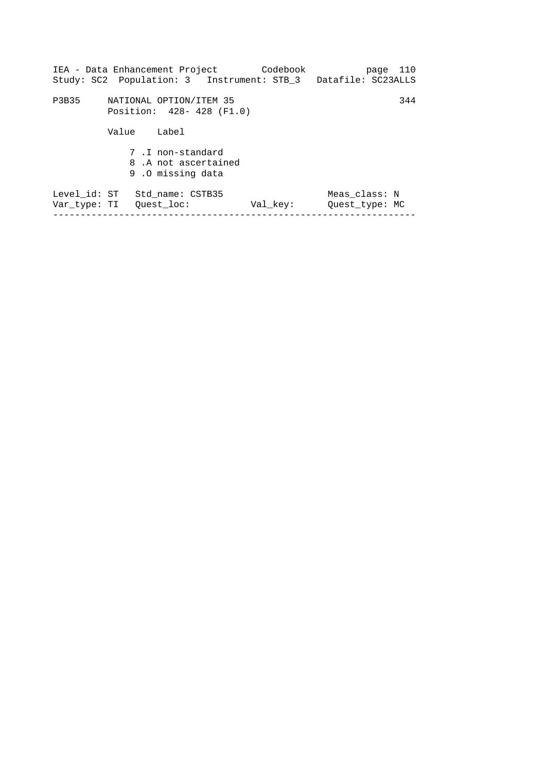|              |       | IEA - Data Enhancement Project Codebook                     | Study: SC2 Population: 3 Instrument: STB_3 Datafile: SC23ALLS |                                 | page 110 |
|--------------|-------|-------------------------------------------------------------|---------------------------------------------------------------|---------------------------------|----------|
| P3B35        |       | NATIONAL OPTION/ITEM 35<br>Position: 428- 428 (F1.0)        |                                                               |                                 | 344      |
|              | Value | Label                                                       |                                                               |                                 |          |
|              |       | 7.I non-standard<br>8.A not ascertained<br>9.0 missing data |                                                               |                                 |          |
| Level id: ST |       | Std name: CSTB35<br>Var type: TI Quest loc:                 | Val key:                                                      | Meas class: N<br>Quest type: MC |          |
|              |       |                                                             |                                                               |                                 |          |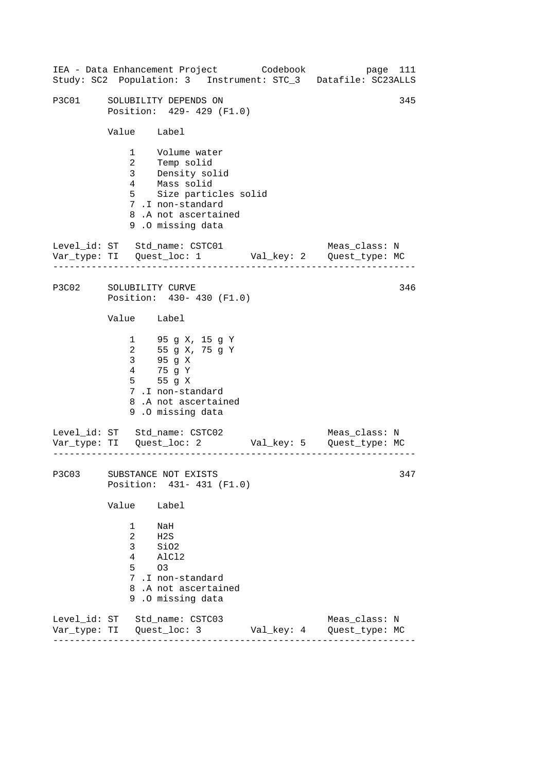|              |                                             | IEA - Data Enhancement Project Codebook                                                                                                                    |            | Study: SC2 Population: 3 Instrument: STC_3 Datafile: SC23ALLS                                      | page 111 |
|--------------|---------------------------------------------|------------------------------------------------------------------------------------------------------------------------------------------------------------|------------|----------------------------------------------------------------------------------------------------|----------|
| P3C01        |                                             | SOLUBILITY DEPENDS ON<br>Position: 429- 429 (F1.0)                                                                                                         |            |                                                                                                    | 345      |
|              | Value Label                                 |                                                                                                                                                            |            |                                                                                                    |          |
|              |                                             | 1 Volume water<br>2 Temp solid<br>3 Density solid<br>4 Mass solid<br>5 Size particles solid<br>7.I non-standard<br>8.A not ascertained<br>9.0 missing data |            |                                                                                                    |          |
|              |                                             |                                                                                                                                                            |            | Level_id: ST Std_name: CSTC01 Meas_class: N<br>Var_type: TI Quest_loc: 1 Val_key: 2 Quest_type: MC |          |
| P3C02        | SOLUBILITY CURVE                            | Position: 430- 430 (F1.0)                                                                                                                                  |            |                                                                                                    | 346      |
|              | Value Label                                 |                                                                                                                                                            |            |                                                                                                    |          |
|              |                                             | 1 95 g X, 15 g Y<br>$\frac{1}{2}$ 55 g X, 75 g Y<br>3 95 g X<br>4 75 g Y<br>5 55 g X<br>7.I non-standard<br>8.A not ascertained<br>9.0 missing data        |            |                                                                                                    |          |
|              |                                             |                                                                                                                                                            |            | Level_id: ST Std_name: CSTC02 Meas_class: N<br>Var_type: TI Quest_loc: 2 Val_key: 5 Quest_type: MC |          |
| P3C03        |                                             | SUBSTANCE NOT EXISTS<br>Position: 431-431 (F1.0)                                                                                                           |            |                                                                                                    | 347      |
|              | Value                                       | Label                                                                                                                                                      |            |                                                                                                    |          |
|              | 1<br>$\overline{a}$<br>3<br>$4\degree$<br>5 | NaH<br>H2S<br>SiO2<br>AlC12<br>O <sub>3</sub><br>7.I non-standard<br>8.A not ascertained<br>9.0 missing data                                               |            |                                                                                                    |          |
| Var_type: TI |                                             | Level_id: ST Std_name: CSTC03<br>Quest_loc: 3                                                                                                              | Val_key: 4 | Meas_class: N<br>Quest_type: MC                                                                    |          |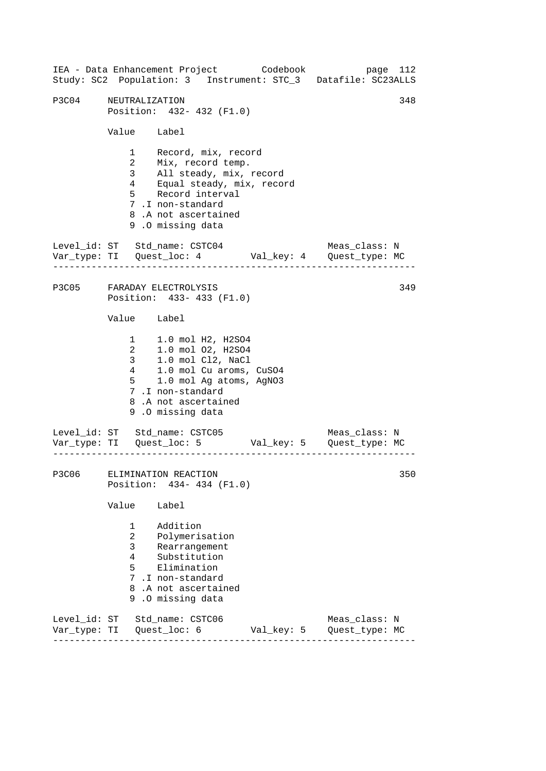------------------------------------------------------------------ ------------------------------------------------------------------ ------------------------------------------------------------------ IEA - Data Enhancement Project Codebook page 112 Study: SC2 Population: 3 Instrument: STC\_3 Datafile: SC23ALLS P3C04 NEUTRALIZATION 348 Position: 432- 432 (F1.0) Value Label 1 Record, mix, record 2 Mix, record temp. 3 All steady, mix, record 4 Equal steady, mix, record 5 Record interval 7 .I non-standard 8 .A not ascertained 9 .O missing data Level id: ST Std name: CSTC04 Meas class: N Var\_type: TI Quest\_loc: 4 Val\_key: 4 Quest\_type: MC P3C05 FARADAY ELECTROLYSIS Position: 433- 433 (F1.0) Value Label 1 1.0 mol H2, H2SO4 2 1.0 mol 02, H2SO4<br>3 1.0 mol Cl2, NaCl 3 1.0 mol Cl2, NaCl<br>4 1.0 mol Cu aroms, 4 1.0 mol Cu aroms, CuSO4 5 1.0 mol Ag atoms, AgNO3 7 .I non-standard 8 .A not ascertained 9 .O missing data Level\_id: ST Std\_name: CSTC05 Meas\_class: N Var\_type: TI Quest\_loc: 5 Val\_key: 5 Quest\_type: MC P3C06 ELIMINATION REACTION Position: 434- 434 (F1.0) Value Label 1 Addition 2 Polymerisation 3 Rearrangement 4 Substitution 5 Elimination 7 .I non-standard 8 .A not ascertained 9 .O missing data Level\_id: ST Std\_name: CSTC06 Meas\_class: N Var\_type: TI Quest\_loc: 6 Val\_key: 5 Quest\_type: MC 349 350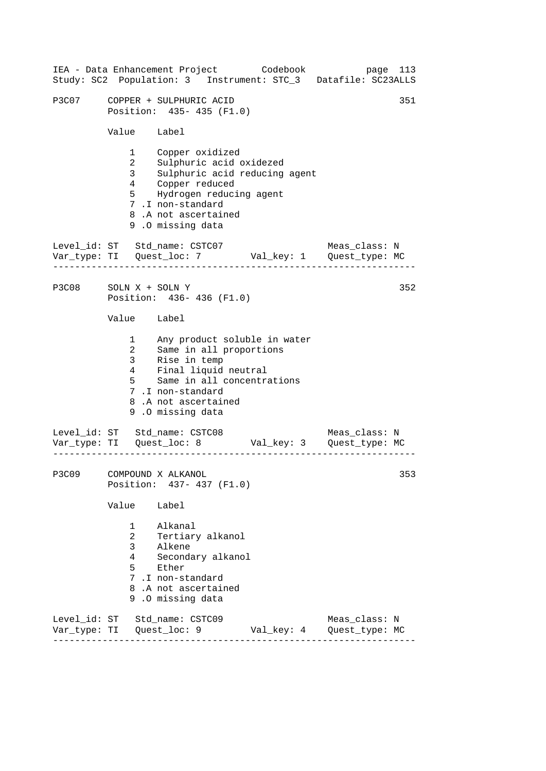|                       |                                                                              | IEA - Data Enhancement Project Codebook                                                                                                                                                            |  |            | page 113<br>Study: SC2 Population: 3 Instrument: STC_3 Datafile: SC23ALLS     |     |  |
|-----------------------|------------------------------------------------------------------------------|----------------------------------------------------------------------------------------------------------------------------------------------------------------------------------------------------|--|------------|-------------------------------------------------------------------------------|-----|--|
| P3C07                 | 351<br>COPPER + SULPHURIC ACID<br>Position: 435- 435 (F1.0)                  |                                                                                                                                                                                                    |  |            |                                                                               |     |  |
|                       | Value Label                                                                  |                                                                                                                                                                                                    |  |            |                                                                               |     |  |
|                       | $1 \quad \blacksquare$<br>$\overline{a}$<br>3 <sup>7</sup><br>5 <sub>5</sub> | Copper oxidized<br>Sulphuric acid oxidezed<br>Sulphuric acid reducing agent<br>4 Copper reduced<br>Hydrogen reducing agent<br>7.I non-standard<br>8.A not ascertained<br>9.0 missing data          |  |            |                                                                               |     |  |
|                       |                                                                              | Level_id: ST Std_name: CSTC07                                                                                                                                                                      |  |            | Meas_class: N                                                                 |     |  |
| P3C08 SOLN X + SOLN Y |                                                                              | Position: 436-436 (F1.0)                                                                                                                                                                           |  |            |                                                                               | 352 |  |
|                       | Value Label                                                                  |                                                                                                                                                                                                    |  |            |                                                                               |     |  |
|                       | $4\overline{ }$<br>$5^{\circ}$                                               | 1 May product soluble in water<br>2 Same in all proportions<br>3 Rise in temp<br>Final liquid neutral<br>Same in all concentrations<br>7.I non-standard<br>8.A not ascertained<br>9.0 missing data |  |            |                                                                               |     |  |
|                       |                                                                              | Level_id: ST Std_name: CSTC08                                                                                                                                                                      |  |            | Meas_class: N<br>Var_type: TI    Quest_loc: 8    Val_key: 3    Quest_type: MC |     |  |
| P3C09                 |                                                                              | COMPOUND X ALKANOL<br>Position: 437- 437 (F1.0)                                                                                                                                                    |  |            |                                                                               | 353 |  |
|                       | Value                                                                        | Label                                                                                                                                                                                              |  |            |                                                                               |     |  |
|                       | $1 \quad$<br>$\overline{a}$<br>3 <sup>7</sup><br>4<br>5                      | Alkanal<br>Tertiary alkanol<br>בוג<br>Alkene<br>Secondary alkanol<br>Ether<br>7 .I non-standard<br>8.A not ascertained<br>9.0 missing data                                                         |  |            |                                                                               |     |  |
|                       |                                                                              | Level_id: ST Std_name: CSTC09                                                                                                                                                                      |  | Val_key: 4 | Meas_class: N<br>Quest_type: MC                                               |     |  |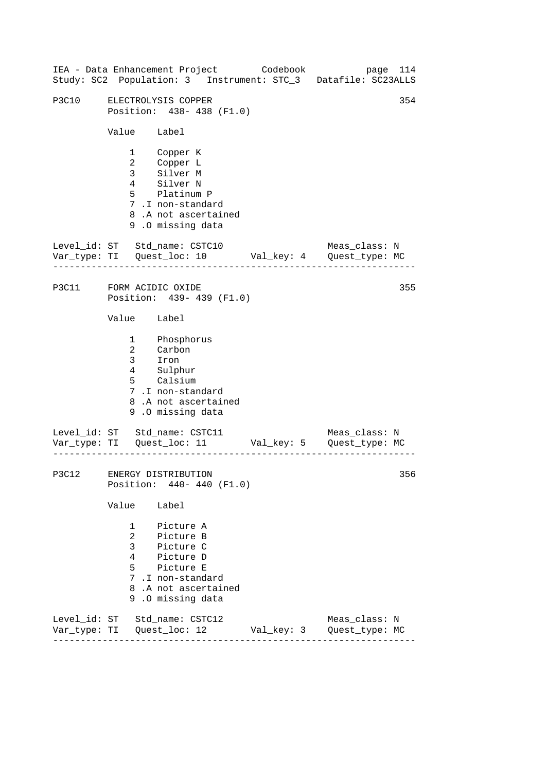|                         |                                                               | IEA - Data Enhancement Project Codebook                                                                                             |            | Study: SC2 Population: 3 Instrument: STC_3 Datafile: SC23ALLS | page 114 |
|-------------------------|---------------------------------------------------------------|-------------------------------------------------------------------------------------------------------------------------------------|------------|---------------------------------------------------------------|----------|
| P3C10                   |                                                               | ELECTROLYSIS COPPER<br>Position: 438-438 (F1.0)                                                                                     |            |                                                               | 354      |
|                         | Value Label                                                   |                                                                                                                                     |            |                                                               |          |
|                         |                                                               | 1 Copper K<br>2 Copper L<br>3 Silver M<br>4 Silver N<br>5 Platinum P<br>7.I non-standard<br>8.A not ascertained<br>9.0 missing data |            |                                                               |          |
|                         |                                                               | Level_id: ST Std_name: CSTC10                                                                                                       |            | Meas_class: N                                                 |          |
| P3C11 FORM ACIDIC OXIDE |                                                               | Position: 439- 439 (F1.0)                                                                                                           |            |                                                               | 355      |
|                         | Value Label                                                   |                                                                                                                                     |            |                                                               |          |
|                         |                                                               | 1 Phosphorus<br>2 Carbon<br>3 Iron<br>4 Sulphur<br>5 Calsium<br>7.I non-standard<br>8.A not ascertained<br>9.0 missing data         |            |                                                               |          |
|                         |                                                               | Level_id: ST Std_name: CSTC11                                                                                                       |            | Meas_class: N                                                 |          |
|                         |                                                               | P3C12 ENERGY DISTRIBUTION<br>Position: 440- 440 (F1.0)                                                                              |            |                                                               | 356      |
|                         | Value                                                         | Label                                                                                                                               |            |                                                               |          |
|                         | $\mathbf{1}$<br>$\overline{a}$<br>$\mathbf{3}$<br>$5^{\circ}$ | Picture A<br>Picture B<br>.<br>Picture C<br>4 Picture D<br>Picture E<br>7.I non-standard<br>8.A not ascertained<br>9.0 missing data |            |                                                               |          |
|                         |                                                               | Level_id: ST Std_name: CSTC12                                                                                                       | Val_key: 3 | Meas_class: N<br>Quest_type: MC                               |          |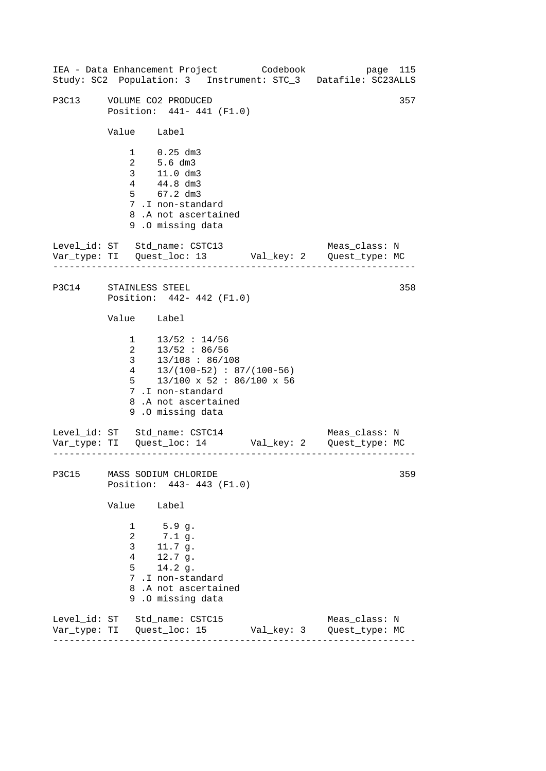------------------------------------------------------------------ ------------------------------------------------------------------ ------------------------------------------------------------------ IEA - Data Enhancement Project Codebook page 115 Study: SC2 Population: 3 Instrument: STC\_3 Datafile: SC23ALLS P3C13 VOLUME CO2 PRODUCED 357 Position: 441- 441 (F1.0) Value Label 1 0.25 dm3 2 5.6 dm3 3 11.0 dm3 4 44.8 dm3 5 67.2 dm3 7 .I non-standard 8 .A not ascertained 9 .O missing data Level\_id: ST Std\_name: CSTC13 Meas\_class: N Var\_type: TI Quest\_loc: 13 Val\_key: 2 Quest\_type: MC P3C14 STAINLESS STEEL Position: 442- 442 (F1.0) Value Label  $1 \t13/52 : 14/56$ 2 13/52 : 86/56 3 13/108 : 86/108 4 13/(100-52) : 87/(100-56) 5 13/100 x 52 : 86/100 x 56 7 .I non-standard 8 .A not ascertained 9 .O missing data Level\_id: ST Std\_name: CSTC14 Meas\_class: N Var\_type: TI Quest\_loc: 14 Val\_key: 2 Quest\_type: MC P3C15 MASS SODIUM CHLORIDE Position: 443- 443 (F1.0) Value Label 1 5.9 g. 2 7.1 g. 3 11.7 g. 4 12.7 g. 5 14.2 g. 7 .I non-standard 8 .A not ascertained 9 .O missing data Level\_id: ST Std\_name: CSTC15 Meas\_class: N Var\_type: TI Quest\_loc: 15 Val\_key: 3 Quest\_type: MC 358 359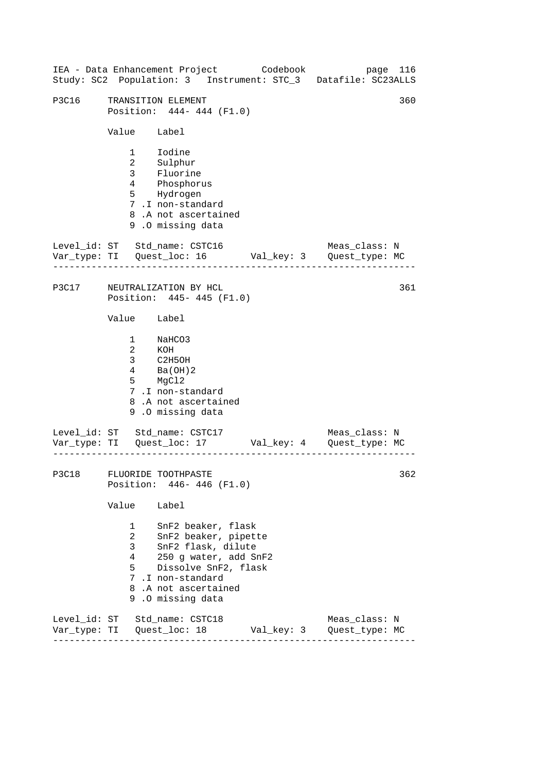|                               |                                               |                                                                                                                                                                                  | IEA - Data Enhancement Project Codebook | page 116<br>Study: SC2 Population: 3 Instrument: STC_3 Datafile: SC23ALLS |  |
|-------------------------------|-----------------------------------------------|----------------------------------------------------------------------------------------------------------------------------------------------------------------------------------|-----------------------------------------|---------------------------------------------------------------------------|--|
| P3C16                         | Value Label                                   | TRANSITION ELEMENT<br>Position: 444- 444 (F1.0)                                                                                                                                  |                                         | 360                                                                       |  |
|                               |                                               | 1 Iodine<br>2 Sulphur<br>3 Fluorine<br>4 Phosphorus<br>5 Hydrogen<br>7.I non-standard<br>8.A not ascertained<br>9.0 missing data                                                 |                                         |                                                                           |  |
| Level_id: ST Std_name: CSTC16 |                                               |                                                                                                                                                                                  |                                         | Meas_class: N                                                             |  |
| P3C17                         |                                               | NEUTRALIZATION BY HCL<br>Position: 445- 445 (F1.0)                                                                                                                               |                                         | 361                                                                       |  |
|                               | Value Label                                   |                                                                                                                                                                                  |                                         |                                                                           |  |
|                               |                                               | 1 NaHCO3<br>2 KOH<br>3 C2H5OH<br>$\frac{1}{4}$ Ba(OH)2<br>5 MgCl2<br>7.I non-standard<br>8.A not ascertained<br>9.0 missing data                                                 |                                         |                                                                           |  |
| Level_id: ST Std_name: CSTC17 |                                               |                                                                                                                                                                                  |                                         | Meas_class: N                                                             |  |
| P3C18 FLUORIDE TOOTHPASTE     |                                               | Position: 446- 446 (F1.0)                                                                                                                                                        |                                         | 362                                                                       |  |
|                               | Value                                         | Label                                                                                                                                                                            |                                         |                                                                           |  |
|                               | $\mathbf{1}$<br>$\overline{2}$<br>3<br>4<br>5 | SnF2 beaker, flask<br>SnF2 beaker, pipette<br>SnF2 flask, dilute<br>250 g water, add SnF2<br>Dissolve SnF2, flask<br>7.I non-standard<br>8.A not ascertained<br>9.0 missing data |                                         |                                                                           |  |
| Level_id: ST Std_name: CSTC18 |                                               |                                                                                                                                                                                  |                                         | Meas_class: N<br>Quest_type: MC                                           |  |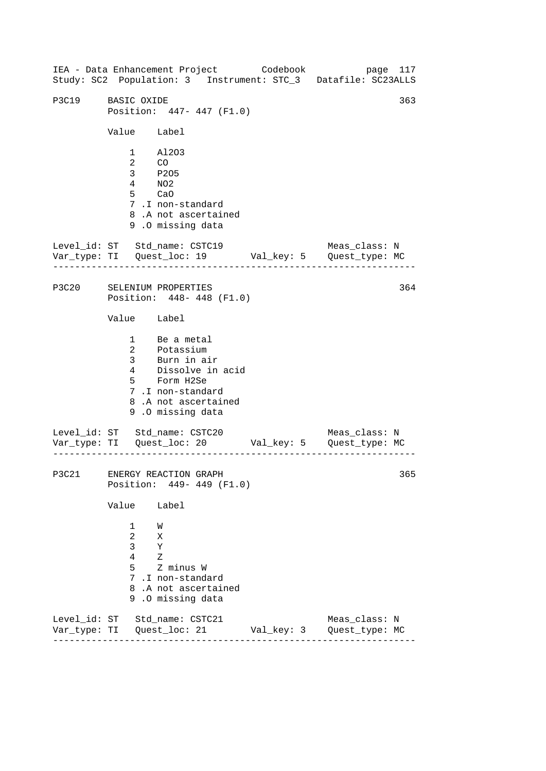------------------------------------------------------------------ ------------------------------------------------------------------ ------------------------------------------------------------------ IEA - Data Enhancement Project Codebook page 117 Study: SC2 Population: 3 Instrument: STC\_3 Datafile: SC23ALLS P3C19 BASIC OXIDE 363 Position: 447- 447 (F1.0) Value Label 1 Al2O3 2 CO 3 P2O5 4 NO2 5 CaO 7 .I non-standard 8 .A not ascertained 9 .O missing data Level\_id: ST Std\_name: CSTC19 Meas\_class: N Var\_type: TI Quest\_loc: 19 Val\_key: 5 Quest\_type: MC P3C20 SELENIUM PROPERTIES Position: 448- 448 (F1.0) Value Label 1 Be a metal 2 Potassium 3 Burn in air 4 Dissolve in acid 5 Form H2Se 7 .I non-standard 8 .A not ascertained 9 .O missing data Level\_id: ST Std\_name: CSTC20 Var\_type: TI Quest\_loc: 20 Val\_key: 5 Quest\_type: MC Meas\_class: N P3C21 ENERGY REACTION GRAPH Position: 449- 449 (F1.0) Value Label 1 W 2 X 3 Y 4 Z 5 Z minus W 7 .I non-standard 8 .A not ascertained 9 .O missing data Level\_id: ST Std\_name: CSTC21 Meas\_class: N Var\_type: TI Quest\_loc: 21 Val\_key: 3 Quest\_type: MC 364 365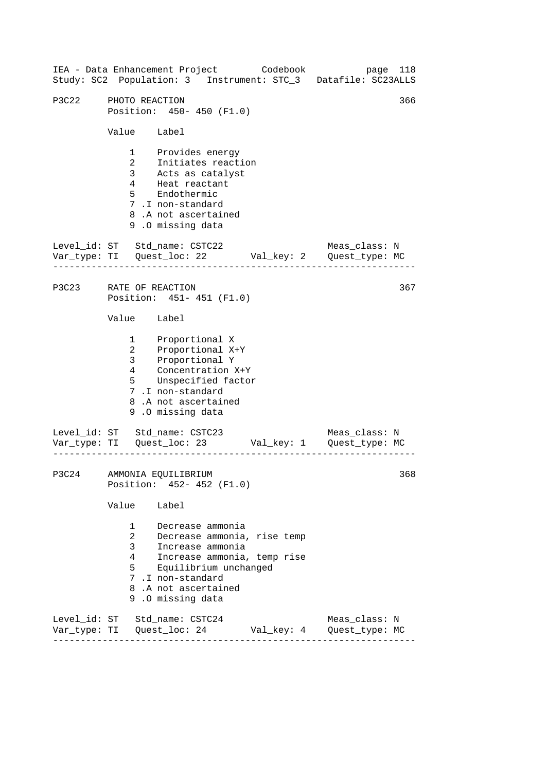------------------------------------------------------------------ ------------------------------------------------------------------ ------------------------------------------------------------------ IEA - Data Enhancement Project Codebook page 118 Study: SC2 Population: 3 Instrument: STC\_3 Datafile: SC23ALLS P3C22 PHOTO REACTION 366 Position: 450- 450 (F1.0) Value Label 1 Provides energy 2 Initiates reaction 3 Acts as catalyst 4 Heat reactant 5 Endothermic 7 .I non-standard 8 .A not ascertained 9 .O missing data Level\_id: ST Std\_name: CSTC22 Meas\_class: N Var\_type: TI Quest\_loc: 22 Val\_key: 2 Quest\_type: MC P3C23 RATE OF REACTION Position: 451- 451 (F1.0) Value Label 1 2 3 4 Proportional X Proportional X+Y Proportional Y Concentration X+Y 5 Unspecified factor 7 .I non-standard 8 .A not ascertained 9 .O missing data Level\_id: ST Std\_name: CSTC23 Meas\_class: N Var\_type: TI Quest\_loc: 23 Val\_key: 1 Quest\_type: MC P3C24 AMMONIA EQUILIBRIUM Position: 452- 452 (F1.0) Value Label 1 Decrease ammonia 2 Decrease ammonia, rise temp 3 Increase ammonia 4 Increase ammonia, temp rise 5 Equilibrium unchanged 7 .I non-standard 8 .A not ascertained 9 .O missing data Level\_id: ST Std\_name: CSTC24 Meas\_class: N Var\_type: TI Quest\_loc: 24 Val\_key: 4 Quest\_type: MC 367 368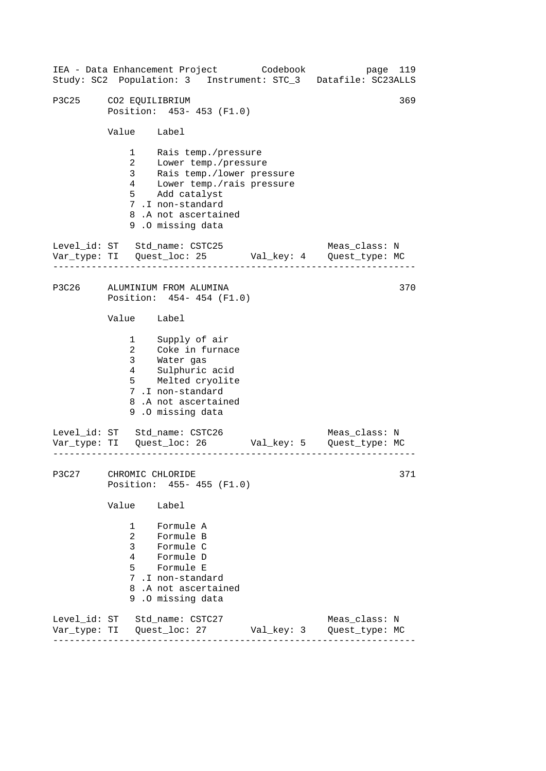| IEA - Data Enhancement Project Codebook |                                                                          |                                                                                                                                                                  |                           | page 119<br>Study: SC2 Population: 3 Instrument: STC_3 Datafile: SC23ALLS      |     |
|-----------------------------------------|--------------------------------------------------------------------------|------------------------------------------------------------------------------------------------------------------------------------------------------------------|---------------------------|--------------------------------------------------------------------------------|-----|
| P3C25                                   | CO2 EQUILIBRIUM                                                          | Position: 453- 453 (F1.0)                                                                                                                                        |                           |                                                                                | 369 |
|                                         | Value Label                                                              |                                                                                                                                                                  |                           |                                                                                |     |
|                                         | $1 \quad \blacksquare$<br>$\overline{a}$<br>3 <sup>7</sup><br>$4\degree$ | Rais temp./pressure<br>Lower temp./pressure<br>Rais temp./lower pressure<br>5 Add catalyst<br>7.I non-standard<br>8.A not ascertained<br>9.0 missing data        | Lower temp./rais pressure |                                                                                |     |
| Level_id: ST Std_name: CSTC25           |                                                                          |                                                                                                                                                                  |                           | Meas_class: N<br>Var_type: TI    Quest_loc: 25    Val_key: 4    Quest_type: MC |     |
| P3C26                                   |                                                                          | ALUMINIUM FROM ALUMINA<br>Position: 454-454 (F1.0)                                                                                                               |                           |                                                                                | 370 |
|                                         | Value Label                                                              |                                                                                                                                                                  |                           |                                                                                |     |
|                                         | $\mathbf{1}$<br>$\overline{a}$<br>3 <sup>7</sup><br>4                    | Supply of air<br>Coke in furnace<br>Water gas<br>Sulphuric<br>Sulphuric acid<br>5 Melted cryolite<br>7.I non-standard<br>8.A not ascertained<br>9.0 missing data |                           |                                                                                |     |
| Level_id: ST Std_name: CSTC26           |                                                                          |                                                                                                                                                                  |                           | Meas_class: N                                                                  |     |
| <b>P3C27</b>                            | CHROMIC CHLORIDE                                                         | Position: 455- 455 (F1.0)                                                                                                                                        |                           |                                                                                | 371 |
|                                         | Value                                                                    | Label                                                                                                                                                            |                           |                                                                                |     |
|                                         | $1 \quad$<br>$\overline{2}$<br>3 <sup>7</sup><br>4<br>5                  | Formule A<br>Formule B<br>Formule C<br>Formule D<br>Formule E<br>7.I non-standard<br>8.A not ascertained<br>9.0 missing data                                     |                           |                                                                                |     |
| Level_id: ST Std_name: CSTC27           |                                                                          |                                                                                                                                                                  |                           | Meas_class: N<br>Quest_type: MC                                                |     |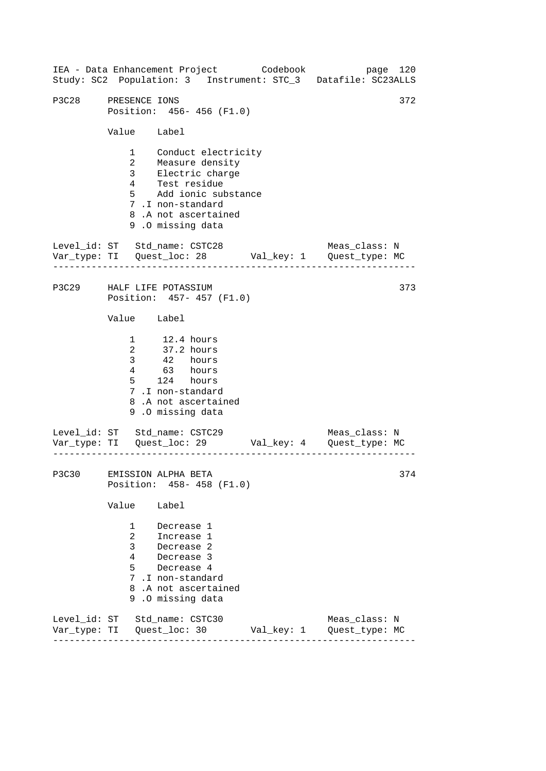------------------------------------------------------------------ ------------------------------------------------------------------ ------------------------------------------------------------------ IEA - Data Enhancement Project Codebook page 120 Study: SC2 Population: 3 Instrument: STC\_3 Datafile: SC23ALLS P3C28 PRESENCE IONS 372 Position: 456- 456 (F1.0) Value Label 1 Conduct electricity 2 Measure density<br>3 Electric charge Electric charge 4 Test residue 5 Add ionic substance 7 .I non-standard 8 .A not ascertained 9 .O missing data Level\_id: ST Std\_name: CSTC28 Meas\_class: N Var\_type: TI Quest\_loc: 28 Val\_key: 1 Quest\_type: MC P3C29 HALF LIFE POTASSIUM Position: 457- 457 (F1.0) Value Label 1 12.4 hours 2 37.2 hours 3 42 hours 4 63 hours 5 124 hours 7 .I non-standard 8 .A not ascertained 9 .O missing data Level\_id: ST Std\_name: CSTC29 Var\_type: TI Quest\_loc: 29 Val\_key: 4 Quest\_type: MC Meas\_class: N P3C30 EMISSION ALPHA BETA Position: 458- 458 (F1.0) Value Label 1 Decrease 1 2 Increase 1 3 Decrease 2 4 Decrease 3 5 Decrease 4 7 .I non-standard 8 .A not ascertained 9 .O missing data Level\_id: ST Std\_name: CSTC30 Meas\_class: N Var\_type: TI Quest\_loc: 30 Val\_key: 1 Quest\_type: MC 373 374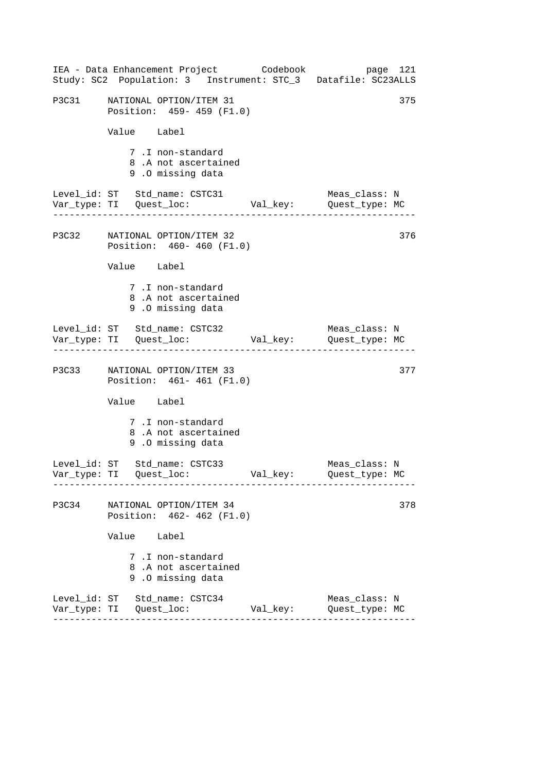|       | IEA - Data Enhancement Project Codebook<br>Study: SC2 Population: 3 Instrument: STC_3 Datafile: SC23ALLS |          | page 121                        |
|-------|----------------------------------------------------------------------------------------------------------|----------|---------------------------------|
| P3C31 | NATIONAL OPTION/ITEM 31<br>Position: 459- 459 (F1.0)                                                     |          | 375                             |
|       | Value Label                                                                                              |          |                                 |
|       | 7.I non-standard<br>8.A not ascertained<br>9.0 missing data                                              |          |                                 |
|       | Level_id: ST Std_name: CSTC31<br>Var_type: TI     Quest_loc:     Val_key:     Quest_type: MC             |          | Meas_class: N                   |
|       | P3C32 NATIONAL OPTION/ITEM 32<br>Position: 460- 460 (F1.0)                                               |          | 376                             |
|       | Value Label                                                                                              |          |                                 |
|       | 7.I non-standard<br>8.A not ascertained<br>9.0 missing data                                              |          |                                 |
|       | Level_id: ST Std_name: CSTC32                                                                            |          | Meas_class: N                   |
|       | P3C33 NATIONAL OPTION/ITEM 33<br>Position: 461-461 (F1.0)                                                |          | 377                             |
|       | Value Label                                                                                              |          |                                 |
|       | 7.I non-standard<br>8.A not ascertained<br>9.0 missing data                                              |          |                                 |
|       | Level_id: ST Std_name: CSTC33                                                                            |          | Meas_class: N<br>Quest_type: MC |
| P3C34 | NATIONAL OPTION/ITEM 34<br>Position: 462-462 (F1.0)                                                      |          | 378                             |
|       | Value Label                                                                                              |          |                                 |
|       | 7 .I non-standard<br>8.A not ascertained<br>9.0 missing data                                             |          |                                 |
|       | Level_id: ST Std_name: CSTC34<br>___________________________                                             | Val_key: | Meas_class: N<br>Quest_type: MC |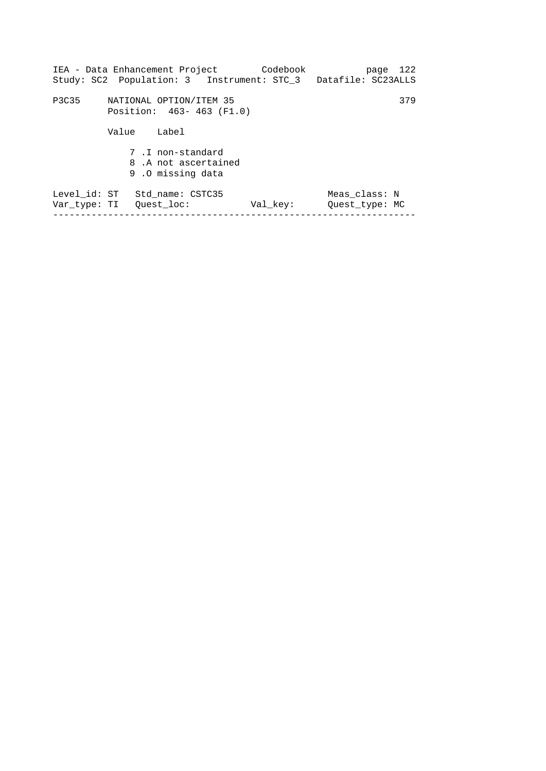|              | IEA - Data Enhancement Project Codebook<br>Study: SC2 Population: 3 Instrument: STC_3 Datafile: SC23ALLS |          | page 122                        |
|--------------|----------------------------------------------------------------------------------------------------------|----------|---------------------------------|
| P3C35        | NATIONAL OPTION/ITEM 35<br>Position: 463-463 (F1.0)                                                      |          | 379                             |
|              | Value<br>Label                                                                                           |          |                                 |
|              | 7.I non-standard<br>8.A not ascertained<br>9.0 missing data                                              |          |                                 |
| Level id: ST | Std name: CSTC35<br>Var type: TI – Ouest loc:                                                            | Val key: | Meas class: N<br>Ouest type: MC |
|              |                                                                                                          |          |                                 |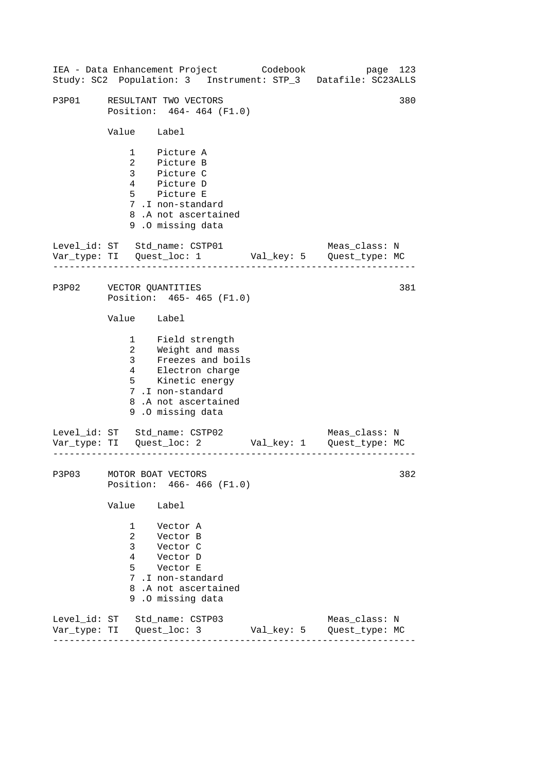| IEA - Data Enhancement Project Codebook |                                                                        |                                                                                                                                                                      |  | Study: SC2 Population: 3 Instrument: STP_3 Datafile: SC23ALLS                 | page 123 |
|-----------------------------------------|------------------------------------------------------------------------|----------------------------------------------------------------------------------------------------------------------------------------------------------------------|--|-------------------------------------------------------------------------------|----------|
| P3P01                                   |                                                                        | RESULTANT TWO VECTORS<br>Position: 464-464 (F1.0)                                                                                                                    |  |                                                                               | 380      |
|                                         | Value Label                                                            |                                                                                                                                                                      |  |                                                                               |          |
|                                         |                                                                        | 1 Picture A<br>2 Picture B<br>3 Picture C<br>4 Picture D<br>5 Picture E<br>7.I non-standard<br>8.A not ascertained<br>9.0 missing data                               |  |                                                                               |          |
| Level_id: ST Std_name: CSTP01           | . _ _ _ _ _ _ _ _ _ _ _ _                                              |                                                                                                                                                                      |  | Meas_class: N<br>Var_type: TI    Quest_loc: 1    Val_key: 5    Quest_type: MC |          |
| P3P02 VECTOR QUANTITIES                 |                                                                        | Position: 465- 465 (F1.0)                                                                                                                                            |  |                                                                               | 381      |
|                                         | Value Label                                                            |                                                                                                                                                                      |  |                                                                               |          |
|                                         |                                                                        | 1 Field strength<br>2 Weight and mass<br>3 Freezes and boils<br>4 Electron charge<br>5 Kinetic energy<br>7.I non-standard<br>8.A not ascertained<br>9.0 missing data |  |                                                                               |          |
| Level_id: ST Std_name: CSTP02           |                                                                        |                                                                                                                                                                      |  | Meas_class: N                                                                 |          |
| P3P03 MOTOR BOAT VECTORS                |                                                                        | Position: 466- 466 (F1.0)                                                                                                                                            |  |                                                                               | 382      |
|                                         | Value                                                                  | Label                                                                                                                                                                |  |                                                                               |          |
|                                         | $\mathbf{1}$<br>$\overline{2}$<br>$\mathbf{3}$<br>$4\overline{ }$<br>5 | Vector A<br>Vector B<br>Vector C<br>Vector D<br>Vector E<br>7.I non-standard<br>8.A not ascertained<br>9.0 missing data                                              |  |                                                                               |          |
| Level_id: ST Std_name: CSTP03           |                                                                        |                                                                                                                                                                      |  | Meas_class: N                                                                 |          |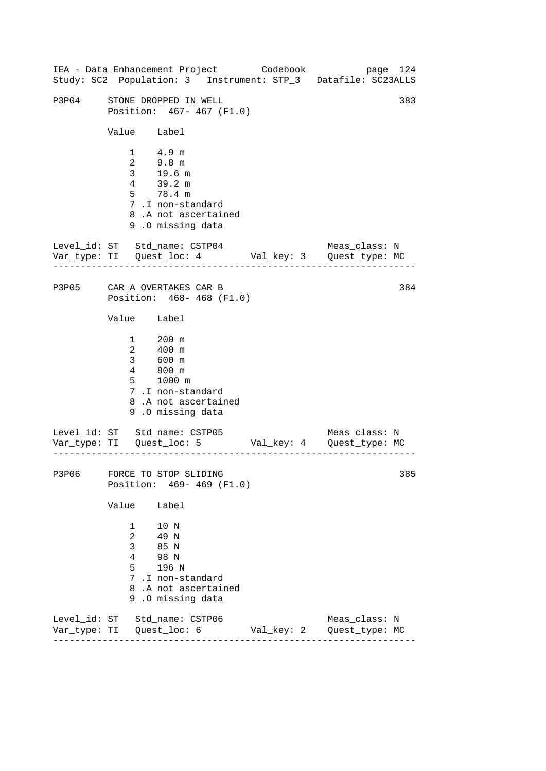------------------------------------------------------------------ ------------------------------------------------------------------ ------------------------------------------------------------------ IEA - Data Enhancement Project Codebook page 124 Study: SC2 Population: 3 Instrument: STP\_3 Datafile: SC23ALLS P3P04 STONE DROPPED IN WELL 383 Position: 467- 467 (F1.0) Value Label 1 4.9 m 2 9.8 m 3 19.6 m 4 39.2 m 5 78.4 m 7 .I non-standard 8 .A not ascertained 9 .O missing data Level id: ST Std name: CSTP04 Meas class: N Var\_type: TI Quest\_loc: 4 Val\_key: 3 Quest\_type: MC P3P05 CAR A OVERTAKES CAR B Position: 468- 468 (F1.0) Value Label  $\frac{1}{2}$  200 m 2 400 m 3 600 m 4 800 m 5 1000 m 7 .I non-standard 8 .A not ascertained 9 .O missing data Level\_id: ST Std\_name: CSTP05 Var\_type: TI Quest\_loc: 5 Val\_key: 4 Quest\_type: MC Meas\_class: N P3P06 FORCE TO STOP SLIDING Position: 469- 469 (F1.0) Value Label 1 10 N 2 49 N 3 85 N 4 98 N 5 196 N 7 .I non-standard 8 .A not ascertained 9 .O missing data Level\_id: ST Std\_name: CSTP06 Meas\_class: N Var\_type: TI Quest\_loc: 6 Val\_key: 2 Quest\_type: MC 384 385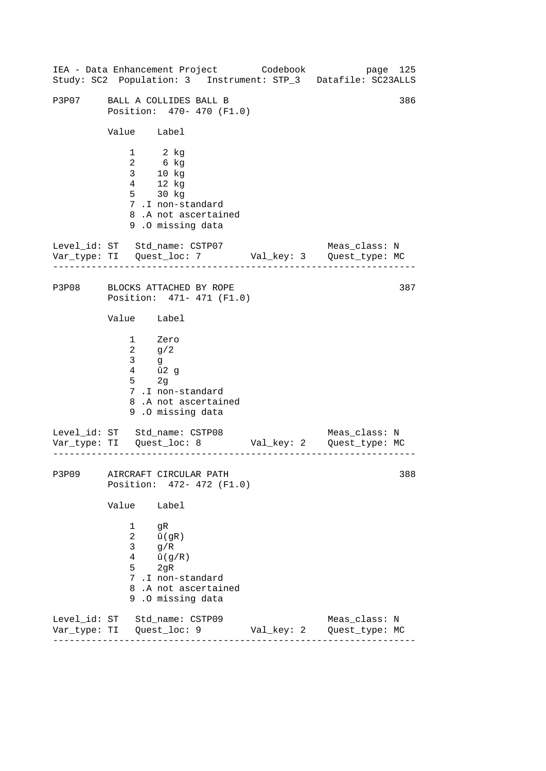------------------------------------------------------------------ ------------------------------------------------------------------ ------------------------------------------------------------------ 386 IEA - Data Enhancement Project Codebook page 125 Study: SC2 Population: 3 Instrument: STP\_3 Datafile: SC23ALLS P3P07 BALL A COLLIDES BALL B Position: 470- 470 (F1.0) Value Label 1 2 kg 2 6 kg 3 10 kg 4 12 kg 5 30 kg 7 .I non-standard 8 .A not ascertained 9 .O missing data Level\_id: ST Std\_name: CSTP07 Meas\_class: N Var\_type: TI Quest\_loc: 7 Val\_key: 3 Quest\_type: MC P3P08 BLOCKS ATTACHED BY ROPE 387 Position: 471- 471 (F1.0) Value Label 1 Zero 2 g/2 3 g 4 û2 g 5 2g 7 .I non-standard 8 .A not ascertained 9 .O missing data Level\_id: ST Std\_name: CSTP08 Meas\_class: N Var\_type: TI Quest\_loc: 8 Val\_key: 2 Quest\_type: MC P3P09 AIRCRAFT CIRCULAR PATH 388 Position: 472- 472 (F1.0) Value Label 1 gR  $2 \hat{u}(\text{qR})$  $3 \frac{q}{R}$  $4 \hat{u}(q/R)$ 5 2gR 7 .I non-standard 8 .A not ascertained 9 .O missing data Level\_id: ST Std\_name: CSTP09 Meas\_class: N Var\_type: TI Quest\_loc: 9 Val\_key: 2 Quest\_type: MC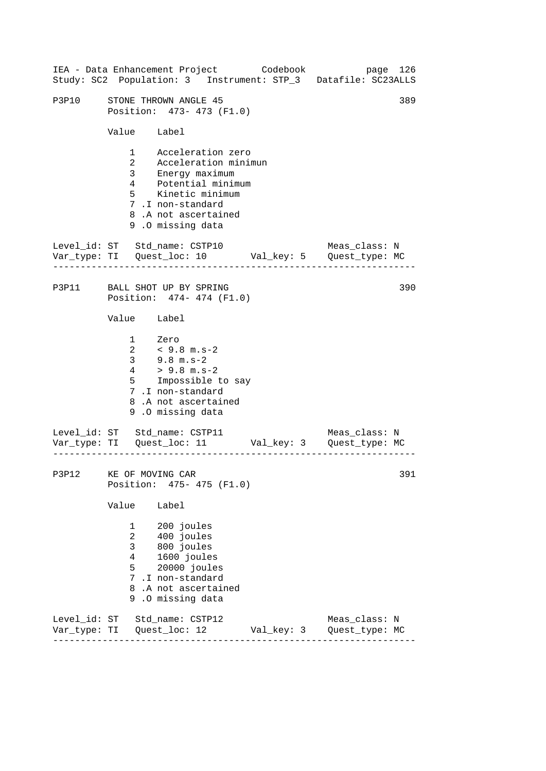------------------------------------------------------------------ ------------------------------------------------------------------ ------------------------------------------------------------------ IEA - Data Enhancement Project Codebook page 126 Study: SC2 Population: 3 Instrument: STP\_3 Datafile: SC23ALLS P3P10 STONE THROWN ANGLE 45 389 Position: 473- 473 (F1.0) Value Label 1 Acceleration zero 2 Acceleration minimun 3 Energy maximum 4 Potential minimum 5 Kinetic minimum 7 .I non-standard 8 .A not ascertained 9 .O missing data Level id: ST Std name: CSTP10 Meas class: N Var\_type: TI Quest\_loc: 10 Val\_key: 5 Quest\_type: MC P3P11 BALL SHOT UP BY SPRING Position: 474- 474 (F1.0) Value Label 1 Zero 2 < 9.8 m.s-2 3 9.8 m.s-2  $4$  > 9.8 m.s-2 5 Impossible to say 7 .I non-standard 8 .A not ascertained 9 .O missing data Level\_id: ST Std\_name: CSTP11 Meas\_class: N Var\_type: TI Quest\_loc: 11 Val\_key: 3 Quest\_type: MC P3P12 KE OF MOVING CAR Position: 475- 475 (F1.0) Value Label 1 200 joules 2 400 joules 3 800 joules 4 1600 joules 5 20000 joules 7 .I non-standard 8 .A not ascertained 9 .O missing data Level\_id: ST Std\_name: CSTP12 Meas\_class: N Var\_type: TI Quest\_loc: 12 Val\_key: 3 Quest\_type: MC 390 391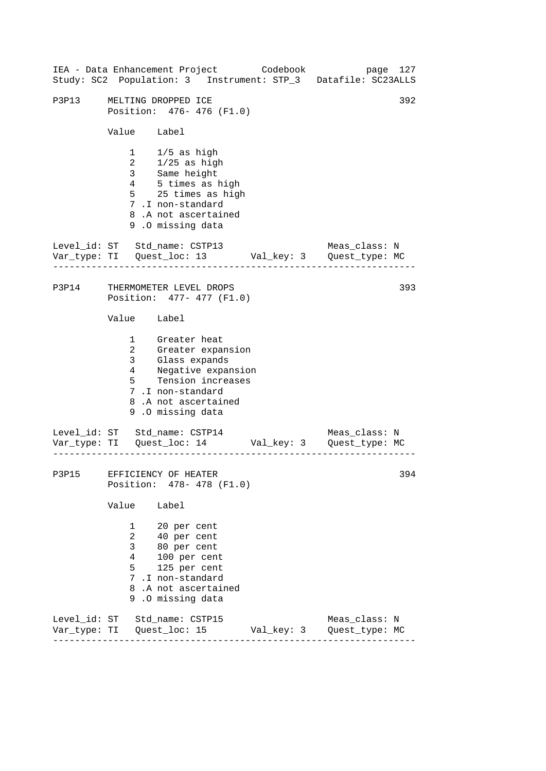| IEA - Data Enhancement Project Codebook |                                                            |                                                                                                                                                                                                        |  |            |  | Study: SC2 Population: 3 Instrument: STP_3 Datafile: SC23ALLS         | page 127 |
|-----------------------------------------|------------------------------------------------------------|--------------------------------------------------------------------------------------------------------------------------------------------------------------------------------------------------------|--|------------|--|-----------------------------------------------------------------------|----------|
| P3P13                                   | MELTING DROPPED ICE<br>Position: 476- 476 (F1.0)           |                                                                                                                                                                                                        |  |            |  |                                                                       | 392      |
|                                         | Value Label                                                |                                                                                                                                                                                                        |  |            |  |                                                                       |          |
|                                         |                                                            | $\begin{tabular}{ll} 1 & 1/5 as high \\ 2 & 1/25 as high \\ 3 & Same height \\ 4 & 5 times as high \end{tabular}$<br>5 25 times as high<br>7.I non-standard<br>8.A not ascertained<br>9.0 missing data |  |            |  |                                                                       |          |
|                                         |                                                            | Level_id: ST Std_name: CSTP13                                                                                                                                                                          |  |            |  | Meas_class: N<br>Var_type: TI Quest_loc: 13 Val_key: 3 Quest_type: MC |          |
| P3P14 THERMOMETER LEVEL DROPS           |                                                            | Position: 477- 477 (F1.0)                                                                                                                                                                              |  |            |  |                                                                       | 393      |
|                                         | Value Label                                                |                                                                                                                                                                                                        |  |            |  |                                                                       |          |
|                                         |                                                            | 1 Greater heat<br>2 Greater expansion<br>3 Glass expands<br>4 Negative expansion<br>5 Tension increases<br>7.I non-standard<br>8.A not ascertained<br>9.0 missing data                                 |  |            |  |                                                                       |          |
|                                         |                                                            | Level_id: ST Std_name: CSTP14                                                                                                                                                                          |  |            |  | Meas_class: N                                                         |          |
|                                         |                                                            | P3P15 EFFICIENCY OF HEATER<br>Position: 478- 478 (F1.0)                                                                                                                                                |  |            |  |                                                                       | 394      |
|                                         | Value                                                      | Label                                                                                                                                                                                                  |  |            |  |                                                                       |          |
|                                         | $\mathbf{1}$<br>$\overline{2}$<br>3 <sup>7</sup><br>4<br>5 | 20 per cent<br>40 per cent<br>80 per cent<br>100 per cent<br>125 per cent<br>7.I non-standard<br>8.A not ascertained<br>9.0 missing data                                                               |  |            |  |                                                                       |          |
|                                         |                                                            | Level_id: ST Std_name: CSTP15<br>Var_type: TI   Quest_loc: 15                                                                                                                                          |  | Val_key: 3 |  | Meas_class: N<br>Quest_type: MC                                       |          |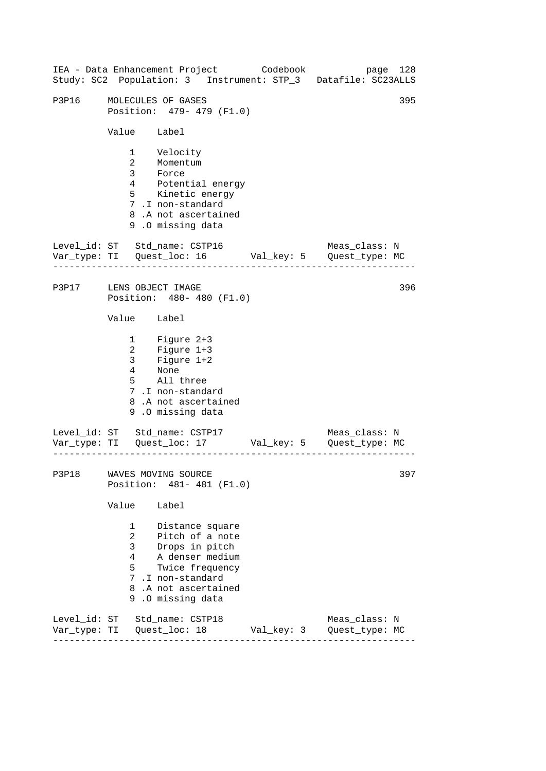|                         |                                                         | IEA - Data Enhancement Project Codebook                                                                                                                   |            | page 128<br>Study: SC2 Population: 3 Instrument: STP_3 Datafile: SC23ALLS |
|-------------------------|---------------------------------------------------------|-----------------------------------------------------------------------------------------------------------------------------------------------------------|------------|---------------------------------------------------------------------------|
| P3P16                   |                                                         | MOLECULES OF GASES<br>Position: 479- 479 (F1.0)                                                                                                           |            | 395                                                                       |
|                         | Value Label                                             |                                                                                                                                                           |            |                                                                           |
|                         | $\overline{a}$<br>3 <sup>7</sup>                        | 1 Velocity<br>Momentum<br>Force<br>4 Potential energy<br>5 Kinetic energy<br>7.I non-standard<br>8.A not ascertained<br>9.0 missing data                  |            |                                                                           |
|                         |                                                         | Level_id: ST Std_name: CSTP16                                                                                                                             |            | Meas_class: N                                                             |
| P3P17 LENS OBJECT IMAGE |                                                         | Position: 480- 480 (F1.0)                                                                                                                                 |            | 396                                                                       |
|                         | Value Label                                             |                                                                                                                                                           |            |                                                                           |
|                         |                                                         | 1 Figure 2+3<br>2 Figure 1+3<br>3 Figure 1+2<br>4 None<br>5 All three<br>7.I non-standard<br>8.A not ascertained<br>9.0 missing data                      |            |                                                                           |
|                         |                                                         | Level_id: ST Std_name: CSTP17                                                                                                                             |            | Meas_class: N                                                             |
|                         |                                                         | P3P18 WAVES MOVING SOURCE<br>Position: 481- 481 (F1.0)                                                                                                    |            | 397                                                                       |
|                         | Value                                                   | Label                                                                                                                                                     |            |                                                                           |
|                         | $1 \quad$<br>$\overline{a}$<br>3 <sup>7</sup><br>4<br>5 | Distance square<br>Pitch of a note<br>Drops in pitch<br>A denser medium<br>Twice frequency<br>7.I non-standard<br>8.A not ascertained<br>9.0 missing data |            |                                                                           |
|                         |                                                         | Level_id: ST Std_name: CSTP18                                                                                                                             | Val_key: 3 | Meas_class: N<br>Quest_type: MC                                           |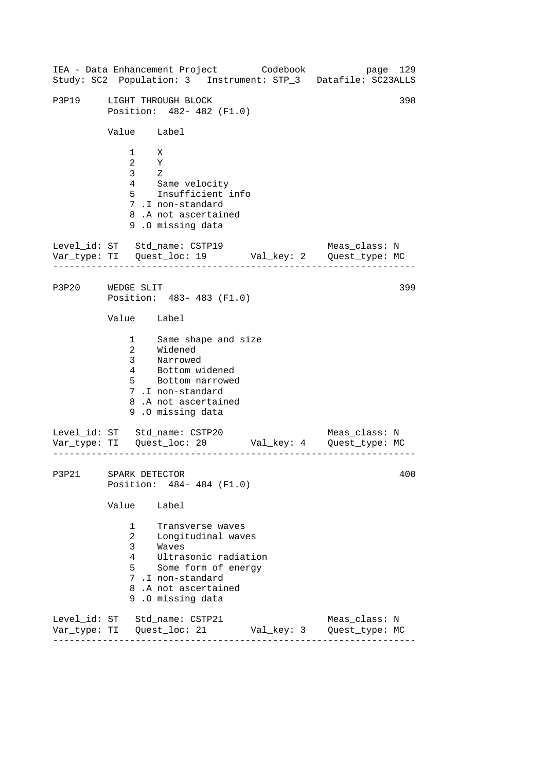------------------------------------------------------------------ ------------------------------------------------------------------ ------------------------------------------------------------------ IEA - Data Enhancement Project Codebook page 129 Study: SC2 Population: 3 Instrument: STP\_3 Datafile: SC23ALLS P3P19 LIGHT THROUGH BLOCK 398 Position: 482- 482 (F1.0) Value Label 1 X 2 Y 3 Z 4 Same velocity 5 Insufficient info 7 .I non-standard 8 .A not ascertained 9 .O missing data Level\_id: ST Std\_name: CSTP19 Meas\_class: N Var\_type: TI Quest\_loc: 19 Val\_key: 2 Quest\_type: MC P3P20 WEDGE SLIT Position: 483- 483 (F1.0) Value Label 1 2 Same shape and size Widened 3 Narrowed 4 Bottom widened 5 Bottom narrowed 7 .I non-standard 8 .A not ascertained 9 .O missing data Level\_id: ST Std\_name: CSTP20 Meas\_class: N Var\_type: TI Quest\_loc: 20 Val\_key: 4 Quest\_type: MC P3P21 SPARK DETECTOR Position: 484- 484 (F1.0) Value Label 1 Transverse waves 2 Longitudinal waves 3 Waves 4 Ultrasonic radiation 5 Some form of energy 7 .I non-standard 8 .A not ascertained 9 .O missing data Level\_id: ST Std\_name: CSTP21 Meas\_class: N Var\_type: TI Quest\_loc: 21 Val\_key: 3 Quest\_type: MC 399 400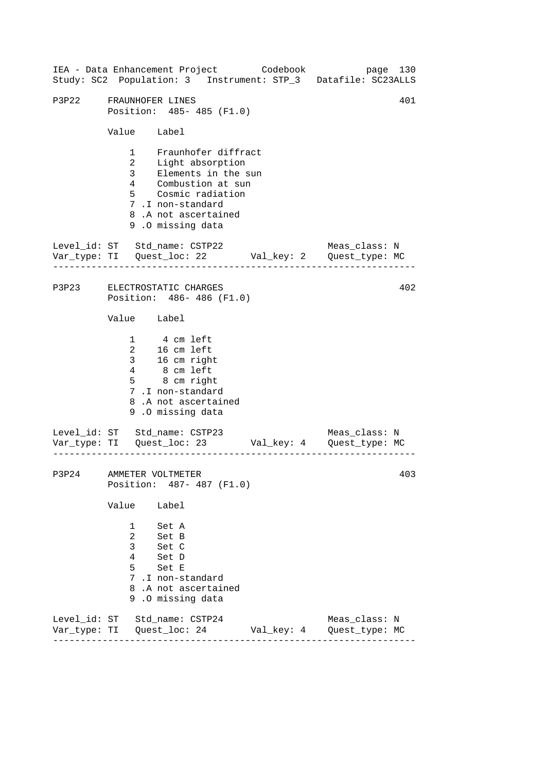------------------------------------------------------------------ ------------------------------------------------------------------ ------------------------------------------------------------------ IEA - Data Enhancement Project Codebook page 130 Study: SC2 Population: 3 Instrument: STP\_3 Datafile: SC23ALLS P3P22 FRAUNHOFER LINES 401 Position: 485- 485 (F1.0) Value Label 1 Fraunhofer diffract 2 Light absorption 3 Elements in the sun 4 Combustion at sun 5 Cosmic radiation 7 .I non-standard 8 .A not ascertained 9 .O missing data Level id: ST Std name: CSTP22 Meas class: N Var\_type: TI Quest\_loc: 22 Val\_key: 2 Quest\_type: MC P3P23 ELECTROSTATIC CHARGES Position: 486- 486 (F1.0) Value Label 1 4 cm left 2 16 cm left 3 4 16 cm right 8 cm left 5 8 cm right 7 .I non-standard 8 .A not ascertained 9 .O missing data Level\_id: ST Std\_name: CSTP23 Meas\_class: N Var\_type: TI Quest\_loc: 23 Val\_key: 4 Quest\_type: MC P3P24 AMMETER VOLTMETER Position: 487- 487 (F1.0) Value Label 1 Set A 2 Set B 3 Set C 4 Set D 5 Set E 7 .I non-standard 8 .A not ascertained 9 .O missing data Level\_id: ST Std\_name: CSTP24 Meas\_class: N Var\_type: TI Quest\_loc: 24 Val\_key: 4 Quest\_type: MC 402 403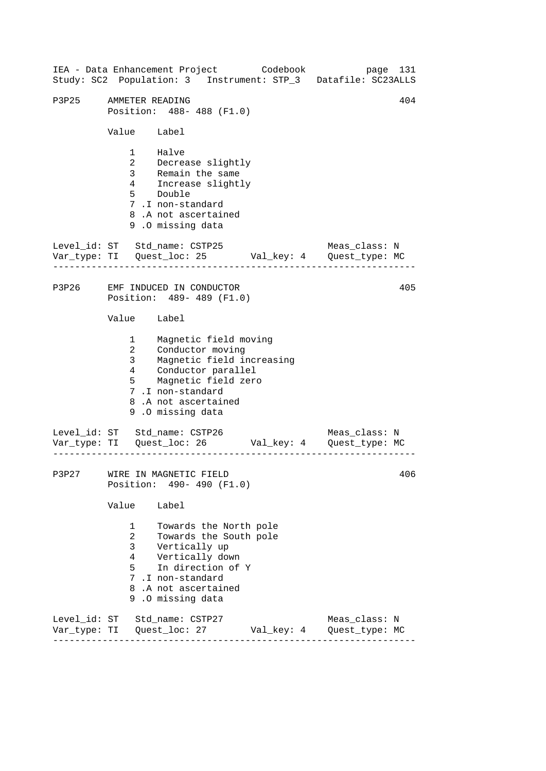------------------------------------------------------------------ ------------------------------------------------------------------ ------------------------------------------------------------------ IEA - Data Enhancement Project Codebook page 131 Study: SC2 Population: 3 Instrument: STP\_3 Datafile: SC23ALLS P3P25 AMMETER READING 2014 104 Position: 488- 488 (F1.0) Value Label 1 Halve 2 Decrease slightly 3 Remain the same 4 Increase slightly  $\frac{4}{5}$  Double 7 .I non-standard 8 .A not ascertained 9 .O missing data Level id: ST Std name: CSTP25 Meas class: N Var\_type: TI Quest\_loc: 25 Val\_key: 4 Quest\_type: MC P3P26 EMF INDUCED IN CONDUCTOR Position: 489- 489 (F1.0) Value Label 1 Magnetic field moving 2 Conductor moving 3 Magnetic field increasing<br>4 Conductor parallel 4 Conductor parallel 5 Magnetic field zero 7 .I non-standard 8 .A not ascertained 9 .O missing data Level\_id: ST Std\_name: CSTP26 Meas\_class: N Var\_type: TI Quest\_loc: 26 Val\_key: 4 Quest\_type: MC P3P27 WIRE IN MAGNETIC FIELD Position: 490- 490 (F1.0) Value Label 1 Towards the North pole 2 Towards the South pole 3 Vertically up 4 Vertically down 5 In direction of Y 7 .I non-standard 8 .A not ascertained 9 .O missing data Level\_id: ST Std\_name: CSTP27 Meas\_class: N Var\_type: TI Quest\_loc: 27 Val\_key: 4 Quest\_type: MC 405 406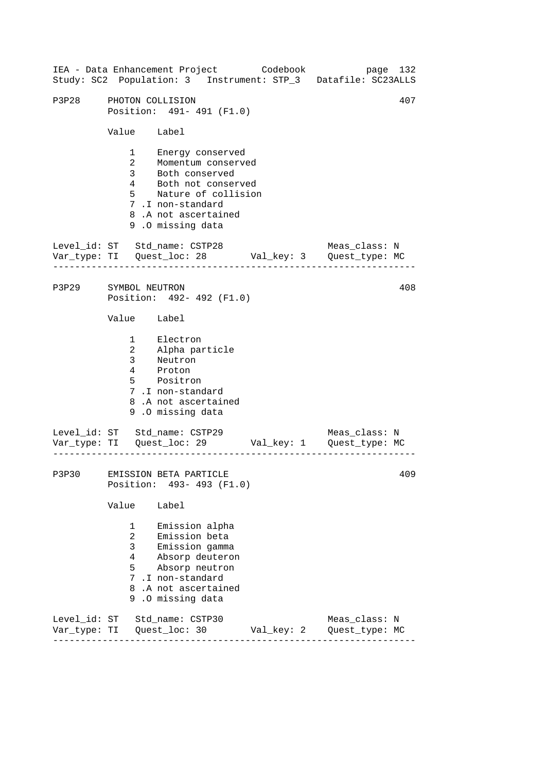------------------------------------------------------------------ ------------------------------------------------------------------ ------------------------------------------------------------------ IEA - Data Enhancement Project Codebook page 132 Study: SC2 Population: 3 Instrument: STP\_3 Datafile: SC23ALLS P3P28 PHOTON COLLISION 407 Position: 491- 491 (F1.0) Value Label 1 Energy conserved 2 Momentum conserved 3 Both conserved 4 Both not conserved 5 Nature of collision 7 .I non-standard 8 .A not ascertained 9 .O missing data Level id: ST Std name: CSTP28 Meas class: N Var\_type: TI Quest\_loc: 28 Val\_key: 3 Quest\_type: MC P3P29 SYMBOL NEUTRON Position: 492- 492 (F1.0) Value Label 1 Electron 2 3 Alpha particle Neutron 4 Proton 5 Positron 7 .I non-standard 8 .A not ascertained 9 .O missing data Level\_id: ST Std\_name: CSTP29 Meas\_class: N Var\_type: TI Quest\_loc: 29 Val\_key: 1 Quest\_type: MC P3P30 EMISSION BETA PARTICLE Position: 493- 493 (F1.0) Value Label 1 Emission alpha 2 Emission beta 3 Emission gamma 4 Absorp deuteron 5 Absorp neutron 7 .I non-standard 8 .A not ascertained 9 .O missing data Level\_id: ST Std\_name: CSTP30 Meas\_class: N Var\_type: TI Quest\_loc: 30 Val\_key: 2 Quest\_type: MC 408 409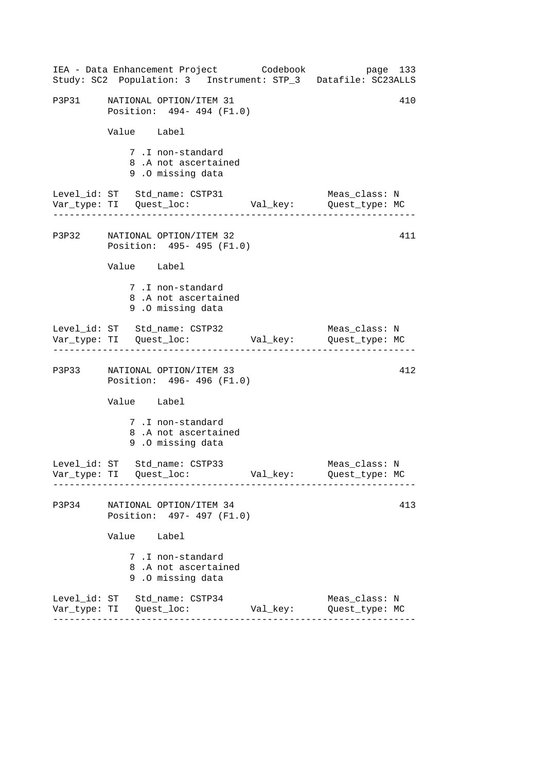|       | IEA - Data Enhancement Project Codebook<br>Study: SC2 Population: 3 Instrument: STP_3 Datafile: SC23ALLS |          | page 133                        |
|-------|----------------------------------------------------------------------------------------------------------|----------|---------------------------------|
|       | P3P31 NATIONAL OPTION/ITEM 31<br>Position: 494-494 (F1.0)                                                |          | 410                             |
|       | Value Label                                                                                              |          |                                 |
|       | 7.I non-standard<br>8.A not ascertained<br>9.0 missing data                                              |          |                                 |
|       | Level_id: ST Std_name: CSTP31                                                                            |          | Meas_class: N                   |
|       | P3P32 NATIONAL OPTION/ITEM 32<br>Position: 495- 495 (F1.0)                                               |          | 411                             |
|       | Value Label                                                                                              |          |                                 |
|       | 7.I non-standard<br>8.A not ascertained<br>9.0 missing data                                              |          |                                 |
|       | Level_id: ST Std_name: CSTP32                                                                            |          | Meas_class: N                   |
|       | P3P33 NATIONAL OPTION/ITEM 33<br>Position: 496- 496 (F1.0)                                               |          | 412                             |
|       | Value Label                                                                                              |          |                                 |
|       | 7.I non-standard<br>8.A not ascertained<br>9.0 missing data                                              |          |                                 |
|       | Level_id: ST Std_name: CSTP33                                                                            |          | Meas_class: N<br>Quest_type: MC |
| P3P34 | NATIONAL OPTION/ITEM 34<br>Position: 497- 497 (F1.0)                                                     |          | 413                             |
|       | Value Label                                                                                              |          |                                 |
|       | 7 .I non-standard<br>8.A not ascertained<br>9.0 missing data                                             |          |                                 |
|       | Level_id: ST Std_name: CSTP34                                                                            | Val_key: | Meas_class: N<br>Quest_type: MC |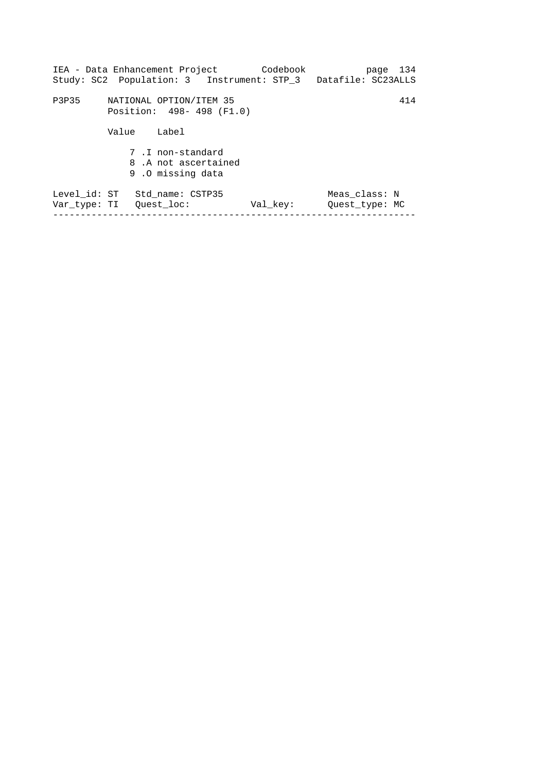| NATIONAL OPTION/ITEM 35<br>Position: 498-498 (F1.0)         |          | 414                             |
|-------------------------------------------------------------|----------|---------------------------------|
|                                                             |          |                                 |
| Value<br>Label                                              |          |                                 |
| 7.I non-standard<br>8.A not ascertained<br>9.0 missing data |          |                                 |
| Level id: ST<br>Std name: CSTP35<br>Var type: TI Quest loc: | Val key: | Meas class: N<br>Ouest type: MC |
|                                                             |          |                                 |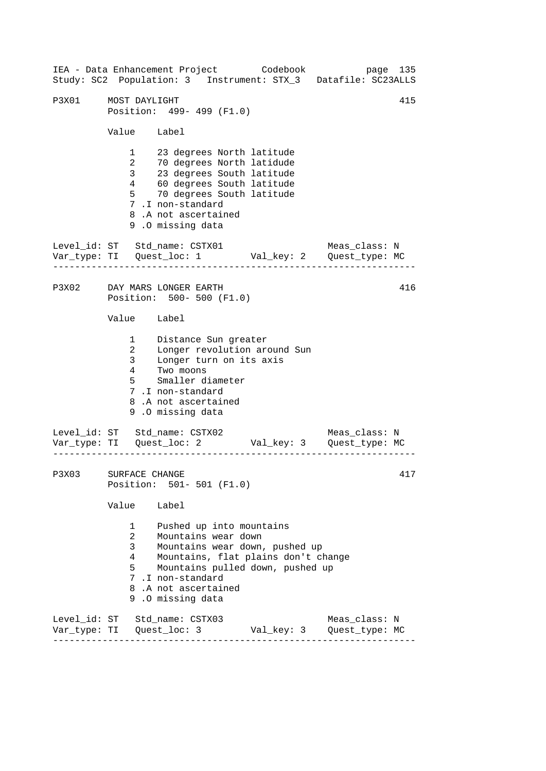------------------------------------------------------------------ ------------------------------------------------------------------ ------------------------------------------------------------------ IEA - Data Enhancement Project Codebook page 135 Study: SC2 Population: 3 Instrument: STX\_3 Datafile: SC23ALLS P3X01 MOST DAYLIGHT 415 Position: 499- 499 (F1.0) Value Label 1 23 degrees North latitude 2 70 degrees North latidude 3 23 degrees South latitude 4 60 degrees South latitude 5 70 degrees South latitude 7 .I non-standard 8 .A not ascertained 9 .O missing data Level id: ST Std name: CSTX01 Meas class: N Var\_type: TI Quest\_loc: 1 Val\_key: 2 Quest\_type: MC P3X02 DAY MARS LONGER EARTH Position: 500- 500 (F1.0) Value Label 1 2 3 4 Distance Sun greater Longer revolution around Sun Longer turn on its axis Two moons 5 Smaller diameter 7 .I non-standard 8 .A not ascertained 9 .O missing data Level\_id: ST Std\_name: CSTX02 Meas\_class: N Var\_type: TI Quest\_loc: 2 Val\_key: 3 Quest\_type: MC P3X03 SURFACE CHANGE Position: 501- 501 (F1.0) Value Label 1 Pushed up into mountains 2 Mountains wear down 3 Mountains wear down, pushed up 4 Mountains, flat plains don't change 5 Mountains pulled down, pushed up 7 .I non-standard 8 .A not ascertained 9 .O missing data Level\_id: ST Std\_name: CSTX03 Meas\_class: N Var\_type: TI Quest\_loc: 3 Val\_key: 3 Quest\_type: MC 416 417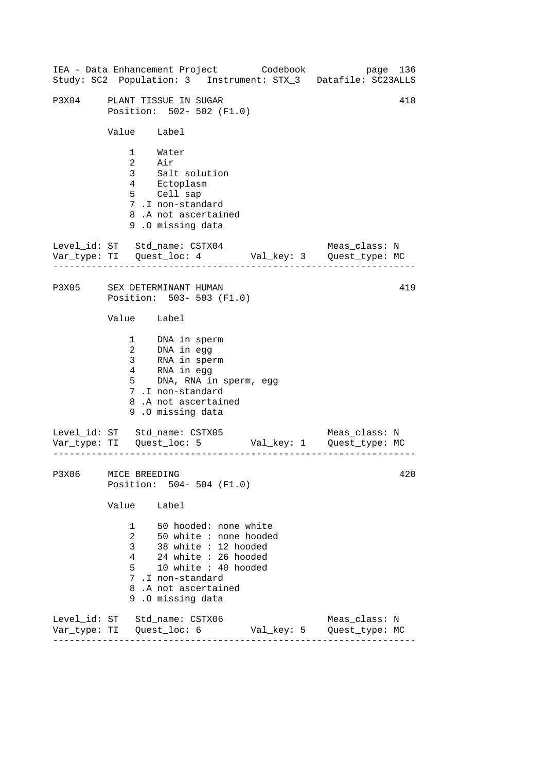------------------------------------------------------------------ ------------------------------------------------------------------ ------------------------------------------------------------------ IEA - Data Enhancement Project Codebook page 136 Study: SC2 Population: 3 Instrument: STX\_3 Datafile: SC23ALLS P3X04 PLANT TISSUE IN SUGAR 418 Position: 502- 502 (F1.0) Value Label 1 Water 2 Air 3 Salt solution 4 Ectoplasm 5 Cell sap 7 .I non-standard 8 .A not ascertained 9 .O missing data Level id: ST Std name: CSTX04 Meas class: N Var\_type: TI Quest\_loc: 4 Val\_key: 3 Quest\_type: MC P3X05 SEX DETERMINANT HUMAN Position: 503- 503 (F1.0) Value Label 1 DNA in sperm 2 DNA in egg 3 RNA in sperm 4 RNA in egg 5 DNA, RNA in sperm, egg 7 .I non-standard 8 .A not ascertained 9 .O missing data Level\_id: ST Std\_name: CSTX05 Meas\_class: N Var\_type: TI Quest\_loc: 5 Val\_key: 1 Quest\_type: MC P3X06 MICE BREEDING Position: 504- 504 (F1.0) Value Label 1 50 hooded: none white 2 50 white : none hooded 3 38 white : 12 hooded 4 24 white : 26 hooded 5 10 white : 40 hooded 7 .I non-standard 8 .A not ascertained 9 .O missing data Level\_id: ST Std\_name: CSTX06 Meas\_class: N Var\_type: TI Quest\_loc: 6 Val\_key: 5 Quest\_type: MC 419 420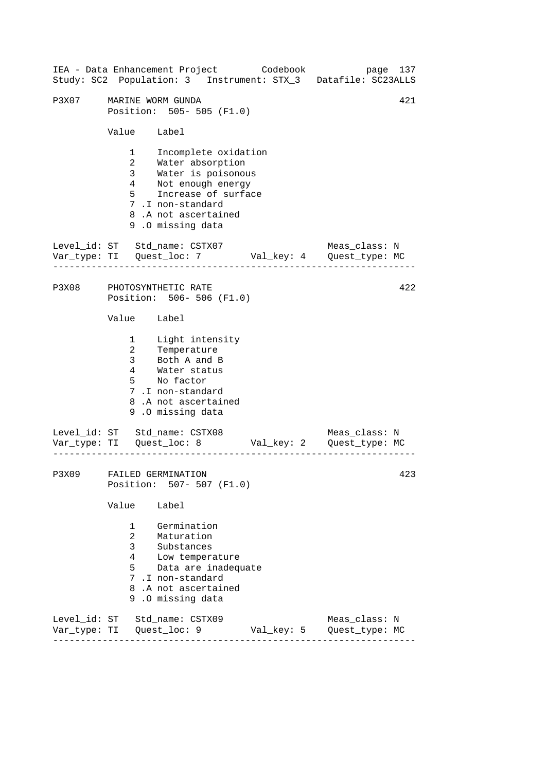------------------------------------------------------------------ ------------------------------------------------------------------ ------------------------------------------------------------------ IEA - Data Enhancement Project Codebook page 137 Study: SC2 Population: 3 Instrument: STX\_3 Datafile: SC23ALLS P3X07 MARINE WORM GUNDA 421 Position: 505- 505 (F1.0) Value Label 1 Incomplete oxidation 2 Water absorption 3 Water is poisonous 4 Not enough energy 5 Increase of surface 7 .I non-standard 8 .A not ascertained 9 .O missing data Level id: ST Std name: CSTX07 Meas class: N Var\_type: TI Quest\_loc: 7 Val\_key: 4 Quest\_type: MC P3X08 PHOTOSYNTHETIC RATE Position: 506- 506 (F1.0) Value Label 1 2 Temperature 3 Light intensity Both A and B 4 Water status 5 No factor 7 .I non-standard 8 .A not ascertained 9 .O missing data Level\_id: ST Std\_name: CSTX08 Meas\_class: N Var\_type: TI Quest\_loc: 8 Val\_key: 2 Quest\_type: MC P3X09 FAILED GERMINATION Position: 507- 507 (F1.0) Value Label 1 Germination 2 Maturation 3 Substances 4 Low temperature 5 Data are inadequate 7 .I non-standard 8 .A not ascertained 9 .O missing data Level\_id: ST Std\_name: CSTX09 Meas\_class: N Var\_type: TI Quest\_loc: 9 Val\_key: 5 Quest\_type: MC 422 423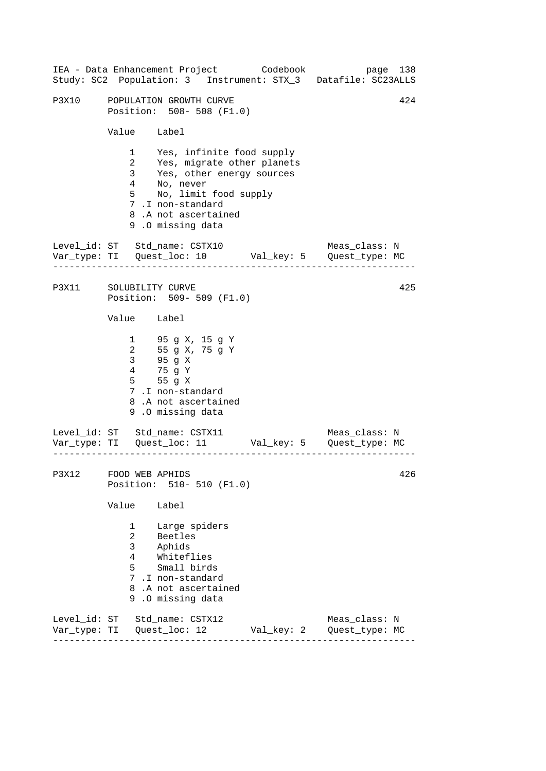| IEA - Data Enhancement Project Codebook |                |                                                        |                                                                                                                                                                                                     |  |            | Study: SC2 Population: 3 Instrument: STX_3 Datafile: SC23ALLS                  | page 138 |
|-----------------------------------------|----------------|--------------------------------------------------------|-----------------------------------------------------------------------------------------------------------------------------------------------------------------------------------------------------|--|------------|--------------------------------------------------------------------------------|----------|
| P3X10                                   | Value Label    |                                                        | POPULATION GROWTH CURVE<br>Position: 508- 508 (F1.0)                                                                                                                                                |  |            |                                                                                | 424      |
|                                         |                |                                                        | 1 Yes, infinite food supply<br>2 Yes, migrate other planets<br>3 Yes, other energy sources<br>4 No, never<br>5 No, limit food supply<br>7.I non-standard<br>8.A not ascertained<br>9.0 missing data |  |            |                                                                                |          |
| Level_id: ST Std_name: CSTX10           |                |                                                        |                                                                                                                                                                                                     |  |            | Meas_class: N<br>Var_type: TI    Quest_loc: 10    Val_key: 5    Quest_type: MC |          |
| P3X11 SOLUBILITY CURVE                  |                |                                                        | Position: 509- 509 (F1.0)                                                                                                                                                                           |  |            |                                                                                | 425      |
|                                         | Value Label    |                                                        |                                                                                                                                                                                                     |  |            |                                                                                |          |
|                                         |                |                                                        | 1 95 g X, 15 g Y<br>2 55 g X, 75 g Y<br>3 95 g X<br>4 75 g Y<br>5 55 g X<br>7.I non-standard<br>8.A not ascertained<br>9.0 missing data                                                             |  |            |                                                                                |          |
| Level_id: ST Std_name: CSTX11           |                |                                                        |                                                                                                                                                                                                     |  |            | Meas_class: N                                                                  |          |
| P3X12 FOOD WEB APHIDS                   |                |                                                        | Position: 510- 510 (F1.0)                                                                                                                                                                           |  |            |                                                                                | 426      |
|                                         | Value          |                                                        | Label                                                                                                                                                                                               |  |            |                                                                                |          |
|                                         | $\overline{a}$ | $\mathbf{1}$<br>3 <sup>7</sup><br>$4\overline{ }$<br>5 | Large spiders<br>Beetles<br>Aphids<br>Whiteflies<br>Small birds<br>7.I non-standard<br>8.A not ascertained<br>9.0 missing data                                                                      |  |            |                                                                                |          |
| Level_id: ST Std_name: CSTX12           |                |                                                        |                                                                                                                                                                                                     |  | Val_key: 2 | Meas_class: N<br>Quest_type: MC                                                |          |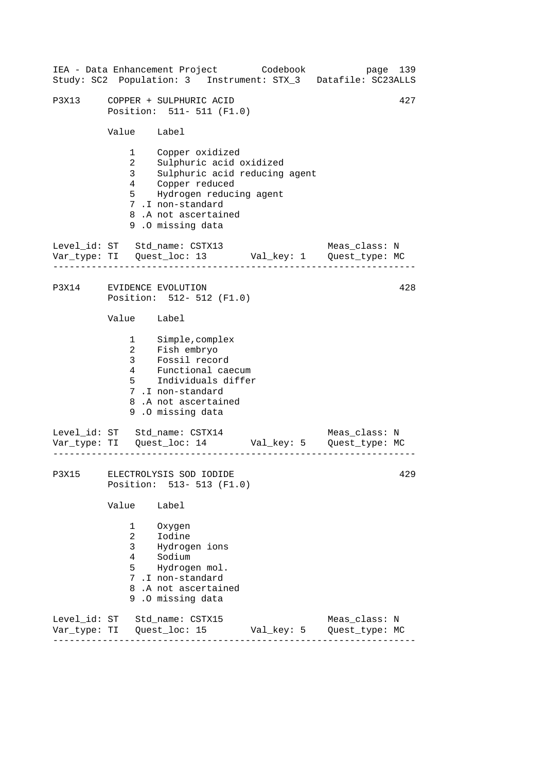|       |                                                                      | IEA - Data Enhancement Project Codebook<br>Study: SC2 Population: 3 Instrument: STX_3 Datafile: SC23ALLS                                                                                |  | page 139      |     |
|-------|----------------------------------------------------------------------|-----------------------------------------------------------------------------------------------------------------------------------------------------------------------------------------|--|---------------|-----|
| P3X13 |                                                                      | COPPER + SULPHURIC ACID<br>Position: 511- 511 (F1.0)                                                                                                                                    |  |               | 427 |
|       | Value Label                                                          |                                                                                                                                                                                         |  |               |     |
|       | $1 \quad \Box$<br>$\begin{array}{c} 2 \\ 3 \\ 4 \end{array}$<br>5    | Copper oxidized<br>Sulphuric acid oxidized<br>Sulphuric acid reducing agent<br>Copper reduced<br>Hydrogen reducing agent<br>7.I non-standard<br>8.A not ascertained<br>9.0 missing data |  |               |     |
|       |                                                                      | Level_id: ST Std_name: CSTX13                                                                                                                                                           |  | Meas_class: N |     |
|       |                                                                      | P3X14 EVIDENCE EVOLUTION<br>Position: 512- 512 (F1.0)                                                                                                                                   |  |               | 428 |
|       | Value Label                                                          |                                                                                                                                                                                         |  |               |     |
|       | $\overline{4}$<br>$5^{\circ}$                                        | 1 Simple, complex<br>2 Fish embryo<br>3 Fossil record<br>Functional caecum<br>Individuals differ<br>7.I non-standard<br>8.A not ascertained<br>9.0 missing data                         |  |               |     |
|       |                                                                      | Level_id: ST Std_name: CSTX14<br>Var_type: TI    Quest_loc: 14    Val_key: 5    Quest_type: MC                                                                                          |  | Meas_class: N |     |
|       |                                                                      | P3X15 ELECTROLYSIS SOD IODIDE<br>Position: 513- 513 (F1.0)                                                                                                                              |  |               | 429 |
|       | Value                                                                | Label                                                                                                                                                                                   |  |               |     |
|       | $1 \quad \blacksquare$<br>$\overline{a}$<br>3 <sup>7</sup><br>4<br>5 | Oxygen<br>Iodine<br>Hydrogen ions<br>Sodium<br>Hydrogen mol.<br>7.I non-standard<br>8.A not ascertained<br>9.0 missing data                                                             |  |               |     |
|       |                                                                      | Level_id: ST Std_name: CSTX15                                                                                                                                                           |  | Meas_class: N |     |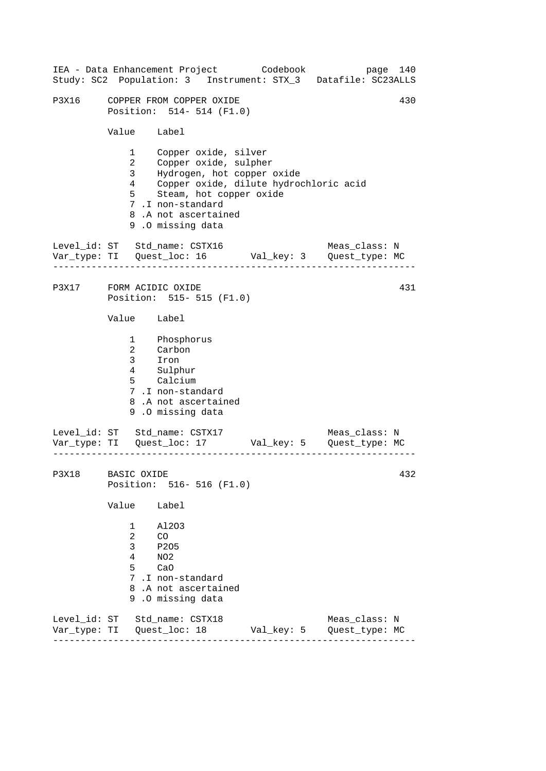| IEA - Data Enhancement Project Codebook                       |                                                                                |                                                                                                                                                                       |  |            | Study: SC2 Population: 3 Instrument: STX_3 Datafile: SC23ALLS | page 140 |
|---------------------------------------------------------------|--------------------------------------------------------------------------------|-----------------------------------------------------------------------------------------------------------------------------------------------------------------------|--|------------|---------------------------------------------------------------|----------|
| P3X16                                                         |                                                                                | COPPER FROM COPPER OXIDE<br>Position: 514- 514 (F1.0)                                                                                                                 |  |            |                                                               | 430      |
|                                                               | Value Label                                                                    |                                                                                                                                                                       |  |            |                                                               |          |
|                                                               | $1 \quad \blacksquare$<br>$\overline{a}$<br>3 <sup>7</sup><br>4<br>$5^{\circ}$ | Copper oxide, silver<br>Copper oxide, sulpher<br>Hydrogen, hot copper oxide<br>Steam, hot copper oxide<br>7.I non-standard<br>8.A not ascertained<br>9.0 missing data |  |            | Copper oxide, dilute hydrochloric acid                        |          |
| Level_id: ST Std_name: CSTX16                                 |                                                                                |                                                                                                                                                                       |  |            | Meas_class: N                                                 |          |
| P3X17 FORM ACIDIC OXIDE                                       |                                                                                | Position: 515- 515 (F1.0)                                                                                                                                             |  |            |                                                               | 431      |
|                                                               | Value Label                                                                    |                                                                                                                                                                       |  |            |                                                               |          |
|                                                               |                                                                                | 1 Phosphorus<br>2 Carbon<br>3 Iron<br>4 Sulphur<br>5 Calcium<br>7.I non-standard<br>8.A not ascertained<br>9.0 missing data                                           |  |            |                                                               |          |
| Level_id: ST Std_name: CSTX17                                 |                                                                                |                                                                                                                                                                       |  |            | Meas_class: N                                                 |          |
| P3X18 BASIC OXIDE                                             |                                                                                | Position: 516-516 (F1.0)                                                                                                                                              |  |            |                                                               | 432      |
|                                                               | Value                                                                          | Label                                                                                                                                                                 |  |            |                                                               |          |
|                                                               | 1<br>$\overline{a}$<br>3<br>4<br>5                                             | A1203<br>CO<br>P205<br>NO <sub>2</sub><br>CaO<br>7.I non-standard<br>8.A not ascertained<br>9.0 missing data                                                          |  |            |                                                               |          |
| Level_id: ST Std_name: CSTX18<br>Var_type: TI   Quest_loc: 18 |                                                                                |                                                                                                                                                                       |  | Val_key: 5 | Meas_class: N<br>Quest_type: MC                               |          |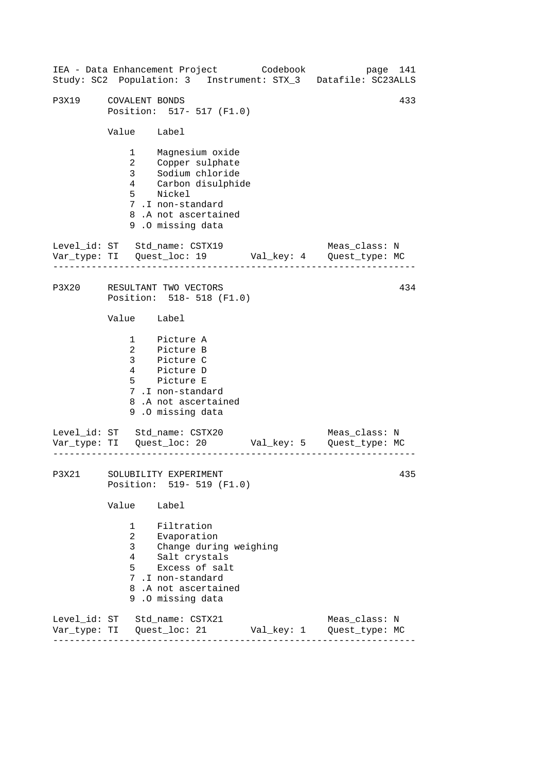------------------------------------------------------------------ ------------------------------------------------------------------ ------------------------------------------------------------------ IEA - Data Enhancement Project Codebook page 141 Study: SC2 Population: 3 Instrument: STX\_3 Datafile: SC23ALLS P3X19 COVALENT BONDS 433 Position: 517- 517 (F1.0) Value Label 1 Magnesium oxide 2 Copper sulphate<br>3 Sodium chloride 3 Sodium chloride 4 Carbon disulphide 5 Nickel 7 .I non-standard 8 .A not ascertained 9 .O missing data Level id: ST Std name: CSTX19 Meas class: N Var\_type: TI Quest\_loc: 19 Val\_key: 4 Quest\_type: MC P3X20 RESULTANT TWO VECTORS Position: 518- 518 (F1.0) Value Label 1 Picture A 2 Picture B 3 Picture C 4 Picture D 5 Picture E 7 .I non-standard 8 .A not ascertained 9 .O missing data Level\_id: ST Std\_name: CSTX20 Var\_type: TI Quest\_loc: 20 Val\_key: 5 Quest\_type: MC Meas\_class: N P3X21 SOLUBILITY EXPERIMENT Position: 519- 519 (F1.0) Value Label 1 Filtration 2 Evaporation 3 Change during weighing 4 Salt crystals 5 Excess of salt 7 .I non-standard 8 .A not ascertained 9 .O missing data Level\_id: ST Std\_name: CSTX21 Meas\_class: N Var\_type: TI Quest\_loc: 21 Val\_key: 1 Quest\_type: MC 434 435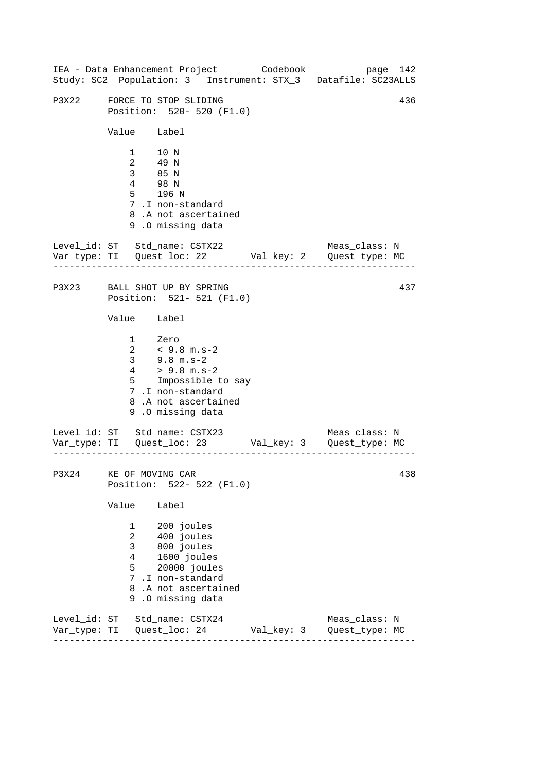------------------------------------------------------------------ ------------------------------------------------------------------ ------------------------------------------------------------------ IEA - Data Enhancement Project Codebook page 142 Study: SC2 Population: 3 Instrument: STX\_3 Datafile: SC23ALLS P3X22 FORCE TO STOP SLIDING  $436$ Position: 520- 520 (F1.0) Value Label 1 10 N 2 49 N 3 85 N 4 98 N 5 196 N 7 .I non-standard 8 .A not ascertained 9 .O missing data Level\_id: ST Std\_name: CSTX22 Meas\_class: N Var\_type: TI Quest\_loc: 22 Val\_key: 2 Quest\_type: MC P3X23 BALL SHOT UP BY SPRING Position: 521- 521 (F1.0) Value Label 1 Zero 2 < 9.8 m.s-2 3 9.8 m.s-2  $4$  > 9.8 m.s-2 5 Impossible to say 7 .I non-standard 8 .A not ascertained 9 .O missing data Level\_id: ST Std\_name: CSTX23 Meas\_class: N Var\_type: TI Quest\_loc: 23 Val\_key: 3 Quest\_type: MC P3X24 KE OF MOVING CAR Position: 522- 522 (F1.0) Value Label 1 200 joules 2 400 joules 3 800 joules 4 1600 joules 5 20000 joules 7 .I non-standard 8 .A not ascertained 9 .O missing data Level\_id: ST Std\_name: CSTX24 Meas\_class: N Var\_type: TI Quest\_loc: 24 Val\_key: 3 Quest\_type: MC 437 438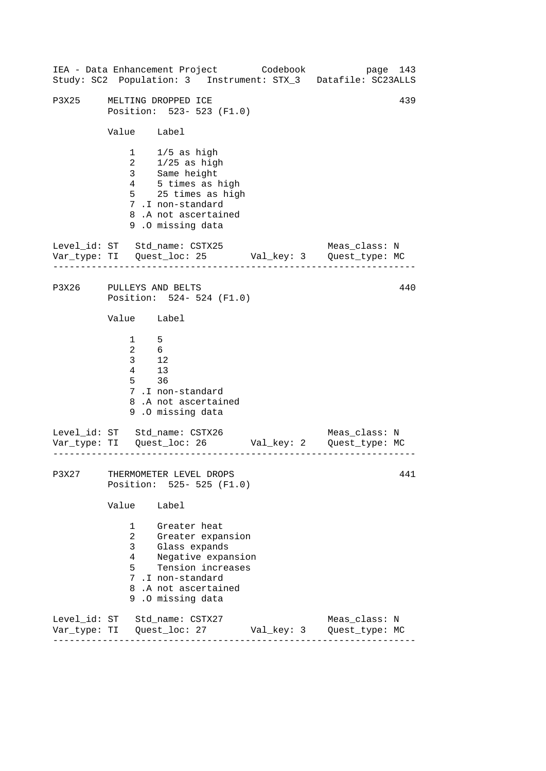| IEA - Data Enhancement Project Codebook |                                                                                             |                                                                                                                                          |                                                              |  | Study: SC2 Population: 3 Instrument: STX_3 Datafile: SC23ALLS | page 143 |
|-----------------------------------------|---------------------------------------------------------------------------------------------|------------------------------------------------------------------------------------------------------------------------------------------|--------------------------------------------------------------|--|---------------------------------------------------------------|----------|
| P3X25                                   | MELTING DROPPED ICE<br>Value Label                                                          |                                                                                                                                          | Position: 523- 523 (F1.0)                                    |  |                                                               | 439      |
|                                         |                                                                                             | $1 \t1/5$ as high<br>2 1/25 as high<br>3 Same height<br>4 5 times as high<br>7.I non-standard<br>8.A not ascertained<br>9.0 missing data | 5 25 times as high                                           |  |                                                               |          |
| Level_id: ST Std_name: CSTX25           | .                                                                                           |                                                                                                                                          |                                                              |  | Meas_class: N                                                 |          |
| P3X26 PULLEYS AND BELTS                 |                                                                                             |                                                                                                                                          | Position: 524- 524 (F1.0)                                    |  |                                                               | 440      |
|                                         | Value Label                                                                                 |                                                                                                                                          |                                                              |  |                                                               |          |
|                                         | $\frac{1}{2}$ 5<br>$\begin{array}{ccc} 2 & & 6 \\ 3 & & 12 \\ 4 & & 13 \end{array}$<br>5 36 | 7.I non-standard<br>8.A not ascertained<br>9.0 missing data                                                                              |                                                              |  |                                                               |          |
| Level_id: ST Std_name: CSTX26           |                                                                                             |                                                                                                                                          |                                                              |  | Meas_class: N                                                 |          |
| P3X27                                   | THERMOMETER LEVEL DROPS                                                                     |                                                                                                                                          | Position: 525- 525 (F1.0)                                    |  |                                                               | 441      |
|                                         | Value                                                                                       | Label                                                                                                                                    |                                                              |  |                                                               |          |
|                                         | $1 \quad \Box$<br>$\overline{a}$<br>3 <sup>7</sup><br>4<br>5                                | Greater heat<br>Glass expands<br>7.I non-standard<br>8.A not ascertained<br>9.0 missing data                                             | Greater expansion<br>Negative expansion<br>Tension increases |  |                                                               |          |
| Level_id: ST Std_name: CSTX27           |                                                                                             |                                                                                                                                          |                                                              |  | Meas_class: N                                                 |          |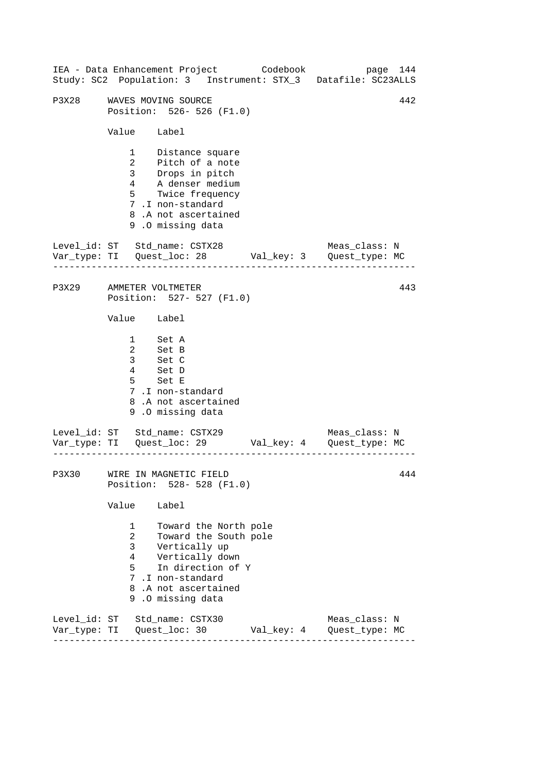|                                                                                                |                                                         | IEA - Data Enhancement Project Codebook                                                                                                                                 |  |            |  | Study: SC2 Population: 3 Instrument: STX_3 Datafile: SC23ALLS         | page 144 |  |
|------------------------------------------------------------------------------------------------|---------------------------------------------------------|-------------------------------------------------------------------------------------------------------------------------------------------------------------------------|--|------------|--|-----------------------------------------------------------------------|----------|--|
| P3X28                                                                                          | 442<br>WAVES MOVING SOURCE<br>Position: 526- 526 (F1.0) |                                                                                                                                                                         |  |            |  |                                                                       |          |  |
|                                                                                                | Value Label                                             |                                                                                                                                                                         |  |            |  |                                                                       |          |  |
|                                                                                                |                                                         | 1 Distance square<br>2 Pitch of a note<br>3 Drops in pitch<br>4 A denser medium<br>5 Twice frequency<br>7.I non-standard<br>8.A not ascertained<br>9.0 missing data     |  |            |  |                                                                       |          |  |
| Level_id: ST Std_name: CSTX28                                                                  |                                                         |                                                                                                                                                                         |  |            |  | Meas_class: N<br>Var_type: TI Quest_loc: 28 Val_key: 3 Quest_type: MC |          |  |
| P3X29 AMMETER VOLTMETER                                                                        |                                                         | Position: 527- 527 (F1.0)                                                                                                                                               |  |            |  |                                                                       | 443      |  |
|                                                                                                | Value Label                                             |                                                                                                                                                                         |  |            |  |                                                                       |          |  |
|                                                                                                |                                                         | 1 Set A<br>2 Set B<br>3 Set C<br>4 Set D<br>5 Set E<br>7.I non-standard<br>8.A not ascertained<br>9.0 missing data                                                      |  |            |  |                                                                       |          |  |
| Level_id: ST Std_name: CSTX29<br>Var_type: TI    Quest_loc: 29    Val_key: 4    Quest_type: MC |                                                         |                                                                                                                                                                         |  |            |  | Meas_class: N                                                         |          |  |
|                                                                                                |                                                         | P3X30 WIRE IN MAGNETIC FIELD<br>Position: 528- 528 (F1.0)                                                                                                               |  |            |  |                                                                       | 444      |  |
|                                                                                                | Value                                                   | Label                                                                                                                                                                   |  |            |  |                                                                       |          |  |
|                                                                                                | 1<br>$\overline{a}$<br>3<br>4<br>5                      | Toward the North pole<br>Toward the South pole<br>Vertically up<br>Vertically down<br>In direction of Y<br>7 .I non-standard<br>8.A not ascertained<br>9.0 missing data |  |            |  |                                                                       |          |  |
| Level_id: ST Std_name: CSTX30                                                                  |                                                         |                                                                                                                                                                         |  | Val_key: 4 |  | Meas_class: N<br>Quest_type: MC                                       |          |  |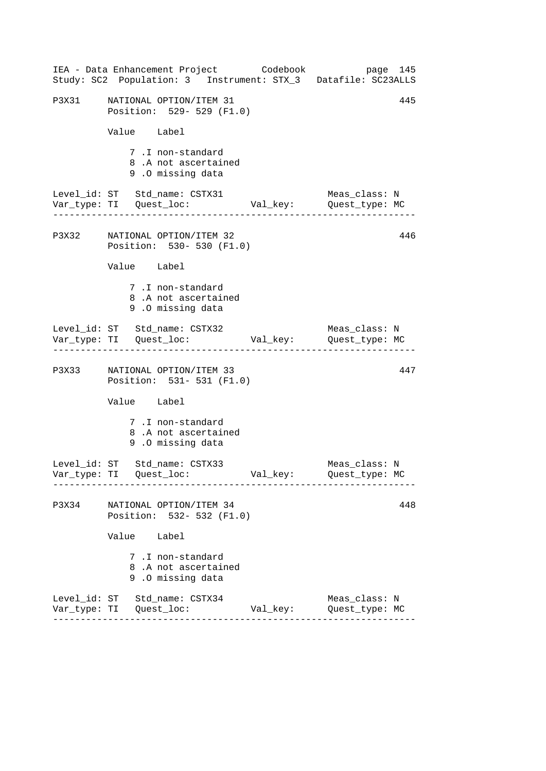|       | IEA - Data Enhancement Project Codebook<br>Study: SC2 Population: 3 Instrument: STX_3 Datafile: SC23ALLS |          | page 145                        |
|-------|----------------------------------------------------------------------------------------------------------|----------|---------------------------------|
|       | P3X31 NATIONAL OPTION/ITEM 31<br>Position: 529- 529 (F1.0)                                               |          | 445                             |
|       | Value Label                                                                                              |          |                                 |
|       | 7.I non-standard<br>8.A not ascertained<br>9.0 missing data                                              |          |                                 |
|       | Level_id: ST Std_name: CSTX31<br>Var_type: TI Quest_loc: Val_key: Quest_type: MC                         |          | Meas_class: N                   |
|       | P3X32 NATIONAL OPTION/ITEM 32<br>Position: 530- 530 (F1.0)                                               |          | 446                             |
|       | Value Label                                                                                              |          |                                 |
|       | 7.I non-standard<br>8.A not ascertained<br>9.0 missing data                                              |          |                                 |
|       | Level_id: ST Std_name: CSTX32                                                                            |          | Meas_class: N                   |
|       | P3X33 NATIONAL OPTION/ITEM 33<br>Position: 531- 531 (F1.0)                                               |          | 447                             |
|       | Value Label                                                                                              |          |                                 |
|       | 7.I non-standard<br>8.A not ascertained<br>9.0 missing data                                              |          |                                 |
|       | Level_id: ST Std_name: CSTX33                                                                            |          | Meas_class: N<br>Quest_type: MC |
| P3X34 | NATIONAL OPTION/ITEM 34<br>Position: 532- 532 (F1.0)                                                     |          | 448                             |
|       | Value Label                                                                                              |          |                                 |
|       | 7.I non-standard<br>8.A not ascertained<br>9.0 missing data                                              |          |                                 |
|       | Level_id: ST Std_name: CSTX34                                                                            | Val_key: | Meas_class: N<br>Quest_type: MC |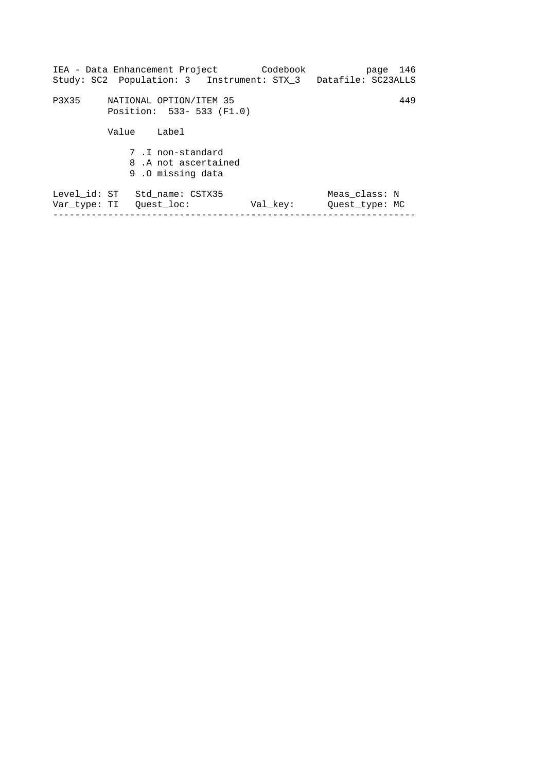|                              | IEA - Data Enhancement Project Codebook<br>Study: SC2 Population: 3 Instrument: STX 3 Datafile: SC23ALLS |          | page 146                        |
|------------------------------|----------------------------------------------------------------------------------------------------------|----------|---------------------------------|
| P3X35                        | NATIONAL OPTION/ITEM 35<br>Position: 533- 533 (F1.0)                                                     |          | 449                             |
|                              | Value<br>Label                                                                                           |          |                                 |
|                              | 7.I non-standard<br>8. A not ascertained<br>9.0 missing data                                             |          |                                 |
| Level_id: ST<br>Var type: TI | Std name: CSTX35<br>Ouest loc:                                                                           | Val key: | Meas class: N<br>Ouest type: MC |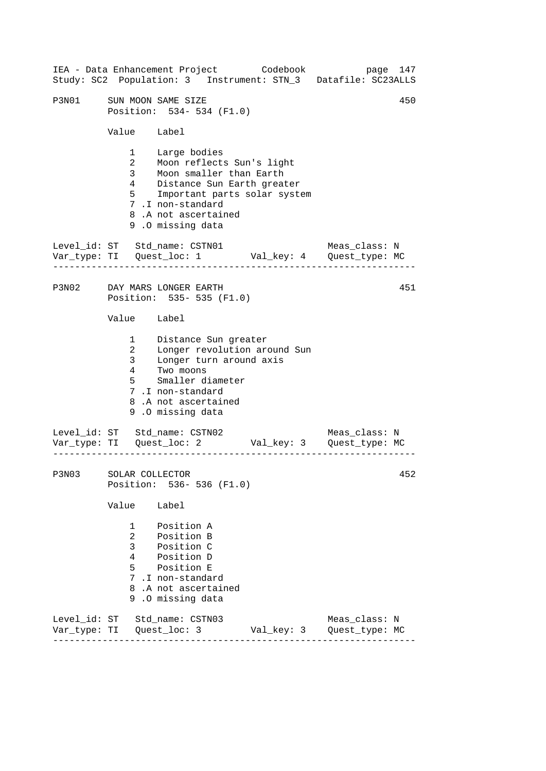------------------------------------------------------------------ ------------------------------------------------------------------ ------------------------------------------------------------------ IEA - Data Enhancement Project Codebook page 147 Study: SC2 Population: 3 Instrument: STN\_3 Datafile: SC23ALLS P3N01 SUN MOON SAME SIZE 450 Position: 534- 534 (F1.0) Value Label 1 Large bodies 2 Moon reflects Sun's light 3 Moon smaller than Earth 4 Distance Sun Earth greater 5 Important parts solar system 7 .I non-standard 8 .A not ascertained 9 .O missing data Level id: ST Std name: CSTN01 Meas class: N Var\_type: TI Quest\_loc: 1 Val\_key: 4 Quest\_type: MC P3N02 DAY MARS LONGER EARTH Position: 535- 535 (F1.0) Value Label 1 2 3 4 Distance Sun greater Longer revolution around Sun Longer turn around axis Two moons 5 Smaller diameter 7 .I non-standard 8 .A not ascertained 9 .O missing data Level\_id: ST Std\_name: CSTN02 Meas\_class: N Var\_type: TI Quest\_loc: 2 Val\_key: 3 Quest\_type: MC P3N03 SOLAR COLLECTOR Position: 536- 536 (F1.0) Value Label 1 Position A 2 Position B 3 Position C 4 Position D 5 Position E 7 .I non-standard 8 .A not ascertained 9 .O missing data Level\_id: ST Std\_name: CSTN03 Meas\_class: N Var\_type: TI Quest\_loc: 3 Val\_key: 3 Quest\_type: MC 451 452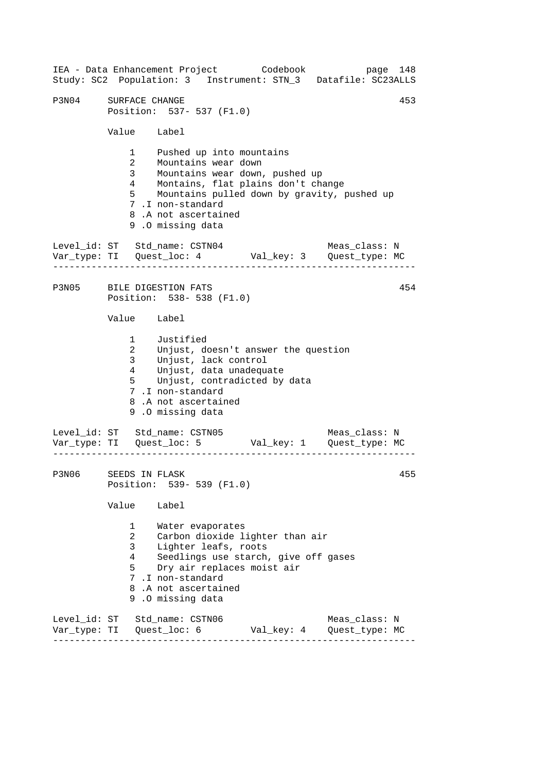------------------------------------------------------------------ ------------------------------------------------------------------ ------------------------------------------------------------------ IEA - Data Enhancement Project Codebook page 148 Study: SC2 Population: 3 Instrument: STN\_3 Datafile: SC23ALLS P3N04 SURFACE CHANGE 453 Position: 537- 537 (F1.0) Value Label 1 Pushed up into mountains 2 Mountains wear down 3 Mountains wear down, pushed up 4 Montains, flat plains don't change 5 Mountains pulled down by gravity, pushed up 7 .I non-standard 8 .A not ascertained 9 .O missing data Level id: ST Std name: CSTN04 Meas class: N Var\_type: TI Quest\_loc: 4 Val\_key: 3 Quest\_type: MC P3N05 BILE DIGESTION FATS 454 Position: 538- 538 (F1.0) Value Label 1 Justified 2 Unjust, doesn't answer the question 3 Unjust, lack control 4 Unjust, data unadequate 5 Unjust, contradicted by data 7 .I non-standard 8 .A not ascertained 9 .O missing data Level\_id: ST Std\_name: CSTN05 Meas\_class: N Var\_type: TI Quest\_loc: 5 Val\_key: 1 Quest\_type: MC P3N06 SEEDS IN FLASK 455 Position: 539- 539 (F1.0) Value Label 1 Water evaporates 2 Carbon dioxide lighter than air 3 Lighter leafs, roots 4 Seedlings use starch, give off gases 5 Dry air replaces moist air 7 .I non-standard 8 .A not ascertained 9 .O missing data Level\_id: ST Std\_name: CSTN06 Meas\_class: N Var\_type: TI Quest\_loc: 6 Val\_key: 4 Quest\_type: MC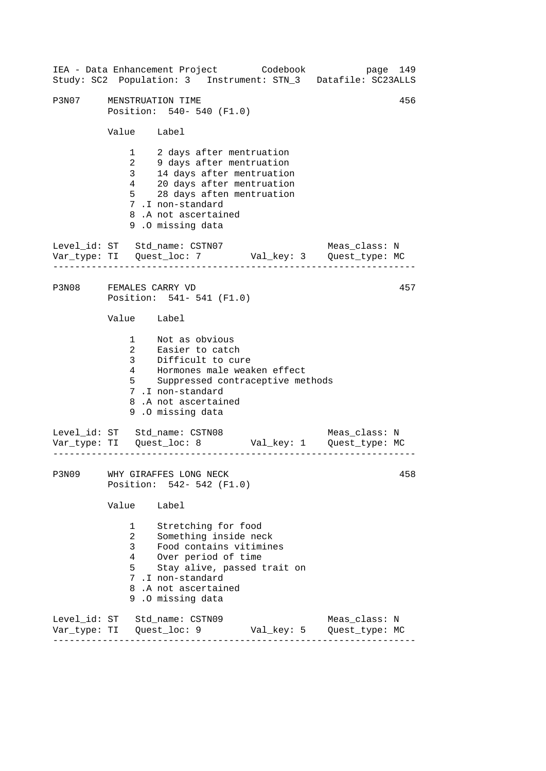------------------------------------------------------------------ ------------------------------------------------------------------ ------------------------------------------------------------------ 456 IEA - Data Enhancement Project Codebook page 149 Study: SC2 Population: 3 Instrument: STN\_3 Datafile: SC23ALLS P3N07 MENSTRUATION TIME Position: 540- 540 (F1.0) Value Label 1 2 days after mentruation 2 9 days after mentruation 3 14 days after mentruation 4 20 days after mentruation 5 28 days aften mentruation 7 .I non-standard 8 .A not ascertained 9 .O missing data Level id: ST Std name: CSTN07 Meas class: N Var\_type: TI Quest\_loc: 7 Val\_key: 3 Quest\_type: MC P3N08 FEMALES CARRY VD 457 Position: 541- 541 (F1.0) Value Label 1 Not as obvious 2 Easier to catch 3 Difficult to cure 4 Hormones male weaken effect 5 Suppressed contraceptive methods 7 .I non-standard 8 .A not ascertained 9 .O missing data Level\_id: ST Std\_name: CSTN08 Meas\_class: N Var\_type: TI Quest\_loc: 8 Val\_key: 1 Quest\_type: MC P3N09 WHY GIRAFFES LONG NECK 258 Position: 542- 542 (F1.0) Value Label 1 Stretching for food 2 Something inside neck 3 Food contains vitimines 4 Over period of time 5 Stay alive, passed trait on 7 .I non-standard 8 .A not ascertained 9 .O missing data Level\_id: ST Std\_name: CSTN09 Meas\_class: N Var\_type: TI Quest\_loc: 9 Val\_key: 5 Quest\_type: MC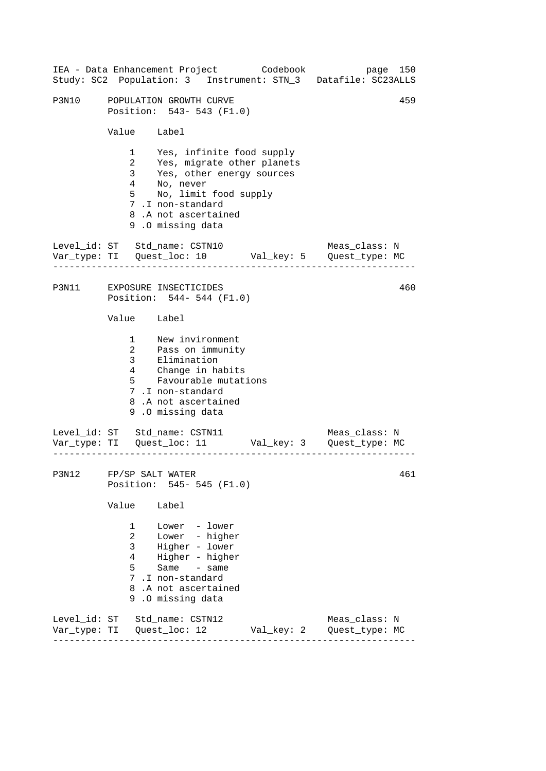|                                                         |                                                                    | IEA - Data Enhancement Project Codebook<br>Study: SC2 Population: 3 Instrument: STN_3 Datafile: SC23ALLS                                                                                      |  | page 150      |     |
|---------------------------------------------------------|--------------------------------------------------------------------|-----------------------------------------------------------------------------------------------------------------------------------------------------------------------------------------------|--|---------------|-----|
| <b>P3N10</b>                                            | 459<br>POPULATION GROWTH CURVE<br>Position: 543- 543 (F1.0)        |                                                                                                                                                                                               |  |               |     |
|                                                         | Value Label                                                        |                                                                                                                                                                                               |  |               |     |
|                                                         | 3 <sup>7</sup><br>$4\phantom{0}$<br>$5^{\circ}$                    | 1 Yes, infinite food supply<br>2 Yes, migrate other planets<br>Yes, other energy sources<br>No, never<br>No, limit food supply<br>7.I non-standard<br>8.A not ascertained<br>9.0 missing data |  |               |     |
|                                                         |                                                                    | Level_id: ST Std_name: CSTN10                                                                                                                                                                 |  | Meas_class: N |     |
| P3N11 EXPOSURE INSECTICIDES<br>Position: 544-544 (F1.0) |                                                                    |                                                                                                                                                                                               |  | 460           |     |
|                                                         | Value Label                                                        |                                                                                                                                                                                               |  |               |     |
|                                                         | $5^{\circ}$                                                        | 1 New invironment<br>2 Pass on immunity<br>3 Elimination<br>4 Change in habits<br>Favourable mutations<br>7.I non-standard<br>8.A not ascertained<br>9.0 missing data                         |  |               |     |
|                                                         |                                                                    | Level_id: ST Std_name: CSTN11                                                                                                                                                                 |  | Meas_class: N |     |
| P3N12 FP/SP SALT WATER                                  |                                                                    | Position: 545- 545 (F1.0)                                                                                                                                                                     |  |               | 461 |
|                                                         | Value                                                              | Label                                                                                                                                                                                         |  |               |     |
|                                                         | $1 \quad \blacksquare$<br>$\overline{a}$<br>$\mathbf{3}$<br>4<br>5 | Lower - lower<br>Lower - higher<br>Higher - lower<br>Higher - higher<br>Same - same<br>7.I non-standard<br>8.A not ascertained<br>9.0 missing data                                            |  |               |     |
|                                                         |                                                                    | Level_id: ST Std_name: CSTN12                                                                                                                                                                 |  | Meas_class: N |     |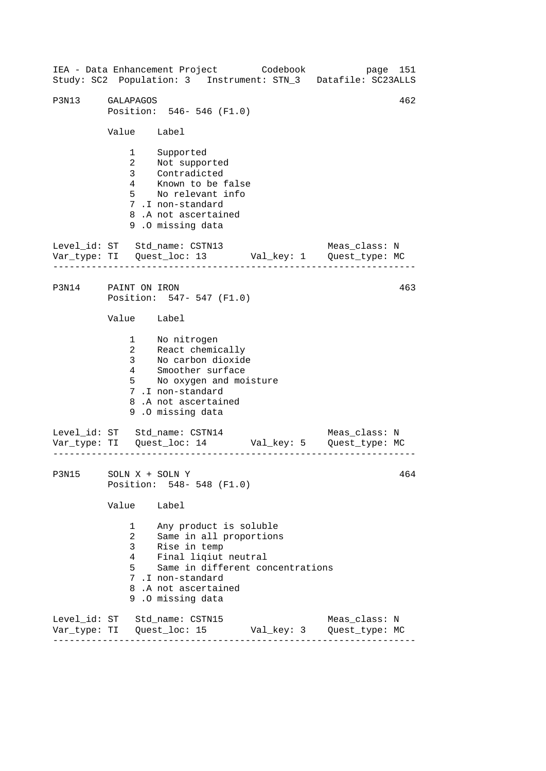------------------------------------------------------------------ ------------------------------------------------------------------ ------------------------------------------------------------------ IEA - Data Enhancement Project Codebook page 151 Study: SC2 Population: 3 Instrument: STN\_3 Datafile: SC23ALLS P3N13 GALAPAGOS 462 Position: 546- 546 (F1.0) Value Label 1 Supported 2 Not supported 3 Contradicted 4 Known to be false 5 No relevant info 7 .I non-standard 8 .A not ascertained 9 .O missing data Level\_id: ST Std\_name: CSTN13 Meas\_class: N Var\_type: TI Quest\_loc: 13 Val\_key: 1 Quest\_type: MC P3N14 PAINT ON IRON Position: 547- 547 (F1.0) Value Label 1 2 React chemically 3 No nitrogen No carbon dioxide 4 Smoother surface 5 No oxygen and moisture 7 .I non-standard 8 .A not ascertained 9 .O missing data Level\_id: ST Std\_name: CSTN14 Meas\_class: N Var\_type: TI Quest\_loc: 14 Val\_key: 5 Quest\_type: MC P3N15 SOLN X + SOLN Y Position: 548- 548 (F1.0) Value Label 1 Any product is soluble 2 Same in all proportions 3 Rise in temp 4 Final liqiut neutral 5 Same in different concentrations 7 .I non-standard 8 .A not ascertained 9 .O missing data Level\_id: ST Std\_name: CSTN15 Meas\_class: N Var\_type: TI Quest\_loc: 15 Val\_key: 3 Quest\_type: MC 463 464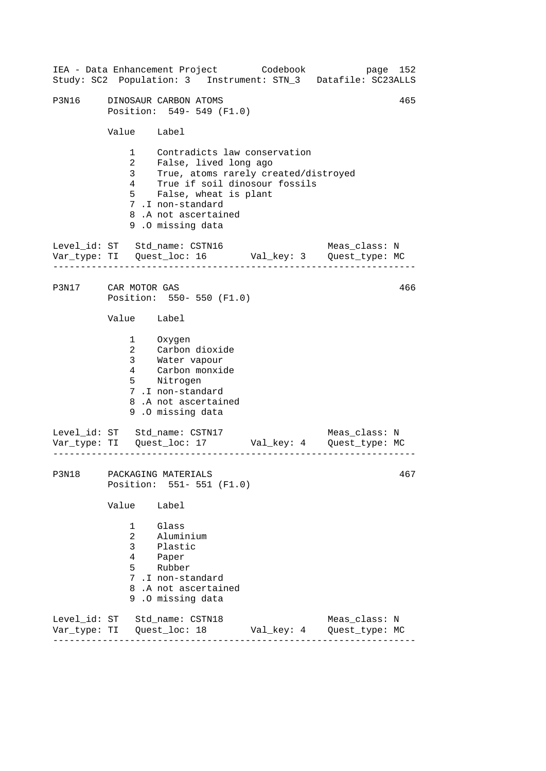| IEA - Data Enhancement Project Codebook |                                                                                         |                                                                                                                        |                                                                                                                                                                                |            | Study: SC2 Population: 3 Instrument: STN_3 Datafile: SC23ALLS                  | page 152 |
|-----------------------------------------|-----------------------------------------------------------------------------------------|------------------------------------------------------------------------------------------------------------------------|--------------------------------------------------------------------------------------------------------------------------------------------------------------------------------|------------|--------------------------------------------------------------------------------|----------|
| P3N16                                   |                                                                                         | DINOSAUR CARBON ATOMS                                                                                                  | Position: 549- 549 (F1.0)                                                                                                                                                      |            |                                                                                | 465      |
|                                         | Value Label                                                                             |                                                                                                                        |                                                                                                                                                                                |            |                                                                                |          |
|                                         | $1 \quad \Box$<br>$\overline{2}$<br>3 <sup>7</sup><br>$4\overline{ }$<br>5 <sub>5</sub> | 7.I non-standard<br>9.0 missing data                                                                                   | Contradicts law conservation<br>False, lived long ago<br>True, atoms rarely created/distroyed<br>True if soil dinosour fossils<br>False, wheat is plant<br>8.A not ascertained |            |                                                                                |          |
| Level_id: ST Std_name: CSTN16           |                                                                                         |                                                                                                                        |                                                                                                                                                                                |            | Meas_class: N<br>Var_type: TI    Quest_loc: 16    Val_key: 3    Quest_type: MC |          |
| P3N17 CAR MOTOR GAS                     |                                                                                         |                                                                                                                        | Position: 550- 550 (F1.0)                                                                                                                                                      |            |                                                                                | 466      |
|                                         | Value Label                                                                             |                                                                                                                        |                                                                                                                                                                                |            |                                                                                |          |
|                                         | $\mathbf{2}$                                                                            | 1 Oxygen<br>Carbon dioxide<br>3 Water vapour<br>4 Carbon monxide<br>5 Nitrogen<br>7.I non-standard<br>9.0 missing data | 8.A not ascertained                                                                                                                                                            |            |                                                                                |          |
| Level_id: ST Std_name: CSTN17           |                                                                                         |                                                                                                                        |                                                                                                                                                                                |            | Meas_class: N<br>Var_type: TI    Quest_loc: 17    Val_key: 4    Quest_type: MC |          |
| P3N18 PACKAGING MATERIALS               |                                                                                         |                                                                                                                        | Position: 551- 551 (F1.0)                                                                                                                                                      |            |                                                                                | 467      |
|                                         | Value                                                                                   | Label                                                                                                                  |                                                                                                                                                                                |            |                                                                                |          |
|                                         | $\mathbf{1}$<br>$\overline{2}$<br>$\mathbf{3}$<br>4<br>$5 -$                            | Glass<br>Aluminium<br>Plastic<br>Paper<br>Rubber<br>7.I non-standard<br>9.0 missing data                               | 8.A not ascertained                                                                                                                                                            |            |                                                                                |          |
| Level_id: ST Std_name: CSTN18           |                                                                                         |                                                                                                                        |                                                                                                                                                                                | Val_key: 4 | Meas_class: N<br>Quest_type: MC                                                |          |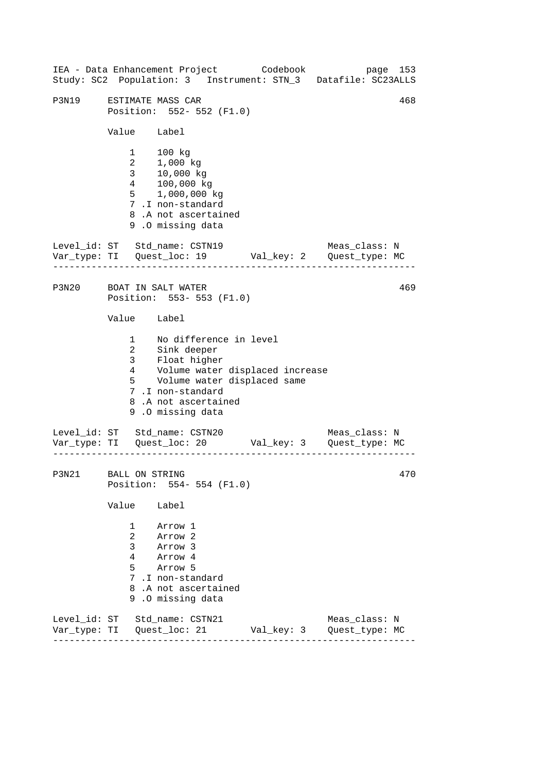------------------------------------------------------------------ ------------------------------------------------------------------ ------------------------------------------------------------------ 468 IEA - Data Enhancement Project Codebook page 153 Study: SC2 Population: 3 Instrument: STN\_3 Datafile: SC23ALLS P3N19 ESTIMATE MASS CAR Position: 552- 552 (F1.0) Value Label 1 100 kg 2 1,000 kg 3 10,000 kg 4 100,000 kg 5 1,000,000 kg 7 .I non-standard 8 .A not ascertained 9 .O missing data Level\_id: ST Std\_name: CSTN19 Meas\_class: N Var\_type: TI Quest\_loc: 19 Val\_key: 2 Quest\_type: MC P3N20 BOAT IN SALT WATER 469 Position: 553- 553 (F1.0) Value Label 1 No difference in level 2 Sink deeper 3 Float higher -----<br>4 Volume water displaced increase 5 Volume water displaced same 7 .I non-standard 8 .A not ascertained 9 .O missing data Level\_id: ST Std\_name: CSTN20 Meas\_class: N Var\_type: TI Quest\_loc: 20 Val\_key: 3 Quest\_type: MC P3N21 BALL ON STRING  $470$ Position: 554- 554 (F1.0) Value Label 1 Arrow 1 2 Arrow 2 3 Arrow 3 4 Arrow 4 5 Arrow 5 7 .I non-standard 8 .A not ascertained 9 .O missing data Level\_id: ST Std\_name: CSTN21 Meas\_class: N Var\_type: TI Quest\_loc: 21 Val\_key: 3 Quest\_type: MC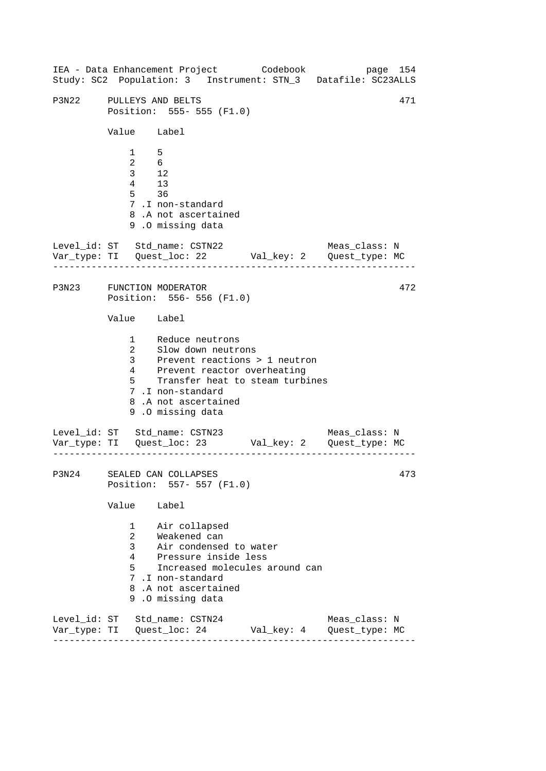------------------------------------------------------------------ ------------------------------------------------------------------ ------------------------------------------------------------------ IEA - Data Enhancement Project Codebook page 154 Study: SC2 Population: 3 Instrument: STN\_3 Datafile: SC23ALLS P3N22 PULLEYS AND BELTS 471 Position: 555- 555 (F1.0) Value Label 1 5 2 6 3 12 4 13 5 36 7 .I non-standard 8 .A not ascertained 9 .O missing data Level id: ST Std name: CSTN22 Meas class: N Var\_type: TI Quest\_loc: 22 Val\_key: 2 Quest\_type: MC P3N23 FUNCTION MODERATOR 472 Position: 556- 556 (F1.0) Value Label 1 Reduce neutrons 2 Slow down neutrons 3 Prevent reactions > 1 neutron 4 Prevent reactor overheating 5 Transfer heat to steam turbines 7 .I non-standard 8 .A not ascertained 9 .O missing data Level\_id: ST Std\_name: CSTN23 Meas\_class: N Var\_type: TI Quest\_loc: 23 Val\_key: 2 Quest\_type: MC P3N24 SEALED CAN COLLAPSES 473 Position: 557- 557 (F1.0) Value Label 1 Air collapsed 2 Weakened can 3 Air condensed to water 4 Pressure inside less 5 Increased molecules around can 7 .I non-standard 8 .A not ascertained 9 .O missing data Level\_id: ST Std\_name: CSTN24 Meas\_class: N Var\_type: TI Quest\_loc: 24 Val\_key: 4 Quest\_type: MC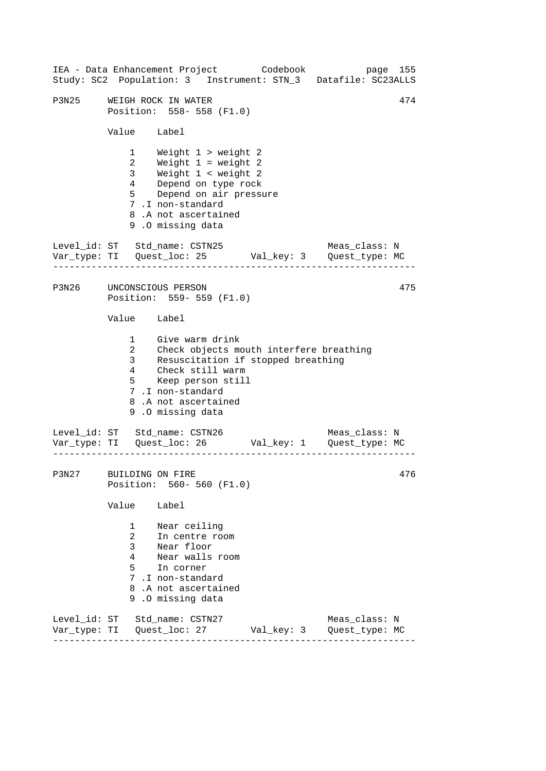------------------------------------------------------------------ ------------------------------------------------------------------ ------------------------------------------------------------------ 474 IEA - Data Enhancement Project Codebook page 155 Study: SC2 Population: 3 Instrument: STN\_3 Datafile: SC23ALLS P3N25 WEIGH ROCK IN WATER Position: 558- 558 (F1.0) Value Label 1 Weight 1 > weight 2 2 Weight 1 = weight 2 3 Weight 1 < weight 2 4 Depend on type rock 5 Depend on air pressure 7 .I non-standard 8 .A not ascertained 9 .O missing data Level id: ST Std name: CSTN25 Meas class: N Var\_type: TI Quest\_loc: 25 Val\_key: 3 Quest\_type: MC P3N26 UNCONSCIOUS PERSON 475 Position: 559- 559 (F1.0) Value Label 1 Give warm drink 2 Check objects mouth interfere breathing 3 Resuscitation if stopped breathing 4 Check still warm 5 Keep person still 7 .I non-standard 8 .A not ascertained 9 .O missing data Level\_id: ST Std\_name: CSTN26 Meas\_class: N Var\_type: TI Quest\_loc: 26 Val\_key: 1 Quest\_type: MC P3N27 BUILDING ON FIRE 476 Position: 560- 560 (F1.0) Value Label 1 Near ceiling 2 In centre room 3 Near floor 4 Near walls room 5 In corner 7 .I non-standard 8 .A not ascertained 9 .O missing data Level\_id: ST Std\_name: CSTN27 Meas\_class: N Var\_type: TI Quest\_loc: 27 Val\_key: 3 Quest\_type: MC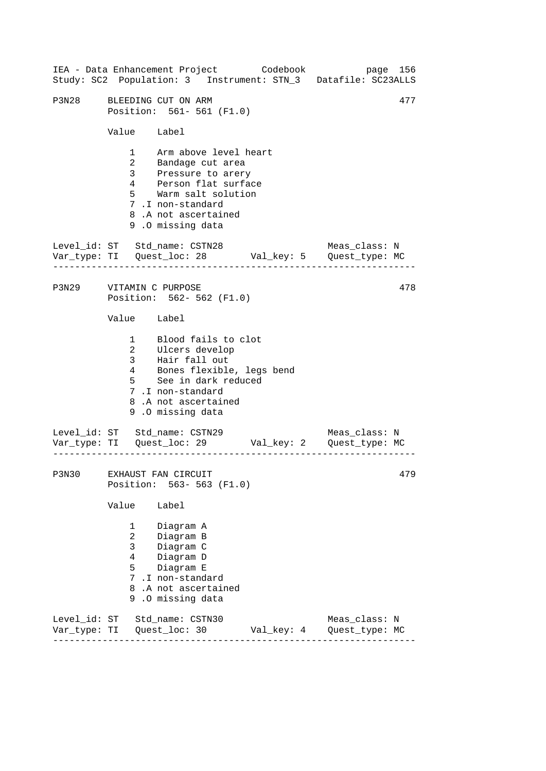------------------------------------------------------------------ ------------------------------------------------------------------ ------------------------------------------------------------------ IEA - Data Enhancement Project Codebook page 156 Study: SC2 Population: 3 Instrument: STN\_3 Datafile: SC23ALLS P3N28 BLEEDING CUT ON ARM 477 Position: 561- 561 (F1.0) Value Label 1 Arm above level heart 2 Bandage cut area 3 Pressure to arery 4 Person flat surface 5 Warm salt solution 7 .I non-standard 8 .A not ascertained 9 .O missing data Level id: ST Std name: CSTN28 Meas class: N Var\_type: TI Quest\_loc: 28 Val\_key: 5 Quest\_type: MC P3N29 VITAMIN C PURPOSE Position: 562- 562 (F1.0) Value Label 1 Blood fails to clot 2 3 Ulcers develop Hair fall out 4 5 Bones flexible, legs bend See in dark reduced 7 .I non-standard 8 .A not ascertained 9 .O missing data Level\_id: ST Std\_name: CSTN29 Meas\_class: N Var\_type: TI Quest\_loc: 29 Val\_key: 2 Quest\_type: MC P3N30 EXHAUST FAN CIRCUIT Position: 563- 563 (F1.0) Value Label 1 Diagram A 2 Diagram B 3 Diagram C 4 Diagram D 5 Diagram E 7 .I non-standard 8 .A not ascertained 9 .O missing data Level\_id: ST Std\_name: CSTN30 Meas\_class: N Var\_type: TI Quest\_loc: 30 Val\_key: 4 Quest\_type: MC 478 479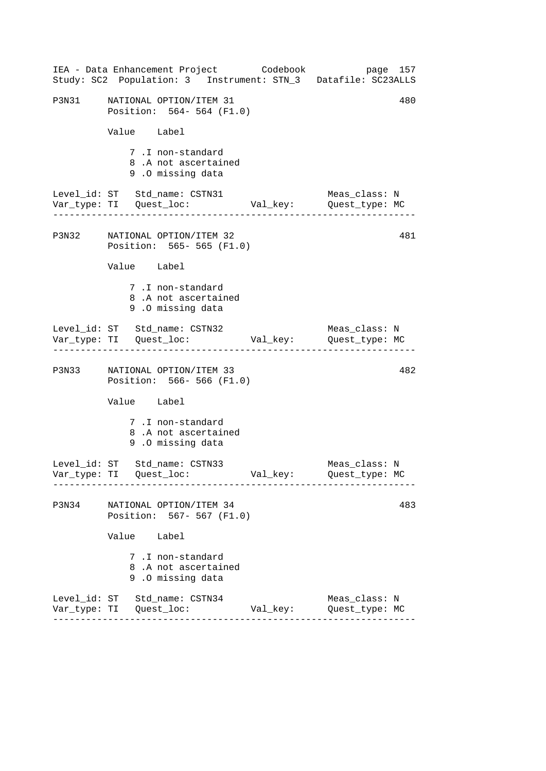|       | IEA - Data Enhancement Project Codebook<br>Study: SC2 Population: 3 Instrument: STN_3 Datafile: SC23ALLS          |          | page 157                        |
|-------|-------------------------------------------------------------------------------------------------------------------|----------|---------------------------------|
|       | P3N31 NATIONAL OPTION/ITEM 31<br>Position: 564- 564 (F1.0)                                                        |          | 480                             |
|       | Value Label                                                                                                       |          |                                 |
|       | 7.I non-standard<br>8.A not ascertained<br>9.0 missing data                                                       |          |                                 |
|       | Level_id: ST Std_name: CSTN31<br>Var_type: TI Quest_loc: Val_key: Quest_type: MC<br>----------------------------- |          | Meas_class: N                   |
|       | P3N32 NATIONAL OPTION/ITEM 32<br>Position: 565- 565 (F1.0)                                                        |          | 481                             |
|       | Value Label                                                                                                       |          |                                 |
|       | 7.I non-standard<br>8.A not ascertained<br>9.0 missing data                                                       |          |                                 |
|       | Level_id: ST Std_name: CSTN32                                                                                     |          | Meas_class: N                   |
|       | P3N33 NATIONAL OPTION/ITEM 33<br>Position: 566- 566 (F1.0)                                                        |          | 482                             |
|       | Value Label                                                                                                       |          |                                 |
|       | 7.I non-standard<br>8.A not ascertained<br>9.0 missing data                                                       |          |                                 |
|       | Level_id: ST Std_name: CSTN33                                                                                     |          | Meas_class: N<br>Quest_type: MC |
| P3N34 | NATIONAL OPTION/ITEM 34<br>Position: 567- 567 (F1.0)                                                              |          | 483                             |
|       | Value<br>Label                                                                                                    |          |                                 |
|       | 7.I non-standard<br>8.A not ascertained<br>9.0 missing data                                                       |          |                                 |
|       | Level_id: ST Std_name: CSTN34                                                                                     | Val_key: | Meas_class: N<br>Quest_type: MC |